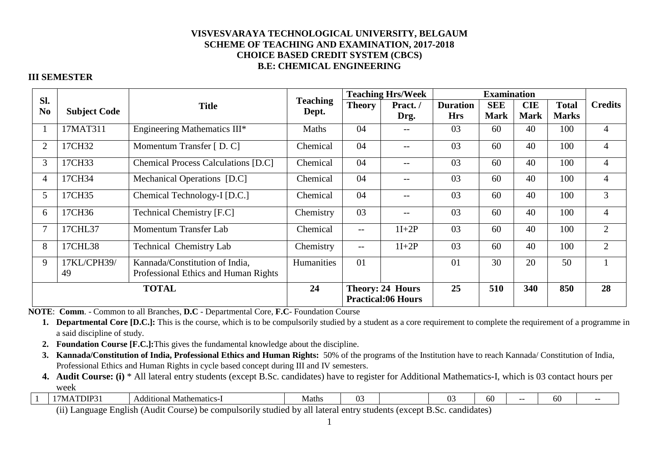## **III SEMESTER**

|                                            |                     |                                            |                 | <b>Teaching Hrs/Week</b> |                           |                 | <b>Examination</b> |             |              |                |
|--------------------------------------------|---------------------|--------------------------------------------|-----------------|--------------------------|---------------------------|-----------------|--------------------|-------------|--------------|----------------|
| SI.<br>N <sub>0</sub>                      |                     | <b>Title</b>                               | <b>Teaching</b> | <b>Theory</b>            | Pract./                   | <b>Duration</b> | <b>SEE</b>         | <b>CIE</b>  | <b>Total</b> | <b>Credits</b> |
|                                            | <b>Subject Code</b> |                                            | Dept.           |                          | Drg.                      | <b>Hrs</b>      | <b>Mark</b>        | <b>Mark</b> | <b>Marks</b> |                |
|                                            | 17MAT311            | Engineering Mathematics III*               | Maths           | 04                       | $- -$                     | 03              | 60                 | 40          | 100          | $\overline{4}$ |
| $\overline{2}$                             | 17CH32              | Momentum Transfer [D. C]                   | Chemical        | 04                       | $-$                       | 03              | 60                 | 40          | 100          | 4              |
| 3                                          | 17CH33              | <b>Chemical Process Calculations [D.C]</b> | Chemical        | 04                       | $- -$                     | 03              | 60                 | 40          | 100          | $\overline{4}$ |
| $\overline{4}$                             | 17CH34              | Mechanical Operations [D.C]                | Chemical        | 04                       | $\qquad \qquad -$         | 03              | 60                 | 40          | 100          | $\overline{4}$ |
| 5                                          | 17CH35              | Chemical Technology-I [D.C.]               | Chemical        | 04                       | $- -$                     | 03              | 60                 | 40          | 100          | 3              |
| 6                                          | 17CH36              | <b>Technical Chemistry [F.C]</b>           | Chemistry       | 03                       | $\qquad \qquad -$         | 03              | 60                 | 40          | 100          | $\overline{4}$ |
|                                            | 17CHL37             | Momentum Transfer Lab                      | Chemical        | $\overline{\phantom{m}}$ | $1I+2P$                   | 03              | 60                 | 40          | 100          | $\overline{2}$ |
| 8                                          | 17CHL38             | <b>Technical Chemistry Lab</b>             | Chemistry       | $\overline{\phantom{a}}$ | $1I+2P$                   |                 | 60                 | 40          | 100          | $\overline{2}$ |
| 9                                          | 17KL/CPH39/         | Kannada/Constitution of India,             | Humanities      | 01                       |                           | 01              | 30                 | 20          | 50           |                |
| Professional Ethics and Human Rights<br>49 |                     |                                            |                 |                          |                           |                 |                    |             |              |                |
|                                            | <b>TOTAL</b>        |                                            | 24              |                          | <b>Theory: 24 Hours</b>   | 25              | 510                | 340         | 850          | 28             |
|                                            |                     |                                            |                 |                          | <b>Practical:06 Hours</b> |                 |                    |             |              |                |

**NOTE**: **Comm**. - Common to all Branches, **D.C** - Departmental Core, **F.C**- Foundation Course

- **1. Departmental Core [D.C.]:** This is the course, which is to be compulsorily studied by a student as a core requirement to complete the requirement of a programme in a said discipline of study.
- **2. Foundation Course [F.C.]:**This gives the fundamental knowledge about the discipline.
- **3. Kannada/Constitution of India, Professional Ethics and Human Rights:** 50% of the programs of the Institution have to reach Kannada/ Constitution of India, Professional Ethics and Human Rights in cycle based concept during III and IV semesters.
- **4. Audit Course: (i)** \* All lateral entry students (except B.Sc. candidates) have to register for Additional Mathematics-I, which is 03 contact hours per week

| <b>NP</b><br>-<br>IVI | $\cdot$<br>Mathematics-<br>iditional<br>$\Delta$<br>n | Mati<br>viaur | $\sim$<br>. .<br>W. |                          | $\sim$<br><b><i>M.</i></b> | 60 | 60 | $ -$ |
|-----------------------|-------------------------------------------------------|---------------|---------------------|--------------------------|----------------------------|----|----|------|
|                       |                                                       | - -           |                     | $\overline{\phantom{a}}$ |                            |    |    |      |

(ii) Language English (Audit Course) be compulsorily studied by all lateral entry students (except B.Sc. candidates)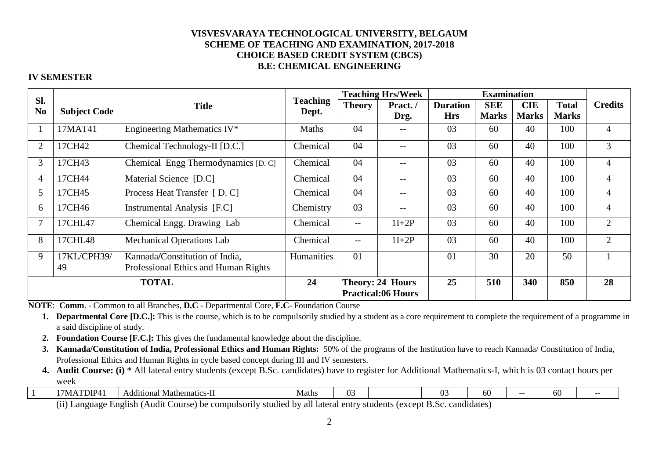## **IV SEMESTER**

|                                                                                                  |                                                         |                                     |                          | <b>Teaching Hrs/Week</b> |                                                      |                               | <b>Examination</b>         |                            |                              |                |
|--------------------------------------------------------------------------------------------------|---------------------------------------------------------|-------------------------------------|--------------------------|--------------------------|------------------------------------------------------|-------------------------------|----------------------------|----------------------------|------------------------------|----------------|
| Sl.<br>N <sub>0</sub>                                                                            | <b>Subject Code</b>                                     | <b>Title</b>                        | <b>Teaching</b><br>Dept. | <b>Theory</b>            | Pract./<br>Drg.                                      | <b>Duration</b><br><b>Hrs</b> | <b>SEE</b><br><b>Marks</b> | <b>CIE</b><br><b>Marks</b> | <b>Total</b><br><b>Marks</b> | <b>Credits</b> |
|                                                                                                  | 17MAT41                                                 | Engineering Mathematics IV*         | <b>Maths</b>             | 04                       | $\overline{\phantom{m}}$                             | 03                            | 60                         | 40                         | 100                          | $\overline{4}$ |
| $\overline{2}$                                                                                   | 17CH42                                                  | Chemical Technology-II [D.C.]       | Chemical                 | 04                       | $\qquad \qquad -$                                    | 03                            | 60                         | 40                         | 100                          | 3              |
| 3                                                                                                | 17CH43                                                  | Chemical Engg Thermodynamics [D. C] | Chemical                 | 04                       | $\qquad \qquad -$                                    | 03                            | 60                         | 40                         | 100                          | $\overline{4}$ |
| $\overline{4}$                                                                                   | 17CH44                                                  | Material Science [D.C]              | Chemical                 | 04                       | $- -$                                                | 03                            | 60                         | 40                         | 100                          | 4              |
| 5                                                                                                | 17CH45                                                  | Process Heat Transfer [D. C]        | Chemical                 | 04                       | --                                                   | 03                            | 60                         | 40                         | 100                          | $\overline{4}$ |
| 6                                                                                                | 17CH46                                                  | Instrumental Analysis [F.C]         | Chemistry                | 03                       | $- -$                                                | 03                            | 60                         | 40                         | 100                          | $\overline{4}$ |
| $\overline{7}$                                                                                   | 17CHL47                                                 | Chemical Engg. Drawing Lab          | Chemical                 | $- -$                    | $1I+2P$                                              | 03                            | 60                         | 40                         | 100                          | $\overline{2}$ |
| 8                                                                                                | <b>Mechanical Operations Lab</b><br>17CHL48<br>Chemical |                                     | $\overline{\phantom{m}}$ | $1I+2P$                  | 03                                                   | 60                            | 40                         | 100                        | $\overline{2}$               |                |
| 9<br>17KL/CPH39/<br>Kannada/Constitution of India,<br>Professional Ethics and Human Rights<br>49 |                                                         | Humanities                          | 01                       |                          | 01                                                   | 30                            | 20                         | 50                         |                              |                |
|                                                                                                  | <b>TOTAL</b>                                            |                                     |                          |                          | <b>Theory: 24 Hours</b><br><b>Practical:06 Hours</b> | 25                            | 510                        | 340                        | 850                          | 28             |

**NOTE**: **Comm**. - Common to all Branches, **D.C** - Departmental Core, **F.C**- Foundation Course

 **1. Departmental Core [D.C.]:** This is the course, which is to be compulsorily studied by a student as a core requirement to complete the requirement of a programme in a said discipline of study.

- **2. Foundation Course [F.C.]:** This gives the fundamental knowledge about the discipline.
- **3. Kannada/Constitution of India, Professional Ethics and Human Rights:** 50% of the programs of the Institution have to reach Kannada/ Constitution of India, Professional Ethics and Human Rights in cycle based concept during III and IV semesters.
- **4. Audit Course: (i)** \* All lateral entry students (except B.Sc. candidates) have to register for Additional Mathematics-I, which is 03 contact hours per week

|  |  | $- -$<br>DIP. | Mathematics-<br>. de $\sim$<br>Au<br>. | viaths | ωs<br>$\mathbf{U}$ . |  | $\sim$<br>$\mathbf{v}$ . | 60 |  | - -<br>60 | - |  |
|--|--|---------------|----------------------------------------|--------|----------------------|--|--------------------------|----|--|-----------|---|--|
|--|--|---------------|----------------------------------------|--------|----------------------|--|--------------------------|----|--|-----------|---|--|

(ii) Language English (Audit Course) be compulsorily studied by all lateral entry students (except B.Sc. candidates)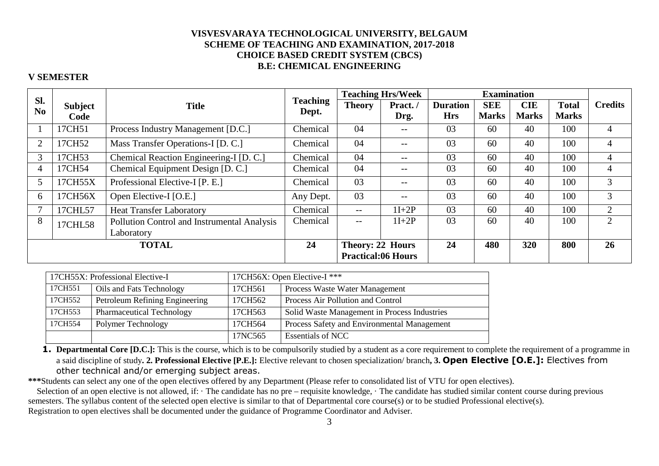### **V SEMESTER**

|                                                             |                |                                         |                 |                                               | <b>Teaching Hrs/Week</b>              |                 | <b>Examination</b> |              |                             |                |
|-------------------------------------------------------------|----------------|-----------------------------------------|-----------------|-----------------------------------------------|---------------------------------------|-----------------|--------------------|--------------|-----------------------------|----------------|
| Sl.<br>N <sub>0</sub>                                       | <b>Subject</b> | <b>Title</b>                            | <b>Teaching</b> | <b>Theory</b>                                 | Pract./                               | <b>Duration</b> | <b>SEE</b>         | <b>CIE</b>   | <b>Total</b>                | <b>Credits</b> |
|                                                             | Code           |                                         | Dept.           |                                               | Drg.                                  | <b>Hrs</b>      | <b>Marks</b>       | <b>Marks</b> | <b>Marks</b>                |                |
|                                                             | 17CH51         | Process Industry Management [D.C.]      | Chemical        | 04                                            | $ -$                                  | 03              | 60                 | 40           | 100                         |                |
| $\overline{2}$                                              | 17CH52         | Mass Transfer Operations-I [D. C.]      | Chemical        | 04                                            | $\hspace{0.05cm}$ – $\hspace{0.05cm}$ | 03              | 60                 | 40           | 100                         | 4              |
| 3                                                           | 17CH53         | Chemical Reaction Engineering-I [D. C.] | Chemical        | 04                                            | $\hspace{0.05cm}$ – $\hspace{0.05cm}$ | 03              | 60                 | 40           | 100                         | 4              |
| 4                                                           | 17CH54         | Chemical Equipment Design [D. C.]       | Chemical        | 04                                            | $\hspace{0.05cm}$ – $\hspace{0.05cm}$ | 03              | 60                 | 40           | 100                         | 4              |
| 5                                                           | 17CH55X        | Professional Elective-I [P. E.]         | Chemical        | 03                                            | $\hspace{0.05cm}$ – $\hspace{0.05cm}$ | 03              | 60                 | 40           | 100                         | 3              |
| 6                                                           | 17CH56X        | Open Elective-I [O.E.]                  | Any Dept.       | 03                                            | $\hspace{0.05cm}$ – $\hspace{0.05cm}$ | 03              | 60                 | 40           | 100                         | 3              |
|                                                             | 17CHL57        | <b>Heat Transfer Laboratory</b>         | Chemical        | $- -$                                         | $1I+2P$                               | 03              | 60                 | 40           | 100                         | $\overline{2}$ |
| 8<br>Pollution Control and Instrumental Analysis<br>17CHL58 |                | Chemical                                | $- -$           | $1I+2P$                                       | 03                                    | 60              | 40                 | 100          | $\mathcal{D}_{\mathcal{L}}$ |                |
| Laboratory                                                  |                |                                         |                 |                                               |                                       |                 |                    |              |                             |                |
|                                                             | <b>TOTAL</b>   |                                         | 24              | Theory: 22 Hours<br><b>Practical:06 Hours</b> |                                       | 24              | 480                | <b>320</b>   | 800                         | 26             |

|         | 17CH55X: Professional Elective-I |         | 17CH56X: Open Elective-I ***                 |
|---------|----------------------------------|---------|----------------------------------------------|
| 17CH551 | Oils and Fats Technology         | 17CH561 | Process Waste Water Management               |
| 17CH552 | Petroleum Refining Engineering   | 17CH562 | Process Air Pollution and Control            |
| 17CH553 | <b>Pharmaceutical Technology</b> | 17CH563 | Solid Waste Management in Process Industries |
| 17CH554 | Polymer Technology               | 17CH564 | Process Safety and Environmental Management  |
|         |                                  | 17NC565 | <b>Essentials of NCC</b>                     |

1. Departmental Core [D.C.]: This is the course, which is to be compulsorily studied by a student as a core requirement to complete the requirement of a programme in a said discipline of study**. 2. Professional Elective [P.E.]:** Elective relevant to chosen specialization/ branch**, 3. Open Elective [O.E.]:** Electives from other technical and/or emerging subject areas.

**\*\*\***Students can select any one of the open electives offered by any Department (Please refer to consolidated list of VTU for open electives).

Selection of an open elective is not allowed, if: · The candidate has no pre – requisite knowledge, · The candidate has studied similar content course during previous semesters. The syllabus content of the selected open elective is similar to that of Departmental core course(s) or to be studied Professional elective(s). Registration to open electives shall be documented under the guidance of Programme Coordinator and Adviser.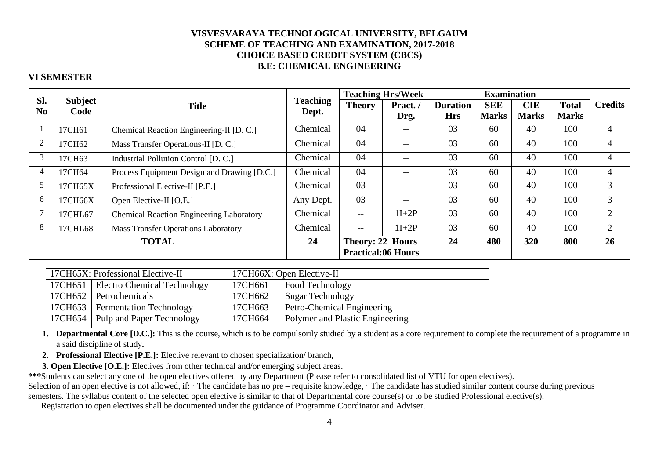### **VI SEMESTER**

|                                                            | Sl.<br><b>Subject</b> |                                             |                   | <b>Teaching Hrs/Week</b>  |         | <b>Examination</b> |              |              |              |                |
|------------------------------------------------------------|-----------------------|---------------------------------------------|-------------------|---------------------------|---------|--------------------|--------------|--------------|--------------|----------------|
|                                                            |                       | <b>Title</b>                                | <b>Teaching</b>   | <b>Theory</b>             | Pract./ | <b>Duration</b>    | <b>SEE</b>   | <b>CIE</b>   | <b>Total</b> | <b>Credits</b> |
| N <sub>0</sub>                                             | Code                  |                                             | Dept.             |                           | Drg.    | <b>Hrs</b>         | <b>Marks</b> | <b>Marks</b> | <b>Marks</b> |                |
|                                                            | 17CH61                | Chemical Reaction Engineering-II [D. C.]    | Chemical          | 04                        |         | 03                 | 60           | 40           | 100          | 4              |
| $\overline{2}$                                             | 17CH62                | Mass Transfer Operations-II [D. C.]         | Chemical          | 04                        | $-$     | 03                 | 60           | 40           | 100          | 4              |
| 3                                                          | 17CH63                | Industrial Pollution Control [D. C.]        | Chemical          | 04                        | $- -$   | 03                 | 60           | 40           | 100          | 4              |
| 4                                                          | 17CH64                | Process Equipment Design and Drawing [D.C.] | Chemical          | 04                        | $- -$   | 03                 | 60           | 40           | 100          | 4              |
| 5                                                          | 17CH65X               | Professional Elective-II [P.E.]             | Chemical          | 03                        | $- -$   | 03                 | 60           | 40           | 100          | 3              |
| 6                                                          | 17CH66X               | Open Elective-II [O.E.]                     | Any Dept.         | 03                        | $- -$   | 03                 | 60           | 40           | 100          | 3              |
| <b>Chemical Reaction Engineering Laboratory</b><br>17CHL67 |                       | Chemical                                    | $\qquad \qquad -$ | $1I+2P$                   | 03      | 60                 | 40           | 100          | 2            |                |
| 8<br><b>Mass Transfer Operations Laboratory</b><br>17CHL68 |                       | Chemical                                    | $--$              | $1I+2P$                   | 03      | 60                 | 40           | 100          | 2            |                |
|                                                            | <b>TOTAL</b>          |                                             |                   | <b>Theory: 22 Hours</b>   |         | 24                 | 480          | 320          | 800          | 26             |
|                                                            |                       |                                             |                   | <b>Practical:06 Hours</b> |         |                    |              |              |              |                |

| 17CH66X: Open Elective-II |                                        |  |  |  |  |
|---------------------------|----------------------------------------|--|--|--|--|
| 17CH661                   | Food Technology                        |  |  |  |  |
| 17CH662                   | <b>Sugar Technology</b>                |  |  |  |  |
| 17CH663                   | Petro-Chemical Engineering             |  |  |  |  |
| 17CH664                   | <b>Polymer and Plastic Engineering</b> |  |  |  |  |
|                           |                                        |  |  |  |  |

**1. Departmental Core [D.C.]:** This is the course, which is to be compulsorily studied by a student as a core requirement to complete the requirement of a programme in a said discipline of study**.** 

**2. Professional Elective [P.E.]:** Elective relevant to chosen specialization/ branch**,**

**3. Open Elective [O.E.]:** Electives from other technical and/or emerging subject areas.

**\*\*\***Students can select any one of the open electives offered by any Department (Please refer to consolidated list of VTU for open electives).

Selection of an open elective is not allowed, if: · The candidate has no pre – requisite knowledge, · The candidate has studied similar content course during previous

semesters. The syllabus content of the selected open elective is similar to that of Departmental core course(s) or to be studied Professional elective(s).

Registration to open electives shall be documented under the guidance of Programme Coordinator and Adviser.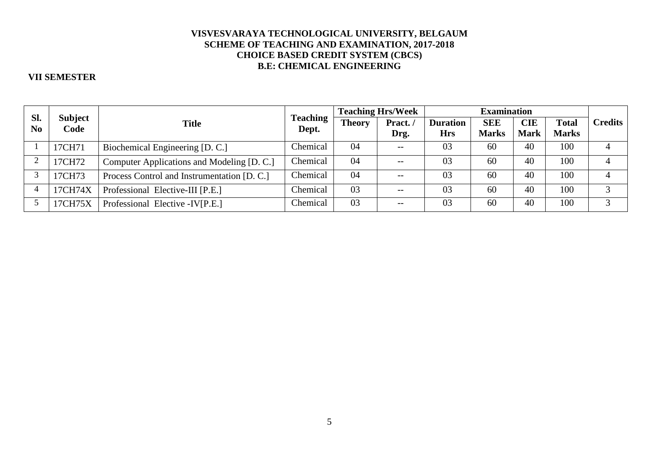## **VII SEMESTER**

|                       |                        |                                             |                          | <b>Teaching Hrs/Week</b> |                 | <b>Examination</b>            |                            |                           |                              |                |
|-----------------------|------------------------|---------------------------------------------|--------------------------|--------------------------|-----------------|-------------------------------|----------------------------|---------------------------|------------------------------|----------------|
| Sl.<br>N <sub>0</sub> | <b>Subject</b><br>Code | <b>Title</b>                                | <b>Teaching</b><br>Dept. | <b>Theory</b>            | Pract./<br>Drg. | <b>Duration</b><br><b>Hrs</b> | <b>SEE</b><br><b>Marks</b> | <b>CIE</b><br><b>Mark</b> | <b>Total</b><br><b>Marks</b> | <b>Credits</b> |
|                       | 17CH71                 | Biochemical Engineering [D. C.]             | Chemical                 | 04                       | $- -$           | 03                            | 60                         | 40                        | 100                          |                |
| ി                     | 17CH72                 | Computer Applications and Modeling [D. C.]  | Chemical                 | 04                       | $- -$           | 03                            | 60                         | 40                        | 100                          |                |
|                       | 17CH73                 | Process Control and Instrumentation [D. C.] | Chemical                 | 04                       | $- -$           | 03                            | 60                         | 40                        | 100                          |                |
|                       | 17CH74X                | Professional Elective-III [P.E.]            | Chemical                 | 03                       | $- -$           | 03                            | 60                         | 40                        | 100                          |                |
|                       | 17CH75X                | Professional Elective - IV[P.E.]            | Chemical                 | 03                       | $- -$           | 03                            | 60                         | 40                        | 100                          |                |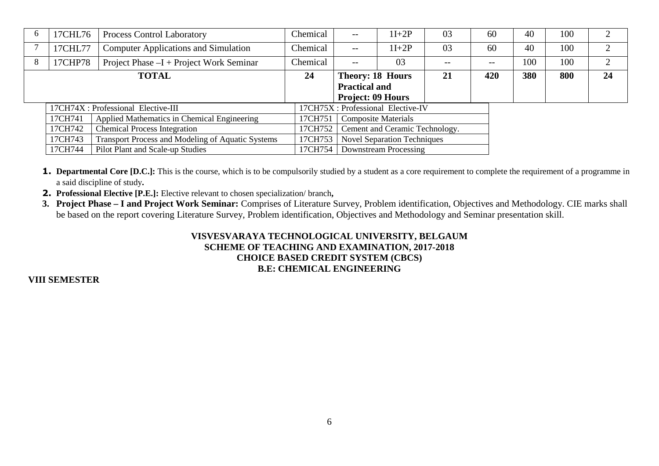| $\sigma$ | 17CHL76                                                             | <b>Process Control Laboratory</b>           | Chemical | $- -$                                 | $1I+2P$                            | 03    | 60    | 40  | 100 |                |  |
|----------|---------------------------------------------------------------------|---------------------------------------------|----------|---------------------------------------|------------------------------------|-------|-------|-----|-----|----------------|--|
|          | 17CHL77                                                             | <b>Computer Applications and Simulation</b> | Chemical | $- -$                                 | $1I+2P$                            | 03    | 60    | 40  | 100 | 2              |  |
| 8        | 17CHP78                                                             | Project Phase $-I$ + Project Work Seminar   | Chemical | --                                    | 03                                 | $- -$ | $- -$ | 100 | 100 | $\overline{2}$ |  |
|          |                                                                     | <b>TOTAL</b>                                | 24       | <b>Theory: 18 Hours</b>               |                                    | 21    | 420   | 380 | 800 | 24             |  |
|          |                                                                     |                                             |          | <b>Practical and</b>                  |                                    |       |       |     |     |                |  |
|          |                                                                     |                                             |          | <b>Project: 09 Hours</b>              |                                    |       |       |     |     |                |  |
|          | 17CH74X : Professional Elective-III                                 |                                             |          |                                       | 17CH75X : Professional Elective-IV |       |       |     |     |                |  |
|          | Applied Mathematics in Chemical Engineering<br>17CH741              |                                             |          | 17CH751<br><b>Composite Materials</b> |                                    |       |       |     |     |                |  |
|          | <b>Chemical Process Integration</b><br>17CH742                      |                                             |          | 17CH752                               | Cement and Ceramic Technology.     |       |       |     |     |                |  |
|          | <b>Transport Process and Modeling of Aquatic Systems</b><br>17CH743 |                                             |          | 17CH753                               | <b>Novel Separation Techniques</b> |       |       |     |     |                |  |
|          | Pilot Plant and Scale-up Studies<br>17CH744                         |                                             |          |                                       | Downstream Processing              |       |       |     |     |                |  |

- **1. Departmental Core [D.C.]:** This is the course, which is to be compulsorily studied by a student as a core requirement to complete the requirement of a programme in a said discipline of study**.**
- **2. Professional Elective [P.E.]:** Elective relevant to chosen specialization/ branch**,**
- **3. Project Phase I and Project Work Seminar:** Comprises of Literature Survey, Problem identification, Objectives and Methodology. CIE marks shall be based on the report covering Literature Survey, Problem identification, Objectives and Methodology and Seminar presentation skill.

## **VIII SEMESTER**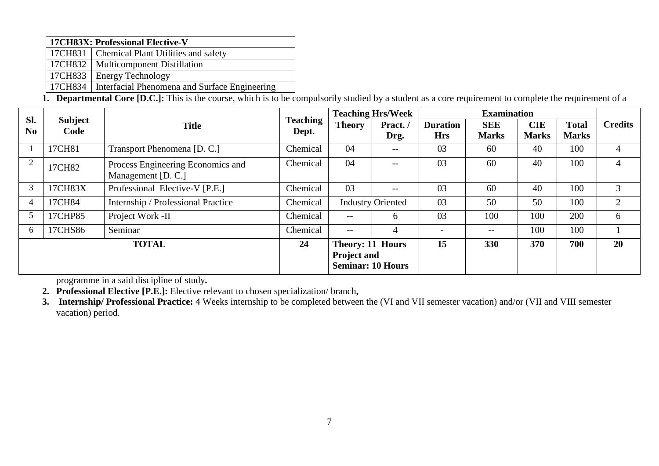|  | 17CH83X: Professional Elective-V                        |
|--|---------------------------------------------------------|
|  | 17CH831   Chemical Plant Utilities and safety           |
|  | 17CH832   Multicomponent Distillation                   |
|  | 17CH833   Energy Technology                             |
|  | 17CH834   Interfacial Phenomena and Surface Engineering |

**1. Departmental Core [D.C.]:** This is the course, which is to be compulsorily studied by a student as a core requirement to complete the requirement of a

|                         | Sl.<br>Subject |                                    |                 |                                                | <b>Teaching Hrs/Week</b> | <b>Examination</b> |              |              |              |                |
|-------------------------|----------------|------------------------------------|-----------------|------------------------------------------------|--------------------------|--------------------|--------------|--------------|--------------|----------------|
|                         |                | <b>Title</b>                       | <b>Teaching</b> | <b>Theory</b>                                  | Pract./                  | <b>Duration</b>    | <b>SEE</b>   | <b>CIE</b>   | <b>Total</b> | <b>Credits</b> |
| N <sub>0</sub>          | Code           |                                    | Dept.           |                                                | Drg.                     | <b>Hrs</b>         | <b>Marks</b> | <b>Marks</b> | <b>Marks</b> |                |
|                         | 17CH81         | Transport Phenomena [D. C.]        | Chemical        | 04                                             | --                       | 03                 | 60           | 40           | 100          | 4              |
| 2                       | 17CH82         | Process Engineering Economics and  | Chemical        | 04                                             | $--$                     | 03                 | 60           | 40           | 100          | 4              |
|                         |                | Management [D. C.]                 |                 |                                                |                          |                    |              |              |              |                |
| 3                       | 17CH83X        | Professional Elective-V [P.E.]     | Chemical        | 03                                             | $--$                     | 03                 | 60           | 40           | 100          | 3              |
| 4                       | 17CH84         | Internship / Professional Practice | Chemical        |                                                | <b>Industry Oriented</b> |                    | 50           | 50           | 100          |                |
|                         | 17CHP85        | Project Work -II                   | Chemical        | --                                             | 6                        | 03                 | 100          | 100          | 200          | 6              |
| Seminar<br>6<br>17CHS86 |                | Chemical                           | $- -$           | 4                                              |                          | $- -$              | 100          | 100          |              |                |
|                         | <b>TOTAL</b>   |                                    | 24              | <b>Theory: 11 Hours</b>                        |                          | 15                 | 330          | 370          | 700          | 20             |
|                         |                |                                    |                 | <b>Project and</b><br><b>Seminar: 10 Hours</b> |                          |                    |              |              |              |                |

programme in a said discipline of study**. 2. Professional Elective [P.E.]:** Elective relevant to chosen specialization/ branch**,** 

**3. Internship/ Professional Practice:** 4 Weeks internship to be completed between the (VI and VII semester vacation) and/or (VII and VIII semester vacation) period.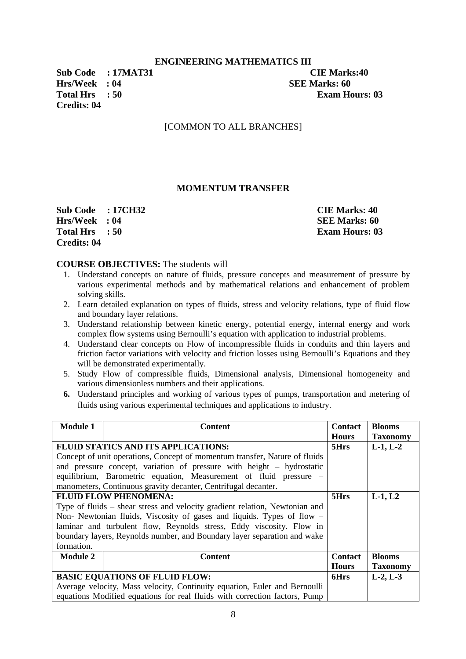### **ENGINEERING MATHEMATICS III**

**Hrs/Week : 04 SEE Marks: 60 Credits: 04** 

**Sub Code : 17MAT31 CIE Marks:40 Total Hrs** : 50 **Exam Hours: 03** 

### [COMMON TO ALL BRANCHES]

### **MOMENTUM TRANSFER**

**Sub Code : 17CH32 CIE Marks: 40 Hrs/Week : 04** SEE Marks: 60 **Total Hrs** : 50 **Exam Hours: 03 Credits: 04** 

### **COURSE OBJECTIVES:** The students will

- 1. Understand concepts on nature of fluids, pressure concepts and measurement of pressure by various experimental methods and by mathematical relations and enhancement of problem solving skills.
- 2. Learn detailed explanation on types of fluids, stress and velocity relations, type of fluid flow and boundary layer relations.
- 3. Understand relationship between kinetic energy, potential energy, internal energy and work complex flow systems using Bernoulli's equation with application to industrial problems.
- 4. Understand clear concepts on Flow of incompressible fluids in conduits and thin layers and friction factor variations with velocity and friction losses using Bernoulli's Equations and they will be demonstrated experimentally.
- 5. Study Flow of compressible fluids, Dimensional analysis, Dimensional homogeneity and various dimensionless numbers and their applications.
- **6.** Understand principles and working of various types of pumps, transportation and metering of fluids using various experimental techniques and applications to industry.

| <b>Module 1</b>                                                        | <b>Content</b>                                                              | <b>Contact</b> | <b>Blooms</b>   |
|------------------------------------------------------------------------|-----------------------------------------------------------------------------|----------------|-----------------|
|                                                                        |                                                                             | <b>Hours</b>   | <b>Taxonomy</b> |
| <b>FLUID STATICS AND ITS APPLICATIONS:</b>                             |                                                                             | 5Hrs           | $L-1, L-2$      |
|                                                                        | Concept of unit operations, Concept of momentum transfer, Nature of fluids  |                |                 |
|                                                                        | and pressure concept, variation of pressure with height – hydrostatic       |                |                 |
|                                                                        | equilibrium, Barometric equation, Measurement of fluid pressure -           |                |                 |
|                                                                        | manometers, Continuous gravity decanter, Centrifugal decanter.              |                |                 |
|                                                                        | <b>FLUID FLOW PHENOMENA:</b>                                                | 5Hrs           | $L-1, L2$       |
|                                                                        | Type of fluids – shear stress and velocity gradient relation, Newtonian and |                |                 |
| Non- Newtonian fluids, Viscosity of gases and liquids. Types of flow – |                                                                             |                |                 |
| laminar and turbulent flow, Reynolds stress, Eddy viscosity. Flow in   |                                                                             |                |                 |
|                                                                        | boundary layers, Reynolds number, and Boundary layer separation and wake    |                |                 |
| formation.                                                             |                                                                             |                |                 |
| <b>Module 2</b>                                                        | <b>Content</b>                                                              | <b>Contact</b> | <b>Blooms</b>   |
|                                                                        |                                                                             | <b>Hours</b>   | <b>Taxonomy</b> |
|                                                                        | <b>BASIC EQUATIONS OF FLUID FLOW:</b>                                       | 6Hrs           | $L-2, L-3$      |
|                                                                        | Average velocity, Mass velocity, Continuity equation, Euler and Bernoulli   |                |                 |
|                                                                        | equations Modified equations for real fluids with correction factors, Pump  |                |                 |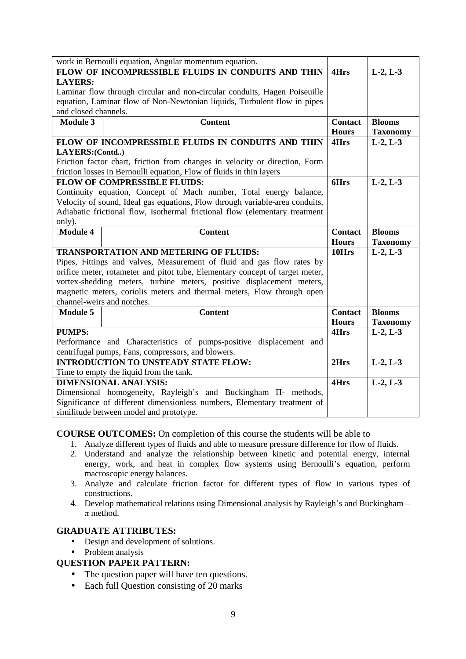| work in Bernoulli equation, Angular momentum equation.                   |                                                                              |                |                 |
|--------------------------------------------------------------------------|------------------------------------------------------------------------------|----------------|-----------------|
| FLOW OF INCOMPRESSIBLE FLUIDS IN CONDUITS AND THIN                       |                                                                              |                | $L-2, L-3$      |
| <b>LAYERS:</b>                                                           |                                                                              |                |                 |
|                                                                          | Laminar flow through circular and non-circular conduits, Hagen Poiseuille    |                |                 |
|                                                                          | equation, Laminar flow of Non-Newtonian liquids, Turbulent flow in pipes     |                |                 |
| and closed channels.                                                     |                                                                              |                |                 |
| <b>Module 3</b>                                                          | <b>Content</b>                                                               | <b>Contact</b> | <b>Blooms</b>   |
|                                                                          |                                                                              | <b>Hours</b>   | <b>Taxonomy</b> |
|                                                                          | FLOW OF INCOMPRESSIBLE FLUIDS IN CONDUITS AND THIN                           | 4Hrs           | $L-2, L-3$      |
| LAYERS:(Contd)                                                           |                                                                              |                |                 |
|                                                                          | Friction factor chart, friction from changes in velocity or direction, Form  |                |                 |
|                                                                          | friction losses in Bernoulli equation, Flow of fluids in thin layers         |                |                 |
|                                                                          | <b>FLOW OF COMPRESSIBLE FLUIDS:</b>                                          | 6Hrs           | $L-2, L-3$      |
|                                                                          | Continuity equation, Concept of Mach number, Total energy balance,           |                |                 |
|                                                                          | Velocity of sound, Ideal gas equations, Flow through variable-area conduits, |                |                 |
|                                                                          | Adiabatic frictional flow, Isothermal frictional flow (elementary treatment  |                |                 |
| only).                                                                   |                                                                              |                |                 |
| <b>Module 4</b>                                                          | <b>Content</b>                                                               | <b>Contact</b> | <b>Blooms</b>   |
|                                                                          |                                                                              |                | <b>Taxonomy</b> |
| <b>TRANSPORTATION AND METERING OF FLUIDS:</b>                            |                                                                              | 10Hrs          | $L-2, L-3$      |
|                                                                          | Pipes, Fittings and valves, Measurement of fluid and gas flow rates by       |                |                 |
|                                                                          | orifice meter, rotameter and pitot tube, Elementary concept of target meter, |                |                 |
|                                                                          | vortex-shedding meters, turbine meters, positive displacement meters,        |                |                 |
|                                                                          | magnetic meters, coriolis meters and thermal meters, Flow through open       |                |                 |
|                                                                          | channel-weirs and notches.                                                   |                |                 |
| <b>Module 5</b>                                                          | <b>Content</b>                                                               | <b>Contact</b> | <b>Blooms</b>   |
|                                                                          |                                                                              | <b>Hours</b>   | <b>Taxonomy</b> |
| <b>PUMPS:</b>                                                            |                                                                              | 4Hrs           | $L-2, L-3$      |
| Performance and Characteristics of pumps-positive displacement and       |                                                                              |                |                 |
| centrifugal pumps, Fans, compressors, and blowers.                       |                                                                              |                |                 |
|                                                                          | <b>INTRODUCTION TO UNSTEADY STATE FLOW:</b>                                  | 2Hrs           | $L-2, L-3$      |
|                                                                          | Time to empty the liquid from the tank.                                      |                |                 |
|                                                                          | <b>DIMENSIONAL ANALYSIS:</b>                                                 | 4Hrs           | $L-2, L-3$      |
|                                                                          | Dimensional homogeneity, Rayleigh's and Buckingham II- methods,              |                |                 |
| Significance of different dimensionless numbers, Elementary treatment of |                                                                              |                |                 |
|                                                                          |                                                                              |                |                 |

### **COURSE OUTCOMES:** On completion of this course the students will be able to

- 1. Analyze different types of fluids and able to measure pressure difference for flow of fluids.
- 2. Understand and analyze the relationship between kinetic and potential energy, internal energy, work, and heat in complex flow systems using Bernoulli's equation, perform macroscopic energy balances.
- 3. Analyze and calculate friction factor for different types of flow in various types of constructions.
- 4. Develop mathematical relations using Dimensional analysis by Rayleigh's and Buckingham  $\pi$  method.

### **GRADUATE ATTRIBUTES:**

- Design and development of solutions.
- Problem analysis

- The question paper will have ten questions.
- Each full Question consisting of 20 marks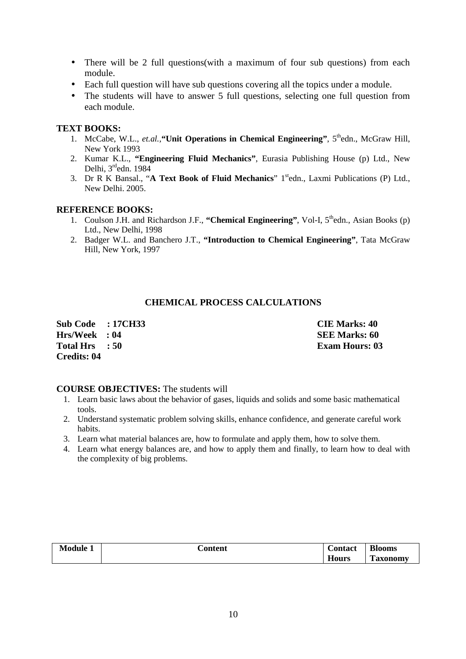- There will be 2 full questions (with a maximum of four sub questions) from each module.
- Each full question will have sub questions covering all the topics under a module.
- The students will have to answer 5 full questions, selecting one full question from each module.

### **TEXT BOOKS:**

- 1. McCabe, W.L., et.al., "Unit Operations in Chemical Engineering", 5<sup>th</sup>edn., McGraw Hill, New York 1993
- 2. Kumar K.L., **"Engineering Fluid Mechanics"**, Eurasia Publishing House (p) Ltd., New Delhi, 3<sup>rd</sup>edn. 1984
- 3. Dr R K Bansal., "A Text Book of Fluid Mechanics" 1<sup>st</sup>edn., Laxmi Publications (P) Ltd., New Delhi. 2005.

### **REFERENCE BOOKS:**

- 1. Coulson J.H. and Richardson J.F., "Chemical Engineering", Vol-I, 5<sup>th</sup>edn., Asian Books (p) Ltd., New Delhi, 1998
- 2. Badger W.L. and Banchero J.T., **"Introduction to Chemical Engineering"**, Tata McGraw Hill, New York, 1997

### **CHEMICAL PROCESS CALCULATIONS**

| <b>Sub Code : 17CH33</b> | <b>CIE Marks: 40</b>  |
|--------------------------|-----------------------|
| Hrs/Week : 04            | <b>SEE Marks: 60</b>  |
| Total Hrs : 50           | <b>Exam Hours: 03</b> |
| Credits: 04              |                       |

### **COURSE OBJECTIVES:** The students will

- 1. Learn basic laws about the behavior of gases, liquids and solids and some basic mathematical tools.
- 2. Understand systematic problem solving skills, enhance confidence, and generate careful work habits.
- 3. Learn what material balances are, how to formulate and apply them, how to solve them.
- 4. Learn what energy balances are, and how to apply them and finally, to learn how to deal with the complexity of big problems.

| Module <sub>-</sub> | Content | <b>Contact</b> | <b>Blooms</b>                  |
|---------------------|---------|----------------|--------------------------------|
|                     |         | $- -$<br>Hours | <b>CONT</b><br><b>Taxonomy</b> |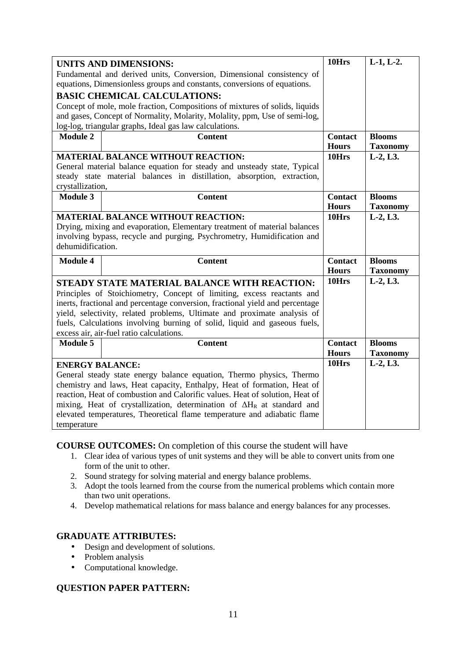|                                                                         | <b>UNITS AND DIMENSIONS:</b>                                                   | 10Hrs          | $L-1, L-2.$     |
|-------------------------------------------------------------------------|--------------------------------------------------------------------------------|----------------|-----------------|
| Fundamental and derived units, Conversion, Dimensional consistency of   |                                                                                |                |                 |
|                                                                         | equations, Dimensionless groups and constants, conversions of equations.       |                |                 |
|                                                                         | <b>BASIC CHEMICAL CALCULATIONS:</b>                                            |                |                 |
|                                                                         | Concept of mole, mole fraction, Compositions of mixtures of solids, liquids    |                |                 |
|                                                                         | and gases, Concept of Normality, Molarity, Molality, ppm, Use of semi-log,     |                |                 |
|                                                                         | log-log, triangular graphs, Ideal gas law calculations.                        |                |                 |
| <b>Module 2</b>                                                         | <b>Content</b>                                                                 | <b>Contact</b> | <b>Blooms</b>   |
|                                                                         |                                                                                | <b>Hours</b>   | <b>Taxonomy</b> |
|                                                                         | <b>MATERIAL BALANCE WITHOUT REACTION:</b>                                      | 10Hrs          | $L-2, L3.$      |
|                                                                         | General material balance equation for steady and unsteady state, Typical       |                |                 |
|                                                                         | steady state material balances in distillation, absorption, extraction,        |                |                 |
| crystallization,                                                        |                                                                                |                |                 |
| <b>Module 3</b>                                                         | <b>Content</b>                                                                 | <b>Contact</b> | <b>Blooms</b>   |
|                                                                         |                                                                                | <b>Hours</b>   | <b>Taxonomy</b> |
|                                                                         | <b>MATERIAL BALANCE WITHOUT REACTION:</b>                                      | 10Hrs          | $L-2, L3.$      |
|                                                                         | Drying, mixing and evaporation, Elementary treatment of material balances      |                |                 |
| involving bypass, recycle and purging, Psychrometry, Humidification and |                                                                                |                |                 |
|                                                                         |                                                                                |                |                 |
| dehumidification.                                                       |                                                                                |                |                 |
| <b>Module 4</b>                                                         | <b>Content</b>                                                                 | <b>Contact</b> | <b>Blooms</b>   |
|                                                                         |                                                                                | <b>Hours</b>   | <b>Taxonomy</b> |
|                                                                         | STEADY STATE MATERIAL BALANCE WITH REACTION:                                   | 10Hrs          | $L-2, L3.$      |
|                                                                         | Principles of Stoichiometry, Concept of limiting, excess reactants and         |                |                 |
|                                                                         | inerts, fractional and percentage conversion, fractional yield and percentage  |                |                 |
|                                                                         | yield, selectivity, related problems, Ultimate and proximate analysis of       |                |                 |
|                                                                         | fuels, Calculations involving burning of solid, liquid and gaseous fuels,      |                |                 |
|                                                                         | excess air, air-fuel ratio calculations.                                       |                |                 |
| <b>Module 5</b>                                                         | <b>Content</b>                                                                 | <b>Contact</b> | <b>Blooms</b>   |
|                                                                         |                                                                                | <b>Hours</b>   | <b>Taxonomy</b> |
| <b>ENERGY BALANCE:</b>                                                  |                                                                                | 10Hrs          | L-2, L3.        |
|                                                                         | General steady state energy balance equation, Thermo physics, Thermo           |                |                 |
|                                                                         | chemistry and laws, Heat capacity, Enthalpy, Heat of formation, Heat of        |                |                 |
|                                                                         | reaction, Heat of combustion and Calorific values. Heat of solution, Heat of   |                |                 |
|                                                                         | mixing, Heat of crystallization, determination of $\Delta H_R$ at standard and |                |                 |
|                                                                         | elevated temperatures, Theoretical flame temperature and adiabatic flame       |                |                 |

**COURSE OUTCOMES:** On completion of this course the student will have

- 1. Clear idea of various types of unit systems and they will be able to convert units from one form of the unit to other.
- 2. Sound strategy for solving material and energy balance problems.
- 3. Adopt the tools learned from the course from the numerical problems which contain more than two unit operations.
- 4. Develop mathematical relations for mass balance and energy balances for any processes.

## **GRADUATE ATTRIBUTES:**

- Design and development of solutions.
- Problem analysis
- Computational knowledge.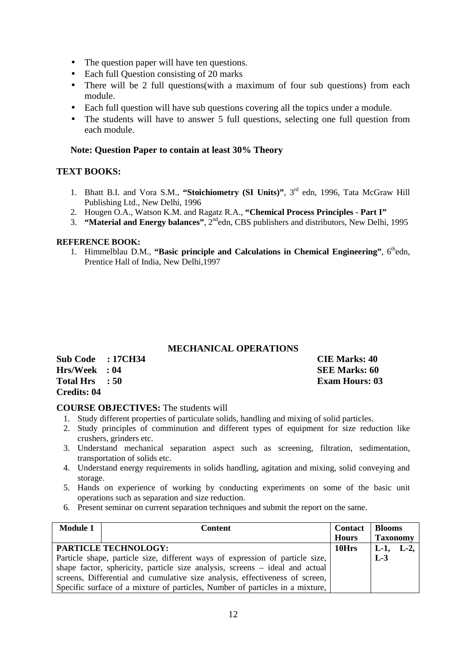- The question paper will have ten questions.
- Each full Question consisting of 20 marks
- There will be 2 full questions(with a maximum of four sub questions) from each module.
- Each full question will have sub questions covering all the topics under a module.
- The students will have to answer 5 full questions, selecting one full question from each module.

## **Note: Question Paper to contain at least 30% Theory**

# **TEXT BOOKS:**

- 1. Bhatt B.I. and Vora S.M., **"Stoichiometry (SI Units)"**, 3rd edn, 1996, Tata McGraw Hill Publishing Ltd., New Delhi, 1996
- 2. Hougen O.A., Watson K.M. and Ragatz R.A., **"Chemical Process Principles Part I"**
- 3. **"Material and Energy balances"**, 2ndedn, CBS publishers and distributors, New Delhi, 1995

### **REFERENCE BOOK:**

1. Himmelblau D.M., "Basic principle and Calculations in Chemical Engineering", 6<sup>th</sup>edn, Prentice Hall of India, New Delhi,1997

### **MECHANICAL OPERATIONS**

| Sub Code : 17CH34 | <b>CIE Marks: 40</b>  |
|-------------------|-----------------------|
| Hrs/Week : 04     | SEE Marks: 60         |
| Total Hrs : 50    | <b>Exam Hours: 03</b> |
| Credits: 04       |                       |

### **COURSE OBJECTIVES:** The students will

- 1. Study different properties of particulate solids, handling and mixing of solid particles.
- 2. Study principles of comminution and different types of equipment for size reduction like crushers, grinders etc.
- 3. Understand mechanical separation aspect such as screening, filtration, sedimentation, transportation of solids etc.
- 4. Understand energy requirements in solids handling, agitation and mixing, solid conveying and storage.
- 5. Hands on experience of working by conducting experiments on some of the basic unit operations such as separation and size reduction.
- 6. Present seminar on current separation techniques and submit the report on the same.

| <b>Module 1</b>                                                              | Content                                                                       |              | <b>Blooms</b>   |       |
|------------------------------------------------------------------------------|-------------------------------------------------------------------------------|--------------|-----------------|-------|
|                                                                              |                                                                               | <b>Hours</b> | <b>Taxonomy</b> |       |
|                                                                              | <b>PARTICLE TECHNOLOGY:</b>                                                   | 10Hrs        | $L-1$ ,         | $L-2$ |
|                                                                              | Particle shape, particle size, different ways of expression of particle size, |              | $L-3$           |       |
|                                                                              | shape factor, sphericity, particle size analysis, screens – ideal and actual  |              |                 |       |
| screens, Differential and cumulative size analysis, effectiveness of screen, |                                                                               |              |                 |       |
|                                                                              | Specific surface of a mixture of particles, Number of particles in a mixture, |              |                 |       |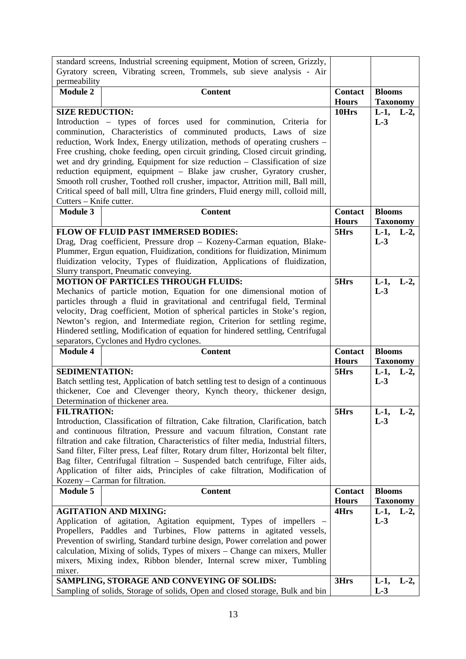|                                                                                | standard screens, Industrial screening equipment, Motion of screen, Grizzly,                                                           |                                |                  |         |
|--------------------------------------------------------------------------------|----------------------------------------------------------------------------------------------------------------------------------------|--------------------------------|------------------|---------|
|                                                                                | Gyratory screen, Vibrating screen, Trommels, sub sieve analysis - Air                                                                  |                                |                  |         |
| permeability                                                                   |                                                                                                                                        |                                |                  |         |
| <b>Module 2</b>                                                                | <b>Content</b>                                                                                                                         | <b>Contact</b>                 | <b>Blooms</b>    |         |
|                                                                                |                                                                                                                                        | <b>Hours</b>                   | <b>Taxonomy</b>  |         |
| <b>SIZE REDUCTION:</b>                                                         |                                                                                                                                        | 10Hrs                          | $L-1,$<br>$L-3$  | $L-2$ , |
|                                                                                | Introduction – types of forces used for comminution, Criteria for<br>comminution, Characteristics of comminuted products, Laws of size |                                |                  |         |
|                                                                                | reduction, Work Index, Energy utilization, methods of operating crushers –                                                             |                                |                  |         |
|                                                                                | Free crushing, choke feeding, open circuit grinding, Closed circuit grinding,                                                          |                                |                  |         |
|                                                                                | wet and dry grinding, Equipment for size reduction - Classification of size                                                            |                                |                  |         |
|                                                                                | reduction equipment, equipment - Blake jaw crusher, Gyratory crusher,                                                                  |                                |                  |         |
|                                                                                | Smooth roll crusher, Toothed roll crusher, impactor, Attrition mill, Ball mill,                                                        |                                |                  |         |
|                                                                                | Critical speed of ball mill, Ultra fine grinders, Fluid energy mill, colloid mill,                                                     |                                |                  |         |
| Cutters - Knife cutter.                                                        |                                                                                                                                        |                                |                  |         |
| <b>Module 3</b>                                                                | <b>Content</b>                                                                                                                         | <b>Contact</b>                 | <b>Blooms</b>    |         |
|                                                                                |                                                                                                                                        | <b>Hours</b>                   | <b>Taxonomy</b>  |         |
|                                                                                | FLOW OF FLUID PAST IMMERSED BODIES:                                                                                                    | 5Hrs                           | $L-1$ ,          | $L-2$ , |
|                                                                                | Drag, Drag coefficient, Pressure drop - Kozeny-Carman equation, Blake-                                                                 |                                | $L-3$            |         |
|                                                                                | Plummer, Ergun equation, Fluidization, conditions for fluidization, Minimum                                                            |                                |                  |         |
|                                                                                | fluidization velocity, Types of fluidization, Applications of fluidization,                                                            |                                |                  |         |
|                                                                                | Slurry transport, Pneumatic conveying.                                                                                                 |                                |                  |         |
|                                                                                | <b>MOTION OF PARTICLES THROUGH FLUIDS:</b>                                                                                             | 5Hrs                           | $L-1,$           | $L-2$   |
|                                                                                | Mechanics of particle motion, Equation for one dimensional motion of                                                                   |                                | $L-3$            |         |
|                                                                                | particles through a fluid in gravitational and centrifugal field, Terminal                                                             |                                |                  |         |
|                                                                                | velocity, Drag coefficient, Motion of spherical particles in Stoke's region,                                                           |                                |                  |         |
|                                                                                | Newton's region, and Intermediate region, Criterion for settling regime,                                                               |                                |                  |         |
| Hindered settling, Modification of equation for hindered settling, Centrifugal |                                                                                                                                        |                                |                  |         |
|                                                                                |                                                                                                                                        |                                |                  |         |
|                                                                                | separators, Cyclones and Hydro cyclones.                                                                                               |                                |                  |         |
| <b>Module 4</b>                                                                | <b>Content</b>                                                                                                                         | <b>Contact</b><br><b>Hours</b> | <b>Blooms</b>    |         |
| <b>SEDIMENTATION:</b>                                                          |                                                                                                                                        | 5Hrs                           | <b>Taxonomy</b>  |         |
|                                                                                | Batch settling test, Application of batch settling test to design of a continuous                                                      |                                | $L-1$ ,<br>$L-3$ | $L-2$ , |
|                                                                                | thickener, Coe and Clevenger theory, Kynch theory, thickener design,                                                                   |                                |                  |         |
|                                                                                | Determination of thickener area.                                                                                                       |                                |                  |         |
| <b>FILTRATION:</b>                                                             |                                                                                                                                        | 5Hrs                           | $L-1,$           | $L-2$ , |
|                                                                                | Introduction, Classification of filtration, Cake filtration, Clarification, batch                                                      |                                | $L-3$            |         |
|                                                                                | and continuous filtration, Pressure and vacuum filtration, Constant rate                                                               |                                |                  |         |
|                                                                                | filtration and cake filtration, Characteristics of filter media, Industrial filters,                                                   |                                |                  |         |
|                                                                                | Sand filter, Filter press, Leaf filter, Rotary drum filter, Horizontal belt filter,                                                    |                                |                  |         |
|                                                                                | Bag filter, Centrifugal filtration - Suspended batch centrifuge, Filter aids,                                                          |                                |                  |         |
|                                                                                | Application of filter aids, Principles of cake filtration, Modification of                                                             |                                |                  |         |
|                                                                                | Kozeny – Carman for filtration.                                                                                                        |                                |                  |         |
| <b>Module 5</b>                                                                | <b>Content</b>                                                                                                                         | <b>Contact</b>                 | <b>Blooms</b>    |         |
|                                                                                | <b>AGITATION AND MIXING:</b>                                                                                                           | <b>Hours</b><br>4Hrs           | <b>Taxonomy</b>  |         |
|                                                                                | Application of agitation, Agitation equipment, Types of impellers –                                                                    |                                | $L-1,$<br>$L-3$  | $L-2$ , |
|                                                                                | Propellers, Paddles and Turbines, Flow patterns in agitated vessels,                                                                   |                                |                  |         |
|                                                                                | Prevention of swirling, Standard turbine design, Power correlation and power                                                           |                                |                  |         |
|                                                                                | calculation, Mixing of solids, Types of mixers – Change can mixers, Muller                                                             |                                |                  |         |
|                                                                                | mixers, Mixing index, Ribbon blender, Internal screw mixer, Tumbling                                                                   |                                |                  |         |
| mixer.                                                                         |                                                                                                                                        |                                |                  |         |
|                                                                                | SAMPLING, STORAGE AND CONVEYING OF SOLIDS:<br>Sampling of solids, Storage of solids, Open and closed storage, Bulk and bin             | 3Hrs                           | $L-1$ ,<br>$L-3$ | $L-2$ , |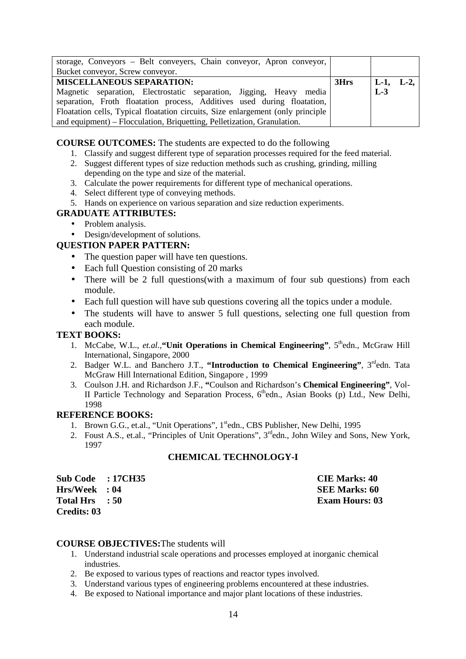| storage, Conveyors - Belt conveyers, Chain conveyor, Apron conveyor,            |      |                |  |
|---------------------------------------------------------------------------------|------|----------------|--|
| Bucket conveyor, Screw conveyor.                                                |      |                |  |
| <b>MISCELLANEOUS SEPARATION:</b>                                                | 3Hrs | $ L-1, L-2,  $ |  |
| Magnetic separation, Electrostatic separation, Jigging, Heavy media             |      | $L-3$          |  |
| separation, Froth floatation process, Additives used during floatation,         |      |                |  |
| Floatation cells, Typical floatation circuits, Size enlargement (only principle |      |                |  |
| and equipment) – Flocculation, Briquetting, Pelletization, Granulation.         |      |                |  |

**COURSE OUTCOMES:** The students are expected to do the following

- 1. Classify and suggest different type of separation processes required for the feed material.
- 2. Suggest different types of size reduction methods such as crushing, grinding, milling depending on the type and size of the material.
- 3. Calculate the power requirements for different type of mechanical operations.
- 4. Select different type of conveying methods.
- 5. Hands on experience on various separation and size reduction experiments.

### **GRADUATE ATTRIBUTES:**

- Problem analysis.
- Design/development of solutions.

### **QUESTION PAPER PATTERN:**

- The question paper will have ten questions.
- Each full Question consisting of 20 marks
- There will be 2 full questions(with a maximum of four sub questions) from each module.
- Each full question will have sub questions covering all the topics under a module.
- The students will have to answer 5 full questions, selecting one full question from each module.

### **TEXT BOOKS:**

- 1. McCabe, W.L., *et.al.*, "Unit Operations in Chemical Engineering", 5<sup>th</sup>edn., McGraw Hill International, Singapore, 2000
- 2. Badger W.L. and Banchero J.T., "Introduction to Chemical Engineering", 3<sup>rd</sup>edn. Tata McGraw Hill International Edition, Singapore , 1999
- 3. Coulson J.H. and Richardson J.F., **"**Coulson and Richardson's **Chemical Engineering"**, Vol-II Particle Technology and Separation Process,  $6<sup>th</sup>$ edn., Asian Books (p) Ltd., New Delhi, 1998

### **REFERENCE BOOKS:**

- 1. Brown G.G., et.al., "Unit Operations", 1<sup>st</sup>edn., CBS Publisher, New Delhi, 1995
- 2. Foust A.S., et.al., "Principles of Unit Operations", 3<sup>rd</sup>edn., John Wiley and Sons, New York, 1997

### **CHEMICAL TECHNOLOGY-I**

| <b>Sub Code</b>  | : 17CH35 |
|------------------|----------|
| <b>Hrs/Week</b>  | : 04     |
| <b>Total Hrs</b> | : 50     |
| Credits: 03      |          |

**CIE Marks: 40 SEE Marks: 60 Exam Hours: 03** 

### **COURSE OBJECTIVES:**The students will

- 1. Understand industrial scale operations and processes employed at inorganic chemical industries.
- 2. Be exposed to various types of reactions and reactor types involved.
- 3. Understand various types of engineering problems encountered at these industries.
- 4. Be exposed to National importance and major plant locations of these industries.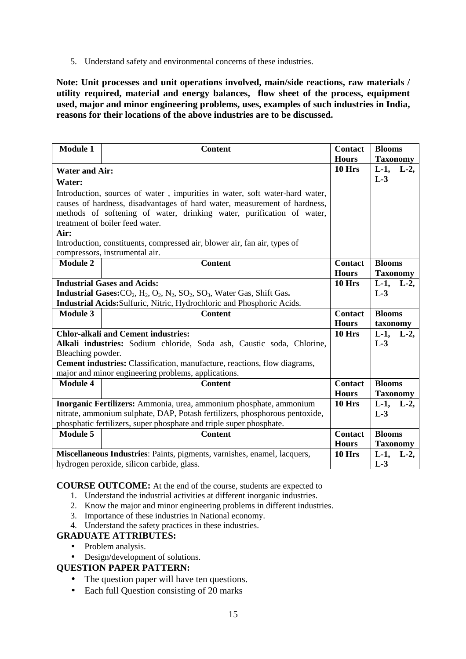5. Understand safety and environmental concerns of these industries.

**Note: Unit processes and unit operations involved, main/side reactions, raw materials / utility required, material and energy balances, flow sheet of the process, equipment used, major and minor engineering problems, uses, examples of such industries in India, reasons for their locations of the above industries are to be discussed.** 

| <b>Module 1</b>                            | <b>Content</b>                                                                                                                                   | <b>Contact</b><br><b>Hours</b> | <b>Blooms</b><br><b>Taxonomy</b> |
|--------------------------------------------|--------------------------------------------------------------------------------------------------------------------------------------------------|--------------------------------|----------------------------------|
| <b>Water and Air:</b>                      |                                                                                                                                                  | $10$ Hrs                       | $L-1$ ,<br>$L-2$ ,               |
| Water:                                     |                                                                                                                                                  |                                | $L-3$                            |
|                                            | Introduction, sources of water, impurities in water, soft water-hard water,                                                                      |                                |                                  |
|                                            | causes of hardness, disadvantages of hard water, measurement of hardness,                                                                        |                                |                                  |
|                                            | methods of softening of water, drinking water, purification of water,                                                                            |                                |                                  |
|                                            | treatment of boiler feed water.                                                                                                                  |                                |                                  |
| Air:                                       |                                                                                                                                                  |                                |                                  |
|                                            | Introduction, constituents, compressed air, blower air, fan air, types of                                                                        |                                |                                  |
|                                            | compressors, instrumental air.                                                                                                                   |                                |                                  |
| <b>Module 2</b>                            | <b>Content</b>                                                                                                                                   | <b>Contact</b>                 | <b>Blooms</b>                    |
|                                            |                                                                                                                                                  | <b>Hours</b>                   | <b>Taxonomy</b>                  |
|                                            | <b>Industrial Gases and Acids:</b>                                                                                                               | 10 Hrs                         | $L-1$ ,<br>$L-2$                 |
|                                            | Industrial Gases: CO <sub>2</sub> , H <sub>2</sub> , O <sub>2</sub> , N <sub>2</sub> , SO <sub>2</sub> , SO <sub>3</sub> , Water Gas, Shift Gas. |                                | $L-3$                            |
|                                            | Industrial Acids: Sulfuric, Nitric, Hydrochloric and Phosphoric Acids.                                                                           |                                |                                  |
| <b>Module 3</b>                            | <b>Content</b>                                                                                                                                   | <b>Contact</b>                 | <b>Blooms</b>                    |
|                                            |                                                                                                                                                  | <b>Hours</b>                   | taxonomy                         |
| <b>Chlor-alkali and Cement industries:</b> |                                                                                                                                                  | 10 Hrs                         | $L-1$ ,<br>$L-2$ ,               |
|                                            | Alkali industries: Sodium chloride, Soda ash, Caustic soda, Chlorine,                                                                            |                                | $L-3$                            |
| Bleaching powder.                          |                                                                                                                                                  |                                |                                  |
|                                            | <b>Cement industries:</b> Classification, manufacture, reactions, flow diagrams,                                                                 |                                |                                  |
|                                            | major and minor engineering problems, applications.                                                                                              |                                |                                  |
| <b>Module 4</b>                            | <b>Content</b>                                                                                                                                   | <b>Contact</b>                 | <b>Blooms</b>                    |
|                                            |                                                                                                                                                  | <b>Hours</b>                   | <b>Taxonomy</b>                  |
|                                            | Inorganic Fertilizers: Ammonia, urea, ammonium phosphate, ammonium                                                                               | 10 Hrs                         | $L-1$ ,<br>$L-2$                 |
|                                            | nitrate, ammonium sulphate, DAP, Potash fertilizers, phosphorous pentoxide,                                                                      |                                | $L-3$                            |
|                                            | phosphatic fertilizers, super phosphate and triple super phosphate.                                                                              |                                |                                  |
| <b>Module 5</b>                            | <b>Content</b>                                                                                                                                   | <b>Contact</b>                 | <b>Blooms</b>                    |
|                                            |                                                                                                                                                  | <b>Hours</b>                   | <b>Taxonomy</b>                  |
|                                            | Miscellaneous Industries: Paints, pigments, varnishes, enamel, lacquers,                                                                         | 10 Hrs                         | $L-1$ ,<br>$L-2$ ,               |
|                                            | hydrogen peroxide, silicon carbide, glass.                                                                                                       |                                | $L-3$                            |

### **COURSE OUTCOME:** At the end of the course, students are expected to

- 1. Understand the industrial activities at different inorganic industries.
- 2. Know the major and minor engineering problems in different industries.
- 3. Importance of these industries in National economy.
- 4. Understand the safety practices in these industries.

# **GRADUATE ATTRIBUTES:**

- Problem analysis.
- Design/development of solutions.

- The question paper will have ten questions.
- Each full Question consisting of 20 marks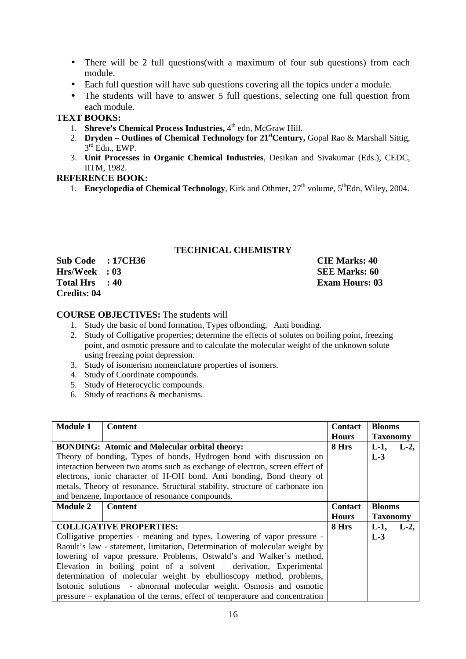- There will be 2 full questions (with a maximum of four sub questions) from each module.
- Each full question will have sub questions covering all the topics under a module.
- The students will have to answer 5 full questions, selecting one full question from each module.

# **TEXT BOOKS:**

- 1. **Shreve's Chemical Process Industries,** 4<sup>th</sup> edn, McGraw Hill.
- 2. **Dryden Outlines of Chemical Technology for 21stCentury,** Gopal Rao & Marshall Sittig,  $3<sup>rd</sup>$  Edn., EWP.
- 3. **Unit Processes in Organic Chemical Industries**, Desikan and Sivakumar (Eds.), CEDC, IITM, 1982.

### **REFERENCE BOOK:**

1. **Encyclopedia of Chemical Technology**, Kirk and Othmer,  $27<sup>th</sup>$  volume,  $5<sup>th</sup>$ Edn, Wiley, 2004.

# **TECHNICAL CHEMISTRY**

| <b>Sub Code</b>    | : 17CH36 |
|--------------------|----------|
| <b>Hrs/Week</b>    | : 03     |
| <b>Total Hrs</b>   | : 40     |
| <b>Credits: 04</b> |          |

**S Subset : 17CH36 CIE Marks: 40 SEE Marks: 60 Exam Hours: 03** 

# **COURSE OBJECTIVES:** The students will

- 1. Study the basic of bond formation, Types ofbonding, Anti bonding.
- 2. Study of Colligative properties; determine the effects of solutes on boiling point, freezing point, and osmotic pressure and to calculate the molecular weight of the unknown solute using freezing point depression.
- 3. Study of isomerism nomenclature properties of isomers.
- 4. Study of Coordinate compounds.
- 5. Study of Heterocyclic compounds.
- 6. Study of reactions & mechanisms.

| <b>Module 1</b>                                                      | <b>Content</b>                                                                | <b>Contact</b> | <b>Blooms</b>   |       |
|----------------------------------------------------------------------|-------------------------------------------------------------------------------|----------------|-----------------|-------|
|                                                                      |                                                                               | <b>Hours</b>   | <b>Taxonomy</b> |       |
| <b>BONDING:</b> Atomic and Molecular orbital theory:                 |                                                                               | 8 Hrs          | $L-1$ ,         | $L-2$ |
|                                                                      | Theory of bonding, Types of bonds, Hydrogen bond with discussion on           |                | $L-3$           |       |
|                                                                      | interaction between two atoms such as exchange of electron, screen effect of  |                |                 |       |
|                                                                      | electrons, ionic character of H-OH bond. Anti bonding, Bond theory of         |                |                 |       |
|                                                                      | metals, Theory of resonance, Structural stability, structure of carbonate ion |                |                 |       |
|                                                                      | and benzene, Importance of resonance compounds.                               |                |                 |       |
| <b>Module 2</b>                                                      | <b>Content</b>                                                                | <b>Contact</b> | <b>Blooms</b>   |       |
|                                                                      |                                                                               | <b>Hours</b>   | <b>Taxonomy</b> |       |
|                                                                      | <b>COLLIGATIVE PROPERTIES:</b>                                                | 8 Hrs          | $L-1$ ,         | $L-2$ |
|                                                                      | Colligative properties - meaning and types, Lowering of vapor pressure -      |                | $L-3$           |       |
|                                                                      | Raoult's law - statement, limitation, Determination of molecular weight by    |                |                 |       |
| lowering of vapor pressure. Problems, Ostwald's and Walker's method, |                                                                               |                |                 |       |
| Elevation in boiling point of a solvent – derivation, Experimental   |                                                                               |                |                 |       |
| determination of molecular weight by ebullioscopy method, problems,  |                                                                               |                |                 |       |
|                                                                      | Isotonic solutions - abnormal molecular weight. Osmosis and osmotic           |                |                 |       |
|                                                                      | pressure – explanation of the terms, effect of temperature and concentration  |                |                 |       |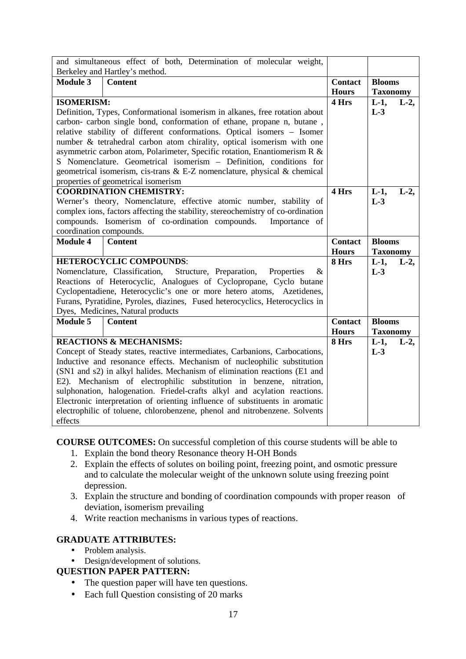|                                                                             | and simultaneous effect of both, Determination of molecular weight,             |                |                    |
|-----------------------------------------------------------------------------|---------------------------------------------------------------------------------|----------------|--------------------|
|                                                                             | Berkeley and Hartley's method.                                                  |                |                    |
| <b>Module 3</b>                                                             | <b>Content</b>                                                                  | <b>Contact</b> | <b>Blooms</b>      |
|                                                                             |                                                                                 | <b>Hours</b>   | <b>Taxonomy</b>    |
| <b>ISOMERISM:</b>                                                           |                                                                                 | 4 Hrs          | $L-1$ ,<br>$L-2$ , |
| Definition, Types, Conformational isomerism in alkanes, free rotation about |                                                                                 |                | $L-3$              |
| carbon- carbon single bond, conformation of ethane, propane n, butane,      |                                                                                 |                |                    |
|                                                                             | relative stability of different conformations. Optical isomers - Isomer         |                |                    |
|                                                                             | number & tetrahedral carbon atom chirality, optical isomerism with one          |                |                    |
|                                                                             | asymmetric carbon atom, Polarimeter, Specific rotation, Enantiomerism R &       |                |                    |
|                                                                             | S Nomenclature. Geometrical isomerism - Definition, conditions for              |                |                    |
|                                                                             | geometrical isomerism, cis-trans $\&$ E-Z nomenclature, physical $\&$ chemical  |                |                    |
|                                                                             | properties of geometrical isomerism                                             |                |                    |
|                                                                             | <b>COORDINATION CHEMISTRY:</b>                                                  | 4 Hrs          | $L-1$ ,<br>$L-2$   |
|                                                                             | Werner's theory, Nomenclature, effective atomic number, stability of            |                | $L-3$              |
|                                                                             | complex ions, factors affecting the stability, stereochemistry of co-ordination |                |                    |
|                                                                             | compounds. Isomerism of co-ordination compounds.<br>Importance of               |                |                    |
| coordination compounds.                                                     |                                                                                 |                |                    |
|                                                                             |                                                                                 |                |                    |
| <b>Module 4</b>                                                             | <b>Content</b>                                                                  | <b>Contact</b> | <b>Blooms</b>      |
|                                                                             |                                                                                 | <b>Hours</b>   | <b>Taxonomy</b>    |
|                                                                             | <b>HETEROCYCLIC COMPOUNDS:</b>                                                  | 8 Hrs          | $L-1$ ,<br>$L-2$ , |
|                                                                             | Nomenclature, Classification,<br>Structure, Preparation,<br>Properties<br>&     |                | $L-3$              |
|                                                                             | Reactions of Heterocyclic, Analogues of Cyclopropane, Cyclo butane              |                |                    |
|                                                                             | Cyclopentadiene, Heterocyclic's one or more hetero atoms, Azetidenes,           |                |                    |
|                                                                             | Furans, Pyratidine, Pyroles, diazines, Fused heterocyclics, Heterocyclics in    |                |                    |
|                                                                             | Dyes, Medicines, Natural products                                               |                |                    |
| <b>Module 5</b>                                                             | <b>Content</b>                                                                  | <b>Contact</b> | <b>Blooms</b>      |
|                                                                             |                                                                                 | <b>Hours</b>   | <b>Taxonomy</b>    |
|                                                                             | <b>REACTIONS &amp; MECHANISMS:</b>                                              | 8 Hrs          | $L-1$ ,<br>$L-2$ , |
|                                                                             | Concept of Steady states, reactive intermediates, Carbanions, Carbocations,     |                | $L-3$              |
|                                                                             | Inductive and resonance effects. Mechanism of nucleophilic substitution         |                |                    |
|                                                                             | (SN1 and s2) in alkyl halides. Mechanism of elimination reactions (E1 and       |                |                    |
|                                                                             | E2). Mechanism of electrophilic substitution in benzene, nitration,             |                |                    |
|                                                                             | sulphonation, halogenation. Friedel-crafts alkyl and acylation reactions.       |                |                    |
|                                                                             | Electronic interpretation of orienting influence of substituents in aromatic    |                |                    |
| effects                                                                     | electrophilic of toluene, chlorobenzene, phenol and nitrobenzene. Solvents      |                |                    |

**COURSE OUTCOMES:** On successful completion of this course students will be able to

- 1. Explain the bond theory Resonance theory H-OH Bonds
- 2. Explain the effects of solutes on boiling point, freezing point, and osmotic pressure and to calculate the molecular weight of the unknown solute using freezing point depression.
- 3. Explain the structure and bonding of coordination compounds with proper reason of deviation, isomerism prevailing
- 4. Write reaction mechanisms in various types of reactions.

# **GRADUATE ATTRIBUTES:**

- Problem analysis.
- Design/development of solutions.

- The question paper will have ten questions.
- Each full Question consisting of 20 marks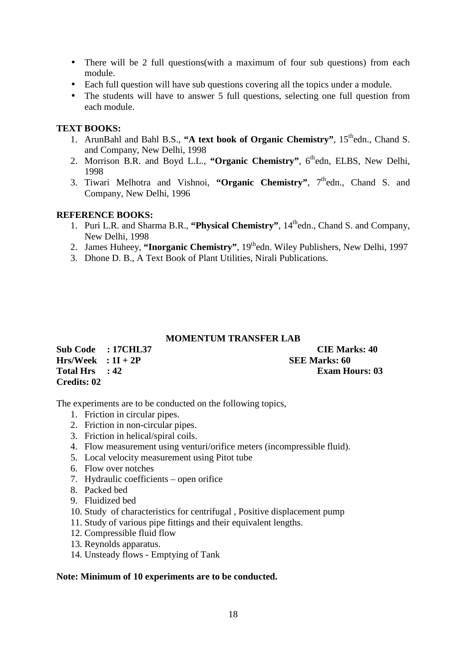- There will be 2 full questions (with a maximum of four sub questions) from each module.
- Each full question will have sub questions covering all the topics under a module.
- The students will have to answer 5 full questions, selecting one full question from each module.

## **TEXT BOOKS:**

- 1. ArunBahl and Bahl B.S., "A text book of Organic Chemistry", 15<sup>th</sup>edn., Chand S. and Company, New Delhi, 1998
- 2. Morrison B.R. and Boyd L.L., **"Organic Chemistry"**, 6thedn, ELBS, New Delhi, 1998
- 3. Tiwari Melhotra and Vishnoi, "Organic Chemistry". 7<sup>th</sup>edn., Chand S. and Company, New Delhi, 1996

# **REFERENCE BOOKS:**

- 1. Puri L.R. and Sharma B.R., "Physical Chemistry", 14<sup>th</sup>edn., Chand S. and Company, New Delhi, 1998
- 2. James Huheey, "Inorganic Chemistry", 19thedn. Wiley Publishers, New Delhi, 1997
- 3. Dhone D. B., A Text Book of Plant Utilities, Nirali Publications.

### **MOMENTUM TRANSFER LAB**

| Sub Code : 17CHL37     | <b>CIE Marks: 40</b>  |
|------------------------|-----------------------|
| $Hrs/Week$ : $1I + 2P$ | <b>SEE Marks: 60</b>  |
| Total Hrs : 42         | <b>Exam Hours: 03</b> |
| Credits: 02            |                       |

The experiments are to be conducted on the following topics,

- 1. Friction in circular pipes.
- 2. Friction in non-circular pipes.
- 3. Friction in helical/spiral coils.
- 4. Flow measurement using venturi/orifice meters (incompressible fluid).
- 5. Local velocity measurement using Pitot tube
- 6. Flow over notches
- 7. Hydraulic coefficients open orifice
- 8. Packed bed
- 9. Fluidized bed
- 10. Study of characteristics for centrifugal , Positive displacement pump
- 11. Study of various pipe fittings and their equivalent lengths.
- 12. Compressible fluid flow
- 13. Reynolds apparatus.
- 14. Unsteady flows Emptying of Tank

### **Note: Minimum of 10 experiments are to be conducted.**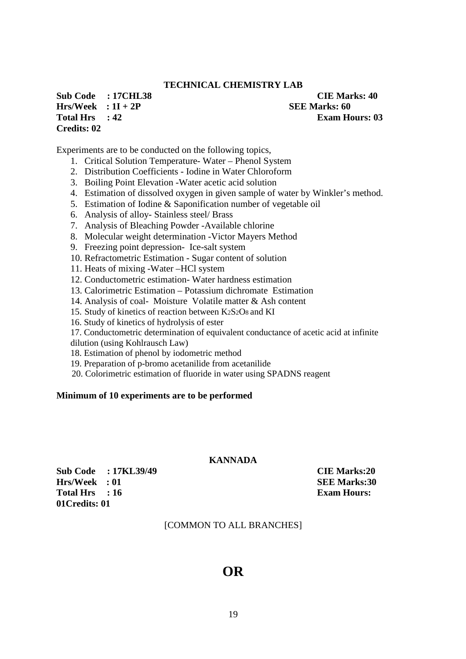## **TECHNICAL CHEMISTRY LAB**

**Sub Code : 17CHL38 CIE Marks: 40 Hrs/Week : 1I + 2P SEE Marks: 60 Total Hrs** : 42 **Exam Hours: 03 Credits: 02** 

Experiments are to be conducted on the following topics,

- 1. Critical Solution Temperature- Water Phenol System
- 2. Distribution Coefficients Iodine in Water Chloroform
- 3. Boiling Point Elevation -Water acetic acid solution
- 4. Estimation of dissolved oxygen in given sample of water by Winkler's method.
- 5. Estimation of Iodine & Saponification number of vegetable oil
- 6. Analysis of alloy- Stainless steel/ Brass
- 7. Analysis of Bleaching Powder -Available chlorine
- 8. Molecular weight determination -Victor Mayers Method
- 9. Freezing point depression- Ice-salt system
- 10. Refractometric Estimation Sugar content of solution
- 11. Heats of mixing -Water –HCl system
- 12. Conductometric estimation- Water hardness estimation
- 13. Calorimetric Estimation Potassium dichromate Estimation
- 14. Analysis of coal- Moisture Volatile matter & Ash content
- 15. Study of kinetics of reaction between K2S2O8 and KI
- 16. Study of kinetics of hydrolysis of ester
- 17. Conductometric determination of equivalent conductance of acetic acid at infinite
- dilution (using Kohlrausch Law)
- 18. Estimation of phenol by iodometric method
- 19. Preparation of p-bromo acetanilide from acetanilide
- 20. Colorimetric estimation of fluoride in water using SPADNS reagent

### **Minimum of 10 experiments are to be performed**

### **KANNADA**

**Sub Code : 17KL39/49 CIE Marks:20 Hrs/Week : 01** SEE Marks:30 Total Hrs : 16 **Exam Hours: 01Credits: 01** 

### [COMMON TO ALL BRANCHES]

# **OR**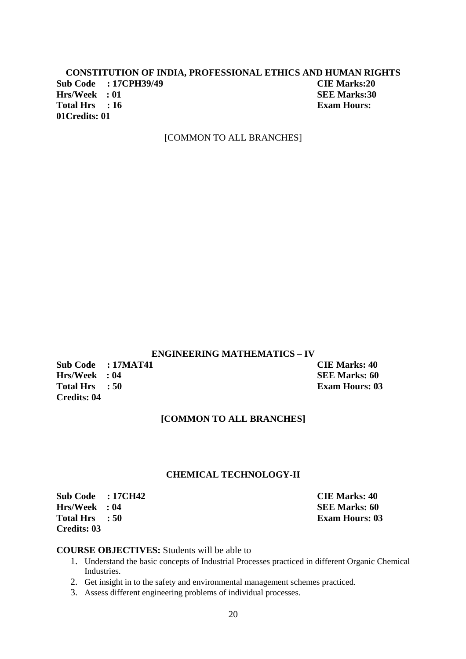## **CONSTITUTION OF INDIA, PROFESSIONAL ETHICS AND HUMAN RIGHTS Sub Code : 17CPH39/49 CIE Marks:20 Hrs/Week : 01 SEE Marks:30 Total Hrs : 16 Exam Hours: Exam Hours: 01Credits: 01**

### [COMMON TO ALL BRANCHES]

### **ENGINEERING MATHEMATICS – IV**

**Sub Code : 17MAT41 CIE Marks: 40**<br> **Hrs/Week** : 04 **SEE Marks: 60 Hrs/Week : 04 Total Hrs : 50 Exam Hours: 03 Credits: 04** 

## **[COMMON TO ALL BRANCHES]**

### **CHEMICAL TECHNOLOGY-II**

**Sub Code : 17CH42 CIE Marks: 40 Hrs/Week : 04 SEE Marks: 60 Total Hrs : 50 Exam Hours: 03 Credits: 03** 

### **COURSE OBJECTIVES:** Students will be able to

- 1. Understand the basic concepts of Industrial Processes practiced in different Organic Chemical Industries.
- 2. Get insight in to the safety and environmental management schemes practiced.
- 3. Assess different engineering problems of individual processes.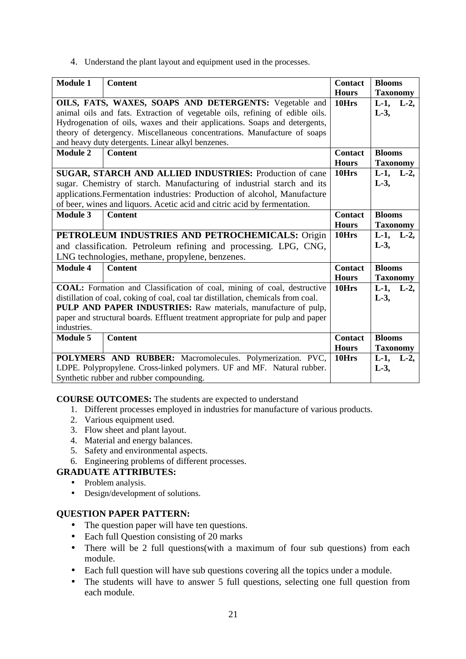4. Understand the plant layout and equipment used in the processes.

| <b>Module 1</b>                                                              | <b>Content</b>                                                                    | <b>Contact</b> | <b>Blooms</b>      |
|------------------------------------------------------------------------------|-----------------------------------------------------------------------------------|----------------|--------------------|
|                                                                              |                                                                                   | <b>Hours</b>   | <b>Taxonomy</b>    |
|                                                                              | OILS, FATS, WAXES, SOAPS AND DETERGENTS: Vegetable and                            | 10Hrs          | $L-1$ ,<br>$L-2$ , |
| animal oils and fats. Extraction of vegetable oils, refining of edible oils. |                                                                                   |                | $L-3$ ,            |
|                                                                              | Hydrogenation of oils, waxes and their applications. Soaps and detergents,        |                |                    |
|                                                                              | theory of detergency. Miscellaneous concentrations. Manufacture of soaps          |                |                    |
|                                                                              | and heavy duty detergents. Linear alkyl benzenes.                                 |                |                    |
| <b>Module 2</b>                                                              | <b>Content</b>                                                                    | <b>Contact</b> | <b>Blooms</b>      |
|                                                                              |                                                                                   | <b>Hours</b>   | <b>Taxonomy</b>    |
|                                                                              | SUGAR, STARCH AND ALLIED INDUSTRIES: Production of cane                           | 10Hrs          | $L-1$ ,<br>$L-2$   |
|                                                                              | sugar. Chemistry of starch. Manufacturing of industrial starch and its            |                | $L-3$ ,            |
|                                                                              |                                                                                   |                |                    |
|                                                                              | applications. Fermentation industries: Production of alcohol, Manufacture         |                |                    |
|                                                                              | of beer, wines and liquors. Acetic acid and citric acid by fermentation.          |                |                    |
| <b>Module 3</b>                                                              | <b>Content</b>                                                                    | <b>Contact</b> | <b>Blooms</b>      |
|                                                                              |                                                                                   | <b>Hours</b>   | <b>Taxonomy</b>    |
|                                                                              | PETROLEUM INDUSTRIES AND PETROCHEMICALS: Origin                                   | 10Hrs          | $L-1$ , $L-2$ ,    |
|                                                                              | and classification. Petroleum refining and processing. LPG, CNG,                  |                | $L-3$ ,            |
|                                                                              | LNG technologies, methane, propylene, benzenes.                                   |                |                    |
| <b>Module 4</b>                                                              | <b>Content</b>                                                                    | <b>Contact</b> | <b>Blooms</b>      |
|                                                                              |                                                                                   | <b>Hours</b>   | <b>Taxonomy</b>    |
|                                                                              | COAL: Formation and Classification of coal, mining of coal, destructive           | 10Hrs          | $L-1$ ,<br>$L-2$ , |
|                                                                              | distillation of coal, coking of coal, coal tar distillation, chemicals from coal. |                | $L-3$ ,            |
|                                                                              | PULP AND PAPER INDUSTRIES: Raw materials, manufacture of pulp,                    |                |                    |
|                                                                              | paper and structural boards. Effluent treatment appropriate for pulp and paper    |                |                    |
| industries.                                                                  |                                                                                   |                |                    |
| <b>Module 5</b>                                                              | <b>Content</b>                                                                    | <b>Contact</b> | <b>Blooms</b>      |
|                                                                              |                                                                                   | <b>Hours</b>   | <b>Taxonomy</b>    |
|                                                                              | POLYMERS AND RUBBER: Macromolecules. Polymerization. PVC,                         | 10Hrs          | $L-1$ ,<br>$L-2$ , |
|                                                                              | LDPE. Polypropylene. Cross-linked polymers. UF and MF. Natural rubber.            |                | $L-3$ ,            |
|                                                                              | Synthetic rubber and rubber compounding.                                          |                |                    |

**COURSE OUTCOMES:** The students are expected to understand

- 1. Different processes employed in industries for manufacture of various products.
- 2. Various equipment used.
- 3. Flow sheet and plant layout.
- 4. Material and energy balances.
- 5. Safety and environmental aspects.
- 6. Engineering problems of different processes.

# **GRADUATE ATTRIBUTES:**

- Problem analysis.
- Design/development of solutions.

- The question paper will have ten questions.
- Each full Question consisting of 20 marks
- There will be 2 full questions(with a maximum of four sub questions) from each module.
- Each full question will have sub questions covering all the topics under a module.
- The students will have to answer 5 full questions, selecting one full question from each module.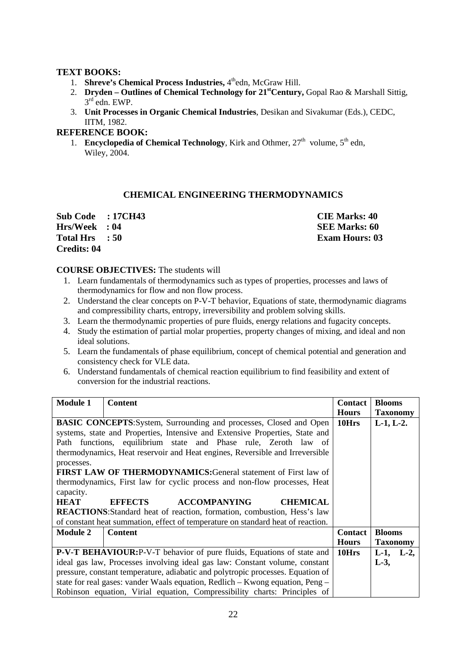## **TEXT BOOKS:**

- 1. **Shreve's Chemical Process Industries,** 4<sup>th</sup>edn, McGraw Hill.
- 2. **Dryden Outlines of Chemical Technology for 21stCentury,** Gopal Rao & Marshall Sittig, 3 rd edn. EWP.
- 3. **Unit Processes in Organic Chemical Industries**, Desikan and Sivakumar (Eds.), CEDC, IITM, 1982.

## **REFERENCE BOOK:**

1. **Encyclopedia of Chemical Technology**, Kirk and Othmer,  $27<sup>th</sup>$  volume,  $5<sup>th</sup>$  edn, Wiley, 2004.

# **CHEMICAL ENGINEERING THERMODYNAMICS**

| Sub Code : 17CH43  | <b>CIE Marks: 40</b>  |
|--------------------|-----------------------|
| Hrs/Week : 04      | <b>SEE Marks: 60</b>  |
| Total Hrs : 50     | <b>Exam Hours: 03</b> |
| <b>Credits: 04</b> |                       |

### **COURSE OBJECTIVES:** The students will

- 1. Learn fundamentals of thermodynamics such as types of properties, processes and laws of thermodynamics for flow and non flow process.
- 2. Understand the clear concepts on P-V-T behavior, Equations of state, thermodynamic diagrams and compressibility charts, entropy, irreversibility and problem solving skills.
- 3. Learn the thermodynamic properties of pure fluids, energy relations and fugacity concepts.
- 4. Study the estimation of partial molar properties, property changes of mixing, and ideal and non ideal solutions.
- 5. Learn the fundamentals of phase equilibrium, concept of chemical potential and generation and consistency check for VLE data.
- 6. Understand fundamentals of chemical reaction equilibrium to find feasibility and extent of conversion for the industrial reactions.

| <b>Module 1</b>                                                              | <b>Content</b>                                                                  | <b>Contact</b> | <b>Blooms</b>   |
|------------------------------------------------------------------------------|---------------------------------------------------------------------------------|----------------|-----------------|
|                                                                              |                                                                                 | <b>Hours</b>   | <b>Taxonomy</b> |
|                                                                              | <b>BASIC CONCEPTS:</b> System, Surrounding and processes, Closed and Open       | 10Hrs          | $L-1, L-2.$     |
| systems, state and Properties, Intensive and Extensive Properties, State and |                                                                                 |                |                 |
|                                                                              | Path functions, equilibrium state and Phase rule, Zeroth law of                 |                |                 |
|                                                                              | thermodynamics, Heat reservoir and Heat engines, Reversible and Irreversible    |                |                 |
| processes.                                                                   |                                                                                 |                |                 |
|                                                                              | <b>FIRST LAW OF THERMODYNAMICS: General statement of First law of</b>           |                |                 |
|                                                                              | thermodynamics, First law for cyclic process and non-flow processes, Heat       |                |                 |
| capacity.                                                                    |                                                                                 |                |                 |
| <b>HEAT</b>                                                                  | <b>EFFECTS</b><br><b>CHEMICAL</b><br><b>ACCOMPANYING</b>                        |                |                 |
|                                                                              | <b>REACTIONS:</b> Standard heat of reaction, formation, combustion, Hess's law  |                |                 |
|                                                                              | of constant heat summation, effect of temperature on standard heat of reaction. |                |                 |
| <b>Module 2</b>                                                              | <b>Content</b>                                                                  | <b>Contact</b> | <b>Blooms</b>   |
|                                                                              |                                                                                 | <b>Hours</b>   | <b>Taxonomy</b> |
|                                                                              | <b>P-V-T BEHAVIOUR:</b> P-V-T behavior of pure fluids, Equations of state and   | 10Hrs          | $L-1$ , $L-2$ , |
| ideal gas law, Processes involving ideal gas law: Constant volume, constant  |                                                                                 |                | $L-3$ ,         |
|                                                                              | pressure, constant temperature, adiabatic and polytropic processes. Equation of |                |                 |
|                                                                              | state for real gases: vander Waals equation, Redlich – Kwong equation, Peng –   |                |                 |
|                                                                              | Robinson equation, Virial equation, Compressibility charts: Principles of       |                |                 |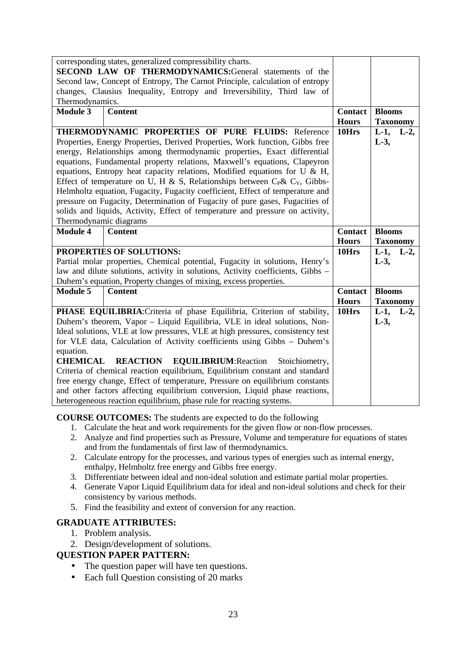|                                                                                                                                        | corresponding states, generalized compressibility charts.                                                                                                  |                       |                 |         |
|----------------------------------------------------------------------------------------------------------------------------------------|------------------------------------------------------------------------------------------------------------------------------------------------------------|-----------------------|-----------------|---------|
| SECOND LAW OF THERMODYNAMICS:General statements of the<br>Second law, Concept of Entropy, The Carnot Principle, calculation of entropy |                                                                                                                                                            |                       |                 |         |
| changes, Clausius Inequality, Entropy and Irreversibility, Third law of                                                                |                                                                                                                                                            |                       |                 |         |
| Thermodynamics.                                                                                                                        |                                                                                                                                                            |                       |                 |         |
| <b>Module 3</b>                                                                                                                        | <b>Content</b>                                                                                                                                             | <b>Contact</b>        | <b>Blooms</b>   |         |
|                                                                                                                                        |                                                                                                                                                            | <b>Hours</b>          | <b>Taxonomy</b> |         |
|                                                                                                                                        | THERMODYNAMIC PROPERTIES OF PURE FLUIDS: Reference                                                                                                         | 10Hrs                 | $L-1$ ,         | $L-2$ , |
| Properties, Energy Properties, Derived Properties, Work function, Gibbs free                                                           |                                                                                                                                                            |                       | $L-3$ ,         |         |
|                                                                                                                                        | energy, Relationships among thermodynamic properties, Exact differential                                                                                   |                       |                 |         |
|                                                                                                                                        | equations, Fundamental property relations, Maxwell's equations, Clapeyron                                                                                  |                       |                 |         |
|                                                                                                                                        | equations, Entropy heat capacity relations, Modified equations for U $\&$ H,                                                                               |                       |                 |         |
|                                                                                                                                        | Effect of temperature on U, H & S, Relationships between $C_p$ & $C_v$ , Gibbs-                                                                            |                       |                 |         |
|                                                                                                                                        | Helmholtz equation, Fugacity, Fugacity coefficient, Effect of temperature and                                                                              |                       |                 |         |
|                                                                                                                                        | pressure on Fugacity, Determination of Fugacity of pure gases, Fugacities of                                                                               |                       |                 |         |
|                                                                                                                                        | solids and liquids, Activity, Effect of temperature and pressure on activity,                                                                              |                       |                 |         |
| Thermodynamic diagrams                                                                                                                 |                                                                                                                                                            |                       |                 |         |
|                                                                                                                                        |                                                                                                                                                            |                       |                 |         |
| <b>Module 4</b>                                                                                                                        | <b>Content</b>                                                                                                                                             | <b>Contact</b>        | <b>Blooms</b>   |         |
|                                                                                                                                        |                                                                                                                                                            | <b>Hours</b>          | <b>Taxonomy</b> |         |
|                                                                                                                                        | PROPERTIES OF SOLUTIONS:                                                                                                                                   | 10Hrs                 | $L-1$ ,         | $L-2$ , |
|                                                                                                                                        | Partial molar properties, Chemical potential, Fugacity in solutions, Henry's                                                                               |                       | $L-3$ ,         |         |
|                                                                                                                                        | law and dilute solutions, activity in solutions, Activity coefficients, Gibbs -                                                                            |                       |                 |         |
|                                                                                                                                        | Duhem's equation, Property changes of mixing, excess properties.                                                                                           |                       |                 |         |
| <b>Module 5</b>                                                                                                                        | <b>Content</b>                                                                                                                                             | <b>Contact</b>        | <b>Blooms</b>   |         |
|                                                                                                                                        |                                                                                                                                                            | <b>Hours</b><br>10Hrs | <b>Taxonomy</b> |         |
|                                                                                                                                        | PHASE EQUILIBRIA: Criteria of phase Equilibria, Criterion of stability,                                                                                    |                       | $L-1$ ,         | $L-2$ , |
|                                                                                                                                        | Duhem's theorem, Vapor - Liquid Equilibria, VLE in ideal solutions, Non-<br>Ideal solutions, VLE at low pressures, VLE at high pressures, consistency test |                       | $L-3$ ,         |         |
|                                                                                                                                        | for VLE data, Calculation of Activity coefficients using Gibbs - Duhem's                                                                                   |                       |                 |         |
| equation.                                                                                                                              |                                                                                                                                                            |                       |                 |         |
| <b>CHEMICAL</b>                                                                                                                        | <b>REACTION</b><br><b>EQUILIBRIUM: Reaction</b><br>Stoichiometry,                                                                                          |                       |                 |         |
|                                                                                                                                        | Criteria of chemical reaction equilibrium, Equilibrium constant and standard                                                                               |                       |                 |         |
|                                                                                                                                        | free energy change, Effect of temperature, Pressure on equilibrium constants                                                                               |                       |                 |         |
|                                                                                                                                        | and other factors affecting equilibrium conversion, Liquid phase reactions,<br>heterogeneous reaction equilibrium, phase rule for reacting systems.        |                       |                 |         |

## **COURSE OUTCOMES:** The students are expected to do the following

- 1. Calculate the heat and work requirements for the given flow or non-flow processes.
- 2. Analyze and find properties such as Pressure, Volume and temperature for equations of states and from the fundamentals of first law of thermodynamics.
- 2. Calculate entropy for the processes, and various types of energies such as internal energy, enthalpy, Helmholtz free energy and Gibbs free energy.
- 3. Differentiate between ideal and non-ideal solution and estimate partial molar properties.
- 4. Generate Vapor Liquid Equilibrium data for ideal and non-ideal solutions and check for their consistency by various methods.
- 5. Find the feasibility and extent of conversion for any reaction.

# **GRADUATE ATTRIBUTES:**

- 1. Problem analysis.
- 2. Design/development of solutions.

- The question paper will have ten questions.
- Each full Question consisting of 20 marks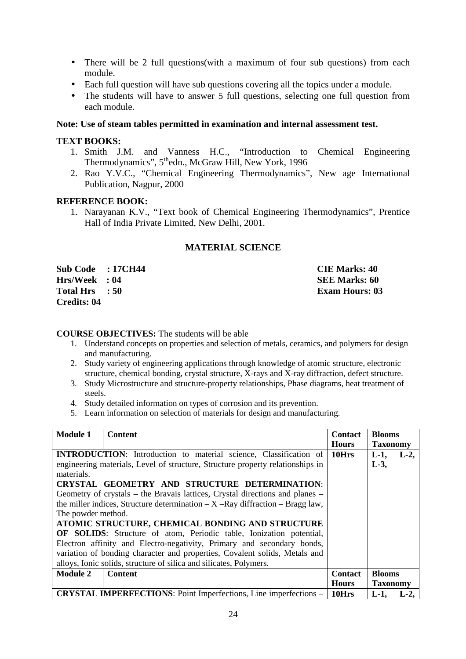- There will be 2 full questions (with a maximum of four sub questions) from each module.
- Each full question will have sub questions covering all the topics under a module.
- The students will have to answer 5 full questions, selecting one full question from each module.

### **Note: Use of steam tables permitted in examination and internal assessment test.**

### **TEXT BOOKS:**

- 1. Smith J.M. and Vanness H.C., "Introduction to Chemical Engineering Thermodynamics", 5<sup>th</sup>edn., McGraw Hill, New York, 1996
- 2. Rao Y.V.C., "Chemical Engineering Thermodynamics", New age International Publication, Nagpur, 2000

### **REFERENCE BOOK:**

1. Narayanan K.V., "Text book of Chemical Engineering Thermodynamics", Prentice Hall of India Private Limited, New Delhi, 2001.

### **MATERIAL SCIENCE**

**Sub Code : 17CH44 CIE Marks: 40 Hrs/Week : 04** SEE Marks: 60 **Total Hrs** : 50 **Exam Hours: 03 Credits: 04** 

### **COURSE OBJECTIVES:** The students will be able

- 1. Understand concepts on properties and selection of metals, ceramics, and polymers for design and manufacturing.
- 2. Study variety of engineering applications through knowledge of atomic structure, electronic structure, chemical bonding, crystal structure, X-rays and X-ray diffraction, defect structure.
- 3. Study Microstructure and structure-property relationships, Phase diagrams, heat treatment of steels.
- 4. Study detailed information on types of corrosion and its prevention.
- 5. Learn information on selection of materials for design and manufacturing.

| <b>Module 1</b>    | <b>Content</b>                                                                 | <b>Contact</b> | <b>Blooms</b>      |
|--------------------|--------------------------------------------------------------------------------|----------------|--------------------|
|                    |                                                                                | <b>Hours</b>   | <b>Taxonomy</b>    |
|                    | <b>INTRODUCTION:</b> Introduction to material science, Classification of       | 10Hrs          | $L-1$ ,<br>$L-2$ , |
|                    | engineering materials, Level of structure, Structure property relationships in |                | $L-3$ ,            |
| materials.         |                                                                                |                |                    |
|                    | CRYSTAL GEOMETRY AND STRUCTURE DETERMINATION:                                  |                |                    |
|                    | Geometry of crystals – the Bravais lattices, Crystal directions and planes –   |                |                    |
|                    | the miller indices, Structure determination $-X$ –Ray diffraction – Bragg law, |                |                    |
| The powder method. |                                                                                |                |                    |
|                    | ATOMIC STRUCTURE, CHEMICAL BONDING AND STRUCTURE                               |                |                    |
|                    | <b>OF SOLIDS:</b> Structure of atom, Periodic table, Ionization potential,     |                |                    |
|                    | Electron affinity and Electro-negativity, Primary and secondary bonds,         |                |                    |
|                    | variation of bonding character and properties, Covalent solids, Metals and     |                |                    |
|                    | alloys, Ionic solids, structure of silica and silicates, Polymers.             |                |                    |
| <b>Module 2</b>    | <b>Content</b>                                                                 | <b>Contact</b> | <b>Blooms</b>      |
|                    |                                                                                | <b>Hours</b>   | <b>Taxonomy</b>    |
|                    | <b>CRYSTAL IMPERFECTIONS:</b> Point Imperfections, Line imperfections –        | 10Hrs          | L-2,<br>$L-1.$     |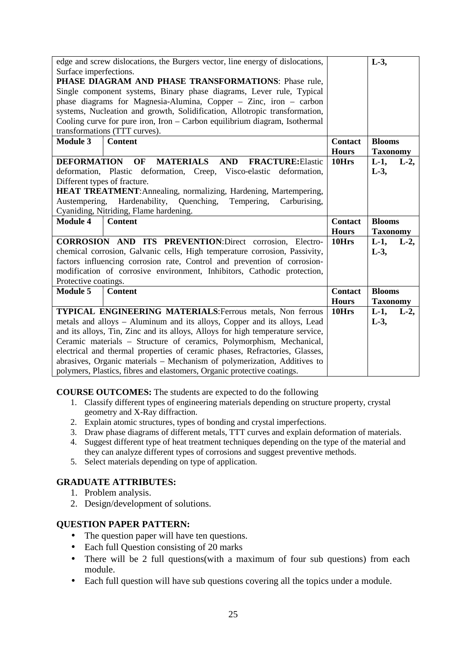| edge and screw dislocations, the Burgers vector, line energy of dislocations,<br>$L-3$ , |                                                                                |                |                    |
|------------------------------------------------------------------------------------------|--------------------------------------------------------------------------------|----------------|--------------------|
| Surface imperfections.                                                                   |                                                                                |                |                    |
|                                                                                          | PHASE DIAGRAM AND PHASE TRANSFORMATIONS: Phase rule,                           |                |                    |
|                                                                                          | Single component systems, Binary phase diagrams, Lever rule, Typical           |                |                    |
|                                                                                          | phase diagrams for Magnesia-Alumina, Copper – Zinc, iron – carbon              |                |                    |
|                                                                                          | systems, Nucleation and growth, Solidification, Allotropic transformation,     |                |                    |
|                                                                                          | Cooling curve for pure iron, Iron - Carbon equilibrium diagram, Isothermal     |                |                    |
|                                                                                          | transformations (TTT curves).                                                  |                |                    |
| <b>Module 3</b>                                                                          | <b>Content</b>                                                                 | <b>Contact</b> | <b>Blooms</b>      |
|                                                                                          |                                                                                | <b>Hours</b>   | <b>Taxonomy</b>    |
| <b>DEFORMATION</b>                                                                       | <b>MATERIALS</b><br><b>AND</b><br><b>OF</b><br><b>FRACTURE:</b> Elastic        | 10Hrs          | $L-1$ ,<br>$L-2$ , |
| deformation, Plastic                                                                     | deformation, Creep, Visco-elastic deformation,                                 |                | $L-3$ ,            |
| Different types of fracture.                                                             |                                                                                |                |                    |
|                                                                                          | <b>HEAT TREATMENT:</b> Annealing, normalizing, Hardening, Martempering,        |                |                    |
|                                                                                          | Austempering, Hardenability,<br>Quenching,<br>Tempering,<br>Carburising,       |                |                    |
|                                                                                          | Cyaniding, Nitriding, Flame hardening.                                         |                |                    |
|                                                                                          |                                                                                |                |                    |
| <b>Module 4</b>                                                                          | <b>Content</b>                                                                 | <b>Contact</b> | <b>Blooms</b>      |
|                                                                                          |                                                                                | <b>Hours</b>   | <b>Taxonomy</b>    |
|                                                                                          | <b>CORROSION AND ITS PREVENTION:Direct corrosion, Electro-</b>                 | 10Hrs          | $L-1$ ,<br>$L-2$ , |
|                                                                                          | chemical corrosion, Galvanic cells, High temperature corrosion, Passivity,     |                | $L-3$ ,            |
|                                                                                          | factors influencing corrosion rate, Control and prevention of corrosion-       |                |                    |
|                                                                                          | modification of corrosive environment, Inhibitors, Cathodic protection,        |                |                    |
| Protective coatings.                                                                     |                                                                                |                |                    |
| <b>Module 5</b>                                                                          | <b>Content</b>                                                                 | <b>Contact</b> | <b>Blooms</b>      |
|                                                                                          |                                                                                | <b>Hours</b>   | <b>Taxonomy</b>    |
|                                                                                          | <b>TYPICAL ENGINEERING MATERIALS: Ferrous metals, Non ferrous</b>              | 10Hrs          | $L-1$ ,<br>$L-2$ , |
|                                                                                          | metals and alloys - Aluminum and its alloys, Copper and its alloys, Lead       |                | $L-3$ ,            |
|                                                                                          | and its alloys, Tin, Zinc and its alloys, Alloys for high temperature service, |                |                    |
|                                                                                          | Ceramic materials - Structure of ceramics, Polymorphism, Mechanical,           |                |                    |
|                                                                                          | electrical and thermal properties of ceramic phases, Refractories, Glasses,    |                |                    |
|                                                                                          | abrasives, Organic materials - Mechanism of polymerization, Additives to       |                |                    |

**COURSE OUTCOMES:** The students are expected to do the following

- 1. Classify different types of engineering materials depending on structure property, crystal geometry and X-Ray diffraction.
- 2. Explain atomic structures, types of bonding and crystal imperfections.
- 3. Draw phase diagrams of different metals, TTT curves and explain deformation of materials.
- 4. Suggest different type of heat treatment techniques depending on the type of the material and they can analyze different types of corrosions and suggest preventive methods.
- 5. Select materials depending on type of application.

# **GRADUATE ATTRIBUTES:**

- 1. Problem analysis.
- 2. Design/development of solutions.

- The question paper will have ten questions.
- Each full Question consisting of 20 marks
- There will be 2 full questions(with a maximum of four sub questions) from each module.
- Each full question will have sub questions covering all the topics under a module.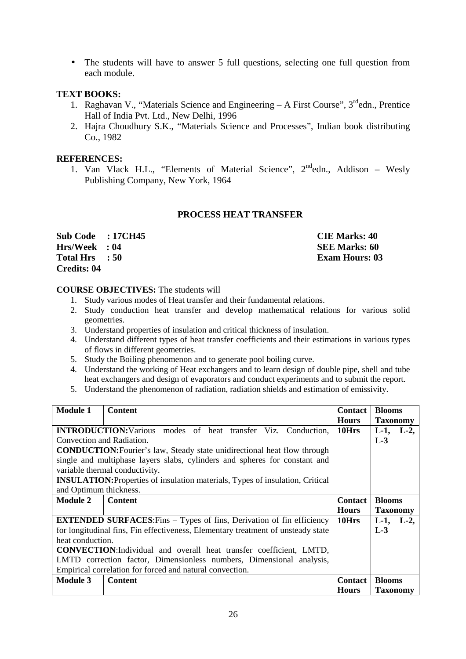• The students will have to answer 5 full questions, selecting one full question from each module.

## **TEXT BOOKS:**

- 1. Raghavan V., "Materials Science and Engineering  $A$  First Course",  $3<sup>rd</sup>$ edn., Prentice Hall of India Pvt. Ltd., New Delhi, 1996
- 2. Hajra Choudhury S.K., "Materials Science and Processes", Indian book distributing Co., 1982

### **REFERENCES:**

1. Van Vlack H.L., "Elements of Material Science", 2<sup>nd</sup>edn., Addison – Wesly Publishing Company, New York, 1964

### **PROCESS HEAT TRANSFER**

**Sub Code : 17CH45 CIE Marks: 40 Hrs/Week** : 04 **SEE Marks: 60 Total Hrs : 50 Exam Hours: 03 Credits: 04** 

### **COURSE OBJECTIVES:** The students will

- 1. Study various modes of Heat transfer and their fundamental relations.
- 2. Study conduction heat transfer and develop mathematical relations for various solid geometries.
- 3. Understand properties of insulation and critical thickness of insulation.
- 4. Understand different types of heat transfer coefficients and their estimations in various types of flows in different geometries.
- 5. Study the Boiling phenomenon and to generate pool boiling curve.
- 4. Understand the working of Heat exchangers and to learn design of double pipe, shell and tube heat exchangers and design of evaporators and conduct experiments and to submit the report.
- 5. Understand the phenomenon of radiation, radiation shields and estimation of emissivity.

| <b>Module 1</b>                                                                                                                                                                                                                                                                                                                                                                                                          | <b>Content</b> | <b>Contact</b><br><b>Hours</b> | <b>Blooms</b><br><b>Taxonomy</b> |
|--------------------------------------------------------------------------------------------------------------------------------------------------------------------------------------------------------------------------------------------------------------------------------------------------------------------------------------------------------------------------------------------------------------------------|----------------|--------------------------------|----------------------------------|
| <b>INTRODUCTION:</b> Various modes of heat transfer Viz. Conduction,<br>Convection and Radiation.<br><b>CONDUCTION:</b> Fourier's law, Steady state unidirectional heat flow through<br>single and multiphase layers slabs, cylinders and spheres for constant and<br>variable thermal conductivity.<br><b>INSULATION:</b> Properties of insulation materials, Types of insulation, Critical<br>and Optimum thickness.   |                | 10Hrs                          | $L-1$ ,<br>$L-2$<br>$L-3$        |
| <b>Module 2</b>                                                                                                                                                                                                                                                                                                                                                                                                          | <b>Content</b> | <b>Contact</b>                 | <b>Blooms</b>                    |
|                                                                                                                                                                                                                                                                                                                                                                                                                          |                | <b>Hours</b>                   | <b>Taxonomy</b>                  |
| <b>EXTENDED SURFACES:</b> Fins – Types of fins, Derivation of fin efficiency<br>10Hrs<br>$L-3$<br>for longitudinal fins, Fin effectiveness, Elementary treatment of unsteady state<br>heat conduction.<br><b>CONVECTION:</b> Individual and overall heat transfer coefficient, LMTD,<br>LMTD correction factor, Dimensionless numbers, Dimensional analysis,<br>Empirical correlation for forced and natural convection. |                | $L-1$ , $L-2$ ,                |                                  |
| Module 3                                                                                                                                                                                                                                                                                                                                                                                                                 | <b>Content</b> | <b>Contact</b><br><b>Hours</b> | <b>Blooms</b><br><b>Taxonomy</b> |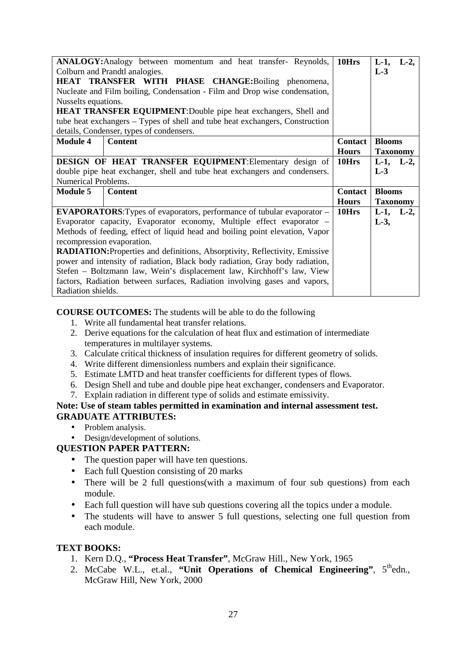| <b>ANALOGY:</b> Analogy between momentum and heat transfer- Reynolds,<br>10Hrs<br>$L-2$ ,<br>$L-1$ , |                                                                                    |                |                 |         |
|------------------------------------------------------------------------------------------------------|------------------------------------------------------------------------------------|----------------|-----------------|---------|
| Colburn and Prandtl analogies.                                                                       |                                                                                    |                | $L-3$           |         |
| HEAT TRANSFER WITH PHASE CHANGE: Boiling phenomena,                                                  |                                                                                    |                |                 |         |
|                                                                                                      | Nucleate and Film boiling, Condensation - Film and Drop wise condensation,         |                |                 |         |
| Nusselts equations.                                                                                  |                                                                                    |                |                 |         |
| <b>HEAT TRANSFER EQUIPMENT:</b> Double pipe heat exchangers, Shell and                               |                                                                                    |                |                 |         |
|                                                                                                      | tube heat exchangers – Types of shell and tube heat exchangers, Construction       |                |                 |         |
|                                                                                                      | details, Condenser, types of condensers.                                           |                |                 |         |
| <b>Module 4</b>                                                                                      | <b>Content</b>                                                                     | <b>Contact</b> | <b>Blooms</b>   |         |
|                                                                                                      |                                                                                    | <b>Hours</b>   | <b>Taxonomy</b> |         |
|                                                                                                      | <b>DESIGN OF HEAT TRANSFER EQUIPMENT: Elementary design of</b>                     | 10Hrs          | $L-1$ , $L-2$ , |         |
|                                                                                                      | double pipe heat exchanger, shell and tube heat exchangers and condensers.         |                | $L-3$           |         |
| Numerical Problems.                                                                                  |                                                                                    |                |                 |         |
| <b>Module 5</b><br><b>Content</b>                                                                    |                                                                                    | <b>Contact</b> | <b>Blooms</b>   |         |
|                                                                                                      |                                                                                    | <b>Hours</b>   | <b>Taxonomy</b> |         |
|                                                                                                      | <b>EVAPORATORS:</b> Types of evaporators, performance of tubular evaporator –      | 10Hrs          | $L-1$ ,         | $L-2$ , |
|                                                                                                      | Evaporator capacity, Evaporator economy, Multiple effect evaporator -              |                | $L-3$ ,         |         |
| Methods of feeding, effect of liquid head and boiling point elevation, Vapor                         |                                                                                    |                |                 |         |
| recompression evaporation.                                                                           |                                                                                    |                |                 |         |
|                                                                                                      |                                                                                    |                |                 |         |
|                                                                                                      |                                                                                    |                |                 |         |
|                                                                                                      | <b>RADIATION:</b> Properties and definitions, Absorptivity, Reflectivity, Emissive |                |                 |         |
|                                                                                                      | power and intensity of radiation, Black body radiation, Gray body radiation,       |                |                 |         |
|                                                                                                      | Stefen – Boltzmann law, Wein's displacement law, Kirchhoff's law, View             |                |                 |         |
| Radiation shields.                                                                                   | factors, Radiation between surfaces, Radiation involving gases and vapors,         |                |                 |         |

**COURSE OUTCOMES:** The students will be able to do the following

- 1. Write all fundamental heat transfer relations.
- 2. Derive equations for the calculation of heat flux and estimation of intermediate temperatures in multilayer systems.
- 3. Calculate critical thickness of insulation requires for different geometry of solids.
- 4. Write different dimensionless numbers and explain their significance.
- 5. Estimate LMTD and heat transfer coefficients for different types of flows.
- 6. Design Shell and tube and double pipe heat exchanger, condensers and Evaporator.
- 7. Explain radiation in different type of solids and estimate emissivity.

### **Note: Use of steam tables permitted in examination and internal assessment test. GRADUATE ATTRIBUTES:**

- Problem analysis.
- Design/development of solutions.

# **QUESTION PAPER PATTERN:**

- The question paper will have ten questions.
- Each full Question consisting of 20 marks
- There will be 2 full questions(with a maximum of four sub questions) from each module.
- Each full question will have sub questions covering all the topics under a module.
- The students will have to answer 5 full questions, selecting one full question from each module.

### **TEXT BOOKS:**

- 1. Kern D.Q., **"Process Heat Transfer"**, McGraw Hill., New York, 1965
- 2. McCabe W.L., et.al., **"Unit Operations of Chemical Engineering"**,  $5^{\text{th}}$ edn., McGraw Hill, New York, 2000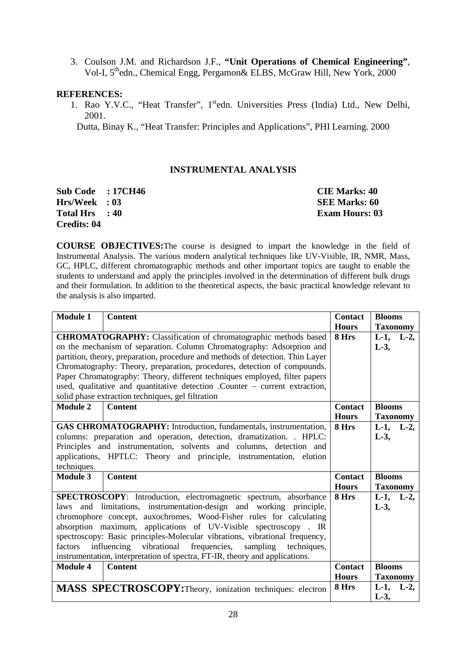3. Coulson J.M. and Richardson J.F., **"Unit Operations of Chemical Engineering"**, Vol-I, 5<sup>th</sup>edn., Chemical Engg, Pergamon& ELBS, McGraw Hill, New York, 2000

### **REFERENCES:**

1. Rao Y.V.C., "Heat Transfer", 1<sup>st</sup>edn. Universities Press (India) Ltd., New Delhi, 2001.

Dutta, Binay K., "Heat Transfer: Principles and Applications", PHI Learning. 2000

### **INSTRUMENTAL ANALYSIS**

| <b>Sub Code : 17CH46</b> | <b>CIE Marks: 40</b>  |
|--------------------------|-----------------------|
| <b>Hrs/Week : 03</b>     | SEE Marks: 60         |
| Total Hrs : 40           | <b>Exam Hours: 03</b> |
| Credits: 04              |                       |

**COURSE OBJECTIVES:**The course is designed to impart the knowledge in the field of Instrumental Analysis. The various modern analytical techniques like UV-Visible, IR, NMR, Mass, GC, HPLC, different chromatographic methods and other important topics are taught to enable the students to understand and apply the principles involved in the determination of different bulk drugs and their formulation. In addition to the theoretical aspects, the basic practical knowledge relevant to the analysis is also imparted.

| <b>Module 1</b>                                                     | <b>Content</b>                                                                                | <b>Contact</b>   | <b>Blooms</b>                       |  |  |
|---------------------------------------------------------------------|-----------------------------------------------------------------------------------------------|------------------|-------------------------------------|--|--|
|                                                                     | <b>CHROMATOGRAPHY:</b> Classification of chromatographic methods based                        | <b>Hours</b>     | <b>Taxonomy</b>                     |  |  |
|                                                                     | 8 Hrs                                                                                         | $L-1$ ,<br>$L-2$ |                                     |  |  |
|                                                                     | on the mechanism of separation. Column Chromatography: Adsorption and                         |                  | $L-3$ ,                             |  |  |
|                                                                     | partition, theory, preparation, procedure and methods of detection. Thin Layer                |                  |                                     |  |  |
|                                                                     | Chromatography: Theory, preparation, procedures, detection of compounds.                      |                  |                                     |  |  |
|                                                                     | Paper Chromatography: Theory, different techniques employed, filter papers                    |                  |                                     |  |  |
|                                                                     | used, qualitative and quantitative detection .Counter - current extraction,                   |                  |                                     |  |  |
|                                                                     | solid phase extraction techniques, gel filtration                                             |                  |                                     |  |  |
| <b>Module 2</b>                                                     | <b>Content</b>                                                                                | <b>Contact</b>   | <b>Blooms</b>                       |  |  |
|                                                                     |                                                                                               | <b>Hours</b>     | <b>Taxonomy</b>                     |  |  |
|                                                                     | GAS CHROMATOGRAPHY: Introduction, fundamentals, instrumentation,                              | 8 Hrs            | L-1, L-2,                           |  |  |
|                                                                     | columns: preparation and operation, detection, dramatization. . HPLC:                         |                  | $L-3$ ,                             |  |  |
|                                                                     | Principles and instrumentation, solvents and columns, detection and                           |                  |                                     |  |  |
| applications, HPTLC: Theory and principle, instrumentation, elution |                                                                                               |                  |                                     |  |  |
| techniques.                                                         |                                                                                               |                  |                                     |  |  |
| <b>Module 3</b>                                                     | <b>Content</b>                                                                                | <b>Contact</b>   | <b>Blooms</b>                       |  |  |
|                                                                     |                                                                                               | <b>Hours</b>     | <b>Taxonomy</b>                     |  |  |
|                                                                     | SPECTROSCOPY: Introduction, electromagnetic spectrum, absorbance                              | 8 Hrs            | L-1, L-2,                           |  |  |
| laws                                                                | and limitations, instrumentation-design and working principle,                                |                  | $L-3$ ,                             |  |  |
|                                                                     | chromophore concept, auxochromes, Wood-Fisher rules for calculating                           |                  |                                     |  |  |
|                                                                     | absorption maximum, applications of UV-Visible spectroscopy. IR                               |                  |                                     |  |  |
|                                                                     | spectroscopy: Basic principles-Molecular vibrations, vibrational frequency,                   |                  |                                     |  |  |
| factors                                                             | vibrational<br>frequencies,<br>influencing<br>sampling<br>techniques,                         |                  |                                     |  |  |
|                                                                     |                                                                                               |                  |                                     |  |  |
| <b>Module 4</b>                                                     | instrumentation, interpretation of spectra, FT-IR, theory and applications.<br><b>Content</b> | <b>Contact</b>   | <b>Blooms</b>                       |  |  |
| <b>Hours</b>                                                        |                                                                                               |                  |                                     |  |  |
|                                                                     | MASS SPECTROSCOPY: Theory, ionization techniques: electron                                    | 8 Hrs            | <b>Taxonomy</b><br>$L-1$ ,<br>$L-2$ |  |  |
|                                                                     |                                                                                               |                  | $L-3$ ,                             |  |  |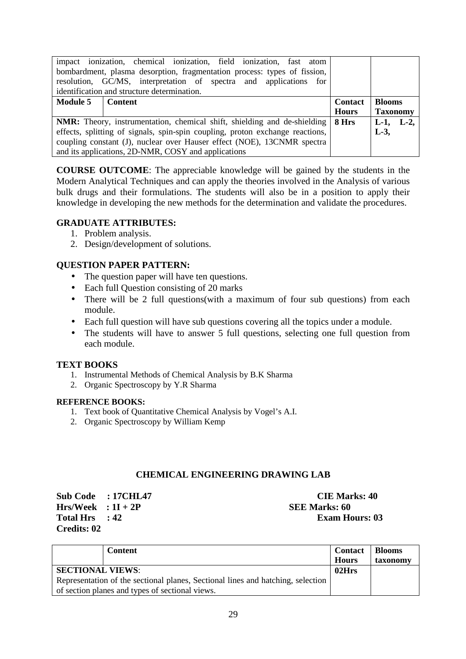|                 | impact ionization, chemical ionization, field ionization, fast atom             |                  |                  |
|-----------------|---------------------------------------------------------------------------------|------------------|------------------|
|                 | bombardment, plasma desorption, fragmentation process: types of fission,        |                  |                  |
|                 | resolution, GC/MS, interpretation of spectra and applications for               |                  |                  |
|                 | identification and structure determination.                                     |                  |                  |
| <b>Module 5</b> | <b>Contact</b>                                                                  | <b>Blooms</b>    |                  |
|                 |                                                                                 |                  |                  |
|                 |                                                                                 | <b>Hours</b>     | <b>Taxonomy</b>  |
|                 | <b>NMR:</b> Theory, instrumentation, chemical shift, shielding and de-shielding | 8 <sub>Hrs</sub> | $L-2$<br>$L-1$ , |
|                 | effects, splitting of signals, spin-spin coupling, proton exchange reactions,   |                  | $L-3$ ,          |
|                 | coupling constant (J), nuclear over Hauser effect (NOE), 13CNMR spectra         |                  |                  |

**COURSE OUTCOME**: The appreciable knowledge will be gained by the students in the Modern Analytical Techniques and can apply the theories involved in the Analysis of various bulk drugs and their formulations. The students will also be in a position to apply their knowledge in developing the new methods for the determination and validate the procedures.

## **GRADUATE ATTRIBUTES:**

- 1. Problem analysis.
- 2. Design/development of solutions.

# **QUESTION PAPER PATTERN:**

- The question paper will have ten questions.
- Each full Ouestion consisting of 20 marks
- There will be 2 full questions(with a maximum of four sub questions) from each module.
- Each full question will have sub questions covering all the topics under a module.
- The students will have to answer 5 full questions, selecting one full question from each module.

### **TEXT BOOKS**

- 1. Instrumental Methods of Chemical Analysis by B.K Sharma
- 2. Organic Spectroscopy by Y.R Sharma

### **REFERENCE BOOKS:**

- 1. Text book of Quantitative Chemical Analysis by Vogel's A.I.
- 2. Organic Spectroscopy by William Kemp

### **CHEMICAL ENGINEERING DRAWING LAB**

**Sub Code** : 17CHL47 **CIE Marks: 40 Hrs/Week : 1I + 2P SEE Marks: 60 Total Hrs** : 42 **Exam Hours: 03 Credits: 02** 

|                                                                                 | Content | <b>Contact</b><br><b>Hours</b> | Blooms<br>taxonomy |
|---------------------------------------------------------------------------------|---------|--------------------------------|--------------------|
| <b>SECTIONAL VIEWS:</b>                                                         |         |                                |                    |
| Representation of the sectional planes, Sectional lines and hatching, selection |         |                                |                    |
| of section planes and types of sectional views.                                 |         |                                |                    |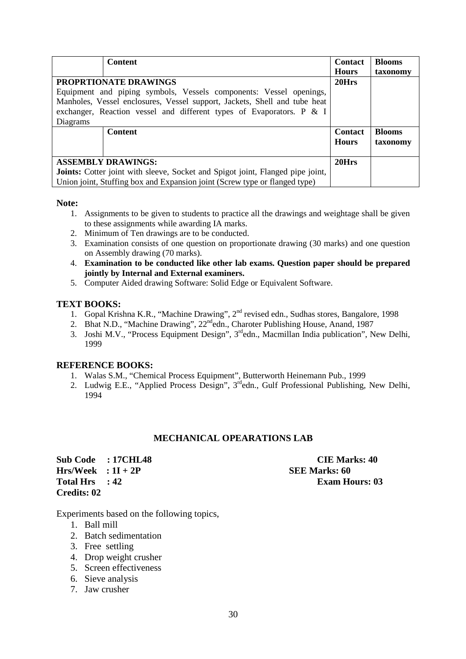|                                                                                       | <b>Content</b>                                                             | <b>Contact</b> | <b>Blooms</b> |
|---------------------------------------------------------------------------------------|----------------------------------------------------------------------------|----------------|---------------|
|                                                                                       |                                                                            | <b>Hours</b>   | taxonomy      |
| <b>PROPRTIONATE DRAWINGS</b>                                                          | 20Hrs                                                                      |                |               |
|                                                                                       | Equipment and piping symbols, Vessels components: Vessel openings,         |                |               |
|                                                                                       | Manholes, Vessel enclosures, Vessel support, Jackets, Shell and tube heat  |                |               |
|                                                                                       | exchanger, Reaction vessel and different types of Evaporators. P $&$ I     |                |               |
| Diagrams                                                                              |                                                                            |                |               |
|                                                                                       | <b>Content</b>                                                             | <b>Contact</b> | <b>Blooms</b> |
|                                                                                       |                                                                            | <b>Hours</b>   | taxonomy      |
|                                                                                       |                                                                            |                |               |
|                                                                                       | <b>ASSEMBLY DRAWINGS:</b>                                                  | 20Hrs          |               |
| <b>Joints:</b> Cotter joint with sleeve, Socket and Spigot joint, Flanged pipe joint, |                                                                            |                |               |
|                                                                                       | Union joint, Stuffing box and Expansion joint (Screw type or flanged type) |                |               |

### **Note:**

- 1. Assignments to be given to students to practice all the drawings and weightage shall be given to these assignments while awarding IA marks.
- 2. Minimum of Ten drawings are to be conducted.
- 3. Examination consists of one question on proportionate drawing (30 marks) and one question on Assembly drawing (70 marks).
- 4. **Examination to be conducted like other lab exams. Question paper should be prepared jointly by Internal and External examiners.**
- 5. Computer Aided drawing Software: Solid Edge or Equivalent Software.

### **TEXT BOOKS:**

- 1. Gopal Krishna K.R., "Machine Drawing", 2nd revised edn., Sudhas stores, Bangalore, 1998
- 2. Bhat N.D., "Machine Drawing", 22<sup>nd</sup>edn., Charoter Publishing House, Anand, 1987
- 3. Joshi M.V., "Process Equipment Design", 3<sup>rd</sup>edn., Macmillan India publication", New Delhi, 1999

### **REFERENCE BOOKS:**

- 1. Walas S.M., "Chemical Process Equipment", Butterworth Heinemann Pub., 1999
- 2. Ludwig E.E., "Applied Process Design", 3<sup>rd</sup>edn., Gulf Professional Publishing, New Delhi, 1994

### **MECHANICAL OPEARATIONS LAB**

**Sub Code : 17CHL48 CIE Marks: 40 Hrs/Week : 1I + 2P SEE Marks: 60 Total Hrs : 42 Exam Hours: 03 Credits: 02** 

Experiments based on the following topics,

- 1. Ball mill
- 2. Batch sedimentation
- 3. Free settling
- 4. Drop weight crusher
- 5. Screen effectiveness
- 6. Sieve analysis
- 7. Jaw crusher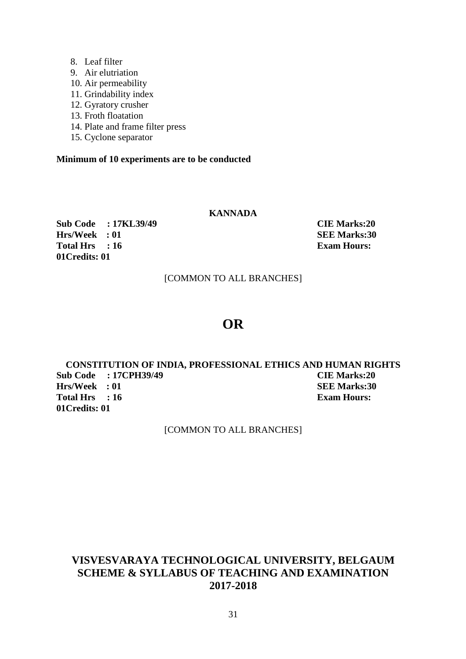- 8. Leaf filter
- 9. Air elutriation
- 10. Air permeability
- 11. Grindability index
- 12. Gyratory crusher
- 13. Froth floatation
- 14. Plate and frame filter press
- 15. Cyclone separator

# **Minimum of 10 experiments are to be conducted**

# **KANNADA**

**Sub Code : 17KL39/49 CIE Marks:20 Hrs/Week : 01**<br> **Fotal Hrs** : 16 **SEE Marks:30**<br> **Exam Hours: Total Hrs** : 16 **01Credits: 01** 

[COMMON TO ALL BRANCHES]

# **OR**

**CONSTITUTION OF INDIA, PROFESSIONAL ETHICS AND HUMAN RIGHTS Sub Code : 17CPH39/49 CIE Marks:20 Hrs/Week** : 01 **SEE Marks:30** Total Hrs : 16 **Exam Hours: 01Credits: 01** 

[COMMON TO ALL BRANCHES]

# **VISVESVARAYA TECHNOLOGICAL UNIVERSITY, BELGAUM SCHEME & SYLLABUS OF TEACHING AND EXAMINATION 2017-2018**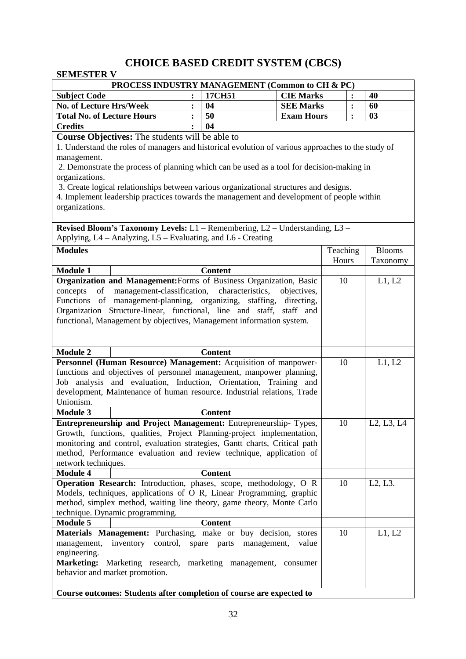# **CHOICE BASED CREDIT SYSTEM (CBCS)**

# **SEMESTER V**

| PROCESS INDUSTRY MANAGEMENT (Common to CH & PC)                                                    |                                                                      |                            |                   |                   |   |                                                  |  |  |
|----------------------------------------------------------------------------------------------------|----------------------------------------------------------------------|----------------------------|-------------------|-------------------|---|--------------------------------------------------|--|--|
| <b>Subject Code</b>                                                                                | $\ddot{\cdot}$                                                       | 17CH51                     | <b>CIE Marks</b>  |                   |   | 40                                               |  |  |
| <b>No. of Lecture Hrs/Week</b>                                                                     | $\ddot{\cdot}$                                                       | 04                         | <b>SEE Marks</b>  |                   |   | 60                                               |  |  |
| <b>Total No. of Lecture Hours</b>                                                                  | $\ddot{\cdot}$                                                       | 50                         | <b>Exam Hours</b> |                   | : | 03                                               |  |  |
| <b>Credits</b>                                                                                     |                                                                      | 04                         |                   |                   |   |                                                  |  |  |
| <b>Course Objectives:</b> The students will be able to                                             |                                                                      |                            |                   |                   |   |                                                  |  |  |
| 1. Understand the roles of managers and historical evolution of various approaches to the study of |                                                                      |                            |                   |                   |   |                                                  |  |  |
| management.                                                                                        |                                                                      |                            |                   |                   |   |                                                  |  |  |
| 2. Demonstrate the process of planning which can be used as a tool for decision-making in          |                                                                      |                            |                   |                   |   |                                                  |  |  |
| organizations.                                                                                     |                                                                      |                            |                   |                   |   |                                                  |  |  |
| 3. Create logical relationships between various organizational structures and designs.             |                                                                      |                            |                   |                   |   |                                                  |  |  |
| 4. Implement leadership practices towards the management and development of people within          |                                                                      |                            |                   |                   |   |                                                  |  |  |
| organizations.                                                                                     |                                                                      |                            |                   |                   |   |                                                  |  |  |
| Revised Bloom's Taxonomy Levels: L1 - Remembering, L2 - Understanding, L3 -                        |                                                                      |                            |                   |                   |   |                                                  |  |  |
| Applying, L4 – Analyzing, L5 – Evaluating, and L6 - Creating                                       |                                                                      |                            |                   |                   |   |                                                  |  |  |
| <b>Modules</b>                                                                                     |                                                                      |                            |                   |                   |   |                                                  |  |  |
|                                                                                                    |                                                                      |                            |                   | Teaching<br>Hours |   | <b>Blooms</b><br>Taxonomy                        |  |  |
| <b>Module 1</b>                                                                                    |                                                                      | <b>Content</b>             |                   |                   |   |                                                  |  |  |
| Organization and Management: Forms of Business Organization, Basic                                 |                                                                      |                            |                   | 10                |   | L1, L2                                           |  |  |
| management-classification, characteristics,<br>of<br>concepts                                      |                                                                      |                            | objectives,       |                   |   |                                                  |  |  |
| Functions of management-planning, organizing, staffing, directing,                                 |                                                                      |                            |                   |                   |   |                                                  |  |  |
| Organization Structure-linear, functional, line and staff, staff and                               |                                                                      |                            |                   |                   |   |                                                  |  |  |
| functional, Management by objectives, Management information system.                               |                                                                      |                            |                   |                   |   |                                                  |  |  |
|                                                                                                    |                                                                      |                            |                   |                   |   |                                                  |  |  |
|                                                                                                    |                                                                      |                            |                   |                   |   |                                                  |  |  |
| <b>Module 2</b>                                                                                    |                                                                      | <b>Content</b>             |                   |                   |   |                                                  |  |  |
| Personnel (Human Resource) Management: Acquisition of manpower-                                    |                                                                      |                            |                   | 10                |   | L1, L2                                           |  |  |
| functions and objectives of personnel management, manpower planning,                               |                                                                      |                            |                   |                   |   |                                                  |  |  |
| Job analysis and evaluation, Induction, Orientation, Training and                                  |                                                                      |                            |                   |                   |   |                                                  |  |  |
| development, Maintenance of human resource. Industrial relations, Trade<br>Unionism.               |                                                                      |                            |                   |                   |   |                                                  |  |  |
| <b>Module 3</b>                                                                                    |                                                                      | <b>Content</b>             |                   |                   |   |                                                  |  |  |
| Entrepreneurship and Project Management: Entrepreneurship-Types,                                   |                                                                      |                            |                   | 10                |   | L <sub>2</sub> , L <sub>3</sub> , L <sub>4</sub> |  |  |
| Growth, functions, qualities, Project Planning-project implementation,                             |                                                                      |                            |                   |                   |   |                                                  |  |  |
| monitoring and control, evaluation strategies, Gantt charts, Critical path                         |                                                                      |                            |                   |                   |   |                                                  |  |  |
| method, Performance evaluation and review technique, application of                                |                                                                      |                            |                   |                   |   |                                                  |  |  |
| network techniques.                                                                                |                                                                      |                            |                   |                   |   |                                                  |  |  |
| <b>Module 4</b>                                                                                    |                                                                      | <b>Content</b>             |                   |                   |   |                                                  |  |  |
| <b>Operation Research:</b> Introduction, phases, scope, methodology, O R                           |                                                                      |                            |                   | 10                |   | L2, L3.                                          |  |  |
| Models, techniques, applications of O R, Linear Programming, graphic                               |                                                                      |                            |                   |                   |   |                                                  |  |  |
| method, simplex method, waiting line theory, game theory, Monte Carlo                              |                                                                      |                            |                   |                   |   |                                                  |  |  |
| technique. Dynamic programming.                                                                    |                                                                      |                            |                   |                   |   |                                                  |  |  |
| <b>Module 5</b>                                                                                    |                                                                      | <b>Content</b>             |                   |                   |   |                                                  |  |  |
| Materials Management: Purchasing, make or                                                          |                                                                      | buy decision,              | stores            | 10                |   | L1, L2                                           |  |  |
| management,<br>inventory<br>control,<br>engineering.                                               |                                                                      | spare parts<br>management, | value             |                   |   |                                                  |  |  |
|                                                                                                    | Marketing: Marketing research, marketing management, consumer        |                            |                   |                   |   |                                                  |  |  |
| behavior and market promotion.                                                                     |                                                                      |                            |                   |                   |   |                                                  |  |  |
|                                                                                                    |                                                                      |                            |                   |                   |   |                                                  |  |  |
|                                                                                                    | Course outcomes: Students after completion of course are expected to |                            |                   |                   |   |                                                  |  |  |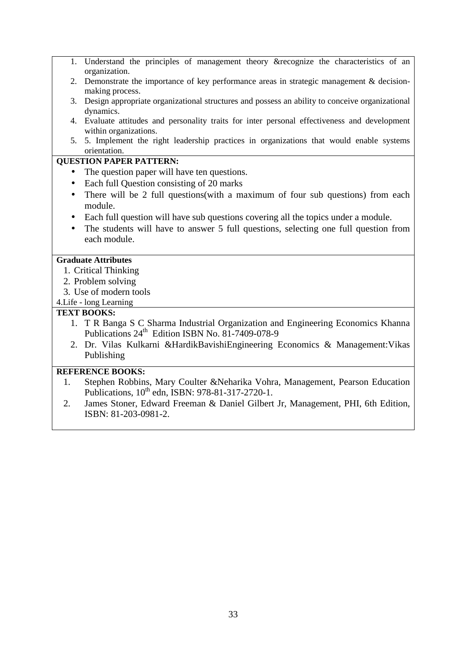1. Understand the principles of management theory &recognize the characteristics of an organization. 2. Demonstrate the importance of key performance areas in strategic management & decisionmaking process. 3. Design appropriate organizational structures and possess an ability to conceive organizational dynamics. 4. Evaluate attitudes and personality traits for inter personal effectiveness and development within organizations. 5. 5. Implement the right leadership practices in organizations that would enable systems orientation. **QUESTION PAPER PATTERN:**  • The question paper will have ten questions. • Each full Question consisting of 20 marks • There will be 2 full questions (with a maximum of four sub questions) from each module. • Each full question will have sub questions covering all the topics under a module. • The students will have to answer 5 full questions, selecting one full question from each module. **Graduate Attributes**  1. Critical Thinking 2. Problem solving 3. Use of modern tools 4.Life - long Learning **TEXT BOOKS:**  1. T R Banga S C Sharma Industrial Organization and Engineering Economics Khanna Publications  $24^{th}$  Edition ISBN No. 81-7409-078-9 2. Dr. Vilas Kulkarni &HardikBavishiEngineering Economics & Management:Vikas Publishing

### **REFERENCE BOOKS:**

- 1. Stephen Robbins, Mary Coulter &Neharika Vohra, Management, Pearson Education Publications,  $10^{th}$  edn, ISBN: 978-81-317-2720-1.
- 2. James Stoner, Edward Freeman & Daniel Gilbert Jr, Management, PHI, 6th Edition, ISBN: 81-203-0981-2.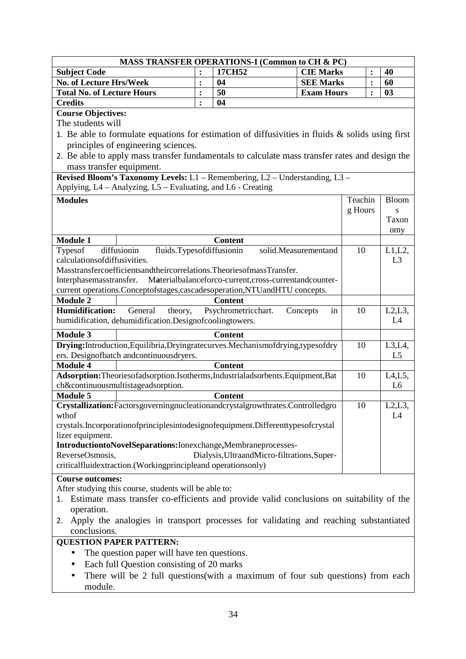|                                                                                                           |                | <b>MASS TRANSFER OPERATIONS-I (Common to CH &amp; PC)</b> |                      |                |                           |
|-----------------------------------------------------------------------------------------------------------|----------------|-----------------------------------------------------------|----------------------|----------------|---------------------------|
| <b>Subject Code</b>                                                                                       | :              | 17CH52                                                    | <b>CIE Marks</b>     |                | 40                        |
| <b>No. of Lecture Hrs/Week</b>                                                                            | $\ddot{\cdot}$ | 04                                                        | <b>SEE Marks</b>     | $\ddot{\cdot}$ | 60                        |
| <b>Total No. of Lecture Hours</b>                                                                         | $\ddot{\cdot}$ | 50                                                        | <b>Exam Hours</b>    | $\ddot{\cdot}$ | 03                        |
| <b>Credits</b>                                                                                            | $\ddot{\cdot}$ | 04                                                        |                      |                |                           |
| <b>Course Objectives:</b>                                                                                 |                |                                                           |                      |                |                           |
| The students will                                                                                         |                |                                                           |                      |                |                           |
| 1. Be able to formulate equations for estimation of diffusivities in fluids $\&$ solids using first       |                |                                                           |                      |                |                           |
| principles of engineering sciences.                                                                       |                |                                                           |                      |                |                           |
| 2. Be able to apply mass transfer fundamentals to calculate mass transfer rates and design the            |                |                                                           |                      |                |                           |
| mass transfer equipment.                                                                                  |                |                                                           |                      |                |                           |
| Revised Bloom's Taxonomy Levels: L1 - Remembering, L2 - Understanding, L3 -                               |                |                                                           |                      |                |                           |
| Applying, L4 - Analyzing, L5 - Evaluating, and L6 - Creating                                              |                |                                                           |                      |                |                           |
|                                                                                                           |                |                                                           |                      |                |                           |
| <b>Modules</b>                                                                                            |                |                                                           |                      | Teachin        | <b>Bloom</b>              |
|                                                                                                           |                |                                                           |                      | g Hours        | S<br>Taxon                |
|                                                                                                           |                |                                                           |                      |                |                           |
| <b>Module 1</b>                                                                                           |                | <b>Content</b>                                            |                      |                | omy                       |
| fluids.Typesofdiffusionin<br>diffusionin<br>Typesof                                                       |                |                                                           | solid.Measurementand | 10             | $L1,L2$ ,                 |
| calculations of diffusivities.                                                                            |                |                                                           |                      |                | L <sub>3</sub>            |
| Masstransfercoefficientsandtheircorrelations. TheoriesofmassTransfer.                                     |                |                                                           |                      |                |                           |
| Interphasemasstransfer.                                                                                   |                | Materialbalanceforco-current,cross-currentandcounter-     |                      |                |                           |
| current operations.Conceptofstages,cascadesoperation,NTUandHTU concepts.                                  |                |                                                           |                      |                |                           |
| <b>Module 2</b>                                                                                           |                | <b>Content</b>                                            |                      |                |                           |
| <b>Humidification:</b><br>General<br>theory,                                                              |                | Psychrometricchart.                                       | Concepts<br>in       | 10             | L2, L3,                   |
| humidification, dehumidification.Designofcoolingtowers.                                                   |                |                                                           |                      |                | L4                        |
|                                                                                                           |                |                                                           |                      |                |                           |
| <b>Module 3</b>                                                                                           |                | <b>Content</b>                                            |                      |                |                           |
| Drying:Introduction,Equilibria,Dryingratecurves.Mechanismofdrying,typesofdry                              |                |                                                           |                      | 10             | $L3,L4$ ,                 |
| ers. Designofbatch andcontinuousdryers.                                                                   |                |                                                           |                      |                | L <sub>5</sub>            |
| <b>Module 4</b><br>Adsorption: Theories of adsorption. Isotherms, Industrial adsorbents. Equipment, Bat   |                | <b>Content</b>                                            |                      | 10             |                           |
| ch&continuousmultistageadsorption.                                                                        |                |                                                           |                      |                | L4, L5,<br>L <sub>6</sub> |
| <b>Module 5</b>                                                                                           |                | <b>Content</b>                                            |                      |                |                           |
| Crystallization:Factorsgoverningnucleationandcrystalgrowthrates.Controlledgro                             |                |                                                           |                      | 10             | L2, L3                    |
| wthof                                                                                                     |                |                                                           |                      |                | L4                        |
| crystals.Incorporationofprinciplesintodesignofequipment.Differenttypesofcrystal                           |                |                                                           |                      |                |                           |
| lizer equipment.                                                                                          |                |                                                           |                      |                |                           |
| IntroductiontoNovelSeparations:Ionexchange,Membraneprocesses-                                             |                |                                                           |                      |                |                           |
| ReverseOsmosis,                                                                                           |                | Dialysis, UltraandMicro-filtrations, Super-               |                      |                |                           |
| criticalfluidextraction.(Workingprincipleand operationsonly)                                              |                |                                                           |                      |                |                           |
| <b>Course outcomes:</b>                                                                                   |                |                                                           |                      |                |                           |
| After studying this course, students will be able to:                                                     |                |                                                           |                      |                |                           |
|                                                                                                           |                |                                                           |                      |                |                           |
| 1. Estimate mass transfer co-efficients and provide valid conclusions on suitability of the<br>operation. |                |                                                           |                      |                |                           |
| Apply the analogies in transport processes for validating and reaching substantiated                      |                |                                                           |                      |                |                           |
| 2.                                                                                                        |                |                                                           |                      |                |                           |
| conclusions.                                                                                              |                |                                                           |                      |                |                           |
| <b>QUESTION PAPER PATTERN:</b>                                                                            |                |                                                           |                      |                |                           |
| The question paper will have ten questions.                                                               |                |                                                           |                      |                |                           |
| Each full Question consisting of 20 marks<br>٠                                                            |                |                                                           |                      |                |                           |
| There will be 2 full questions (with a maximum of four sub questions) from each                           |                |                                                           |                      |                |                           |
| module.                                                                                                   |                |                                                           |                      |                |                           |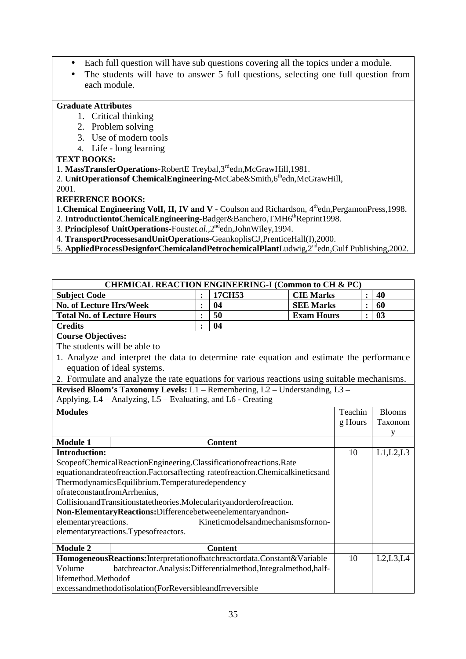- Each full question will have sub questions covering all the topics under a module.
- The students will have to answer 5 full questions, selecting one full question from each module.

# **Graduate Attributes**

- 1. Critical thinking
- 2. Problem solving
- 3. Use of modern tools
- 4. Life long learning

## **TEXT BOOKS:**

- 1. **MassTransferOperations-**RobertE Treybal,3rdedn,McGrawHill,1981.
- 2. **UnitOperationsof ChemicalEngineering-McCabe&Smith,6thedn,McGrawHill,**

2001.

# **REFERENCE BOOKS:**

1. Chemical Engineering VolI, II, IV and V - Coulson and Richardson, 4<sup>th</sup>edn, PergamonPress, 1998.

- 2. **IntroductiontoChemicalEngineering-Badger&Banchero,TMH6<sup>th</sup>Reprint1998.**
- 3. Principles of UnitOperations-Foustet.al., 2<sup>nd</sup>edn, John Wiley, 1994.
- 4. **TransportProcessesandUnitOperations-**GeankoplisCJ,PrenticeHall(I),2000.
- 5. **AppliedProcessDesignforChemicalandPetrochemicalPlant**Ludwig,2ndedn,Gulf Publishing,2002.

| <b>CHEMICAL REACTION ENGINEERING-I (Common to CH &amp; PC)</b> |                                                                                                                                   |                |                                   |                   |         |                |               |
|----------------------------------------------------------------|-----------------------------------------------------------------------------------------------------------------------------------|----------------|-----------------------------------|-------------------|---------|----------------|---------------|
| <b>Subject Code</b>                                            |                                                                                                                                   |                | 17CH53                            | <b>CIE Marks</b>  |         | $\ddot{\cdot}$ | 40            |
| <b>No. of Lecture Hrs/Week</b>                                 |                                                                                                                                   | $\ddot{\cdot}$ | 04                                | <b>SEE Marks</b>  |         | $\ddot{\cdot}$ | 60            |
| <b>Total No. of Lecture Hours</b>                              |                                                                                                                                   | $\ddot{\cdot}$ | 50                                | <b>Exam Hours</b> |         |                | 03            |
| <b>Credits</b>                                                 |                                                                                                                                   | $\ddot{\cdot}$ | 04                                |                   |         |                |               |
| <b>Course Objectives:</b>                                      |                                                                                                                                   |                |                                   |                   |         |                |               |
| The students will be able to                                   |                                                                                                                                   |                |                                   |                   |         |                |               |
|                                                                | 1. Analyze and interpret the data to determine rate equation and estimate the performance                                         |                |                                   |                   |         |                |               |
|                                                                | equation of ideal systems.                                                                                                        |                |                                   |                   |         |                |               |
|                                                                | 2. Formulate and analyze the rate equations for various reactions using suitable mechanisms.                                      |                |                                   |                   |         |                |               |
|                                                                | Revised Bloom's Taxonomy Levels: L1 - Remembering, L2 - Understanding, L3 -                                                       |                |                                   |                   |         |                |               |
|                                                                | Applying, L4 – Analyzing, L5 – Evaluating, and L6 - Creating                                                                      |                |                                   |                   |         |                |               |
| <b>Modules</b>                                                 |                                                                                                                                   |                |                                   |                   | Teachin |                | <b>Blooms</b> |
|                                                                |                                                                                                                                   |                |                                   | g Hours           |         | Taxonom        |               |
|                                                                |                                                                                                                                   |                |                                   |                   |         |                | y             |
| <b>Module 1</b>                                                |                                                                                                                                   |                | <b>Content</b>                    |                   |         |                |               |
| <b>Introduction:</b>                                           |                                                                                                                                   |                |                                   |                   | 10      |                | L1,L2,L3      |
|                                                                | ScopeofChemicalReactionEngineering.Classificationofreactions.Rate                                                                 |                |                                   |                   |         |                |               |
|                                                                | equationandrateofreaction.Factorsaffecting rateofreaction.Chemicalkineticsand                                                     |                |                                   |                   |         |                |               |
|                                                                | ThermodynamicsEquilibrium.Temperaturedependency                                                                                   |                |                                   |                   |         |                |               |
| ofrateconstantfromArrhenius,                                   |                                                                                                                                   |                |                                   |                   |         |                |               |
|                                                                | CollisionandTransitionstatetheories.Molecularityandorderofreaction.<br>Non-ElementaryReactions:Differencebetweenelementaryandnon- |                |                                   |                   |         |                |               |
| elementaryreactions.                                           |                                                                                                                                   |                | Kineticmodelsandmechanismsfornon- |                   |         |                |               |
|                                                                | elementaryreactions.Typesofreactors.                                                                                              |                |                                   |                   |         |                |               |
|                                                                |                                                                                                                                   |                |                                   |                   |         |                |               |
| <b>Module 2</b>                                                |                                                                                                                                   |                | <b>Content</b>                    |                   |         |                |               |
|                                                                | HomogeneousReactions:Interpretationofbatchreactordata.Constant&Variable                                                           |                |                                   |                   | 10      |                | L2,L3,L4      |
| Volume                                                         | batchreactor.Analysis:Differentialmethod,Integralmethod,half-                                                                     |                |                                   |                   |         |                |               |
|                                                                | lifemethod.Methodof                                                                                                               |                |                                   |                   |         |                |               |
| excessandmethodofisolation(ForReversibleandIrreversible        |                                                                                                                                   |                |                                   |                   |         |                |               |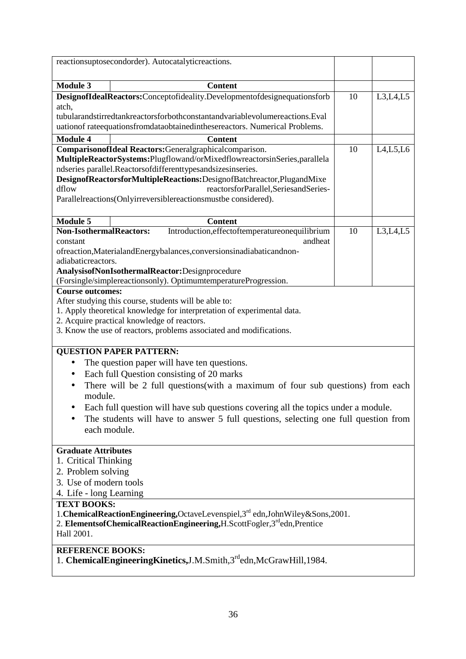|                                             |              | reactionsuptosecondorder). Autocatalyticreactions.                                                                                                        |    |            |
|---------------------------------------------|--------------|-----------------------------------------------------------------------------------------------------------------------------------------------------------|----|------------|
| <b>Module 3</b>                             |              | <b>Content</b>                                                                                                                                            |    |            |
| atch,                                       |              | DesignofIdealReactors:Conceptofideality.Developmentofdesignequationsforb                                                                                  | 10 | L3, L4, L5 |
|                                             |              | tubularandstirredtankreactorsforbothconstantandvariablevolumereactions.Eval<br>uationof rateequationsfromdataobtainedinthesereactors. Numerical Problems. |    |            |
|                                             |              |                                                                                                                                                           |    |            |
| <b>Module 4</b>                             |              | <b>Content</b><br>ComparisonofIdeal Reactors: General graphical comparison.                                                                               |    |            |
|                                             |              | MultipleReactorSystems:Plugflowand/orMixedflowreactorsinSeries,parallela                                                                                  | 10 | L4, L5, L6 |
|                                             |              | ndseries parallel.Reactorsofdifferenttypesandsizesinseries.                                                                                               |    |            |
| dflow                                       |              | DesignofReactorsforMultipleReactions:DesignofBatchreactor,PlugandMixe<br>reactorsforParallel,SeriesandSeries-                                             |    |            |
|                                             |              | Parallelreactions(Onlyirreversiblereactionsmustbe considered).                                                                                            |    |            |
|                                             |              |                                                                                                                                                           |    |            |
| <b>Module 5</b>                             |              | <b>Content</b>                                                                                                                                            |    |            |
| Non-IsothermalReactors:                     |              | Introduction, effect of temperature onequilibrium                                                                                                         | 10 | L3,L4,L5   |
| constant                                    |              | andheat                                                                                                                                                   |    |            |
|                                             |              | ofreaction, Materialand Energybalances, conversions inadiabaticand non-                                                                                   |    |            |
| adiabaticreactors.                          |              |                                                                                                                                                           |    |            |
|                                             |              | AnalysisofNonIsothermalReactor:Designprocedure                                                                                                            |    |            |
|                                             |              | (Forsingle/simplereactionsonly). OptimumtemperatureProgression.                                                                                           |    |            |
| <b>Course outcomes:</b>                     |              |                                                                                                                                                           |    |            |
|                                             |              | After studying this course, students will be able to:<br>1. Apply theoretical knowledge for interpretation of experimental data.                          |    |            |
| 2. Acquire practical knowledge of reactors. |              |                                                                                                                                                           |    |            |
|                                             |              | 3. Know the use of reactors, problems associated and modifications.                                                                                       |    |            |
|                                             |              |                                                                                                                                                           |    |            |
| <b>QUESTION PAPER PATTERN:</b>              |              |                                                                                                                                                           |    |            |
| $\bullet$                                   |              | The question paper will have ten questions.                                                                                                               |    |            |
| $\bullet$                                   |              | Each full Question consisting of 20 marks                                                                                                                 |    |            |
| $\bullet$                                   |              | There will be 2 full questions (with a maximum of four sub questions) from each                                                                           |    |            |
| module.                                     |              |                                                                                                                                                           |    |            |
|                                             |              | Each full question will have sub questions covering all the topics under a module.                                                                        |    |            |
|                                             |              | The students will have to answer 5 full questions, selecting one full question from                                                                       |    |            |
|                                             | each module. |                                                                                                                                                           |    |            |
|                                             |              |                                                                                                                                                           |    |            |
| <b>Graduate Attributes</b>                  |              |                                                                                                                                                           |    |            |
| 1. Critical Thinking                        |              |                                                                                                                                                           |    |            |
| 2. Problem solving                          |              |                                                                                                                                                           |    |            |
| 3. Use of modern tools                      |              |                                                                                                                                                           |    |            |
| 4. Life - long Learning                     |              |                                                                                                                                                           |    |            |
| <b>TEXT BOOKS:</b>                          |              |                                                                                                                                                           |    |            |
|                                             |              | 1. Chemical Reaction Engineering, Octave Levenspiel, 3rd edn, John Wiley & Sons, 2001.                                                                    |    |            |
|                                             |              | 2. Elements of Chemical Reaction Engineering, H. Scott Fogler, 3rd edn, Prentice                                                                          |    |            |
| Hall 2001.                                  |              |                                                                                                                                                           |    |            |
| <b>REFERENCE BOOKS:</b>                     |              |                                                                                                                                                           |    |            |
|                                             |              | 1. ChemicalEngineeringKinetics, J.M.Smith, 3rd edn, McGrawHill, 1984.                                                                                     |    |            |
|                                             |              |                                                                                                                                                           |    |            |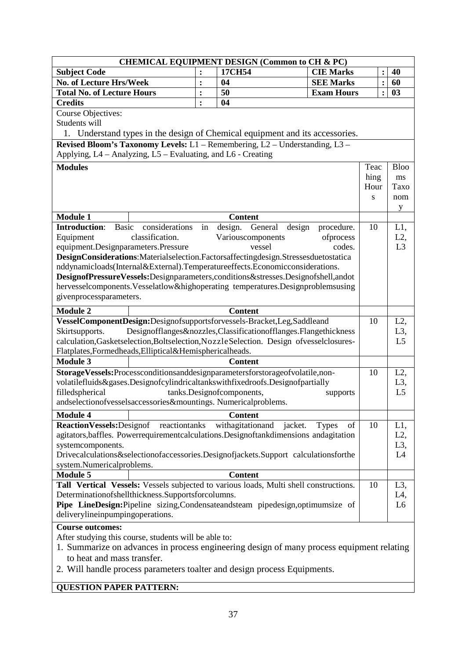|                                                                                           |                | <b>CHEMICAL EQUIPMENT DESIGN (Common to CH &amp; PC)</b>        |                      |                |                      |  |
|-------------------------------------------------------------------------------------------|----------------|-----------------------------------------------------------------|----------------------|----------------|----------------------|--|
| <b>Subject Code</b>                                                                       |                | 17CH54                                                          | <b>CIE Marks</b>     |                | 40<br>$\ddot{\cdot}$ |  |
| No. of Lecture Hrs/Week                                                                   | :              | 04                                                              | <b>SEE Marks</b>     | $\ddot{\cdot}$ | 60                   |  |
| <b>Total No. of Lecture Hours</b>                                                         | :              | 50                                                              | <b>Exam Hours</b>    |                | 03<br>$\ddot{\cdot}$ |  |
| <b>Credits</b>                                                                            | $\ddot{\cdot}$ | 04                                                              |                      |                |                      |  |
| <b>Course Objectives:</b>                                                                 |                |                                                                 |                      |                |                      |  |
| Students will                                                                             |                |                                                                 |                      |                |                      |  |
| 1. Understand types in the design of Chemical equipment and its accessories.              |                |                                                                 |                      |                |                      |  |
| Revised Bloom's Taxonomy Levels: L1 - Remembering, L2 - Understanding, L3 -               |                |                                                                 |                      |                |                      |  |
| Applying, L4 - Analyzing, L5 - Evaluating, and L6 - Creating                              |                |                                                                 |                      |                |                      |  |
| <b>Modules</b>                                                                            |                |                                                                 |                      | Teac           | <b>Bloo</b>          |  |
|                                                                                           |                |                                                                 |                      | hing           | ms                   |  |
|                                                                                           |                |                                                                 |                      | Hour           | Taxo                 |  |
|                                                                                           |                |                                                                 |                      | S              | nom                  |  |
|                                                                                           |                |                                                                 |                      |                |                      |  |
| <b>Module 1</b>                                                                           |                | <b>Content</b>                                                  |                      |                | У                    |  |
| <b>Basic</b><br><b>Introduction:</b><br>considerations                                    | in             | design.<br>General                                              | design<br>procedure. | 10             | $L1$ ,               |  |
| classification.<br>Equipment                                                              |                | Variouscomponents                                               | ofprocess            |                | L2,                  |  |
| equipment.Designparameters.Pressure                                                       |                | vessel                                                          | codes.               |                | L <sub>3</sub>       |  |
| DesignConsiderations:Materialselection.Factorsaffectingdesign.Stressesduetostatica        |                |                                                                 |                      |                |                      |  |
| nddynamicloads(Internal&External).Temperatureeffects.Economicconsiderations.              |                |                                                                 |                      |                |                      |  |
| DesignofPressureVessels:Designparameters,conditions&stresses.Designofshell,andot          |                |                                                                 |                      |                |                      |  |
| hervesselcomponents. Vesselatlow&highoperating temperatures. Designproblemsusing          |                |                                                                 |                      |                |                      |  |
| givenprocessparameters.                                                                   |                |                                                                 |                      |                |                      |  |
|                                                                                           |                |                                                                 |                      |                |                      |  |
| <b>Module 2</b>                                                                           |                | <b>Content</b>                                                  |                      |                |                      |  |
| VesselComponentDesign:Designofsupportsforvessels-Bracket,Leg,Saddleand                    |                |                                                                 |                      | 10             | $L2$ ,               |  |
| Skirtsupports.                                                                            |                | Designofflanges&nozzles,Classificationofflanges.Flangethickness |                      |                | L <sub>3</sub> ,     |  |
| calculation, Gasketselection, Boltselection, Nozzle Selection. Design of vesselclosures-  |                |                                                                 |                      |                | L <sub>5</sub>       |  |
| Flatplates, Formedheads, Elliptical& Hemisphericalheads.                                  |                |                                                                 |                      |                |                      |  |
| <b>Module 3</b>                                                                           |                | <b>Content</b>                                                  |                      |                |                      |  |
| StorageVessels:Processconditionsanddesignparametersforstorageofvolatile,non-              |                |                                                                 |                      | 10             | $L2$ ,               |  |
| volatilefluids&gases.Designofcylindricaltankswithfixedroofs.Designofpartially             |                |                                                                 |                      |                | L3,                  |  |
| filledspherical                                                                           |                | tanks.Designofcomponents,                                       | supports             |                | L <sub>5</sub>       |  |
| andselectionofvesselsaccessories&mountings. Numericalproblems.                            |                |                                                                 |                      |                |                      |  |
| <b>Module 4</b>                                                                           |                | <b>Content</b>                                                  |                      |                |                      |  |
| <b>ReactionVessels:</b> Designof<br>reactiontanks                                         |                | withagitationand<br>jacket.                                     | <b>Types</b><br>of   | 10             | L1,                  |  |
| agitators, baffles. Powerrequirementcalculations. Designoftankdimensions andagitation     |                |                                                                 |                      |                | L2,                  |  |
| systemcomponents.                                                                         |                |                                                                 |                      |                | L <sub>3</sub> ,     |  |
| Drivecalculations&selectionofaccessories.Designofjackets.Support calculationsforthe       |                |                                                                 |                      |                | L4                   |  |
| system.Numericalproblems.                                                                 |                |                                                                 |                      |                |                      |  |
| <b>Module 5</b>                                                                           |                | <b>Content</b>                                                  |                      |                |                      |  |
| Tall Vertical Vessels: Vessels subjected to various loads, Multi shell constructions.     |                |                                                                 |                      | 10             | $L3$ ,               |  |
| Determinationofshellthickness.Supportsforcolumns.                                         |                |                                                                 |                      |                | L4,                  |  |
| Pipe LineDesign:Pipeline sizing,Condensateandsteam pipedesign,optimumsize of              |                |                                                                 |                      |                | L <sub>6</sub>       |  |
| deliverylineinpumpingoperations.                                                          |                |                                                                 |                      |                |                      |  |
| <b>Course outcomes:</b>                                                                   |                |                                                                 |                      |                |                      |  |
| After studying this course, students will be able to:                                     |                |                                                                 |                      |                |                      |  |
| 1. Summarize on advances in process engineering design of many process equipment relating |                |                                                                 |                      |                |                      |  |
| to heat and mass transfer.                                                                |                |                                                                 |                      |                |                      |  |
| 2. Will handle process parameters to alter and design process Equipments                  |                |                                                                 |                      |                |                      |  |

# 2. Will handle process parameters toalter and design process Equipments.

# **QUESTION PAPER PATTERN:**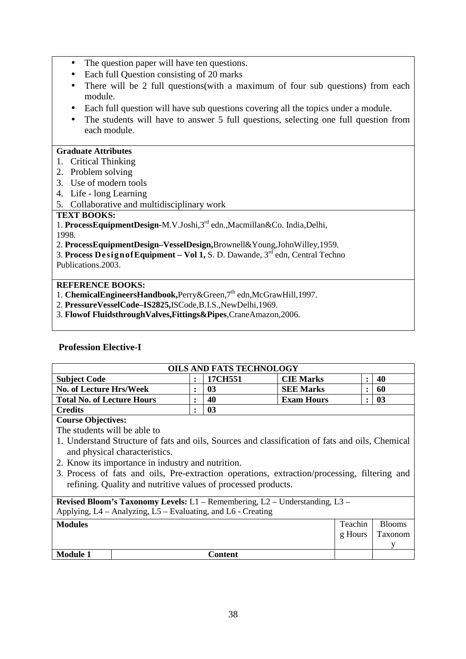- The question paper will have ten questions.
- Each full Question consisting of 20 marks
- There will be 2 full questions(with a maximum of four sub questions) from each module.
- Each full question will have sub questions covering all the topics under a module.
- The students will have to answer 5 full questions, selecting one full question from each module.

## **Graduate Attributes**

- 1. Critical Thinking
- 2. Problem solving
- 3. Use of modern tools
- 4. Life long Learning
- 5. Collaborative and multidisciplinary work

## **TEXT BOOKS:**

1. **ProcessEquipmentDesign-**M.V.Joshi,3rd edn.,Macmillan&Co. India,Delhi, 1998.

2. **ProcessEquipmentDesign–VesselDesign,**Brownell&Young,JohnWilley,1959.

3. **Process DesignofEquipment – Vol 1,** S. D. Dawande, 3rd edn, Central Techno Publications.2003.

## **REFERENCE BOOKS:**

- 1. **ChemicalEngineersHandbook**, Perry&Green.<sup>7th</sup> edn, McGrawHill.1997.
- 2. **PressureVesselCode–IS2825,**ISCode,B.I.S.,NewDelhi,1969.
- 3. **Flowof FluidsthroughValves,Fittings&Pipes**,CraneAmazon,2006.

## **Profession Elective-I**

| <b>OILS AND FATS TECHNOLOGY</b>   |  |         |                   |  |    |  |  |
|-----------------------------------|--|---------|-------------------|--|----|--|--|
| <b>Subject Code</b>               |  | 17CH551 | <b>CIE Marks</b>  |  | 40 |  |  |
| <b>No. of Lecture Hrs/Week</b>    |  | 03      | <b>SEE Marks</b>  |  | 60 |  |  |
| <b>Total No. of Lecture Hours</b> |  | 40      | <b>Exam Hours</b> |  | 03 |  |  |
| <b>Credits</b>                    |  | 03      |                   |  |    |  |  |

### **Course Objectives:**

The students will be able to

- 1. Understand Structure of fats and oils, Sources and classification of fats and oils, Chemical and physical characteristics.
- 2. Know its importance in industry and nutrition.
- 3. Process of fats and oils, Pre-extraction operations, extraction/processing, filtering and refining. Quality and nutritive values of processed products.

| <b>Revised Bloom's Taxonomy Levels:</b> L1 – Remembering, L2 – Understanding, L3 –<br>Applying, L4 – Analyzing, L5 – Evaluating, and L6 - Creating |         |         |               |  |  |
|----------------------------------------------------------------------------------------------------------------------------------------------------|---------|---------|---------------|--|--|
| <b>Modules</b>                                                                                                                                     |         | Teachin | <b>Blooms</b> |  |  |
|                                                                                                                                                    |         | g Hours | Taxonom       |  |  |
|                                                                                                                                                    |         |         |               |  |  |
| <b>Module 1</b>                                                                                                                                    | Content |         |               |  |  |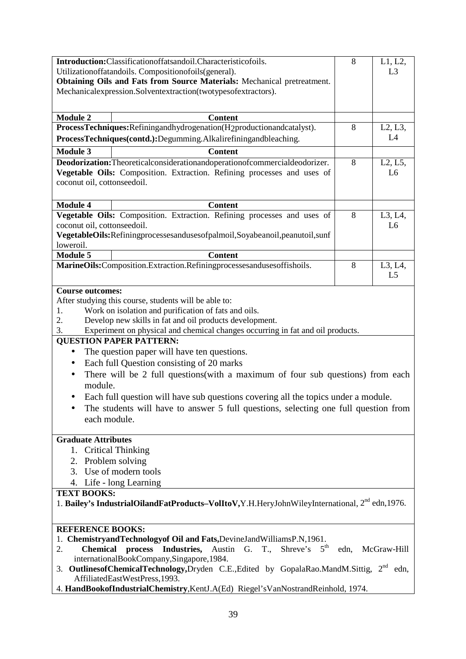| Introduction:Classificationoffatsandoil.Characteristicofoils.                                              | 8                                                                                                           | L1, L2,        |  |  |  |  |
|------------------------------------------------------------------------------------------------------------|-------------------------------------------------------------------------------------------------------------|----------------|--|--|--|--|
| Utilization of fatandoils. Composition of oils (general).                                                  |                                                                                                             | L <sub>3</sub> |  |  |  |  |
| Obtaining Oils and Fats from Source Materials: Mechanical pretreatment.                                    |                                                                                                             |                |  |  |  |  |
| Mechanicalexpression.Solventextraction(twotypesofextractors).                                              |                                                                                                             |                |  |  |  |  |
|                                                                                                            |                                                                                                             |                |  |  |  |  |
|                                                                                                            |                                                                                                             |                |  |  |  |  |
| <b>Module 2</b><br><b>Content</b>                                                                          |                                                                                                             |                |  |  |  |  |
| ProcessTechniques: Refiningandhydrogenation (H2productionandcatalyst).                                     | 8                                                                                                           | L2, L3,        |  |  |  |  |
| ProcessTechniques(contd.):Degumming.Alkalirefiningandbleaching.                                            |                                                                                                             | L4             |  |  |  |  |
| <b>Module 3</b><br><b>Content</b>                                                                          |                                                                                                             |                |  |  |  |  |
|                                                                                                            | 8                                                                                                           |                |  |  |  |  |
| Deodorization: Theoretical consideration and operation of commercial deodorizer.                           |                                                                                                             | L2, L5,        |  |  |  |  |
| Vegetable Oils: Composition. Extraction. Refining processes and uses of                                    |                                                                                                             | L <sub>6</sub> |  |  |  |  |
| coconut oil, cottonseedoil.                                                                                |                                                                                                             |                |  |  |  |  |
|                                                                                                            |                                                                                                             |                |  |  |  |  |
| <b>Module 4</b><br><b>Content</b>                                                                          |                                                                                                             |                |  |  |  |  |
| Vegetable Oils: Composition. Extraction. Refining processes and uses of                                    | 8                                                                                                           | L3, L4,        |  |  |  |  |
| coconut oil, cottonseedoil.                                                                                |                                                                                                             | L <sub>6</sub> |  |  |  |  |
| VegetableOils:Refiningprocessesandusesofpalmoil,Soyabeanoil,peanutoil,sunf                                 |                                                                                                             |                |  |  |  |  |
| loweroil.                                                                                                  |                                                                                                             |                |  |  |  |  |
| <b>Module 5</b><br><b>Content</b>                                                                          |                                                                                                             |                |  |  |  |  |
| MarineOils:Composition.Extraction.Refiningprocessesandusesoffishoils.                                      | 8                                                                                                           | L3, L4,        |  |  |  |  |
|                                                                                                            |                                                                                                             | L <sub>5</sub> |  |  |  |  |
|                                                                                                            |                                                                                                             |                |  |  |  |  |
| <b>Course outcomes:</b>                                                                                    |                                                                                                             |                |  |  |  |  |
| After studying this course, students will be able to:                                                      |                                                                                                             |                |  |  |  |  |
| Work on isolation and purification of fats and oils.<br>1.                                                 |                                                                                                             |                |  |  |  |  |
| 2.<br>Develop new skills in fat and oil products development.                                              |                                                                                                             |                |  |  |  |  |
| 3.<br>Experiment on physical and chemical changes occurring in fat and oil products.                       |                                                                                                             |                |  |  |  |  |
| <b>QUESTION PAPER PATTERN:</b>                                                                             |                                                                                                             |                |  |  |  |  |
| The question paper will have ten questions.<br>$\bullet$                                                   |                                                                                                             |                |  |  |  |  |
| Each full Question consisting of 20 marks<br>$\bullet$                                                     |                                                                                                             |                |  |  |  |  |
|                                                                                                            |                                                                                                             |                |  |  |  |  |
| There will be 2 full questions(with a maximum of four sub questions) from each<br>$\bullet$                |                                                                                                             |                |  |  |  |  |
| module.                                                                                                    |                                                                                                             |                |  |  |  |  |
| Each full question will have sub questions covering all the topics under a module.                         |                                                                                                             |                |  |  |  |  |
| The students will have to answer 5 full questions, selecting one full question from                        |                                                                                                             |                |  |  |  |  |
| each module.                                                                                               |                                                                                                             |                |  |  |  |  |
|                                                                                                            |                                                                                                             |                |  |  |  |  |
| <b>Graduate Attributes</b>                                                                                 |                                                                                                             |                |  |  |  |  |
| 1. Critical Thinking                                                                                       |                                                                                                             |                |  |  |  |  |
| 2. Problem solving                                                                                         |                                                                                                             |                |  |  |  |  |
| 3. Use of modern tools                                                                                     |                                                                                                             |                |  |  |  |  |
|                                                                                                            |                                                                                                             |                |  |  |  |  |
| 4. Life - long Learning                                                                                    |                                                                                                             |                |  |  |  |  |
| <b>TEXT BOOKS:</b>                                                                                         |                                                                                                             |                |  |  |  |  |
| 1. Bailey's IndustrialOilandFatProducts-VolItoV,Y.H.HeryJohnWileyInternational, 2 <sup>nd</sup> edn, 1976. |                                                                                                             |                |  |  |  |  |
|                                                                                                            |                                                                                                             |                |  |  |  |  |
| <b>REFERENCE BOOKS:</b>                                                                                    |                                                                                                             |                |  |  |  |  |
| 1. ChemistryandTechnologyof Oil and Fats, DevineJandWilliamsP.N, 1961.                                     |                                                                                                             |                |  |  |  |  |
| Shreve's $5^{\text{th}}$<br>Austin G. T.,<br><b>Chemical</b><br>process<br>Industries,<br>2.               | edn,                                                                                                        | McGraw-Hill    |  |  |  |  |
| internationalBookCompany,Singapore,1984.                                                                   |                                                                                                             |                |  |  |  |  |
|                                                                                                            |                                                                                                             |                |  |  |  |  |
|                                                                                                            | 3. Outlines of Chemical Technology, Dryden C.E., Edited by Gopala Rao. Mand M. Sittig, 2 <sup>nd</sup> edn, |                |  |  |  |  |
| AffiliatedEastWestPress,1993.                                                                              |                                                                                                             |                |  |  |  |  |
| 4. HandBookofIndustrialChemistry,KentJ.A(Ed) Riegel'sVanNostrandReinhold, 1974.                            |                                                                                                             |                |  |  |  |  |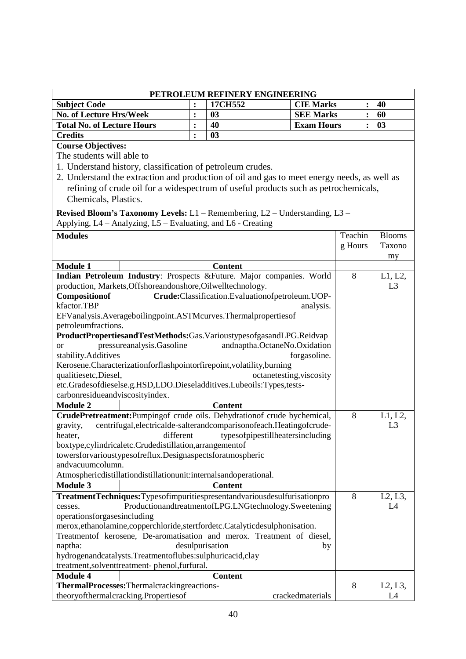|                                                                                |                                                              |                | PETROLEUM REFINERY ENGINEERING                                                              |                          |         |                |                |
|--------------------------------------------------------------------------------|--------------------------------------------------------------|----------------|---------------------------------------------------------------------------------------------|--------------------------|---------|----------------|----------------|
| <b>Subject Code</b>                                                            |                                                              | $\ddot{\cdot}$ | 17CH552                                                                                     | <b>CIE Marks</b>         |         |                | 40             |
| No. of Lecture Hrs/Week                                                        |                                                              | $\ddot{\cdot}$ | 03                                                                                          | <b>SEE Marks</b>         |         | $\ddot{\cdot}$ | 60             |
| <b>Total No. of Lecture Hours</b>                                              |                                                              | :              | 40                                                                                          | <b>Exam Hours</b>        |         |                | 03             |
| <b>Credits</b>                                                                 |                                                              | $\ddot{\cdot}$ | 03                                                                                          |                          |         |                |                |
| <b>Course Objectives:</b>                                                      |                                                              |                |                                                                                             |                          |         |                |                |
| The students will able to                                                      |                                                              |                |                                                                                             |                          |         |                |                |
|                                                                                | 1. Understand history, classification of petroleum crudes.   |                |                                                                                             |                          |         |                |                |
|                                                                                |                                                              |                | 2. Understand the extraction and production of oil and gas to meet energy needs, as well as |                          |         |                |                |
|                                                                                |                                                              |                | refining of crude oil for a widespectrum of useful products such as petrochemicals,         |                          |         |                |                |
| Chemicals, Plastics.                                                           |                                                              |                |                                                                                             |                          |         |                |                |
|                                                                                |                                                              |                |                                                                                             |                          |         |                |                |
|                                                                                |                                                              |                | Revised Bloom's Taxonomy Levels: L1 - Remembering, L2 - Understanding, L3 -                 |                          |         |                |                |
|                                                                                | Applying, L4 - Analyzing, L5 - Evaluating, and L6 - Creating |                |                                                                                             |                          |         |                |                |
| <b>Modules</b>                                                                 |                                                              |                |                                                                                             |                          | Teachin |                | <b>Blooms</b>  |
|                                                                                |                                                              |                |                                                                                             |                          | g Hours |                | Taxono         |
|                                                                                |                                                              |                |                                                                                             |                          |         |                | my             |
| <b>Module 1</b>                                                                |                                                              |                | <b>Content</b>                                                                              |                          |         |                |                |
|                                                                                |                                                              |                | Indian Petroleum Industry: Prospects & Future. Major companies. World                       |                          | $8\,$   |                | L1, L2,        |
|                                                                                | production, Markets, Offshoreandonshore, Oilwelltechnology.  |                |                                                                                             |                          |         |                | L <sub>3</sub> |
| Compositionof                                                                  |                                                              |                | Crude:Classification.Evaluationofpetroleum.UOP-                                             |                          |         |                |                |
| kfactor.TBP                                                                    |                                                              |                |                                                                                             | analysis.                |         |                |                |
|                                                                                |                                                              |                | EFVanalysis.Averageboilingpoint.ASTMcurves.Thermalpropertiesof                              |                          |         |                |                |
| petroleumfractions.                                                            |                                                              |                |                                                                                             |                          |         |                |                |
|                                                                                |                                                              |                | ProductPropertiesandTestMethods:Gas.VarioustypesofgasandLPG.Reidvap                         |                          |         |                |                |
| <sub>or</sub>                                                                  | pressureanalysis.Gasoline                                    |                | andnaptha.OctaneNo.Oxidation                                                                |                          |         |                |                |
| stability.Additives                                                            |                                                              |                | Kerosene.Characterizationforflashpointorfirepoint,volatility,burning                        | forgasoline.             |         |                |                |
| qualitiesetc, Diesel,                                                          |                                                              |                |                                                                                             | octanetesting, viscosity |         |                |                |
|                                                                                |                                                              |                | etc.Gradesofdieselse.g.HSD,LDO.Dieseladditives.Lubeoils:Types,tests-                        |                          |         |                |                |
| carbonresidueandviscosityindex.                                                |                                                              |                |                                                                                             |                          |         |                |                |
| <b>Module 2</b>                                                                |                                                              |                | <b>Content</b>                                                                              |                          |         |                |                |
|                                                                                |                                                              |                | CrudePretreatment:Pumpingof crude oils. Dehydrationof crude bychemical,                     |                          | 8       |                | L1, L2,        |
| gravity,                                                                       |                                                              |                | centrifugal, electrical de-salterand comparison of each. Heating of crude-                  |                          |         |                | L3             |
| heater,                                                                        | different                                                    |                | typesofpipestillheatersincluding                                                            |                          |         |                |                |
|                                                                                | boxtype,cylindricaletc.Crudedistillation,arrangementof       |                |                                                                                             |                          |         |                |                |
|                                                                                | towersforvarioustypesofreflux.Designaspectsforatmospheric    |                |                                                                                             |                          |         |                |                |
| andvacuumcolumn.                                                               |                                                              |                |                                                                                             |                          |         |                |                |
|                                                                                |                                                              |                | Atmosphericdistillationdistillationunit:internalsandoperational.                            |                          |         |                |                |
| <b>Module 3</b>                                                                |                                                              |                | <b>Content</b>                                                                              |                          |         |                |                |
|                                                                                |                                                              |                | TreatmentTechniques:Typesofimpuritiespresentandvariousdesulfurisationpro                    |                          | 8       |                | L2, L3,        |
| cesses.                                                                        |                                                              |                | ProductionandtreatmentofLPG.LNGtechnology.Sweetening                                        |                          |         |                | L4             |
| operationsforgasesincluding                                                    |                                                              |                |                                                                                             |                          |         |                |                |
| merox, ethanolamine, copperchloride, stertfordetc. Catalytic desulphonisation. |                                                              |                |                                                                                             |                          |         |                |                |
| Treatmentof kerosene, De-aromatisation and merox. Treatment of diesel,         |                                                              |                |                                                                                             |                          |         |                |                |
| desulpurisation<br>naptha:<br>by                                               |                                                              |                |                                                                                             |                          |         |                |                |
|                                                                                | hydrogenandcatalysts.Treatmentoflubes:sulphuricacid,clay     |                |                                                                                             |                          |         |                |                |
|                                                                                | treatment, solventtreatment-phenol, furfural.                |                |                                                                                             |                          |         |                |                |
| <b>Module 4</b>                                                                |                                                              |                | <b>Content</b>                                                                              |                          |         |                |                |
|                                                                                | ThermalProcesses: Thermalcrackingreactions-                  |                |                                                                                             |                          | 8       |                | L2, L3,        |
|                                                                                | theoryofthermalcracking.Propertiesof                         |                |                                                                                             | crackedmaterials         |         |                | L4             |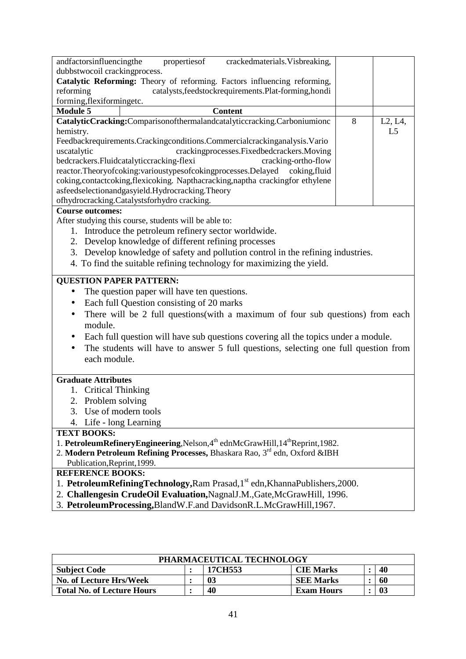| andfactorsinfluencingthe      | properties of<br>crackedmaterials. Visbreaking,                                   |   |                                   |
|-------------------------------|-----------------------------------------------------------------------------------|---|-----------------------------------|
| dubbstwocoil crackingprocess. |                                                                                   |   |                                   |
|                               | Catalytic Reforming: Theory of reforming. Factors influencing reforming,          |   |                                   |
| reforming                     | catalysts, feedstockrequirements. Plat-forming, hondi                             |   |                                   |
| forming, flexiformingetc.     |                                                                                   |   |                                   |
| <b>Module 5</b>               | <b>Content</b>                                                                    |   |                                   |
|                               | CatalyticCracking:Comparisonofthermalandcatalyticcracking.Carboniumionc           | 8 | L <sub>2</sub> , L <sub>4</sub> , |
| hemistry.                     |                                                                                   |   | L <sub>5</sub>                    |
|                               | Feedbackrequirements.Crackingconditions.Commercialcrackinganalysis.Vario          |   |                                   |
| uscatalytic                   | crackingprocesses. Fixed bedcrackers. Moving                                      |   |                                   |
|                               | bedcrackers. Fluidcatalytic cracking-flexi<br>cracking-ortho-flow                 |   |                                   |
|                               | reactor.Theoryofcoking:varioustypesofcokingprocesses.Delayed<br>coking, fluid     |   |                                   |
|                               | coking, contact coking, flexicoking. Napthacracking, naptha cracking for ethylene |   |                                   |
|                               | asfeedselectionandgasyield.Hydrocracking.Theory                                   |   |                                   |
|                               | ofhydrocracking.Catalystsforhydro cracking.                                       |   |                                   |
| <b>Course outcomes:</b>       |                                                                                   |   |                                   |
|                               | After studying this course, students will be able to:                             |   |                                   |
|                               | Introduce the petroleum refinery sector worldwide.                                |   |                                   |

- 2. Develop knowledge of different refining processes
- 3. Develop knowledge of safety and pollution control in the refining industries.
- 4. To find the suitable refining technology for maximizing the yield.

### **QUESTION PAPER PATTERN:**

- The question paper will have ten questions.
- Each full Question consisting of 20 marks
- There will be 2 full questions(with a maximum of four sub questions) from each module.
- Each full question will have sub questions covering all the topics under a module.
- The students will have to answer 5 full questions, selecting one full question from each module.

#### **Graduate Attributes**

- 1. Critical Thinking
- 2. Problem solving
- 3. Use of modern tools
- 4. Life long Learning

#### **TEXT BOOKS:**

- 1. **PetroleumRefineryEngineering**,Nelson,4<sup>th</sup> ednMcGrawHill,14<sup>th</sup>Reprint,1982.
- 2. **Modern Petroleum Refining Processes,** Bhaskara Rao, 3rd edn, Oxford &IBH Publication,Reprint,1999.

### **REFERENCE BOOKS:**

- 1. **PetroleumRefiningTechnology,Ram Prasad,1**<sup>st</sup> edn,KhannaPublishers,2000.
- 2. **Challengesin CrudeOil Evaluation,**NagnalJ.M.,Gate,McGrawHill, 1996.
- 3. **PetroleumProcessing,**BlandW.F.and DavidsonR.L.McGrawHill,1967.

| PHARMACEUTICAL TECHNOLOGY                                |  |    |                  |  |     |  |
|----------------------------------------------------------|--|----|------------------|--|-----|--|
| 40<br>17CH553<br><b>CIE Marks</b><br><b>Subject Code</b> |  |    |                  |  |     |  |
| No. of Lecture Hrs/Week                                  |  | 03 | <b>SEE Marks</b> |  | -60 |  |
| <b>Total No. of Lecture Hours</b>                        |  | 03 |                  |  |     |  |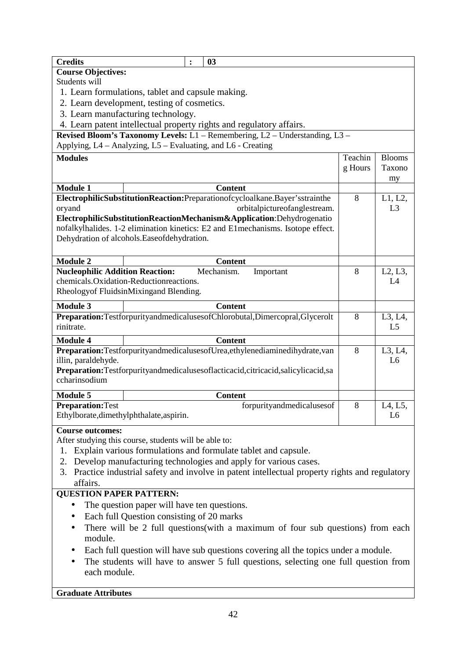| <b>Credits</b>                                                                                   | $\ddot{\cdot}$ | 03                                                                                           |         |                |
|--------------------------------------------------------------------------------------------------|----------------|----------------------------------------------------------------------------------------------|---------|----------------|
| <b>Course Objectives:</b>                                                                        |                |                                                                                              |         |                |
| Students will                                                                                    |                |                                                                                              |         |                |
| 1. Learn formulations, tablet and capsule making.                                                |                |                                                                                              |         |                |
| 2. Learn development, testing of cosmetics.                                                      |                |                                                                                              |         |                |
| 3. Learn manufacturing technology.                                                               |                |                                                                                              |         |                |
| 4. Learn patent intellectual property rights and regulatory affairs.                             |                |                                                                                              |         |                |
|                                                                                                  |                | Revised Bloom's Taxonomy Levels: L1 - Remembering, L2 - Understanding, L3 -                  |         |                |
| Applying, L4 - Analyzing, L5 - Evaluating, and L6 - Creating                                     |                |                                                                                              |         |                |
| <b>Modules</b>                                                                                   |                |                                                                                              | Teachin | <b>Blooms</b>  |
|                                                                                                  |                |                                                                                              | g Hours | Taxono         |
|                                                                                                  |                |                                                                                              |         | my             |
| <b>Module 1</b>                                                                                  |                | <b>Content</b>                                                                               |         |                |
|                                                                                                  |                | ElectrophilicSubstitutionReaction:Preparationofcycloalkane.Bayer'sstrainthe                  | 8       | L1, L2,        |
| oryand                                                                                           |                | orbitalpictureofanglestream.                                                                 |         | L <sub>3</sub> |
|                                                                                                  |                | ElectrophilicSubstitutionReactionMechanism&Application:Dehydrogenatio                        |         |                |
|                                                                                                  |                | nofalkylhalides. 1-2 elimination kinetics: E2 and E1mechanisms. Isotope effect.              |         |                |
| Dehydration of alcohols. Easeofdehydration.                                                      |                |                                                                                              |         |                |
|                                                                                                  |                |                                                                                              |         |                |
| <b>Module 2</b>                                                                                  |                | <b>Content</b>                                                                               |         |                |
| <b>Nucleophilic Addition Reaction:</b>                                                           |                | Mechanism.<br>Important                                                                      | 8       | L2, L3,        |
| chemicals. Oxidation-Reduction reactions.                                                        |                |                                                                                              |         | L4             |
| Rheologyof FluidsinMixingand Blending.                                                           |                |                                                                                              |         |                |
|                                                                                                  |                |                                                                                              |         |                |
| <b>Module 3</b>                                                                                  |                | <b>Content</b>                                                                               |         |                |
|                                                                                                  |                | Preparation:TestforpurityandmedicalusesofChlorobutal,Dimercopral,Glycerolt                   | 8       | L3, L4,        |
| rinitrate.                                                                                       |                |                                                                                              |         | L <sub>5</sub> |
| <b>Module 4</b>                                                                                  |                | <b>Content</b>                                                                               |         |                |
|                                                                                                  |                | Preparation:TestforpurityandmedicalusesofUrea,ethylenediaminedihydrate,van                   | 8       | L3, L4,        |
| illin, paraldehyde.                                                                              |                |                                                                                              |         | L <sub>6</sub> |
|                                                                                                  |                | Preparation:Testforpurityandmedicalusesoflacticacid,citricacid,salicylicacid,sa              |         |                |
| ccharinsodium                                                                                    |                |                                                                                              |         |                |
| <b>Module 5</b>                                                                                  |                | <b>Content</b>                                                                               |         |                |
| <b>Preparation: Test</b>                                                                         |                | forpurityandmedicalusesof                                                                    | 8       | L4, L5,        |
| Ethylborate, dimethylphthalate, aspirin.                                                         |                |                                                                                              |         | L <sub>6</sub> |
|                                                                                                  |                |                                                                                              |         |                |
| <b>Course outcomes:</b>                                                                          |                |                                                                                              |         |                |
| After studying this course, students will be able to:                                            |                |                                                                                              |         |                |
| 1.                                                                                               |                | Explain various formulations and formulate tablet and capsule.                               |         |                |
| 2.                                                                                               |                | Develop manufacturing technologies and apply for various cases.                              |         |                |
| 3.                                                                                               |                | Practice industrial safety and involve in patent intellectual property rights and regulatory |         |                |
| affairs.                                                                                         |                |                                                                                              |         |                |
| <b>QUESTION PAPER PATTERN:</b>                                                                   |                |                                                                                              |         |                |
| The question paper will have ten questions.<br>$\bullet$                                         |                |                                                                                              |         |                |
| Each full Question consisting of 20 marks                                                        |                |                                                                                              |         |                |
| There will be 2 full questions (with a maximum of four sub questions) from each                  |                |                                                                                              |         |                |
| module.                                                                                          |                |                                                                                              |         |                |
| Each full question will have sub questions covering all the topics under a module.               |                |                                                                                              |         |                |
| The students will have to answer 5 full questions, selecting one full question from<br>$\bullet$ |                |                                                                                              |         |                |
| each module.                                                                                     |                |                                                                                              |         |                |
|                                                                                                  |                |                                                                                              |         |                |
|                                                                                                  |                |                                                                                              |         |                |
| <b>Graduate Attributes</b>                                                                       |                |                                                                                              |         |                |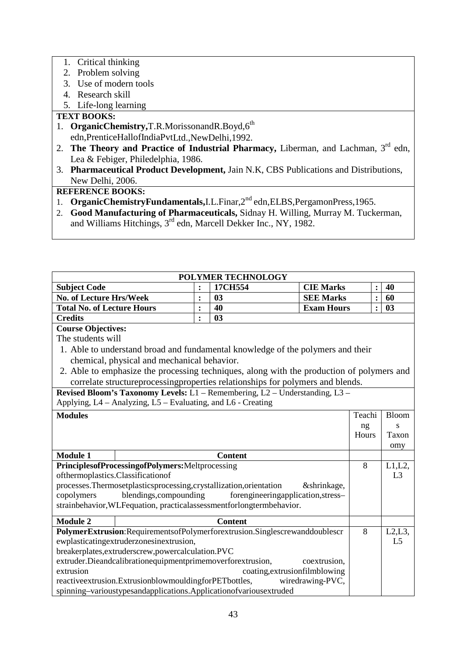- 1. Critical thinking
- 2. Problem solving
- 3. Use of modern tools
- 4. Research skill
- 5. Life-long learning

## **TEXT BOOKS:**

- 1. OrganicChemistry,T.R.MorissonandR.Boyd,6<sup>th</sup> edn,PrenticeHallofIndiaPvtLtd.,NewDelhi,1992.
- 2. **The Theory and Practice of Industrial Pharmacy, Liberman, and Lachman, 3<sup>rd</sup> edn,** Lea & Febiger, Philedelphia, 1986.
- 3. **Pharmaceutical Product Development,** Jain N.K, CBS Publications and Distributions, New Delhi, 2006.

## **REFERENCE BOOKS:**

- 1. **OrganicChemistryFundamentals,**I.L.Finar,2<sup>nd</sup> edn,ELBS,PergamonPress,1965.
- 2. **Good Manufacturing of Pharmaceuticals,** Sidnay H. Willing, Murray M. Tuckerman, and Williams Hitchings, 3<sup>rd</sup> edn, Marcell Dekker Inc., NY, 1982.

|                                                    |                                                                   |                | <b>POLYMER TECHNOLOGY</b>                                                                 |                   |                |                |
|----------------------------------------------------|-------------------------------------------------------------------|----------------|-------------------------------------------------------------------------------------------|-------------------|----------------|----------------|
| <b>Subject Code</b>                                |                                                                   |                | 17CH554                                                                                   | <b>CIE Marks</b>  | $\ddot{\cdot}$ | 40             |
| <b>No. of Lecture Hrs/Week</b>                     |                                                                   | $\ddot{\cdot}$ | 03                                                                                        | <b>SEE Marks</b>  | $\ddot{\cdot}$ | 60             |
| <b>Total No. of Lecture Hours</b>                  |                                                                   | $\ddot{\cdot}$ | 40                                                                                        | <b>Exam Hours</b> |                | 03             |
| <b>Credits</b>                                     |                                                                   | $\ddot{\cdot}$ | 03                                                                                        |                   |                |                |
| <b>Course Objectives:</b>                          |                                                                   |                |                                                                                           |                   |                |                |
| The students will                                  |                                                                   |                |                                                                                           |                   |                |                |
|                                                    |                                                                   |                | 1. Able to understand broad and fundamental knowledge of the polymers and their           |                   |                |                |
|                                                    | chemical, physical and mechanical behavior.                       |                |                                                                                           |                   |                |                |
|                                                    |                                                                   |                | 2. Able to emphasize the processing techniques, along with the production of polymers and |                   |                |                |
|                                                    |                                                                   |                | correlate structure processing properties relationships for polymers and blends.          |                   |                |                |
|                                                    |                                                                   |                | Revised Bloom's Taxonomy Levels: L1 - Remembering, L2 - Understanding, L3 -               |                   |                |                |
|                                                    | Applying, L4 - Analyzing, L5 - Evaluating, and L6 - Creating      |                |                                                                                           |                   |                |                |
| <b>Modules</b>                                     |                                                                   |                |                                                                                           |                   | Teachi         | <b>Bloom</b>   |
|                                                    |                                                                   |                |                                                                                           |                   | ng             | S              |
|                                                    |                                                                   |                |                                                                                           |                   | Hours          | Taxon          |
|                                                    |                                                                   |                |                                                                                           |                   |                | omy            |
| <b>Module 1</b>                                    |                                                                   |                | <b>Content</b>                                                                            |                   |                |                |
|                                                    | PrinciplesofProcessingofPolymers:Meltprocessing                   |                |                                                                                           |                   | 8              | $L1,L2$ ,      |
|                                                    | ofthermoplastics.Classificationof                                 |                |                                                                                           |                   |                | L <sub>3</sub> |
|                                                    | processes.Thermosetplasticsprocessing,crystallization,orientation |                |                                                                                           | &shrinkage,       |                |                |
| copolymers                                         | blendings, compounding                                            |                | forengineeringapplication, stress-                                                        |                   |                |                |
|                                                    |                                                                   |                | strainbehavior, WLFequation, practicalassessmentforlongtermbehavior.                      |                   |                |                |
| <b>Module 2</b>                                    |                                                                   |                | <b>Content</b>                                                                            |                   |                |                |
|                                                    |                                                                   |                | PolymerExtrusion:RequirementsofPolymerforextrusion.Singlescrewanddoublescr                |                   | 8              | L2, L3,        |
|                                                    | ewplasticatingextruderzonesinextrusion,                           |                |                                                                                           |                   |                | L <sub>5</sub> |
| breakerplates, extruderscrew, powercalculation.PVC |                                                                   |                |                                                                                           |                   |                |                |
|                                                    | extruder.Dieandcalibrationequipmentprimemoverforextrusion,        |                |                                                                                           | coextrusion,      |                |                |
| extrusion                                          |                                                                   |                | coating, extrusionfilmblowing                                                             |                   |                |                |
|                                                    | reactive<br>extrusion.ExtrusionblowmouldingforPETbottles,         |                |                                                                                           | wiredrawing-PVC,  |                |                |
|                                                    |                                                                   |                | spinning-varioustypesandapplications.Applicationofvariousextruded                         |                   |                |                |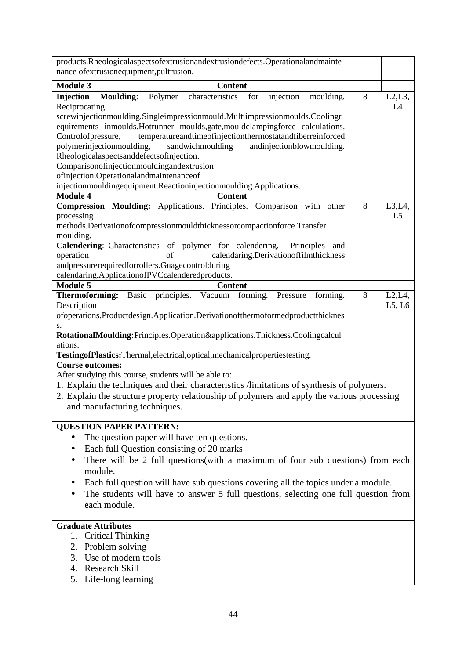| products.Rheologicalaspectsofextrusionandextrusiondefects.Operationalandmainte<br>nance of extrusionequipment, pultrusion. |   |                             |
|----------------------------------------------------------------------------------------------------------------------------|---|-----------------------------|
| <b>Module 3</b>                                                                                                            |   |                             |
| <b>Content</b><br>Injection<br><b>Moulding:</b><br>Polymer<br>characteristics<br>for<br>injection                          | 8 |                             |
| moulding.<br>Reciprocating                                                                                                 |   | L2, L3,<br>L4               |
| screwinjectionmoulding.Singleimpressionmould.Multiimpressionmoulds.Coolingr                                                |   |                             |
| equirements inmoulds. Hotrunner moulds, gate, mouldclampingforce calculations.                                             |   |                             |
| temperatureandtimeofinjectionthermostatandfiberreinforced<br>Controlofpressure,                                            |   |                             |
| polymerinjectionmoulding,<br>sandwichmoulding<br>andinjectionblowmoulding.                                                 |   |                             |
| Rheologicalaspectsanddefectsofinjection.                                                                                   |   |                             |
| Comparisonofinjectionmouldingandextrusion                                                                                  |   |                             |
| ofinjection.Operationalandmaintenanceof                                                                                    |   |                             |
| injectionmouldingequipment.Reactioninjectionmoulding.Applications.                                                         |   |                             |
| <b>Module 4</b><br><b>Content</b>                                                                                          |   |                             |
| Compression Moulding: Applications. Principles. Comparison with other<br>processing                                        | 8 | $L3,L4$ ,<br>L <sub>5</sub> |
| methods.Derivationofcompressionmouldthicknessorcompactionforce.Transfer                                                    |   |                             |
| moulding.                                                                                                                  |   |                             |
| Calendering: Characteristics of polymer for calendering.<br>Principles<br>and                                              |   |                             |
| calendaring.Derivationoffilmthickness<br>operation<br>of                                                                   |   |                             |
| andpressurerequiredforrollers.Guagecontrolduring                                                                           |   |                             |
| calendaring.ApplicationofPVCcalenderedproducts.                                                                            |   |                             |
| <b>Module 5</b><br><b>Content</b>                                                                                          |   |                             |
| Thermoforming:<br>Basic<br>principles.<br>Vacuum forming.<br>Pressure<br>forming.                                          | 8 | L2, L4,                     |
| Description                                                                                                                |   | L5, L6                      |
| ofoperations.Productdesign.Application.Derivationofthermoformedproductthicknes                                             |   |                             |
| S.                                                                                                                         |   |                             |
| RotationalMoulding: Principles. Operation&applications. Thickness. Coolingcalcul<br>ations.                                |   |                             |
| TestingofPlastics:Thermal,electrical,optical,mechanicalpropertiestesting.                                                  |   |                             |
| <b>Course outcomes:</b>                                                                                                    |   |                             |
| After studying this course, students will be able to:                                                                      |   |                             |
| 1. Explain the techniques and their characteristics /limitations of synthesis of polymers.                                 |   |                             |
| 2. Explain the structure property relationship of polymers and apply the various processing                                |   |                             |
| and manufacturing techniques.                                                                                              |   |                             |
|                                                                                                                            |   |                             |
| <b>QUESTION PAPER PATTERN:</b>                                                                                             |   |                             |
| The question paper will have ten questions.<br>$\bullet$                                                                   |   |                             |
| Each full Question consisting of 20 marks                                                                                  |   |                             |
| There will be 2 full questions (with a maximum of four sub questions) from each                                            |   |                             |
| module.                                                                                                                    |   |                             |
| Each full question will have sub questions covering all the topics under a module.                                         |   |                             |
| The students will have to answer 5 full questions, selecting one full question from                                        |   |                             |
| each module.                                                                                                               |   |                             |
|                                                                                                                            |   |                             |
| <b>Graduate Attributes</b>                                                                                                 |   |                             |
| <b>Critical Thinking</b><br>1.                                                                                             |   |                             |
| 2. Problem solving                                                                                                         |   |                             |
| 3. Use of modern tools                                                                                                     |   |                             |
| 4. Research Skill                                                                                                          |   |                             |
| 5. Life-long learning                                                                                                      |   |                             |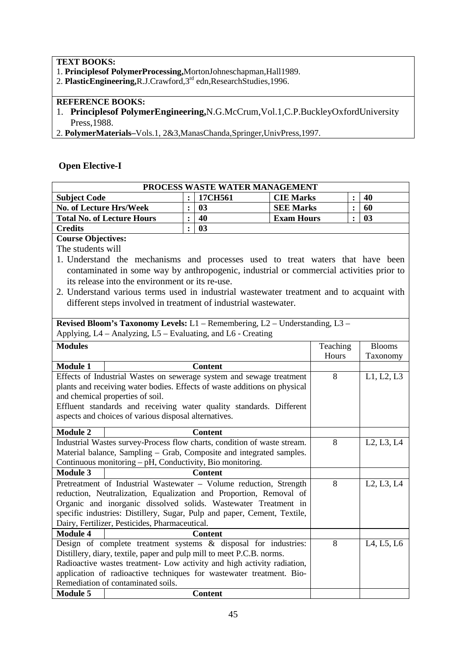### **TEXT BOOKS:**

- 1. **Principlesof PolymerProcessing,**MortonJohneschapman,Hall1989.
- 2. **PlasticEngineering,R.J.Crawford,3<sup>rd</sup> edn,ResearchStudies,1996.**

## **REFERENCE BOOKS:**

- 1. **Principlesof PolymerEngineering,**N.G.McCrum,Vol.1,C.P.BuckleyOxfordUniversity Press,1988.
- 2. **PolymerMaterials–**Vols.1, 2&3,ManasChanda,Springer,UnivPress,1997.

## **Open Elective-I**

| PROCESS WASTE WATER MANAGEMENT    |  |         |                   |  |     |
|-----------------------------------|--|---------|-------------------|--|-----|
| <b>Subject Code</b>               |  | 17CH561 | <b>CIE Marks</b>  |  | 40  |
| <b>No. of Lecture Hrs/Week</b>    |  | 03      | <b>SEE Marks</b>  |  | -60 |
| <b>Total No. of Lecture Hours</b> |  | 40      | <b>Exam Hours</b> |  | 03  |
| <b>Credits</b>                    |  | 03      |                   |  |     |

## **Course Objectives:**

The students will

- 1. Understand the mechanisms and processes used to treat waters that have been contaminated in some way by anthropogenic, industrial or commercial activities prior to its release into the environment or its re-use.
- 2. Understand various terms used in industrial wastewater treatment and to acquaint with different steps involved in treatment of industrial wastewater.

|                                                           | <b>Revised Bloom's Taxonomy Levels:</b> $L1$ – Remembering, $L2$ – Understanding, $L3$ – |          |                                                  |  |  |  |  |
|-----------------------------------------------------------|------------------------------------------------------------------------------------------|----------|--------------------------------------------------|--|--|--|--|
|                                                           | Applying, L4 – Analyzing, L5 – Evaluating, and L6 - Creating                             |          |                                                  |  |  |  |  |
| <b>Modules</b>                                            |                                                                                          | Teaching | <b>Blooms</b>                                    |  |  |  |  |
|                                                           |                                                                                          | Hours    | Taxonomy                                         |  |  |  |  |
| <b>Module 1</b>                                           | <b>Content</b>                                                                           |          |                                                  |  |  |  |  |
|                                                           | Effects of Industrial Wastes on sewerage system and sewage treatment                     | 8        | L1, L2, L3                                       |  |  |  |  |
|                                                           | plants and receiving water bodies. Effects of waste additions on physical                |          |                                                  |  |  |  |  |
|                                                           | and chemical properties of soil.                                                         |          |                                                  |  |  |  |  |
|                                                           | Effluent standards and receiving water quality standards. Different                      |          |                                                  |  |  |  |  |
|                                                           | aspects and choices of various disposal alternatives.                                    |          |                                                  |  |  |  |  |
| <b>Module 2</b>                                           | <b>Content</b>                                                                           |          |                                                  |  |  |  |  |
|                                                           | Industrial Wastes survey-Process flow charts, condition of waste stream.                 | 8        | L2, L3, L4                                       |  |  |  |  |
|                                                           | Material balance, Sampling – Grab, Composite and integrated samples.                     |          |                                                  |  |  |  |  |
| Continuous monitoring - pH, Conductivity, Bio monitoring. |                                                                                          |          |                                                  |  |  |  |  |
| <b>Module 3</b>                                           | <b>Content</b>                                                                           |          |                                                  |  |  |  |  |
|                                                           | Pretreatment of Industrial Wastewater - Volume reduction, Strength                       | 8        | L2, L3, L4                                       |  |  |  |  |
|                                                           | reduction, Neutralization, Equalization and Proportion, Removal of                       |          |                                                  |  |  |  |  |
|                                                           | Organic and inorganic dissolved solids. Wastewater Treatment in                          |          |                                                  |  |  |  |  |
|                                                           | specific industries: Distillery, Sugar, Pulp and paper, Cement, Textile,                 |          |                                                  |  |  |  |  |
|                                                           | Dairy, Fertilizer, Pesticides, Pharmaceutical.                                           |          |                                                  |  |  |  |  |
| <b>Module 4</b>                                           | <b>Content</b>                                                                           |          |                                                  |  |  |  |  |
|                                                           | Design of complete treatment systems $\&$ disposal for industries:                       | 8        | L <sub>4</sub> , L <sub>5</sub> , L <sub>6</sub> |  |  |  |  |
|                                                           | Distillery, diary, textile, paper and pulp mill to meet P.C.B. norms.                    |          |                                                  |  |  |  |  |
|                                                           | Radioactive wastes treatment- Low activity and high activity radiation,                  |          |                                                  |  |  |  |  |
|                                                           | application of radioactive techniques for wastewater treatment. Bio-                     |          |                                                  |  |  |  |  |
|                                                           | Remediation of contaminated soils.                                                       |          |                                                  |  |  |  |  |
| <b>Module 5</b>                                           | <b>Content</b>                                                                           |          |                                                  |  |  |  |  |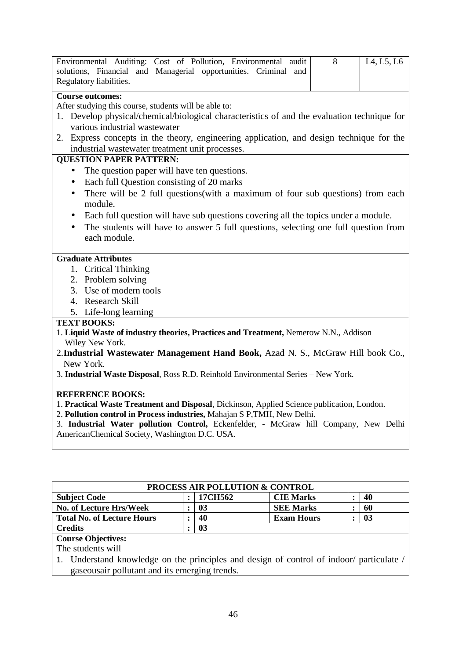|                         | Environmental Auditing: Cost of Pollution, Environmental audit  | - 8 | L <sub>4</sub> , L <sub>5</sub> , L <sub>6</sub> |
|-------------------------|-----------------------------------------------------------------|-----|--------------------------------------------------|
|                         | solutions, Financial and Managerial opportunities. Criminal and |     |                                                  |
| Regulatory liabilities. |                                                                 |     |                                                  |

### **Course outcomes:**

After studying this course, students will be able to:

- 1. Develop physical/chemical/biological characteristics of and the evaluation technique for various industrial wastewater
- 2. Express concepts in the theory, engineering application, and design technique for the industrial wastewater treatment unit processes.

### **QUESTION PAPER PATTERN:**

- The question paper will have ten questions.
- Each full Question consisting of 20 marks
- There will be 2 full questions(with a maximum of four sub questions) from each module.
- Each full question will have sub questions covering all the topics under a module.
- The students will have to answer 5 full questions, selecting one full question from each module.

#### **Graduate Attributes**

- 1. Critical Thinking
- 2. Problem solving
- 3. Use of modern tools
- 4. Research Skill
- 5. Life-long learning

#### **TEXT BOOKS:**

- 1. **Liquid Waste of industry theories, Practices and Treatment,** Nemerow N.N., Addison Wiley New York.
- 2.**Industrial Wastewater Management Hand Book,** Azad N. S., McGraw Hill book Co., New York.
- 3. **Industrial Waste Disposal**, Ross R.D. Reinhold Environmental Series New York.

## **REFERENCE BOOKS:**

- 1. **Practical Waste Treatment and Disposal**, Dickinson, Applied Science publication, London.
- 2. **Pollution control in Process industries,** Mahajan S P,TMH, New Delhi.
- 3. **Industrial Water pollution Control,** Eckenfelder, McGraw hill Company, New Delhi AmericanChemical Society, Washington D.C. USA.

| <b>PROCESS AIR POLLUTION &amp; CONTROL</b> |  |         |                   |  |    |  |  |
|--------------------------------------------|--|---------|-------------------|--|----|--|--|
| <b>Subject Code</b>                        |  | 17CH562 | <b>CIE Marks</b>  |  | 40 |  |  |
| <b>No. of Lecture Hrs/Week</b>             |  | 03      | <b>SEE Marks</b>  |  | 60 |  |  |
| <b>Total No. of Lecture Hours</b>          |  | 40      | <b>Exam Hours</b> |  | 03 |  |  |
| <b>Credits</b>                             |  | 03      |                   |  |    |  |  |

## **Course Objectives:**

The students will

1. Understand knowledge on the principles and design of control of indoor/ particulate / gaseousair pollutant and its emerging trends.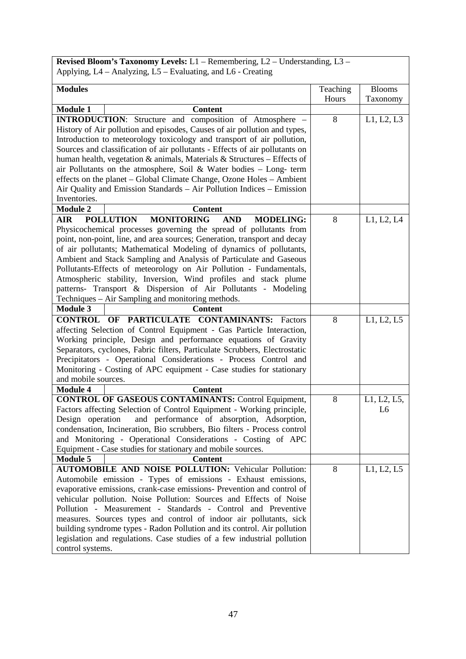**Revised Bloom's Taxonomy Levels:** L1 – Remembering, L2 – Understanding, L3 – Applying, L4 – Analyzing, L5 – Evaluating, and L6 - Creating

| <b>Modules</b>                                                                                                                                                                                                                                                                                                                                                                                                                                                                                                                                                                                                                               | Teaching | <b>Blooms</b>                 |
|----------------------------------------------------------------------------------------------------------------------------------------------------------------------------------------------------------------------------------------------------------------------------------------------------------------------------------------------------------------------------------------------------------------------------------------------------------------------------------------------------------------------------------------------------------------------------------------------------------------------------------------------|----------|-------------------------------|
|                                                                                                                                                                                                                                                                                                                                                                                                                                                                                                                                                                                                                                              | Hours    | Taxonomy                      |
| <b>Module 1</b><br><b>Content</b>                                                                                                                                                                                                                                                                                                                                                                                                                                                                                                                                                                                                            |          |                               |
| <b>INTRODUCTION:</b> Structure and composition of Atmosphere -<br>History of Air pollution and episodes, Causes of air pollution and types,<br>Introduction to meteorology toxicology and transport of air pollution,<br>Sources and classification of air pollutants - Effects of air pollutants on<br>human health, vegetation $\&$ animals, Materials $\&$ Structures – Effects of<br>air Pollutants on the atmosphere, Soil & Water bodies $-$ Long-term<br>effects on the planet – Global Climate Change, Ozone Holes – Ambient<br>Air Quality and Emission Standards - Air Pollution Indices - Emission<br>Inventories.                | 8        | L1, L2, L3                    |
| <b>Content</b><br><b>Module 2</b>                                                                                                                                                                                                                                                                                                                                                                                                                                                                                                                                                                                                            |          |                               |
| <b>POLLUTION</b><br><b>MONITORING</b><br>AIR<br><b>AND</b><br><b>MODELING:</b><br>Physicochemical processes governing the spread of pollutants from<br>point, non-point, line, and area sources; Generation, transport and decay<br>of air pollutants; Mathematical Modeling of dynamics of pollutants,<br>Ambient and Stack Sampling and Analysis of Particulate and Gaseous<br>Pollutants-Effects of meteorology on Air Pollution - Fundamentals,<br>Atmospheric stability, Inversion, Wind profiles and stack plume<br>patterns- Transport & Dispersion of Air Pollutants - Modeling<br>Techniques – Air Sampling and monitoring methods. | 8        | L1, L2, L4                    |
| <b>Module 3</b><br><b>Content</b>                                                                                                                                                                                                                                                                                                                                                                                                                                                                                                                                                                                                            |          |                               |
| <b>CONTROL OF PARTICULATE CONTAMINANTS: Factors</b><br>affecting Selection of Control Equipment - Gas Particle Interaction,<br>Working principle, Design and performance equations of Gravity<br>Separators, cyclones, Fabric filters, Particulate Scrubbers, Electrostatic<br>Precipitators - Operational Considerations - Process Control and<br>Monitoring - Costing of APC equipment - Case studies for stationary<br>and mobile sources.                                                                                                                                                                                                | 8        | L1, L2, L5                    |
| <b>Module 4</b><br><b>Content</b>                                                                                                                                                                                                                                                                                                                                                                                                                                                                                                                                                                                                            |          |                               |
| <b>CONTROL OF GASEOUS CONTAMINANTS: Control Equipment,</b><br>Factors affecting Selection of Control Equipment - Working principle,<br>and performance of absorption, Adsorption,<br>Design operation<br>condensation, Incineration, Bio scrubbers, Bio filters - Process control<br>and Monitoring - Operational Considerations - Costing of APC<br>Equipment - Case studies for stationary and mobile sources.<br><b>Module 5</b><br><b>Content</b>                                                                                                                                                                                        | 8        | L1, L2, L5,<br>L <sub>6</sub> |
| <b>AUTOMOBILE AND NOISE POLLUTION: Vehicular Pollution:</b>                                                                                                                                                                                                                                                                                                                                                                                                                                                                                                                                                                                  | 8        | L1, L2, L5                    |
| Automobile emission - Types of emissions - Exhaust emissions,<br>evaporative emissions, crank-case emissions- Prevention and control of<br>vehicular pollution. Noise Pollution: Sources and Effects of Noise<br>Pollution - Measurement - Standards - Control and Preventive<br>measures. Sources types and control of indoor air pollutants, sick<br>building syndrome types - Radon Pollution and its control. Air pollution<br>legislation and regulations. Case studies of a few industrial pollution<br>control systems.                                                                                                               |          |                               |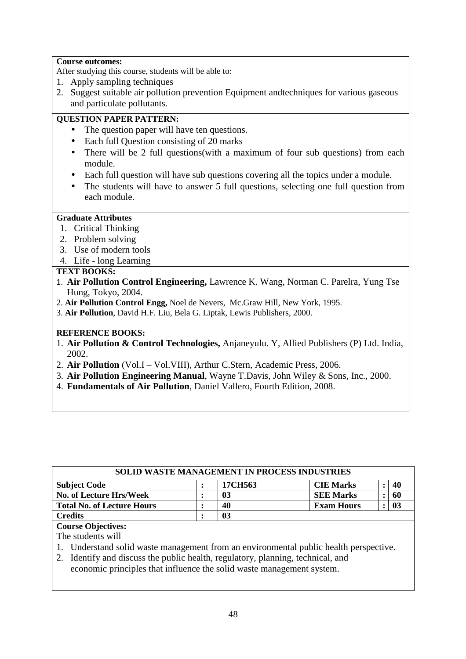### **Course outcomes:**

After studying this course, students will be able to:

- 1. Apply sampling techniques
- 2. Suggest suitable air pollution prevention Equipment andtechniques for various gaseous and particulate pollutants.

## **QUESTION PAPER PATTERN:**

- The question paper will have ten questions.
- Each full Question consisting of 20 marks
- There will be 2 full questions(with a maximum of four sub questions) from each module.
- Each full question will have sub questions covering all the topics under a module.
- The students will have to answer 5 full questions, selecting one full question from each module.

## **Graduate Attributes**

- 1. Critical Thinking
- 2. Problem solving
- 3. Use of modern tools
- 4. Life long Learning

## **TEXT BOOKS:**

- 1. **Air Pollution Control Engineering,** Lawrence K. Wang, Norman C. Parelra, Yung Tse Hung, Tokyo, 2004.
- 2. **Air Pollution Control Engg,** Noel de Nevers, Mc.Graw Hill, New York, 1995.
- 3. **Air Pollution**, David H.F. Liu, Bela G. Liptak, Lewis Publishers, 2000.

## **REFERENCE BOOKS:**

- 1. **Air Pollution & Control Technologies,** Anjaneyulu. Y, Allied Publishers (P) Ltd. India, 2002.
- 2. **Air Pollution** (Vol.I Vol.VIII), Arthur C.Stern, Academic Press, 2006.
- 3. **Air Pollution Engineering Manual**, Wayne T.Davis, John Wiley & Sons, Inc., 2000.
- 4. **Fundamentals of Air Pollution**, Daniel Vallero, Fourth Edition, 2008.

| <b>SOLID WASTE MANAGEMENT IN PROCESS INDUSTRIES</b> |  |         |                   |  |     |  |
|-----------------------------------------------------|--|---------|-------------------|--|-----|--|
| <b>Subject Code</b>                                 |  | 17CH563 | <b>CIE Marks</b>  |  | 40  |  |
| No. of Lecture Hrs/Week                             |  | 03      | <b>SEE Marks</b>  |  | 60  |  |
| <b>Total No. of Lecture Hours</b>                   |  | 40      | <b>Exam Hours</b> |  | -03 |  |
| <b>Credits</b>                                      |  | 03      |                   |  |     |  |

## **Course Objectives:**

The students will

- 1. Understand solid waste management from an environmental public health perspective.
- 2. Identify and discuss the public health, regulatory, planning, technical, and

economic principles that influence the solid waste management system.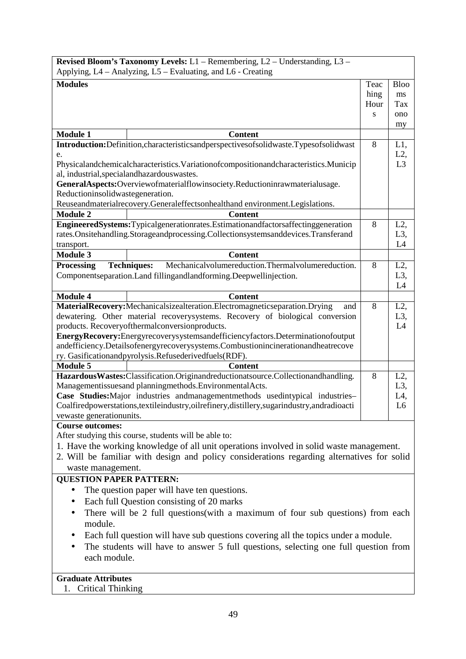|                                  | Revised Bloom's Taxonomy Levels: L1 - Remembering, L2 - Understanding, L3 -<br>Applying, L4 – Analyzing, L5 – Evaluating, and L6 - Creating                        |      |                  |
|----------------------------------|--------------------------------------------------------------------------------------------------------------------------------------------------------------------|------|------------------|
|                                  |                                                                                                                                                                    |      |                  |
| <b>Modules</b>                   |                                                                                                                                                                    | Teac | <b>Bloo</b>      |
|                                  |                                                                                                                                                                    | hing | ms               |
|                                  |                                                                                                                                                                    | Hour | Tax              |
|                                  |                                                                                                                                                                    | S    | ono              |
| <b>Module 1</b>                  | <b>Content</b>                                                                                                                                                     |      | my               |
|                                  | Introduction:Definition,characteristicsandperspectivesofsolidwaste.Typesofsolidwast                                                                                | 8    | L1,              |
| e.                               |                                                                                                                                                                    |      | L2,              |
|                                  | Physicalandchemicalcharacteristics. Variationofcompositionandcharacteristics. Municip                                                                              |      | L <sub>3</sub>   |
|                                  | al, industrial, special and hazardous was tes.                                                                                                                     |      |                  |
|                                  | GeneralAspects:Overviewofmaterialflowinsociety.Reductioninrawmaterialusage.                                                                                        |      |                  |
| Reductioninsolidwastegeneration. |                                                                                                                                                                    |      |                  |
|                                  | Reuseandmaterialrecovery.Generaleffectsonhealthand environment.Legislations.                                                                                       |      |                  |
| <b>Module 2</b>                  | <b>Content</b>                                                                                                                                                     |      |                  |
|                                  | EngineeredSystems:Typicalgenerationrates.Estimationandfactorsaffectinggeneration                                                                                   | 8    | $L2$ ,           |
|                                  | rates.Onsitehandling.Storageandprocessing.Collectionsystemsanddevices.Transferand                                                                                  |      | L3,              |
| transport.                       |                                                                                                                                                                    |      | L4               |
| <b>Module 3</b>                  | <b>Content</b>                                                                                                                                                     |      |                  |
| <b>Processing</b>                | <b>Techniques:</b><br>Mechanicalvolumereduction.Thermalvolumereduction.                                                                                            | 8    | $L2$ ,           |
|                                  | Componentseparation. Land fillingandlandforming. Deepwellinjection.                                                                                                |      | L <sub>3</sub> , |
|                                  |                                                                                                                                                                    |      | L4               |
| <b>Module 4</b>                  | <b>Content</b>                                                                                                                                                     |      |                  |
|                                  | MaterialRecovery:Mechanicalsizealteration.Electromagneticseparation.Drying<br>and                                                                                  | 8    | $L2$ ,           |
|                                  | dewatering. Other material recoverysystems. Recovery of biological conversion                                                                                      |      | L <sub>3</sub> , |
|                                  | products. Recoveryofthermalconversionproducts.                                                                                                                     |      | L4               |
|                                  |                                                                                                                                                                    |      |                  |
|                                  | EnergyRecovery:Energyrecoverysystemsandefficiencyfactors.Determinationofoutput<br>andefficiency.Detailsofenergyrecoverysystems.Combustionincinerationandheatrecove |      |                  |
|                                  | ry. Gasificationandpyrolysis.Refusederivedfuels(RDF).                                                                                                              |      |                  |
| <b>Module 5</b>                  | <b>Content</b>                                                                                                                                                     |      |                  |
|                                  | HazardousWastes:Classification.Originandreductionatsource.Collectionandhandling.                                                                                   | 8    | $L2$ ,           |
|                                  | Managementissuesand planningmethods. EnvironmentalActs.                                                                                                            |      | L <sub>3</sub> , |
|                                  | Case Studies: Major industries and management methods used intypical industries-                                                                                   |      | L4,              |
|                                  | Coalfiredpowerstations, textileindustry, oilrefinery, distillery, sugarindustry, andradioacti                                                                      |      | L <sub>6</sub>   |
| vewaste generationunits.         |                                                                                                                                                                    |      |                  |
| <b>Course outcomes:</b>          |                                                                                                                                                                    |      |                  |
|                                  | After studying this course, students will be able to:                                                                                                              |      |                  |
|                                  | 1. Have the working knowledge of all unit operations involved in solid waste management.                                                                           |      |                  |
|                                  | 2. Will be familiar with design and policy considerations regarding alternatives for solid                                                                         |      |                  |
| waste management.                |                                                                                                                                                                    |      |                  |
| <b>QUESTION PAPER PATTERN:</b>   |                                                                                                                                                                    |      |                  |
|                                  | The question paper will have ten questions.                                                                                                                        |      |                  |
|                                  | Each full Question consisting of 20 marks                                                                                                                          |      |                  |
| $\bullet$                        | There will be 2 full questions(with a maximum of four sub questions) from each                                                                                     |      |                  |
| module.                          |                                                                                                                                                                    |      |                  |
|                                  | Each full question will have sub questions covering all the topics under a module.                                                                                 |      |                  |
|                                  |                                                                                                                                                                    |      |                  |
|                                  | The students will have to answer 5 full questions, selecting one full question from                                                                                |      |                  |
| each module.                     |                                                                                                                                                                    |      |                  |
|                                  |                                                                                                                                                                    |      |                  |
| <b>Graduate Attributes</b>       |                                                                                                                                                                    |      |                  |
| <b>Critical Thinking</b><br>1.   |                                                                                                                                                                    |      |                  |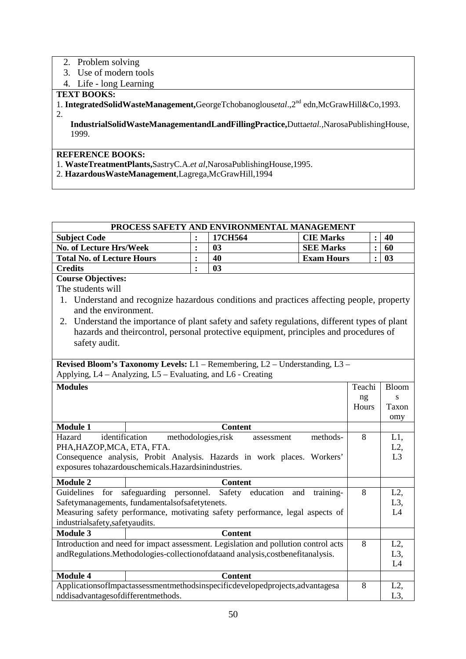## 2. Problem solving

- 3. Use of modern tools
- 4. Life long Learning

## **TEXT BOOKS:**

1. **IntegratedSolidWasteManagement,**GeorgeTchobanoglous*etal*.,2nd edn,McGrawHill&Co,1993. 2.

**IndustrialSolidWasteManagementandLandFillingPractice,**Dutta*etal.,*NarosaPublishingHouse, 1999.

## **REFERENCE BOOKS:**

- 1. **WasteTreatmentPlants,**SastryC.A.*et al*,NarosaPublishingHouse,1995.
- 2. **HazardousWasteManagement**,Lagrega,McGrawHill,1994

### **PROCESS SAFETY AND ENVIRONMENTAL MANAGEMENT Subject Code** : 17CH564 | CIE Marks | : | 40

| Subject Code                      | T/CH564 | <b>CIL MATKS</b>  | 40 |
|-----------------------------------|---------|-------------------|----|
| No. of Lecture Hrs/Week           | 03      | <b>SEE Marks</b>  | 60 |
| <b>Total No. of Lecture Hours</b> | 40      | <b>Exam Hours</b> | 03 |
| <b>Credits</b>                    | 03      |                   |    |

## **Course Objectives:**

The students will

- 1. Understand and recognize hazardous conditions and practices affecting people, property and the environment.
- 2. Understand the importance of plant safety and safety regulations, different types of plant hazards and theircontrol, personal protective equipment, principles and procedures of safety audit.

**Revised Bloom's Taxonomy Levels:** L1 – Remembering, L2 – Understanding, L3 – Applying, L4 – Analyzing, L5 – Evaluating, and L6 - Creating

| <b>Modules</b>                     |                                                                                     | Teachi | <b>Bloom</b>     |
|------------------------------------|-------------------------------------------------------------------------------------|--------|------------------|
|                                    |                                                                                     |        |                  |
|                                    |                                                                                     | ng     | S                |
|                                    |                                                                                     | Hours  | Taxon            |
|                                    |                                                                                     |        | omy              |
| <b>Module 1</b>                    | <b>Content</b>                                                                      |        |                  |
| identification<br>Hazard           | methodologies, risk<br>methods-<br>assessment                                       | 8      | $L1$ ,           |
| PHA, HAZOP, MCA, ETA, FTA.         |                                                                                     |        | $L2$ ,           |
|                                    | Consequence analysis, Probit Analysis. Hazards in work places. Workers'             |        | L <sub>3</sub>   |
|                                    | exposures tohazardouschemicals. Hazardsinindustries.                                |        |                  |
| <b>Module 2</b>                    | <b>Content</b>                                                                      |        |                  |
|                                    | Guidelines for safeguarding personnel. Safety education and<br>training-            | 8      | $L2$ ,           |
|                                    | Safetymanagements, fundamentalsofsafetytenets.                                      |        | $L3$ ,           |
|                                    | Measuring safety performance, motivating safety performance, legal aspects of       |        | L4               |
| industrialsafety, safety audits.   |                                                                                     |        |                  |
| <b>Module 3</b>                    | <b>Content</b>                                                                      |        |                  |
|                                    | Introduction and need for impact assessment. Legislation and pollution control acts | 8      | $L2$ ,           |
|                                    | andRegulations.Methodologies-collectionofdataand analysis,costbenefitanalysis.      |        | $L3$ ,           |
|                                    |                                                                                     |        | L4               |
| <b>Module 4</b>                    | <b>Content</b>                                                                      |        |                  |
|                                    | ApplicationsofImpactassessmentmethodsinspecificdevelopedprojects, advantagesa       | 8      | $L2$ ,           |
| nddisadvantagesofdifferentmethods. |                                                                                     |        | L <sub>3</sub> , |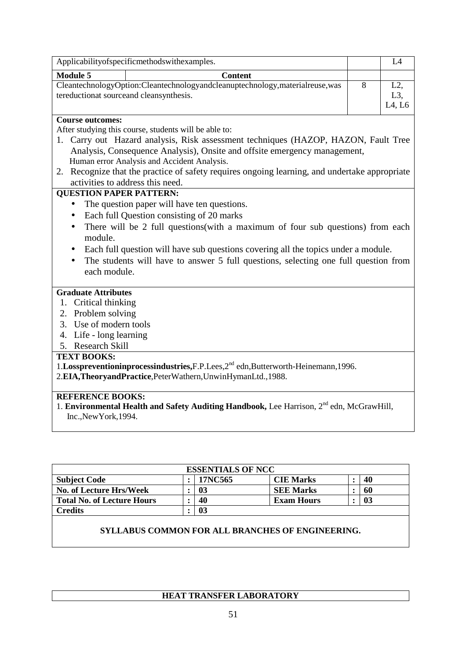|                                | Applicabilityofspecificmethodswithexamples.                                                                            |   | L4                         |
|--------------------------------|------------------------------------------------------------------------------------------------------------------------|---|----------------------------|
| <b>Module 5</b>                | <b>Content</b>                                                                                                         |   |                            |
|                                | CleantechnologyOption:Cleantechnologyandcleanuptechnology,materialreuse,was<br>tereductionat sourceand cleansynthesis. | 8 | $L2$ ,<br>$L3$ ,<br>L4, L6 |
| <b>Course outcomes:</b>        |                                                                                                                        |   |                            |
|                                | After studying this course, students will be able to:                                                                  |   |                            |
|                                | 1. Carry out Hazard analysis, Risk assessment techniques (HAZOP, HAZON, Fault Tree                                     |   |                            |
|                                | Analysis, Consequence Analysis), Onsite and offsite emergency management,                                              |   |                            |
|                                | Human error Analysis and Accident Analysis.                                                                            |   |                            |
|                                | 2. Recognize that the practice of safety requires ongoing learning, and undertake appropriate                          |   |                            |
|                                | activities to address this need.                                                                                       |   |                            |
| <b>QUESTION PAPER PATTERN:</b> |                                                                                                                        |   |                            |
| $\bullet$                      | The question paper will have ten questions.                                                                            |   |                            |
| $\bullet$                      | Each full Question consisting of 20 marks                                                                              |   |                            |
| $\bullet$<br>module.           | There will be 2 full questions(with a maximum of four sub questions) from each                                         |   |                            |
| $\bullet$                      | Each full question will have sub questions covering all the topics under a module.                                     |   |                            |
| $\bullet$                      | The students will have to answer 5 full questions, selecting one full question from                                    |   |                            |
| each module.                   |                                                                                                                        |   |                            |
|                                |                                                                                                                        |   |                            |
| <b>Graduate Attributes</b>     |                                                                                                                        |   |                            |
| 1. Critical thinking           |                                                                                                                        |   |                            |
| 2. Problem solving             |                                                                                                                        |   |                            |
| 3. Use of modern tools         |                                                                                                                        |   |                            |
| 4. Life - long learning        |                                                                                                                        |   |                            |
| 5. Research Skill              |                                                                                                                        |   |                            |
| <b>TEXT BOOKS:</b>             |                                                                                                                        |   |                            |
|                                | 1.Losspreventioninprocessindustries, F.P.Lees, 2 <sup>nd</sup> edn, Butterworth-Heinemann, 1996.                       |   |                            |
|                                | 2.EIA, Theoryand Practice, Peter Wathern, Unwin HymanLtd., 1988.                                                       |   |                            |
|                                |                                                                                                                        |   |                            |
| <b>REFERENCE BOOKS:</b>        |                                                                                                                        |   |                            |

1. **Environmental Health and Safety Auditing Handbook,** Lee Harrison, 2nd edn, McGrawHill, Inc.,NewYork,1994.

| <b>ESSENTIALS OF NCC</b>          |  |         |                   |  |                |  |  |  |
|-----------------------------------|--|---------|-------------------|--|----------------|--|--|--|
| <b>Subject Code</b>               |  | 17NC565 | <b>CIE Marks</b>  |  | 40             |  |  |  |
| <b>No. of Lecture Hrs/Week</b>    |  | 03      | <b>SEE Marks</b>  |  | 60             |  |  |  |
| <b>Total No. of Lecture Hours</b> |  | 40      | <b>Exam Hours</b> |  | 0 <sup>3</sup> |  |  |  |
| <b>Credits</b>                    |  | 03      |                   |  |                |  |  |  |

## **SYLLABUS COMMON FOR ALL BRANCHES OF ENGINEERING.**

## **HEAT TRANSFER LABORATORY**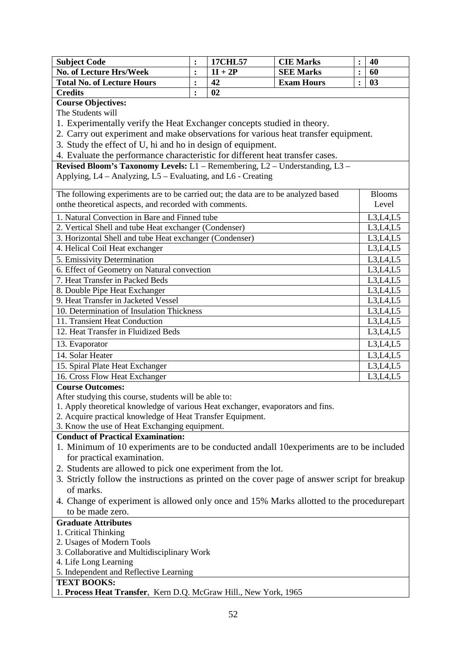| <b>Subject Code</b>               | <b>17CHL57</b> | <b>CIE Marks</b>  | 40 |
|-----------------------------------|----------------|-------------------|----|
| No. of Lecture Hrs/Week           | $1I + 2P$      | <b>SEE Marks</b>  | 60 |
| <b>Total No. of Lecture Hours</b> | 42             | <b>Exam Hours</b> | 03 |
| <b>Credits</b>                    | 02             |                   |    |

**Course Objectives:** 

The Students will

1. Experimentally verify the Heat Exchanger concepts studied in theory.

2. Carry out experiment and make observations for various heat transfer equipment.

3. Study the effect of U, hi and ho in design of equipment.

4. Evaluate the performance characteristic for different heat transfer cases.

**Revised Bloom's Taxonomy Levels:** L1 – Remembering, L2 – Understanding, L3 – Applying, L4 – Analyzing, L5 – Evaluating, and L6 - Creating

| The following experiments are to be carried out; the data are to be analyzed based | <b>Blooms</b> |
|------------------------------------------------------------------------------------|---------------|
| onthe theoretical aspects, and recorded with comments.                             | Level         |
| 1. Natural Convection in Bare and Finned tube                                      | L3, L4, L5    |
| 2. Vertical Shell and tube Heat exchanger (Condenser)                              | L3,L4,L5      |
| 3. Horizontal Shell and tube Heat exchanger (Condenser)                            | L3,L4,L5      |
| 4. Helical Coil Heat exchanger                                                     | L3,L4,L5      |
| 5. Emissivity Determination                                                        | L3,L4,L5      |
| 6. Effect of Geometry on Natural convection                                        | L3,L4,L5      |
| 7. Heat Transfer in Packed Beds                                                    | L3,L4,L5      |
| 8. Double Pipe Heat Exchanger                                                      | L3,L4,L5      |
| 9. Heat Transfer in Jacketed Vessel                                                | L3,L4,L5      |
| 10. Determination of Insulation Thickness                                          | L3,L4,L5      |
| 11. Transient Heat Conduction                                                      | L3,L4,L5      |
| 12. Heat Transfer in Fluidized Beds                                                | L3, L4, L5    |
| 13. Evaporator                                                                     | L3, L4, L5    |
| 14. Solar Heater                                                                   | L3,L4,L5      |
| 15. Spiral Plate Heat Exchanger                                                    | L3,L4,L5      |
| 16. Cross Flow Heat Exchanger                                                      | L3,L4,L5      |

#### **Course Outcomes:**

After studying this course, students will be able to:

1. Apply theoretical knowledge of various Heat exchanger, evaporators and fins.

2. Acquire practical knowledge of Heat Transfer Equipment.

## 3. Know the use of Heat Exchanging equipment.

## **Conduct of Practical Examination:**

- 1. Minimum of 10 experiments are to be conducted andall 10experiments are to be included for practical examination.
- 2. Students are allowed to pick one experiment from the lot.
- 3. Strictly follow the instructions as printed on the cover page of answer script for breakup of marks.
- 4. Change of experiment is allowed only once and 15% Marks allotted to the procedurepart to be made zero.

## **Graduate Attributes**

- 1. Critical Thinking
- 2. Usages of Modern Tools
- 3. Collaborative and Multidisciplinary Work
- 4. Life Long Learning
- 5. Independent and Reflective Learning

## **TEXT BOOKS:**

1. **Process Heat Transfer**, Kern D.Q. McGraw Hill., New York, 1965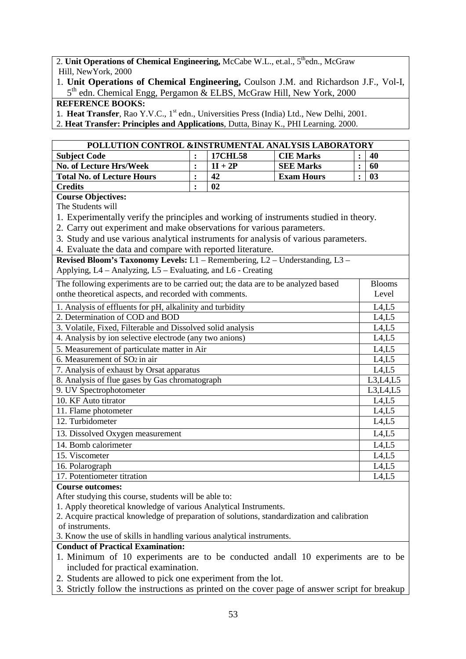2. **Unit Operations of Chemical Engineering, McCabe W.L., et.al., 5<sup>th</sup>edn., McGraw** Hill, NewYork, 2000

1. **Unit Operations of Chemical Engineering,** Coulson J.M. and Richardson J.F., Vol-I, 5<sup>th</sup> edn. Chemical Engg, Pergamon & ELBS, McGraw Hill, New York, 2000

## **REFERENCE BOOKS:**

1. Heat Transfer, Rao Y.V.C., 1<sup>st</sup> edn., Universities Press (India) Ltd., New Delhi, 2001.

2. **Heat Transfer: Principles and Applications**, Dutta, Binay K., PHI Learning. 2000.

| POLLUTION CONTROL &INSTRUMENTAL ANALYSIS LABORATORY                                   |                |                |                   |                |               |  |
|---------------------------------------------------------------------------------------|----------------|----------------|-------------------|----------------|---------------|--|
| <b>Subject Code</b>                                                                   | $\ddot{\cdot}$ | <b>17CHL58</b> | <b>CIE Marks</b>  |                | 40            |  |
| <b>No. of Lecture Hrs/Week</b>                                                        | $\ddot{\cdot}$ | $1I + 2P$      | <b>SEE Marks</b>  | :              | 60            |  |
| <b>Total No. of Lecture Hours</b>                                                     | $\ddot{\cdot}$ | 42             | <b>Exam Hours</b> | $\ddot{\cdot}$ | 03            |  |
| <b>Credits</b>                                                                        | $\ddot{\cdot}$ | 02             |                   |                |               |  |
| <b>Course Objectives:</b>                                                             |                |                |                   |                |               |  |
| The Students will                                                                     |                |                |                   |                |               |  |
| 1. Experimentally verify the principles and working of instruments studied in theory. |                |                |                   |                |               |  |
| 2. Carry out experiment and make observations for various parameters.                 |                |                |                   |                |               |  |
| 3. Study and use various analytical instruments for analysis of various parameters.   |                |                |                   |                |               |  |
| 4. Evaluate the data and compare with reported literature.                            |                |                |                   |                |               |  |
| Revised Bloom's Taxonomy Levels: L1 - Remembering, L2 - Understanding, L3 -           |                |                |                   |                |               |  |
| Applying, L4 - Analyzing, L5 - Evaluating, and L6 - Creating                          |                |                |                   |                |               |  |
| The following experiments are to be carried out; the data are to be analyzed based    |                |                |                   |                | <b>Blooms</b> |  |
| onthe theoretical aspects, and recorded with comments.                                |                |                |                   |                | Level         |  |
| 1. Analysis of effluents for pH, alkalinity and turbidity                             |                |                |                   |                | L4,L5         |  |
| 2. Determination of COD and BOD                                                       |                |                |                   |                | L4,L5         |  |
| 3. Volatile, Fixed, Filterable and Dissolved solid analysis                           |                |                |                   |                | L4,L5         |  |
| 4. Analysis by ion selective electrode (any two anions)                               |                |                |                   |                | L4,L5         |  |
| 5. Measurement of particulate matter in Air                                           |                |                |                   |                | L4,L5         |  |
| 6. Measurement of SO <sub>2</sub> in air                                              |                |                |                   |                | L4,L5         |  |
| 7. Analysis of exhaust by Orsat apparatus                                             |                |                |                   |                | L4,L5         |  |
| 8. Analysis of flue gases by Gas chromatograph                                        |                |                |                   |                | L3, L4, L5    |  |
| 9. UV Spectrophotometer                                                               |                |                |                   |                | L3,L4,L5      |  |
| 10. KF Auto titrator                                                                  |                |                |                   |                | L4,L5         |  |
| 11. Flame photometer                                                                  |                |                |                   |                | L4,L5         |  |
| 12. Turbidometer                                                                      |                |                |                   |                | L4,L5         |  |
| 13. Dissolved Oxygen measurement                                                      |                |                |                   |                | L4,L5         |  |
| 14. Bomb calorimeter                                                                  |                |                |                   |                | L4,L5         |  |
| 15. Viscometer                                                                        |                |                |                   |                | L4,L5         |  |
| 16. Polarograph                                                                       |                |                |                   |                | L4,L5         |  |

17. Potentiometer titration L4,L5

#### **Course outcomes:**

After studying this course, students will be able to:

1. Apply theoretical knowledge of various Analytical Instruments.

2. Acquire practical knowledge of preparation of solutions, standardization and calibration of instruments.

3. Know the use of skills in handling various analytical instruments.

## **Conduct of Practical Examination:**

- 1. Minimum of 10 experiments are to be conducted andall 10 experiments are to be included for practical examination.
- 2. Students are allowed to pick one experiment from the lot.
- 3. Strictly follow the instructions as printed on the cover page of answer script for breakup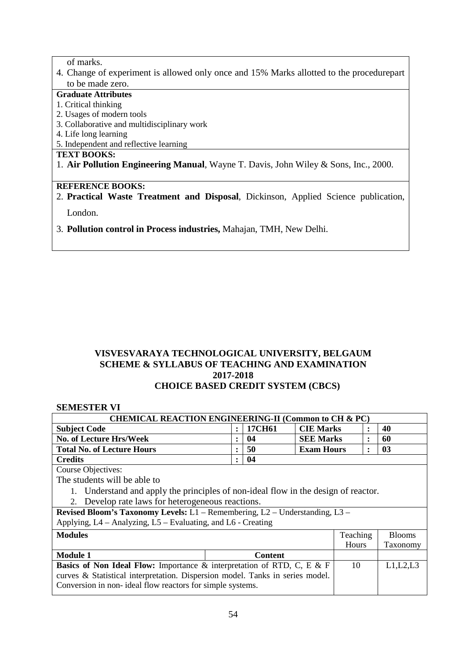of marks.

4. Change of experiment is allowed only once and 15% Marks allotted to the procedurepart to be made zero.

### **Graduate Attributes**

#### 1. Critical thinking

- 2. Usages of modern tools
- 3. Collaborative and multidisciplinary work
- 4. Life long learning
- 5. Independent and reflective learning

## **TEXT BOOKS:**

1. **Air Pollution Engineering Manual**, Wayne T. Davis, John Wiley & Sons, Inc., 2000.

### **REFERENCE BOOKS:**

2. **Practical Waste Treatment and Disposal**, Dickinson, Applied Science publication, London.

3. **Pollution control in Process industries,** Mahajan, TMH, New Delhi.

## **VISVESVARAYA TECHNOLOGICAL UNIVERSITY, BELGAUM SCHEME & SYLLABUS OF TEACHING AND EXAMINATION 2017-2018 CHOICE BASED CREDIT SYSTEM (CBCS)**

### **SEMESTER VI**

| <b>CHEMICAL REACTION ENGINEERING-II (Common to CH &amp; PC)</b>                          |                      |        |                   |              |               |  |  |  |
|------------------------------------------------------------------------------------------|----------------------|--------|-------------------|--------------|---------------|--|--|--|
| <b>Subject Code</b>                                                                      | $\ddot{\phantom{a}}$ | 17CH61 | <b>CIE Marks</b>  | ፡            | 40            |  |  |  |
| <b>No. of Lecture Hrs/Week</b>                                                           | $\ddot{\phantom{a}}$ | 04     | <b>SEE Marks</b>  | ٠            | 60            |  |  |  |
| <b>Total No. of Lecture Hours</b>                                                        |                      | 50     | <b>Exam Hours</b> | ٠            | 03            |  |  |  |
| <b>Credits</b>                                                                           | $\ddot{\phantom{a}}$ | 04     |                   |              |               |  |  |  |
| <b>Course Objectives:</b>                                                                |                      |        |                   |              |               |  |  |  |
| The students will be able to                                                             |                      |        |                   |              |               |  |  |  |
| Understand and apply the principles of non-ideal flow in the design of reactor.          |                      |        |                   |              |               |  |  |  |
| Develop rate laws for heterogeneous reactions.<br>$2_{-}$                                |                      |        |                   |              |               |  |  |  |
| <b>Revised Bloom's Taxonomy Levels:</b> $L1$ – Remembering, $L2$ – Understanding, $L3$ – |                      |        |                   |              |               |  |  |  |
| Applying, L4 – Analyzing, L5 – Evaluating, and L6 - Creating                             |                      |        |                   |              |               |  |  |  |
| <b>Modules</b>                                                                           |                      |        |                   | Teaching     | <b>Blooms</b> |  |  |  |
|                                                                                          |                      |        |                   | <b>Hours</b> | Taxonomy      |  |  |  |
| <b>Module 1</b><br><b>Content</b>                                                        |                      |        |                   |              |               |  |  |  |
| Basics of Non Ideal Flow: Importance & interpretation of RTD, C, E & F                   |                      |        |                   | 10           | L1,L2,L3      |  |  |  |
| curves & Statistical interpretation. Dispersion model. Tanks in series model.            |                      |        |                   |              |               |  |  |  |
| Conversion in non- ideal flow reactors for simple systems.                               |                      |        |                   |              |               |  |  |  |
|                                                                                          |                      |        |                   |              |               |  |  |  |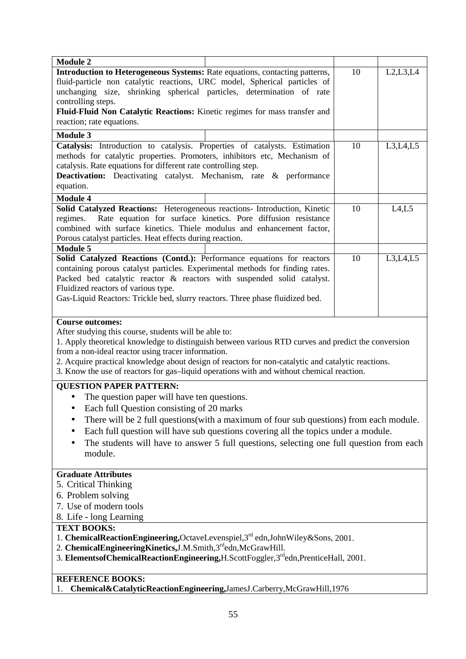| <b>Module 2</b>                                                                                                                                                                                                                                                                                                                                                                                                                                  |                                                                                                                                                                             |          |  |  |  |  |
|--------------------------------------------------------------------------------------------------------------------------------------------------------------------------------------------------------------------------------------------------------------------------------------------------------------------------------------------------------------------------------------------------------------------------------------------------|-----------------------------------------------------------------------------------------------------------------------------------------------------------------------------|----------|--|--|--|--|
| Introduction to Heterogeneous Systems: Rate equations, contacting patterns,<br>fluid-particle non catalytic reactions, URC model, Spherical particles of<br>unchanging size, shrinking spherical particles, determination of rate<br>controlling steps.<br>Fluid-Fluid Non Catalytic Reactions: Kinetic regimes for mass transfer and                                                                                                            | 10                                                                                                                                                                          | L2,L3,L4 |  |  |  |  |
| reaction; rate equations.                                                                                                                                                                                                                                                                                                                                                                                                                        |                                                                                                                                                                             |          |  |  |  |  |
| <b>Module 3</b>                                                                                                                                                                                                                                                                                                                                                                                                                                  |                                                                                                                                                                             |          |  |  |  |  |
| Catalysis: Introduction to catalysis. Properties of catalysts. Estimation<br>methods for catalytic properties. Promoters, inhibitors etc, Mechanism of<br>catalysis. Rate equations for different rate controlling step.<br><b>Deactivation:</b> Deactivating catalyst. Mechanism, rate & performance<br>equation.                                                                                                                               | 10                                                                                                                                                                          | L3,L4,L5 |  |  |  |  |
| <b>Module 4</b>                                                                                                                                                                                                                                                                                                                                                                                                                                  |                                                                                                                                                                             |          |  |  |  |  |
| Solid Catalyzed Reactions: Heterogeneous reactions- Introduction, Kinetic<br>Rate equation for surface kinetics. Pore diffusion resistance<br>regimes.<br>combined with surface kinetics. Thiele modulus and enhancement factor,<br>Porous catalyst particles. Heat effects during reaction.                                                                                                                                                     | 10                                                                                                                                                                          | L4, L5   |  |  |  |  |
| <b>Module 5</b>                                                                                                                                                                                                                                                                                                                                                                                                                                  |                                                                                                                                                                             |          |  |  |  |  |
| Packed bed catalytic reactor & reactors with suspended solid catalyst.<br>Fluidized reactors of various type.<br>Gas-Liquid Reactors: Trickle bed, slurry reactors. Three phase fluidized bed.                                                                                                                                                                                                                                                   | Solid Catalyzed Reactions (Contd.): Performance equations for reactors<br>L3, L4, L5<br>10<br>containing porous catalyst particles. Experimental methods for finding rates. |          |  |  |  |  |
| <b>Course outcomes:</b><br>After studying this course, students will be able to:<br>1. Apply theoretical knowledge to distinguish between various RTD curves and predict the conversion<br>from a non-ideal reactor using tracer information.<br>2. Acquire practical knowledge about design of reactors for non-catalytic and catalytic reactions.<br>3. Know the use of reactors for gas-liquid operations with and without chemical reaction. |                                                                                                                                                                             |          |  |  |  |  |
| <b>QUESTION PAPER PATTERN:</b>                                                                                                                                                                                                                                                                                                                                                                                                                   |                                                                                                                                                                             |          |  |  |  |  |
| The question paper will have ten questions.<br>$\bullet$                                                                                                                                                                                                                                                                                                                                                                                         |                                                                                                                                                                             |          |  |  |  |  |
| Each full Question consisting of 20 marks                                                                                                                                                                                                                                                                                                                                                                                                        |                                                                                                                                                                             |          |  |  |  |  |
| There will be 2 full questions (with a maximum of four sub questions) from each module.                                                                                                                                                                                                                                                                                                                                                          |                                                                                                                                                                             |          |  |  |  |  |
| Each full question will have sub questions covering all the topics under a module.                                                                                                                                                                                                                                                                                                                                                               |                                                                                                                                                                             |          |  |  |  |  |
| The students will have to answer 5 full questions, selecting one full question from each<br>$\bullet$                                                                                                                                                                                                                                                                                                                                            |                                                                                                                                                                             |          |  |  |  |  |
| module.                                                                                                                                                                                                                                                                                                                                                                                                                                          |                                                                                                                                                                             |          |  |  |  |  |
| <b>Graduate Attributes</b>                                                                                                                                                                                                                                                                                                                                                                                                                       |                                                                                                                                                                             |          |  |  |  |  |
| 5. Critical Thinking                                                                                                                                                                                                                                                                                                                                                                                                                             |                                                                                                                                                                             |          |  |  |  |  |
| 6. Problem solving                                                                                                                                                                                                                                                                                                                                                                                                                               |                                                                                                                                                                             |          |  |  |  |  |
| 7. Use of modern tools                                                                                                                                                                                                                                                                                                                                                                                                                           |                                                                                                                                                                             |          |  |  |  |  |
| 8. Life - long Learning                                                                                                                                                                                                                                                                                                                                                                                                                          |                                                                                                                                                                             |          |  |  |  |  |
| <b>TEXT BOOKS:</b>                                                                                                                                                                                                                                                                                                                                                                                                                               |                                                                                                                                                                             |          |  |  |  |  |
| 1. ChemicalReactionEngineering,OctaveLevenspiel,3 <sup>rd</sup> edn,JohnWiley&Sons, 2001.                                                                                                                                                                                                                                                                                                                                                        |                                                                                                                                                                             |          |  |  |  |  |
| 2. ChemicalEngineeringKinetics,J.M.Smith,3rdedn,McGrawHill.                                                                                                                                                                                                                                                                                                                                                                                      |                                                                                                                                                                             |          |  |  |  |  |
| 3. ElementsofChemicalReactionEngineering, H.ScottFoggler, 3rdedn, PrenticeHall, 2001.                                                                                                                                                                                                                                                                                                                                                            |                                                                                                                                                                             |          |  |  |  |  |
| <b>REFERENCE BOOKS:</b>                                                                                                                                                                                                                                                                                                                                                                                                                          |                                                                                                                                                                             |          |  |  |  |  |
| Chemical&CatalyticReactionEngineering,JamesJ.Carberry,McGrawHill,1976                                                                                                                                                                                                                                                                                                                                                                            |                                                                                                                                                                             |          |  |  |  |  |
|                                                                                                                                                                                                                                                                                                                                                                                                                                                  |                                                                                                                                                                             |          |  |  |  |  |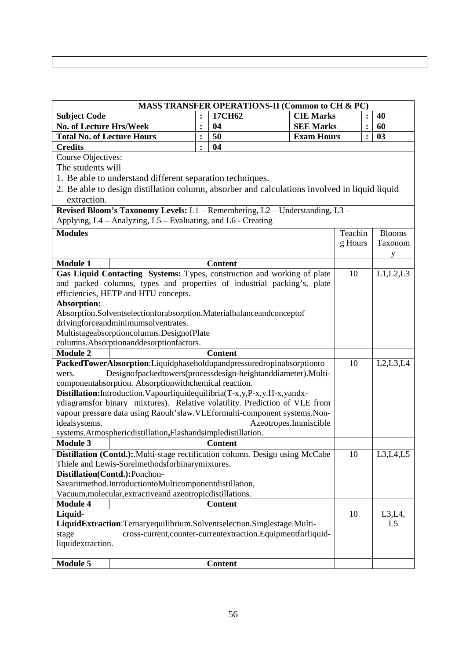| 17CH62<br><b>CIE Marks</b><br><b>Subject Code</b><br>40<br>:<br><b>No. of Lecture Hrs/Week</b><br><b>SEE Marks</b><br>60<br>04<br>$\ddot{\cdot}$<br>:<br><b>Total No. of Lecture Hours</b><br>50<br><b>Exam Hours</b><br>03<br>$\ddot{\cdot}$<br>$\ddot{\cdot}$<br>04<br><b>Credits</b><br>$\ddot{\cdot}$<br><b>Course Objectives:</b><br>The students will<br>1. Be able to understand different separation techniques.<br>2. Be able to design distillation column, absorber and calculations involved in liquid liquid<br>extraction.<br>Revised Bloom's Taxonomy Levels: L1 - Remembering, L2 - Understanding, L3 -<br>Applying, L4 – Analyzing, L5 – Evaluating, and L6 - Creating<br>Teachin<br><b>Modules</b><br><b>Blooms</b><br>g Hours<br>Taxonom<br>У<br><b>Module 1</b><br><b>Content</b><br>Gas Liquid Contacting Systems: Types, construction and working of plate<br>10<br>L1,L2,L3<br>and packed columns, types and properties of industrial packing's, plate<br>efficiencies, HETP and HTU concepts.<br><b>Absorption:</b><br>Absorption.Solventselectionforabsorption.Materialbalanceandconceptof<br>drivingforceandminimumsolventrates.<br>Multistageabsorptioncolumns.DesignofPlate<br>columns.Absorptionanddesorptionfactors.<br><b>Module 2</b><br><b>Content</b><br>PackedTowerAbsorption:Liquidphaseholdupandpressuredropinabsorptionto<br>L2, L3, L4<br>10<br>Designofpackedtowers(processdesign-heightanddiameter).Multi-<br>wers.<br>componentabsorption. Absorptionwithchemical reaction.<br>Distillation: Introduction. Vapourliquidequilibria(T-x, y, P-x, y. H-x, yandx-<br>ydiagramsfor binary mixtures). Relative volatility. Prediction of VLE from<br>vapour pressure data using Raoult'slaw.VLEformulti-component systems.Non-<br>idealsystems.<br>Azeotropes.Immiscible<br>systems.Atmosphericdistillation,Flashandsimpledistillation.<br><b>Module 3</b><br><b>Content</b><br>Distillation (Contd.): Multi-stage rectification column. Design using McCabe<br>L3,L4,L5<br>10<br>Thiele and Lewis-Sorelmethodsforbinarymixtures.<br>Distillation(Contd.):Ponchon-<br>Savaritmethod.IntroductiontoMulticomponentdistillation,<br>Vacuum, molecular, extractive and azeotropic distillations.<br><b>Module 4</b><br><b>Content</b><br>10<br>L3, L4,<br>Liquid-<br>LiquidExtraction:Ternaryequilibrium.Solventselection.Singlestage.Multi-<br>L <sub>5</sub><br>cross-current, counter-current extraction. Equipment for liquid-<br>stage<br>liquidextraction. |          |  |  |                | MASS TRANSFER OPERATIONS-II (Common to CH & PC) |  |  |
|--------------------------------------------------------------------------------------------------------------------------------------------------------------------------------------------------------------------------------------------------------------------------------------------------------------------------------------------------------------------------------------------------------------------------------------------------------------------------------------------------------------------------------------------------------------------------------------------------------------------------------------------------------------------------------------------------------------------------------------------------------------------------------------------------------------------------------------------------------------------------------------------------------------------------------------------------------------------------------------------------------------------------------------------------------------------------------------------------------------------------------------------------------------------------------------------------------------------------------------------------------------------------------------------------------------------------------------------------------------------------------------------------------------------------------------------------------------------------------------------------------------------------------------------------------------------------------------------------------------------------------------------------------------------------------------------------------------------------------------------------------------------------------------------------------------------------------------------------------------------------------------------------------------------------------------------------------------------------------------------------------------------------------------------------------------------------------------------------------------------------------------------------------------------------------------------------------------------------------------------------------------------------------------------------------------------------------------------------------------------------------------------------------------------------------------------------------------------------------------------------|----------|--|--|----------------|-------------------------------------------------|--|--|
|                                                                                                                                                                                                                                                                                                                                                                                                                                                                                                                                                                                                                                                                                                                                                                                                                                                                                                                                                                                                                                                                                                                                                                                                                                                                                                                                                                                                                                                                                                                                                                                                                                                                                                                                                                                                                                                                                                                                                                                                                                                                                                                                                                                                                                                                                                                                                                                                                                                                                                  |          |  |  |                |                                                 |  |  |
|                                                                                                                                                                                                                                                                                                                                                                                                                                                                                                                                                                                                                                                                                                                                                                                                                                                                                                                                                                                                                                                                                                                                                                                                                                                                                                                                                                                                                                                                                                                                                                                                                                                                                                                                                                                                                                                                                                                                                                                                                                                                                                                                                                                                                                                                                                                                                                                                                                                                                                  |          |  |  |                |                                                 |  |  |
|                                                                                                                                                                                                                                                                                                                                                                                                                                                                                                                                                                                                                                                                                                                                                                                                                                                                                                                                                                                                                                                                                                                                                                                                                                                                                                                                                                                                                                                                                                                                                                                                                                                                                                                                                                                                                                                                                                                                                                                                                                                                                                                                                                                                                                                                                                                                                                                                                                                                                                  |          |  |  |                |                                                 |  |  |
|                                                                                                                                                                                                                                                                                                                                                                                                                                                                                                                                                                                                                                                                                                                                                                                                                                                                                                                                                                                                                                                                                                                                                                                                                                                                                                                                                                                                                                                                                                                                                                                                                                                                                                                                                                                                                                                                                                                                                                                                                                                                                                                                                                                                                                                                                                                                                                                                                                                                                                  |          |  |  |                |                                                 |  |  |
|                                                                                                                                                                                                                                                                                                                                                                                                                                                                                                                                                                                                                                                                                                                                                                                                                                                                                                                                                                                                                                                                                                                                                                                                                                                                                                                                                                                                                                                                                                                                                                                                                                                                                                                                                                                                                                                                                                                                                                                                                                                                                                                                                                                                                                                                                                                                                                                                                                                                                                  |          |  |  |                |                                                 |  |  |
|                                                                                                                                                                                                                                                                                                                                                                                                                                                                                                                                                                                                                                                                                                                                                                                                                                                                                                                                                                                                                                                                                                                                                                                                                                                                                                                                                                                                                                                                                                                                                                                                                                                                                                                                                                                                                                                                                                                                                                                                                                                                                                                                                                                                                                                                                                                                                                                                                                                                                                  |          |  |  |                |                                                 |  |  |
|                                                                                                                                                                                                                                                                                                                                                                                                                                                                                                                                                                                                                                                                                                                                                                                                                                                                                                                                                                                                                                                                                                                                                                                                                                                                                                                                                                                                                                                                                                                                                                                                                                                                                                                                                                                                                                                                                                                                                                                                                                                                                                                                                                                                                                                                                                                                                                                                                                                                                                  |          |  |  |                |                                                 |  |  |
|                                                                                                                                                                                                                                                                                                                                                                                                                                                                                                                                                                                                                                                                                                                                                                                                                                                                                                                                                                                                                                                                                                                                                                                                                                                                                                                                                                                                                                                                                                                                                                                                                                                                                                                                                                                                                                                                                                                                                                                                                                                                                                                                                                                                                                                                                                                                                                                                                                                                                                  |          |  |  |                |                                                 |  |  |
|                                                                                                                                                                                                                                                                                                                                                                                                                                                                                                                                                                                                                                                                                                                                                                                                                                                                                                                                                                                                                                                                                                                                                                                                                                                                                                                                                                                                                                                                                                                                                                                                                                                                                                                                                                                                                                                                                                                                                                                                                                                                                                                                                                                                                                                                                                                                                                                                                                                                                                  |          |  |  |                |                                                 |  |  |
|                                                                                                                                                                                                                                                                                                                                                                                                                                                                                                                                                                                                                                                                                                                                                                                                                                                                                                                                                                                                                                                                                                                                                                                                                                                                                                                                                                                                                                                                                                                                                                                                                                                                                                                                                                                                                                                                                                                                                                                                                                                                                                                                                                                                                                                                                                                                                                                                                                                                                                  |          |  |  |                |                                                 |  |  |
|                                                                                                                                                                                                                                                                                                                                                                                                                                                                                                                                                                                                                                                                                                                                                                                                                                                                                                                                                                                                                                                                                                                                                                                                                                                                                                                                                                                                                                                                                                                                                                                                                                                                                                                                                                                                                                                                                                                                                                                                                                                                                                                                                                                                                                                                                                                                                                                                                                                                                                  |          |  |  |                |                                                 |  |  |
|                                                                                                                                                                                                                                                                                                                                                                                                                                                                                                                                                                                                                                                                                                                                                                                                                                                                                                                                                                                                                                                                                                                                                                                                                                                                                                                                                                                                                                                                                                                                                                                                                                                                                                                                                                                                                                                                                                                                                                                                                                                                                                                                                                                                                                                                                                                                                                                                                                                                                                  |          |  |  |                |                                                 |  |  |
|                                                                                                                                                                                                                                                                                                                                                                                                                                                                                                                                                                                                                                                                                                                                                                                                                                                                                                                                                                                                                                                                                                                                                                                                                                                                                                                                                                                                                                                                                                                                                                                                                                                                                                                                                                                                                                                                                                                                                                                                                                                                                                                                                                                                                                                                                                                                                                                                                                                                                                  |          |  |  |                |                                                 |  |  |
|                                                                                                                                                                                                                                                                                                                                                                                                                                                                                                                                                                                                                                                                                                                                                                                                                                                                                                                                                                                                                                                                                                                                                                                                                                                                                                                                                                                                                                                                                                                                                                                                                                                                                                                                                                                                                                                                                                                                                                                                                                                                                                                                                                                                                                                                                                                                                                                                                                                                                                  |          |  |  |                |                                                 |  |  |
|                                                                                                                                                                                                                                                                                                                                                                                                                                                                                                                                                                                                                                                                                                                                                                                                                                                                                                                                                                                                                                                                                                                                                                                                                                                                                                                                                                                                                                                                                                                                                                                                                                                                                                                                                                                                                                                                                                                                                                                                                                                                                                                                                                                                                                                                                                                                                                                                                                                                                                  |          |  |  |                |                                                 |  |  |
|                                                                                                                                                                                                                                                                                                                                                                                                                                                                                                                                                                                                                                                                                                                                                                                                                                                                                                                                                                                                                                                                                                                                                                                                                                                                                                                                                                                                                                                                                                                                                                                                                                                                                                                                                                                                                                                                                                                                                                                                                                                                                                                                                                                                                                                                                                                                                                                                                                                                                                  |          |  |  |                |                                                 |  |  |
|                                                                                                                                                                                                                                                                                                                                                                                                                                                                                                                                                                                                                                                                                                                                                                                                                                                                                                                                                                                                                                                                                                                                                                                                                                                                                                                                                                                                                                                                                                                                                                                                                                                                                                                                                                                                                                                                                                                                                                                                                                                                                                                                                                                                                                                                                                                                                                                                                                                                                                  |          |  |  |                |                                                 |  |  |
|                                                                                                                                                                                                                                                                                                                                                                                                                                                                                                                                                                                                                                                                                                                                                                                                                                                                                                                                                                                                                                                                                                                                                                                                                                                                                                                                                                                                                                                                                                                                                                                                                                                                                                                                                                                                                                                                                                                                                                                                                                                                                                                                                                                                                                                                                                                                                                                                                                                                                                  |          |  |  |                |                                                 |  |  |
|                                                                                                                                                                                                                                                                                                                                                                                                                                                                                                                                                                                                                                                                                                                                                                                                                                                                                                                                                                                                                                                                                                                                                                                                                                                                                                                                                                                                                                                                                                                                                                                                                                                                                                                                                                                                                                                                                                                                                                                                                                                                                                                                                                                                                                                                                                                                                                                                                                                                                                  |          |  |  |                |                                                 |  |  |
|                                                                                                                                                                                                                                                                                                                                                                                                                                                                                                                                                                                                                                                                                                                                                                                                                                                                                                                                                                                                                                                                                                                                                                                                                                                                                                                                                                                                                                                                                                                                                                                                                                                                                                                                                                                                                                                                                                                                                                                                                                                                                                                                                                                                                                                                                                                                                                                                                                                                                                  |          |  |  |                |                                                 |  |  |
|                                                                                                                                                                                                                                                                                                                                                                                                                                                                                                                                                                                                                                                                                                                                                                                                                                                                                                                                                                                                                                                                                                                                                                                                                                                                                                                                                                                                                                                                                                                                                                                                                                                                                                                                                                                                                                                                                                                                                                                                                                                                                                                                                                                                                                                                                                                                                                                                                                                                                                  |          |  |  |                |                                                 |  |  |
|                                                                                                                                                                                                                                                                                                                                                                                                                                                                                                                                                                                                                                                                                                                                                                                                                                                                                                                                                                                                                                                                                                                                                                                                                                                                                                                                                                                                                                                                                                                                                                                                                                                                                                                                                                                                                                                                                                                                                                                                                                                                                                                                                                                                                                                                                                                                                                                                                                                                                                  |          |  |  |                |                                                 |  |  |
|                                                                                                                                                                                                                                                                                                                                                                                                                                                                                                                                                                                                                                                                                                                                                                                                                                                                                                                                                                                                                                                                                                                                                                                                                                                                                                                                                                                                                                                                                                                                                                                                                                                                                                                                                                                                                                                                                                                                                                                                                                                                                                                                                                                                                                                                                                                                                                                                                                                                                                  |          |  |  |                |                                                 |  |  |
|                                                                                                                                                                                                                                                                                                                                                                                                                                                                                                                                                                                                                                                                                                                                                                                                                                                                                                                                                                                                                                                                                                                                                                                                                                                                                                                                                                                                                                                                                                                                                                                                                                                                                                                                                                                                                                                                                                                                                                                                                                                                                                                                                                                                                                                                                                                                                                                                                                                                                                  |          |  |  |                |                                                 |  |  |
|                                                                                                                                                                                                                                                                                                                                                                                                                                                                                                                                                                                                                                                                                                                                                                                                                                                                                                                                                                                                                                                                                                                                                                                                                                                                                                                                                                                                                                                                                                                                                                                                                                                                                                                                                                                                                                                                                                                                                                                                                                                                                                                                                                                                                                                                                                                                                                                                                                                                                                  |          |  |  |                |                                                 |  |  |
|                                                                                                                                                                                                                                                                                                                                                                                                                                                                                                                                                                                                                                                                                                                                                                                                                                                                                                                                                                                                                                                                                                                                                                                                                                                                                                                                                                                                                                                                                                                                                                                                                                                                                                                                                                                                                                                                                                                                                                                                                                                                                                                                                                                                                                                                                                                                                                                                                                                                                                  |          |  |  |                |                                                 |  |  |
|                                                                                                                                                                                                                                                                                                                                                                                                                                                                                                                                                                                                                                                                                                                                                                                                                                                                                                                                                                                                                                                                                                                                                                                                                                                                                                                                                                                                                                                                                                                                                                                                                                                                                                                                                                                                                                                                                                                                                                                                                                                                                                                                                                                                                                                                                                                                                                                                                                                                                                  |          |  |  |                |                                                 |  |  |
|                                                                                                                                                                                                                                                                                                                                                                                                                                                                                                                                                                                                                                                                                                                                                                                                                                                                                                                                                                                                                                                                                                                                                                                                                                                                                                                                                                                                                                                                                                                                                                                                                                                                                                                                                                                                                                                                                                                                                                                                                                                                                                                                                                                                                                                                                                                                                                                                                                                                                                  |          |  |  |                |                                                 |  |  |
|                                                                                                                                                                                                                                                                                                                                                                                                                                                                                                                                                                                                                                                                                                                                                                                                                                                                                                                                                                                                                                                                                                                                                                                                                                                                                                                                                                                                                                                                                                                                                                                                                                                                                                                                                                                                                                                                                                                                                                                                                                                                                                                                                                                                                                                                                                                                                                                                                                                                                                  |          |  |  |                |                                                 |  |  |
|                                                                                                                                                                                                                                                                                                                                                                                                                                                                                                                                                                                                                                                                                                                                                                                                                                                                                                                                                                                                                                                                                                                                                                                                                                                                                                                                                                                                                                                                                                                                                                                                                                                                                                                                                                                                                                                                                                                                                                                                                                                                                                                                                                                                                                                                                                                                                                                                                                                                                                  |          |  |  |                |                                                 |  |  |
|                                                                                                                                                                                                                                                                                                                                                                                                                                                                                                                                                                                                                                                                                                                                                                                                                                                                                                                                                                                                                                                                                                                                                                                                                                                                                                                                                                                                                                                                                                                                                                                                                                                                                                                                                                                                                                                                                                                                                                                                                                                                                                                                                                                                                                                                                                                                                                                                                                                                                                  |          |  |  |                |                                                 |  |  |
|                                                                                                                                                                                                                                                                                                                                                                                                                                                                                                                                                                                                                                                                                                                                                                                                                                                                                                                                                                                                                                                                                                                                                                                                                                                                                                                                                                                                                                                                                                                                                                                                                                                                                                                                                                                                                                                                                                                                                                                                                                                                                                                                                                                                                                                                                                                                                                                                                                                                                                  |          |  |  |                |                                                 |  |  |
|                                                                                                                                                                                                                                                                                                                                                                                                                                                                                                                                                                                                                                                                                                                                                                                                                                                                                                                                                                                                                                                                                                                                                                                                                                                                                                                                                                                                                                                                                                                                                                                                                                                                                                                                                                                                                                                                                                                                                                                                                                                                                                                                                                                                                                                                                                                                                                                                                                                                                                  |          |  |  |                |                                                 |  |  |
|                                                                                                                                                                                                                                                                                                                                                                                                                                                                                                                                                                                                                                                                                                                                                                                                                                                                                                                                                                                                                                                                                                                                                                                                                                                                                                                                                                                                                                                                                                                                                                                                                                                                                                                                                                                                                                                                                                                                                                                                                                                                                                                                                                                                                                                                                                                                                                                                                                                                                                  |          |  |  |                |                                                 |  |  |
|                                                                                                                                                                                                                                                                                                                                                                                                                                                                                                                                                                                                                                                                                                                                                                                                                                                                                                                                                                                                                                                                                                                                                                                                                                                                                                                                                                                                                                                                                                                                                                                                                                                                                                                                                                                                                                                                                                                                                                                                                                                                                                                                                                                                                                                                                                                                                                                                                                                                                                  |          |  |  |                |                                                 |  |  |
|                                                                                                                                                                                                                                                                                                                                                                                                                                                                                                                                                                                                                                                                                                                                                                                                                                                                                                                                                                                                                                                                                                                                                                                                                                                                                                                                                                                                                                                                                                                                                                                                                                                                                                                                                                                                                                                                                                                                                                                                                                                                                                                                                                                                                                                                                                                                                                                                                                                                                                  |          |  |  |                |                                                 |  |  |
|                                                                                                                                                                                                                                                                                                                                                                                                                                                                                                                                                                                                                                                                                                                                                                                                                                                                                                                                                                                                                                                                                                                                                                                                                                                                                                                                                                                                                                                                                                                                                                                                                                                                                                                                                                                                                                                                                                                                                                                                                                                                                                                                                                                                                                                                                                                                                                                                                                                                                                  |          |  |  |                |                                                 |  |  |
|                                                                                                                                                                                                                                                                                                                                                                                                                                                                                                                                                                                                                                                                                                                                                                                                                                                                                                                                                                                                                                                                                                                                                                                                                                                                                                                                                                                                                                                                                                                                                                                                                                                                                                                                                                                                                                                                                                                                                                                                                                                                                                                                                                                                                                                                                                                                                                                                                                                                                                  |          |  |  |                |                                                 |  |  |
|                                                                                                                                                                                                                                                                                                                                                                                                                                                                                                                                                                                                                                                                                                                                                                                                                                                                                                                                                                                                                                                                                                                                                                                                                                                                                                                                                                                                                                                                                                                                                                                                                                                                                                                                                                                                                                                                                                                                                                                                                                                                                                                                                                                                                                                                                                                                                                                                                                                                                                  |          |  |  |                |                                                 |  |  |
|                                                                                                                                                                                                                                                                                                                                                                                                                                                                                                                                                                                                                                                                                                                                                                                                                                                                                                                                                                                                                                                                                                                                                                                                                                                                                                                                                                                                                                                                                                                                                                                                                                                                                                                                                                                                                                                                                                                                                                                                                                                                                                                                                                                                                                                                                                                                                                                                                                                                                                  |          |  |  |                |                                                 |  |  |
|                                                                                                                                                                                                                                                                                                                                                                                                                                                                                                                                                                                                                                                                                                                                                                                                                                                                                                                                                                                                                                                                                                                                                                                                                                                                                                                                                                                                                                                                                                                                                                                                                                                                                                                                                                                                                                                                                                                                                                                                                                                                                                                                                                                                                                                                                                                                                                                                                                                                                                  |          |  |  |                |                                                 |  |  |
|                                                                                                                                                                                                                                                                                                                                                                                                                                                                                                                                                                                                                                                                                                                                                                                                                                                                                                                                                                                                                                                                                                                                                                                                                                                                                                                                                                                                                                                                                                                                                                                                                                                                                                                                                                                                                                                                                                                                                                                                                                                                                                                                                                                                                                                                                                                                                                                                                                                                                                  |          |  |  |                |                                                 |  |  |
|                                                                                                                                                                                                                                                                                                                                                                                                                                                                                                                                                                                                                                                                                                                                                                                                                                                                                                                                                                                                                                                                                                                                                                                                                                                                                                                                                                                                                                                                                                                                                                                                                                                                                                                                                                                                                                                                                                                                                                                                                                                                                                                                                                                                                                                                                                                                                                                                                                                                                                  |          |  |  |                |                                                 |  |  |
|                                                                                                                                                                                                                                                                                                                                                                                                                                                                                                                                                                                                                                                                                                                                                                                                                                                                                                                                                                                                                                                                                                                                                                                                                                                                                                                                                                                                                                                                                                                                                                                                                                                                                                                                                                                                                                                                                                                                                                                                                                                                                                                                                                                                                                                                                                                                                                                                                                                                                                  |          |  |  |                |                                                 |  |  |
|                                                                                                                                                                                                                                                                                                                                                                                                                                                                                                                                                                                                                                                                                                                                                                                                                                                                                                                                                                                                                                                                                                                                                                                                                                                                                                                                                                                                                                                                                                                                                                                                                                                                                                                                                                                                                                                                                                                                                                                                                                                                                                                                                                                                                                                                                                                                                                                                                                                                                                  | Module 5 |  |  | <b>Content</b> |                                                 |  |  |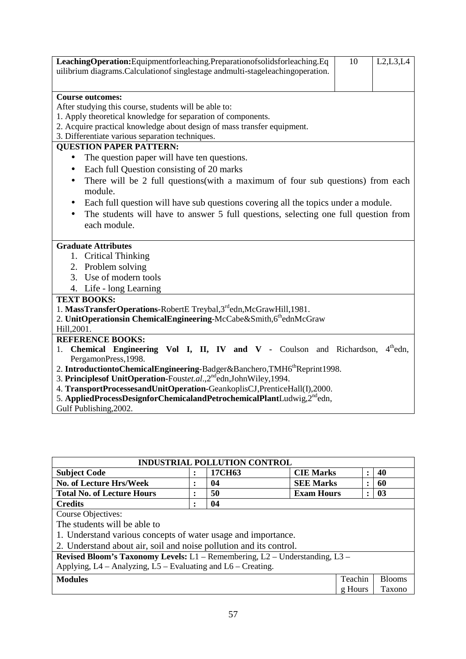| LeachingOperation:Equipmentforleaching.Preparationofsolidsforleaching.Eq                         | 10 | L2, L3, L4 |  |  |  |  |  |
|--------------------------------------------------------------------------------------------------|----|------------|--|--|--|--|--|
| uilibrium diagrams. Calculation of singlestage and multi-stage leaching operation.               |    |            |  |  |  |  |  |
|                                                                                                  |    |            |  |  |  |  |  |
| <b>Course outcomes:</b>                                                                          |    |            |  |  |  |  |  |
| After studying this course, students will be able to:                                            |    |            |  |  |  |  |  |
| 1. Apply theoretical knowledge for separation of components.                                     |    |            |  |  |  |  |  |
| 2. Acquire practical knowledge about design of mass transfer equipment.                          |    |            |  |  |  |  |  |
| 3. Differentiate various separation techniques.                                                  |    |            |  |  |  |  |  |
| <b>QUESTION PAPER PATTERN:</b>                                                                   |    |            |  |  |  |  |  |
| The question paper will have ten questions.<br>$\bullet$                                         |    |            |  |  |  |  |  |
| Each full Question consisting of 20 marks<br>$\bullet$                                           |    |            |  |  |  |  |  |
| There will be 2 full questions(with a maximum of four sub questions) from each<br>$\bullet$      |    |            |  |  |  |  |  |
| module.                                                                                          |    |            |  |  |  |  |  |
| Each full question will have sub questions covering all the topics under a module.<br>$\bullet$  |    |            |  |  |  |  |  |
| The students will have to answer 5 full questions, selecting one full question from<br>$\bullet$ |    |            |  |  |  |  |  |
| each module.                                                                                     |    |            |  |  |  |  |  |
|                                                                                                  |    |            |  |  |  |  |  |
| <b>Graduate Attributes</b>                                                                       |    |            |  |  |  |  |  |
| 1. Critical Thinking                                                                             |    |            |  |  |  |  |  |
| 2. Problem solving                                                                               |    |            |  |  |  |  |  |
| 3. Use of modern tools                                                                           |    |            |  |  |  |  |  |
| 4. Life - long Learning                                                                          |    |            |  |  |  |  |  |
| <b>TEXT BOOKS:</b>                                                                               |    |            |  |  |  |  |  |
| 1. MassTransferOperations-RobertE Treybal, 3rdedn, McGrawHill, 1981.                             |    |            |  |  |  |  |  |
| 2. UnitOperationsin ChemicalEngineering-McCabe&Smith,6thednMcGraw                                |    |            |  |  |  |  |  |
| Hill, 2001.                                                                                      |    |            |  |  |  |  |  |
| <b>REFERENCE BOOKS:</b>                                                                          |    |            |  |  |  |  |  |
| 1. Chemical Engineering Vol I, II, IV and V - Coulson and Richardson,                            |    | $4th$ edn, |  |  |  |  |  |
| PergamonPress, 1998.                                                                             |    |            |  |  |  |  |  |
| 2. IntroductiontoChemicalEngineering-Badger&Banchero,TMH6 <sup>th</sup> Reprint1998.             |    |            |  |  |  |  |  |
| 3. Principles of UnitOperation-Foustet.al., 2 <sup>nd</sup> edn, John Wiley, 1994.               |    |            |  |  |  |  |  |
| 4. TransportProcessesandUnitOperation-GeankoplisCJ,PrenticeHall(I),2000.                         |    |            |  |  |  |  |  |
| 5. AppliedProcessDesignforChemicalandPetrochemicalPlantLudwig,2 <sup>nd</sup> edn,               |    |            |  |  |  |  |  |
| Gulf Publishing, 2002.                                                                           |    |            |  |  |  |  |  |

| <b>INDUSTRIAL POLLUTION CONTROL</b>                                               |                |        |                   |           |               |
|-----------------------------------------------------------------------------------|----------------|--------|-------------------|-----------|---------------|
| <b>Subject Code</b>                                                               | $\bullet$      | 17CH63 | <b>CIE Marks</b>  | $\bullet$ | 40            |
| No. of Lecture Hrs/Week                                                           | ٠<br>٠         | 04     | <b>SEE Marks</b>  | ٠         | 60            |
| <b>Total No. of Lecture Hours</b>                                                 | ٠<br>$\bullet$ | 50     | <b>Exam Hours</b> | $\bullet$ | 03            |
| <b>Credits</b>                                                                    | ٠              | 04     |                   |           |               |
| <b>Course Objectives:</b>                                                         |                |        |                   |           |               |
| The students will be able to                                                      |                |        |                   |           |               |
| 1. Understand various concepts of water usage and importance.                     |                |        |                   |           |               |
| 2. Understand about air, soil and noise pollution and its control.                |                |        |                   |           |               |
| Revised Bloom's Taxonomy Levels: $L1$ – Remembering, $L2$ – Understanding, $L3$ – |                |        |                   |           |               |
| Applying, L4 - Analyzing, L5 - Evaluating and L6 - Creating.                      |                |        |                   |           |               |
| <b>Modules</b>                                                                    |                |        |                   | Teachin   | <b>Blooms</b> |
|                                                                                   |                |        |                   | g Hours   | Taxono        |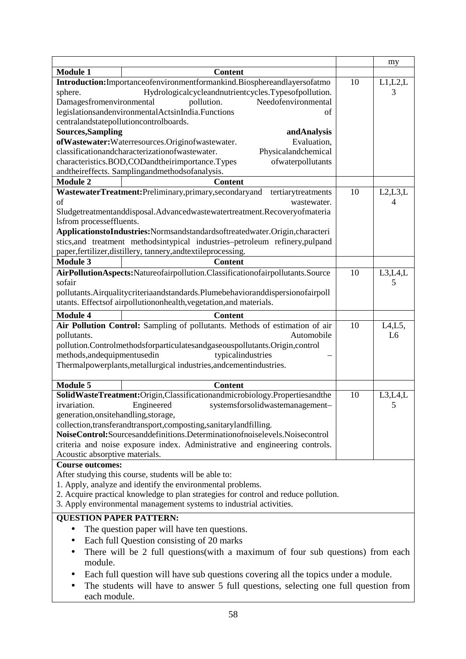|                                       |                                                                                                                                                            |    | my             |
|---------------------------------------|------------------------------------------------------------------------------------------------------------------------------------------------------------|----|----------------|
| <b>Module 1</b>                       | <b>Content</b>                                                                                                                                             |    |                |
|                                       | Introduction:Importanceofenvironmentformankind.Biosphereandlayersofatmo                                                                                    | 10 | L1,L2,L        |
| sphere.                               | Hydrologicalcycleandnutrientcycles.Typesofpollution.                                                                                                       |    | 3              |
| Damagesfromenvironmental              | Needofenvironmental<br>pollution.                                                                                                                          |    |                |
|                                       | legislationsandenvironmentalActsinIndia.Functions<br>οf                                                                                                    |    |                |
|                                       | centralandstatepollutioncontrolboards.<br>andAnalysis                                                                                                      |    |                |
| <b>Sources, Sampling</b>              |                                                                                                                                                            |    |                |
|                                       | ofWastewater: Waterresources. Originofwastewater.<br>Evaluation,                                                                                           |    |                |
|                                       | classificationandcharacterizationofwastewater.<br>Physicalandchemical                                                                                      |    |                |
|                                       | characteristics.BOD,CODandtheirimportance.Types<br>ofwaterpollutants                                                                                       |    |                |
|                                       | andtheireffects. Samplingandmethodsofanalysis.                                                                                                             |    |                |
| <b>Module 2</b>                       | <b>Content</b>                                                                                                                                             |    |                |
|                                       | WastewaterTreatment:Preliminary,primary,secondaryand<br>tertiarytreatments                                                                                 | 10 | L2, L3, L      |
| of                                    | wastewater.                                                                                                                                                |    | 4              |
|                                       | Sludgetreatmentanddisposal.Advancedwastewatertreatment.Recoveryofmateria                                                                                   |    |                |
| lsfrom processeffluents.              |                                                                                                                                                            |    |                |
|                                       | ApplicationstoIndustries:Normsandstandardsoftreatedwater.Origin,characteri                                                                                 |    |                |
|                                       | stics, and treatment methodsintypical industries-petroleum refinery, pulpand                                                                               |    |                |
|                                       | paper,fertilizer,distillery, tannery,andtextileprocessing.                                                                                                 |    |                |
| <b>Module 3</b>                       | <b>Content</b>                                                                                                                                             |    |                |
|                                       | AirPollutionAspects:Natureofairpollution.Classificationofairpollutants.Source                                                                              | 10 | L3, L4, L      |
| sofair                                |                                                                                                                                                            |    | 5              |
|                                       | pollutants. Airqualitycriteriaandstandards. Plumebehavioranddispersionofairpoll                                                                            |    |                |
|                                       | utants. Effectsof airpollutiononhealth, vegetation, and materials.                                                                                         |    |                |
| <b>Module 4</b>                       | <b>Content</b>                                                                                                                                             |    |                |
|                                       | Air Pollution Control: Sampling of pollutants. Methods of estimation of air                                                                                | 10 | L4, L5,        |
| pollutants.                           | Automobile                                                                                                                                                 |    | L <sub>6</sub> |
|                                       | pollution.Controlmethodsforparticulatesandgaseouspollutants.Origin,control                                                                                 |    |                |
| methods, and equipmentused in         | typicalindustries                                                                                                                                          |    |                |
|                                       | Thermalpowerplants, metallurgical industries, and cement industries.                                                                                       |    |                |
|                                       |                                                                                                                                                            |    |                |
| <b>Module 5</b>                       | <b>Content</b>                                                                                                                                             |    |                |
|                                       | SolidWasteTreatment:Origin,Classificationandmicrobiology.Propertiesandthe                                                                                  | 10 | L3, L4, L      |
| irvariation.                          | Engineered<br>systemsforsolidwastemanagement-                                                                                                              |    | 5              |
| generation, onsite handling, storage, |                                                                                                                                                            |    |                |
|                                       | collection,transferandtransport,composting,sanitarylandfilling.                                                                                            |    |                |
|                                       | NoiseControl:Sourcesanddefinitions.Determinationofnoiselevels.Noisecontrol                                                                                 |    |                |
|                                       | criteria and noise exposure index. Administrative and engineering controls.                                                                                |    |                |
| Acoustic absorptive materials.        |                                                                                                                                                            |    |                |
| <b>Course outcomes:</b>               |                                                                                                                                                            |    |                |
|                                       | After studying this course, students will be able to:                                                                                                      |    |                |
|                                       | 1. Apply, analyze and identify the environmental problems.                                                                                                 |    |                |
|                                       | 2. Acquire practical knowledge to plan strategies for control and reduce pollution.<br>3. Apply environmental management systems to industrial activities. |    |                |
|                                       |                                                                                                                                                            |    |                |
| <b>QUESTION PAPER PATTERN:</b>        |                                                                                                                                                            |    |                |
| $\bullet$                             | The question paper will have ten questions.                                                                                                                |    |                |
| $\bullet$                             | Each full Question consisting of 20 marks                                                                                                                  |    |                |
| $\bullet$                             | There will be 2 full questions(with a maximum of four sub questions) from each                                                                             |    |                |
| module.                               |                                                                                                                                                            |    |                |
|                                       | Each full question will have sub questions covering all the topics under a module.                                                                         |    |                |
|                                       |                                                                                                                                                            |    |                |
| $\bullet$                             | The students will have to answer 5 full questions, selecting one full question from                                                                        |    |                |
| each module.                          |                                                                                                                                                            |    |                |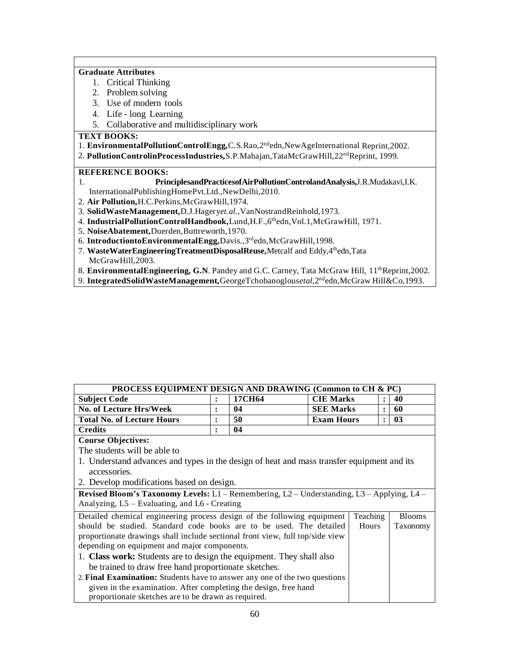#### **Graduate Attributes**

- 1. Critical Thinking
- 2. Problem solving
- 3. Use of modern tools
- 4. Life long Learning
- 5. Collaborative and multidisciplinary work

**TEXT BOOKS:**

1. **EnvironmentalPollutionControlEngg,**C.S.Rao,2ndedn,NewAgeInternational Reprint,2002.

2. **PollutionControlinProcessIndustries,**S.P.Mahajan,TataMcGrawHill,22ndReprint, 1999.

#### **REFERENCE BOOKS:**

#### 1. **PrinciplesandPracticesofAirPollutionControlandAnalysis,**J.R.Mudakavi,I.K.

InternationalPublishingHomePvt.Ltd.,NewDelhi,2010.

- 2. **Air Pollution,**H.C.Perkins,McGrawHill,1974.
- 3. **SolidWasteManagement,**D.J.Hagery*et.al*.,VanNostrandReinhold,1973.
- 4. **IndustrialPollutionControlHandbook,**Lund,H.F.,6thedn,Vol.1,McGrawHill, 1971.
- 5. **NoiseAbatement,**Duerden,Buttreworth,1970.
- 6. **IntroductiontoEnvironmentalEngg,**Davis.,3rdedn,McGrawHill,1998.
- 7. **WasteWaterEngineeringTreatmentDisposalReuse,**Metcalf and Eddy,4thedn,Tata McGrawHill,2003.
- 8. **EnvironmentalEngineering, G.N**. Pandey and G.C. Carney, Tata McGraw Hill, 11<sup>th</sup>Reprint,2002.
- 9. **IntegratedSolidWasteManagement,**GeorgeTchobanoglous*etal*,2ndedn,McGraw Hill&Co,1993.

| <b>PROCESS EQUIPMENT DESIGN AND DRAWING (Common to CH &amp; PC)</b> |        |                   |  |    |  |  |
|---------------------------------------------------------------------|--------|-------------------|--|----|--|--|
|                                                                     | 17CH64 | <b>CIE Marks</b>  |  | 40 |  |  |
|                                                                     | 04     | <b>SEE Marks</b>  |  | 60 |  |  |
|                                                                     | 50     | <b>Exam Hours</b> |  | 03 |  |  |
|                                                                     | 04     |                   |  |    |  |  |
|                                                                     |        |                   |  |    |  |  |

#### **Course Objectives:**

The students will be able to

- 1. Understand advances and types in the design of heat and mass transfer equipment and its accessories.
- 2. Develop modifications based on design.

**Revised Bloom's Taxonomy Levels:** L1 – Remembering, L2 – Understanding, L3 – Applying, L4 – Analyzing, L5 – Evaluating, and L6 - Creating

| Detailed chemical engineering process design of the following equipment       | Teaching | <b>Blooms</b> |
|-------------------------------------------------------------------------------|----------|---------------|
| should be studied. Standard code books are to be used. The detailed           | Hours    | Taxonomy      |
| proportionate drawings shall include sectional front view, full top/side view |          |               |
| depending on equipment and major components.                                  |          |               |
| 1. Class work: Students are to design the equipment. They shall also          |          |               |
| be trained to draw free hand proportionate sketches.                          |          |               |
| 2. Final Examination: Students have to answer any one of the two questions    |          |               |
| given in the examination. After completing the design, free hand              |          |               |
| proportionate sketches are to be drawn as required.                           |          |               |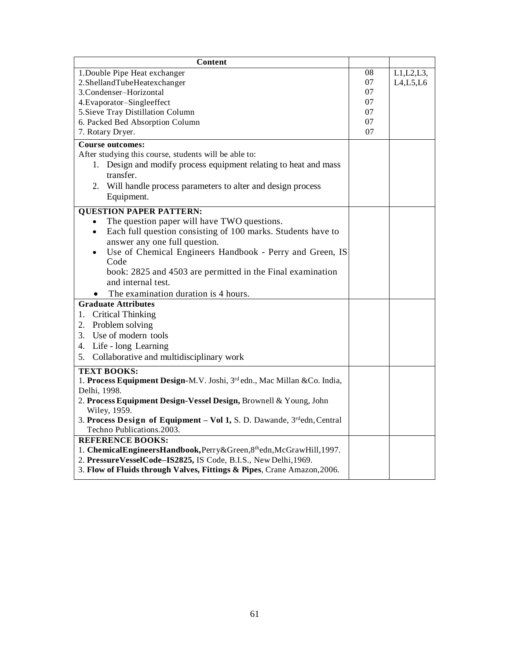| <b>Content</b>                                                                                      |    |             |
|-----------------------------------------------------------------------------------------------------|----|-------------|
| 1. Double Pipe Heat exchanger                                                                       | 08 | L1, L2, L3, |
| 2.ShellandTubeHeatexchanger                                                                         |    | L4, L5, L6  |
| 3.Condenser-Horizontal                                                                              | 07 |             |
| 4. Evaporator-Singleeffect                                                                          | 07 |             |
| 5. Sieve Tray Distillation Column                                                                   | 07 |             |
| 6. Packed Bed Absorption Column                                                                     | 07 |             |
| 7. Rotary Dryer.                                                                                    | 07 |             |
| <b>Course outcomes:</b>                                                                             |    |             |
| After studying this course, students will be able to:                                               |    |             |
| Design and modify process equipment relating to heat and mass<br>1.                                 |    |             |
| transfer.                                                                                           |    |             |
| 2. Will handle process parameters to alter and design process                                       |    |             |
| Equipment.                                                                                          |    |             |
| <b>QUESTION PAPER PATTERN:</b>                                                                      |    |             |
| The question paper will have TWO questions.<br>$\bullet$                                            |    |             |
| Each full question consisting of 100 marks. Students have to<br>$\bullet$                           |    |             |
| answer any one full question.                                                                       |    |             |
| Use of Chemical Engineers Handbook - Perry and Green, IS<br>$\bullet$                               |    |             |
| Code                                                                                                |    |             |
| book: 2825 and 4503 are permitted in the Final examination                                          |    |             |
| and internal test.                                                                                  |    |             |
| The examination duration is 4 hours.                                                                |    |             |
| <b>Graduate Attributes</b>                                                                          |    |             |
| <b>Critical Thinking</b><br>1.                                                                      |    |             |
| 2. Problem solving                                                                                  |    |             |
| Use of modern tools<br>3.                                                                           |    |             |
| Life - long Learning<br>4.                                                                          |    |             |
| Collaborative and multidisciplinary work<br>5.                                                      |    |             |
| <b>TEXT BOOKS:</b>                                                                                  |    |             |
| 1. Process Equipment Design-M.V. Joshi, 3rd edn., Mac Millan &Co. India,                            |    |             |
| Delhi, 1998.                                                                                        |    |             |
| 2. Process Equipment Design-Vessel Design, Brownell & Young, John                                   |    |             |
| Wiley, 1959.                                                                                        |    |             |
| 3. Process Design of Equipment - Vol 1, S. D. Dawande, 3rdedn, Central<br>Techno Publications.2003. |    |             |
| <b>REFERENCE BOOKS:</b>                                                                             |    |             |
| 1. ChemicalEngineersHandbook, Perry&Green, 8thedn, McGrawHill, 1997.                                |    |             |
| 2. PressureVesselCode-IS2825, IS Code, B.I.S., New Delhi, 1969.                                     |    |             |
| 3. Flow of Fluids through Valves, Fittings & Pipes, Crane Amazon, 2006.                             |    |             |
|                                                                                                     |    |             |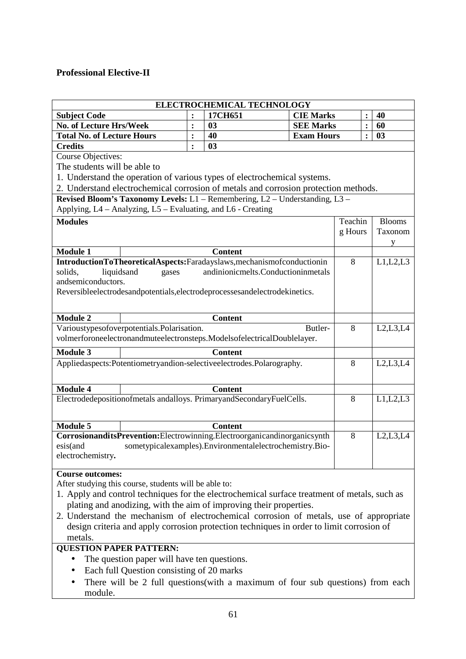## **Professional Elective-II**

| ELECTROCHEMICAL TECHNOLOGY                                                                                                       |                |                |                                                         |         |                |               |
|----------------------------------------------------------------------------------------------------------------------------------|----------------|----------------|---------------------------------------------------------|---------|----------------|---------------|
| <b>Subject Code</b>                                                                                                              | $\ddot{\cdot}$ | 17CH651        | <b>CIE Marks</b>                                        |         |                | 40            |
| No. of Lecture Hrs/Week                                                                                                          | $\ddot{\cdot}$ | 03             | <b>SEE Marks</b>                                        |         | $\ddot{\cdot}$ | 60            |
| <b>Total No. of Lecture Hours</b>                                                                                                | $\ddot{\cdot}$ | 40             | <b>Exam Hours</b>                                       |         |                | 03            |
| <b>Credits</b>                                                                                                                   |                | 03             |                                                         |         |                |               |
| Course Objectives:                                                                                                               |                |                |                                                         |         |                |               |
| The students will be able to                                                                                                     |                |                |                                                         |         |                |               |
| 1. Understand the operation of various types of electrochemical systems.                                                         |                |                |                                                         |         |                |               |
| 2. Understand electrochemical corrosion of metals and corrosion protection methods.                                              |                |                |                                                         |         |                |               |
| Revised Bloom's Taxonomy Levels: L1 - Remembering, L2 - Understanding, L3 -                                                      |                |                |                                                         |         |                |               |
| Applying, L4 - Analyzing, L5 - Evaluating, and L6 - Creating                                                                     |                |                |                                                         |         |                |               |
| <b>Modules</b>                                                                                                                   |                |                |                                                         | Teachin |                | <b>Blooms</b> |
|                                                                                                                                  |                |                |                                                         | g Hours |                | Taxonom       |
|                                                                                                                                  |                |                |                                                         |         |                | V             |
| <b>Module 1</b>                                                                                                                  |                | <b>Content</b> |                                                         | 8       |                | L1,L2,L3      |
| IntroductionToTheoreticalAspects:Faradayslaws,mechanismofconductionin<br>solids.<br>liquidsand<br>gases                          |                |                | andinionicmelts.Conductioninmetals                      |         |                |               |
| andsemiconductors.                                                                                                               |                |                |                                                         |         |                |               |
| Reversibleelectrodesandpotentials, electrodeprocessesandelectrodekinetics.                                                       |                |                |                                                         |         |                |               |
|                                                                                                                                  |                |                |                                                         |         |                |               |
|                                                                                                                                  |                |                |                                                         |         |                |               |
| <b>Module 2</b>                                                                                                                  |                | <b>Content</b> |                                                         |         |                |               |
| Varioustypesofoverpotentials.Polarisation.<br>Butler-<br>volmerforoneelectronandmuteelectronsteps.ModelsofelectricalDoublelayer. |                |                |                                                         | 8       |                | L2,L3,L4      |
|                                                                                                                                  |                |                |                                                         |         |                |               |
| <b>Module 3</b>                                                                                                                  |                | <b>Content</b> |                                                         |         |                |               |
| Appliedaspects:Potentiometryandion-selectiveelectrodes.Polarography.                                                             |                |                | 8                                                       |         | L2,L3,L4       |               |
|                                                                                                                                  |                |                |                                                         |         |                |               |
| <b>Module 4</b>                                                                                                                  |                | <b>Content</b> |                                                         |         |                |               |
| Electrodedepositionofmetals and alloys. Primary and Secondary FuelCells.                                                         |                |                |                                                         | 8       |                | L1, L2, L3    |
|                                                                                                                                  |                |                |                                                         |         |                |               |
| <b>Module 5</b>                                                                                                                  |                | <b>Content</b> |                                                         |         |                |               |
| CorrosionanditsPrevention:Electrowinning.Electroorganicandinorganicsynth                                                         |                |                |                                                         | 8       |                | L2, L3, L4    |
| esis(and                                                                                                                         |                |                | sometypicalexamples).Environmentalelectrochemistry.Bio- |         |                |               |
| electrochemistry.                                                                                                                |                |                |                                                         |         |                |               |
|                                                                                                                                  |                |                |                                                         |         |                |               |
| <b>Course outcomes:</b>                                                                                                          |                |                |                                                         |         |                |               |
| After studying this course, students will be able to:                                                                            |                |                |                                                         |         |                |               |
| 1. Apply and control techniques for the electrochemical surface treatment of metals, such as                                     |                |                |                                                         |         |                |               |
| plating and anodizing, with the aim of improving their properties.                                                               |                |                |                                                         |         |                |               |
| 2. Understand the mechanism of electrochemical corrosion of metals, use of appropriate                                           |                |                |                                                         |         |                |               |
| design criteria and apply corrosion protection techniques in order to limit corrosion of                                         |                |                |                                                         |         |                |               |
| metals.                                                                                                                          |                |                |                                                         |         |                |               |
| <b>QUESTION PAPER PATTERN:</b><br>The question paper will have ten questions.                                                    |                |                |                                                         |         |                |               |
|                                                                                                                                  |                |                |                                                         |         |                |               |
| Each full Question consisting of 20 marks<br>$\bullet$                                                                           |                |                |                                                         |         |                |               |
| There will be 2 full questions (with a maximum of four sub questions) from each                                                  |                |                |                                                         |         |                |               |
| module.                                                                                                                          |                |                |                                                         |         |                |               |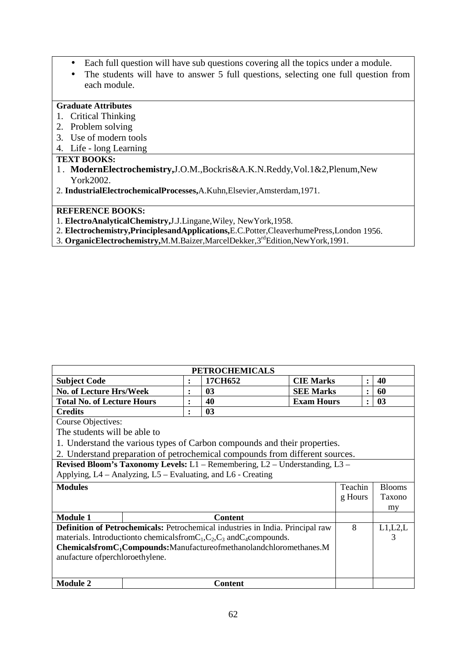- Each full question will have sub questions covering all the topics under a module.
- The students will have to answer 5 full questions, selecting one full question from each module.

## **Graduate Attributes**

- 1. Critical Thinking
- 2. Problem solving
- 3. Use of modern tools
- 4. Life long Learning

## **TEXT BOOKS:**

 $\overline{1}$ 

- 1 . **ModernElectrochemistry,**J.O.M.,Bockris&A.K.N.Reddy,Vol.1&2,Plenum,New York2002.
- 2. **IndustrialElectrochemicalProcesses,**A.Kuhn,Elsevier,Amsterdam,1971.

## **REFERENCE BOOKS:**

- 1. **ElectroAnalyticalChemistry,**J.J.Lingane,Wiley, NewYork,1958.
- 2. **Electrochemistry,PrinciplesandApplications,**E.C.Potter,CleaverhumePress,London 1956.
- 3. **OrganicElectrochemistry,**M.M.Baizer,MarcelDekker,3rdEdition,NewYork,1991.

| <b>PETROCHEMICALS</b>                                                          |                |                |                   |         |                |               |
|--------------------------------------------------------------------------------|----------------|----------------|-------------------|---------|----------------|---------------|
| <b>Subject Code</b>                                                            | $\ddot{\cdot}$ | 17CH652        | <b>CIE Marks</b>  |         | $\ddot{\cdot}$ | 40            |
| No. of Lecture Hrs/Week                                                        | $\bullet$      | 0 <sub>3</sub> | <b>SEE Marks</b>  |         | $\ddot{\cdot}$ | 60            |
| <b>Total No. of Lecture Hours</b>                                              | $\ddot{\cdot}$ | 40             | <b>Exam Hours</b> |         | $\ddot{\cdot}$ | 03            |
| <b>Credits</b>                                                                 | $\ddot{\cdot}$ | 03             |                   |         |                |               |
| <b>Course Objectives:</b>                                                      |                |                |                   |         |                |               |
| The students will be able to                                                   |                |                |                   |         |                |               |
| 1. Understand the various types of Carbon compounds and their properties.      |                |                |                   |         |                |               |
| 2. Understand preparation of petrochemical compounds from different sources.   |                |                |                   |         |                |               |
| Revised Bloom's Taxonomy Levels: L1 - Remembering, L2 - Understanding, L3 -    |                |                |                   |         |                |               |
| Applying, L4 – Analyzing, L5 – Evaluating, and L6 - Creating                   |                |                |                   |         |                |               |
| <b>Modules</b>                                                                 |                |                |                   | Teachin |                | <b>Blooms</b> |
|                                                                                |                |                |                   | g Hours |                | Taxono        |
|                                                                                |                |                |                   |         |                | my            |
| <b>Module 1</b>                                                                |                | <b>Content</b> |                   |         |                |               |
| Definition of Petrochemicals: Petrochemical industries in India. Principal raw |                |                |                   | 8       |                | L1,L2,L       |
| materials. Introduction to chemicals from $C_1, C_2, C_3$ and $C_4$ compounds. |                |                |                   |         |                | 3             |
| ChemicalsfromC <sub>1</sub> Compounds:Manufactureofmethanolandchloromethanes.M |                |                |                   |         |                |               |
| anufacture of perchloroethylene.                                               |                |                |                   |         |                |               |
|                                                                                |                |                |                   |         |                |               |
| <b>Module 2</b>                                                                |                | <b>Content</b> |                   |         |                |               |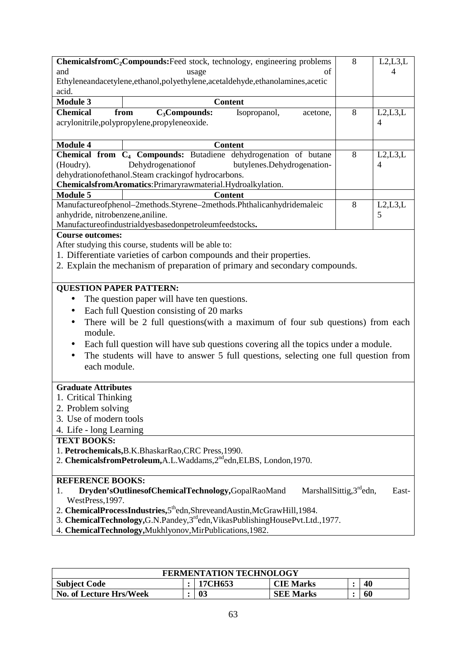|                                                                                                          | ChemicalsfromC <sub>2</sub> Compounds:Feed stock, technology, engineering problems<br>8<br>L2, L3, L |                            |   |           |  |  |
|----------------------------------------------------------------------------------------------------------|------------------------------------------------------------------------------------------------------|----------------------------|---|-----------|--|--|
| and                                                                                                      | usage                                                                                                | оf                         |   | 4         |  |  |
|                                                                                                          | Ethyleneandacetylene,ethanol,polyethylene,acetaldehyde,ethanolamines,acetic                          |                            |   |           |  |  |
| acid.                                                                                                    |                                                                                                      |                            |   |           |  |  |
| <b>Module 3</b>                                                                                          | <b>Content</b>                                                                                       |                            |   |           |  |  |
| <b>Chemical</b>                                                                                          | $C_3$ Compounds:<br>Isopropanol,<br>from                                                             | acetone,                   | 8 | L2, L3, L |  |  |
|                                                                                                          | acrylonitrile, polypropylene, propyleneoxide.                                                        |                            |   | 4         |  |  |
|                                                                                                          |                                                                                                      |                            |   |           |  |  |
| <b>Module 4</b>                                                                                          | <b>Content</b>                                                                                       |                            |   |           |  |  |
|                                                                                                          | Chemical from C <sub>4</sub> Compounds: Butadiene dehydrogenation of butane                          |                            | 8 | L2,L3,L   |  |  |
| (Houdry).                                                                                                | Dehydrogenationof                                                                                    | butylenes.Dehydrogenation- |   | 4         |  |  |
|                                                                                                          | dehydrationofethanol.Steam crackingof hydrocarbons.                                                  |                            |   |           |  |  |
|                                                                                                          | ChemicalsfromAromatics: Primaryrawmaterial.Hydroalkylation.                                          |                            |   |           |  |  |
| <b>Module 5</b>                                                                                          | <b>Content</b>                                                                                       |                            |   |           |  |  |
|                                                                                                          | Manufactureofphenol-2methods.Styrene-2methods.Phthalicanhydridemaleic                                |                            | 8 | L2, L3, L |  |  |
| anhydride, nitrobenzene, aniline.                                                                        |                                                                                                      |                            |   | 5         |  |  |
|                                                                                                          | Manufactureofindustrialdyesbasedonpetroleumfeedstocks.                                               |                            |   |           |  |  |
| <b>Course outcomes:</b>                                                                                  |                                                                                                      |                            |   |           |  |  |
|                                                                                                          | After studying this course, students will be able to:                                                |                            |   |           |  |  |
|                                                                                                          | 1. Differentiate varieties of carbon compounds and their properties.                                 |                            |   |           |  |  |
|                                                                                                          | 2. Explain the mechanism of preparation of primary and secondary compounds.                          |                            |   |           |  |  |
|                                                                                                          |                                                                                                      |                            |   |           |  |  |
| <b>QUESTION PAPER PATTERN:</b>                                                                           |                                                                                                      |                            |   |           |  |  |
| $\bullet$                                                                                                | The question paper will have ten questions.                                                          |                            |   |           |  |  |
|                                                                                                          |                                                                                                      |                            |   |           |  |  |
| $\bullet$                                                                                                | Each full Question consisting of 20 marks                                                            |                            |   |           |  |  |
| $\bullet$                                                                                                | There will be 2 full questions(with a maximum of four sub questions) from each                       |                            |   |           |  |  |
| module.                                                                                                  |                                                                                                      |                            |   |           |  |  |
| $\bullet$                                                                                                | Each full question will have sub questions covering all the topics under a module.                   |                            |   |           |  |  |
| $\bullet$                                                                                                | The students will have to answer 5 full questions, selecting one full question from                  |                            |   |           |  |  |
| each module.                                                                                             |                                                                                                      |                            |   |           |  |  |
|                                                                                                          |                                                                                                      |                            |   |           |  |  |
| <b>Graduate Attributes</b>                                                                               |                                                                                                      |                            |   |           |  |  |
| 1. Critical Thinking                                                                                     |                                                                                                      |                            |   |           |  |  |
| 2. Problem solving                                                                                       |                                                                                                      |                            |   |           |  |  |
| 3. Use of modern tools                                                                                   |                                                                                                      |                            |   |           |  |  |
| 4. Life - long Learning                                                                                  |                                                                                                      |                            |   |           |  |  |
| <b>TEXT BOOKS:</b>                                                                                       |                                                                                                      |                            |   |           |  |  |
|                                                                                                          | 1. Petrochemicals, B.K. Bhaskar Rao, CRC Press, 1990.                                                |                            |   |           |  |  |
| 2. ChemicalsfromPetroleum, A.L. Waddams, 2 <sup>nd</sup> edn, ELBS, London, 1970.                        |                                                                                                      |                            |   |           |  |  |
|                                                                                                          |                                                                                                      |                            |   |           |  |  |
| <b>REFERENCE BOOKS:</b>                                                                                  |                                                                                                      |                            |   |           |  |  |
| MarshallSittig, 3 <sup>rd</sup> edn,<br>Dryden'sOutlinesofChemicalTechnology,GopalRaoMand<br>East-<br>1. |                                                                                                      |                            |   |           |  |  |
| WestPress, 1997.                                                                                         |                                                                                                      |                            |   |           |  |  |
| 2. ChemicalProcessIndustries,5 <sup>th</sup> edn,ShreveandAustin,McGrawHill,1984.                        |                                                                                                      |                            |   |           |  |  |
| 3. ChemicalTechnology, G.N.Pandey, 3rd edn, VikasPublishingHousePvt.Ltd., 1977.                          |                                                                                                      |                            |   |           |  |  |
|                                                                                                          | 4. ChemicalTechnology, Mukhlyonov, MirPublications, 1982.                                            |                            |   |           |  |  |
|                                                                                                          |                                                                                                      |                            |   |           |  |  |

| <b>FERMENTATION TECHNOLOGY</b> |  |         |                  |  |    |  |  |
|--------------------------------|--|---------|------------------|--|----|--|--|
| <b>Subject Code</b>            |  | 17CH653 | <b>CIE Marks</b> |  | 40 |  |  |
| No. of Lecture Hrs/Week        |  | 03      | <b>SEE Marks</b> |  | 60 |  |  |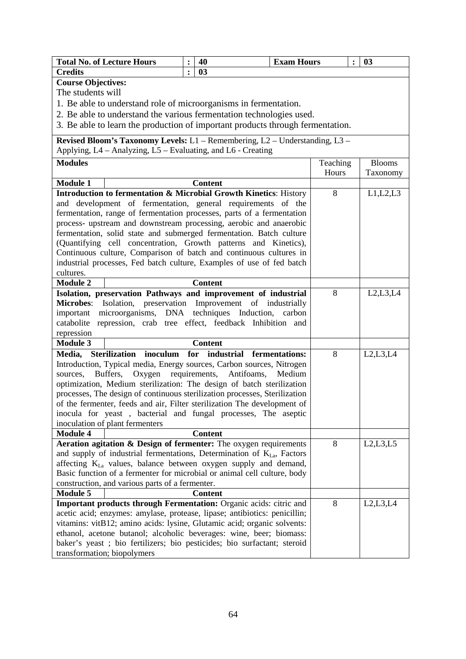| <b>Total No. of Lecture Hours</b>                                              |                | 40                                                  | <b>Exam Hours</b> |          | $\ddot{\cdot}$ | 03            |
|--------------------------------------------------------------------------------|----------------|-----------------------------------------------------|-------------------|----------|----------------|---------------|
| <b>Credits</b>                                                                 | $\ddot{\cdot}$ | 03                                                  |                   |          |                |               |
| <b>Course Objectives:</b>                                                      |                |                                                     |                   |          |                |               |
| The students will                                                              |                |                                                     |                   |          |                |               |
| 1. Be able to understand role of microorganisms in fermentation.               |                |                                                     |                   |          |                |               |
| 2. Be able to understand the various fermentation technologies used.           |                |                                                     |                   |          |                |               |
| 3. Be able to learn the production of important products through fermentation. |                |                                                     |                   |          |                |               |
|                                                                                |                |                                                     |                   |          |                |               |
| Revised Bloom's Taxonomy Levels: L1 - Remembering, L2 - Understanding, L3 -    |                |                                                     |                   |          |                |               |
| Applying, L4 - Analyzing, L5 - Evaluating, and L6 - Creating                   |                |                                                     |                   |          |                |               |
| <b>Modules</b>                                                                 |                |                                                     |                   | Teaching |                | <b>Blooms</b> |
|                                                                                |                |                                                     |                   | Hours    |                | Taxonomy      |
| <b>Module 1</b>                                                                |                | <b>Content</b>                                      |                   |          |                |               |
| Introduction to fermentation & Microbial Growth Kinetics: History              |                |                                                     |                   | 8        |                | L1,L2,L3      |
| and development of fermentation, general requirements of the                   |                |                                                     |                   |          |                |               |
| fermentation, range of fermentation processes, parts of a fermentation         |                |                                                     |                   |          |                |               |
| process- upstream and downstream processing, aerobic and anaerobic             |                |                                                     |                   |          |                |               |
| fermentation, solid state and submerged fermentation. Batch culture            |                |                                                     |                   |          |                |               |
| (Quantifying cell concentration, Growth patterns and Kinetics),                |                |                                                     |                   |          |                |               |
| Continuous culture, Comparison of batch and continuous cultures in             |                |                                                     |                   |          |                |               |
| industrial processes, Fed batch culture, Examples of use of fed batch          |                |                                                     |                   |          |                |               |
| cultures.                                                                      |                |                                                     |                   |          |                |               |
| <b>Module 2</b>                                                                |                | <b>Content</b>                                      |                   |          |                |               |
| Isolation, preservation Pathways and improvement of industrial                 |                |                                                     |                   | 8        |                | L2,L3,L4      |
| <b>Microbes:</b>                                                               |                | Isolation, preservation Improvement of industrially |                   |          |                |               |
| microorganisms, DNA techniques Induction, carbon<br>important                  |                |                                                     |                   |          |                |               |
| repression, crab tree effect, feedback Inhibition and<br>catabolite            |                |                                                     |                   |          |                |               |
| repression                                                                     |                |                                                     |                   |          |                |               |
| <b>Module 3</b>                                                                |                | <b>Content</b>                                      |                   |          |                |               |
| <b>Sterilization</b><br>inoculum<br>Media,                                     |                | for<br>industrial fermentations:                    |                   | 8        |                | L2,L3,L4      |
| Introduction, Typical media, Energy sources, Carbon sources, Nitrogen          |                |                                                     |                   |          |                |               |
| Buffers,<br>Oxygen<br>sources.                                                 |                | requirements,<br>Antifoams,                         | Medium            |          |                |               |
| optimization, Medium sterilization: The design of batch sterilization          |                |                                                     |                   |          |                |               |
| processes, The design of continuous sterilization processes, Sterilization     |                |                                                     |                   |          |                |               |
| of the fermenter, feeds and air, Filter sterilization The development of       |                |                                                     |                   |          |                |               |
| inocula for yeast, bacterial and fungal processes, The aseptic                 |                |                                                     |                   |          |                |               |
| inoculation of plant fermenters                                                |                |                                                     |                   |          |                |               |
| <b>Module 4</b>                                                                |                | <b>Content</b>                                      |                   |          |                |               |
| Aeration agitation & Design of fermenter: The oxygen requirements              |                |                                                     |                   | 8        |                | L2,L3,L5      |
| and supply of industrial fermentations, Determination of $K_{La}$ , Factors    |                |                                                     |                   |          |                |               |
| affecting K <sub>La</sub> values, balance between oxygen supply and demand,    |                |                                                     |                   |          |                |               |
| Basic function of a fermenter for microbial or animal cell culture, body       |                |                                                     |                   |          |                |               |
| construction, and various parts of a fermenter.                                |                |                                                     |                   |          |                |               |
| <b>Module 5</b>                                                                |                | <b>Content</b>                                      |                   |          |                |               |
| Important products through Fermentation: Organic acids: citric and             |                |                                                     |                   | 8        |                | L2,L3,L4      |
| acetic acid; enzymes: amylase, protease, lipase; antibiotics: penicillin;      |                |                                                     |                   |          |                |               |
| vitamins: vitB12; amino acids: lysine, Glutamic acid; organic solvents:        |                |                                                     |                   |          |                |               |
| ethanol, acetone butanol; alcoholic beverages: wine, beer; biomass:            |                |                                                     |                   |          |                |               |
| baker's yeast ; bio fertilizers; bio pesticides; bio surfactant; steroid       |                |                                                     |                   |          |                |               |
| transformation; biopolymers                                                    |                |                                                     |                   |          |                |               |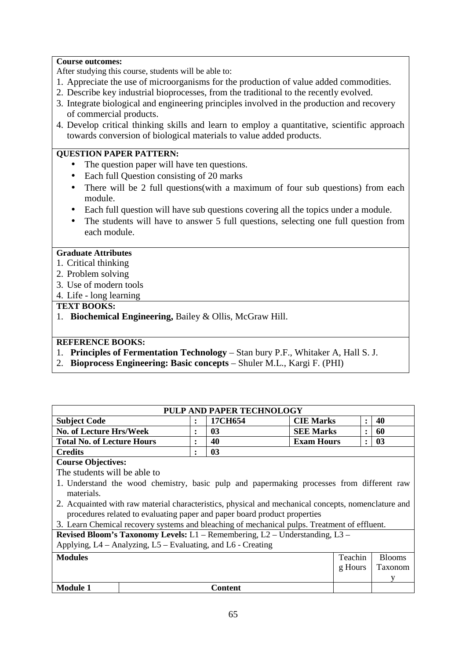#### **Course outcomes:**

After studying this course, students will be able to:

- 1. Appreciate the use of microorganisms for the production of value added commodities.
- 2. Describe key industrial bioprocesses, from the traditional to the recently evolved.
- 3. Integrate biological and engineering principles involved in the production and recovery of commercial products.
- 4. Develop critical thinking skills and learn to employ a quantitative, scientific approach towards conversion of biological materials to value added products.

## **QUESTION PAPER PATTERN:**

- The question paper will have ten questions.
- Each full Ouestion consisting of 20 marks
- There will be 2 full questions(with a maximum of four sub questions) from each module.
- Each full question will have sub questions covering all the topics under a module.
- The students will have to answer 5 full questions, selecting one full question from each module.

#### **Graduate Attributes**

- 1. Critical thinking
- 2. Problem solving
- 3. Use of modern tools
- 4. Life long learning

#### **TEXT BOOKS:**

1. **Biochemical Engineering,** Bailey & Ollis, McGraw Hill.

### **REFERENCE BOOKS:**

- 1. **Principles of Fermentation Technology** Stan bury P.F., Whitaker A, Hall S. J.
- 2. **Bioprocess Engineering: Basic concepts** Shuler M.L., Kargi F. (PHI)

| PULP AND PAPER TECHNOLOGY         |  |         |                   |  |    |  |  |  |  |
|-----------------------------------|--|---------|-------------------|--|----|--|--|--|--|
| <b>Subject Code</b>               |  | 17CH654 | <b>CIE Marks</b>  |  | 40 |  |  |  |  |
| <b>No. of Lecture Hrs/Week</b>    |  | 03      | <b>SEE Marks</b>  |  | 60 |  |  |  |  |
| <b>Total No. of Lecture Hours</b> |  | 40      | <b>Exam Hours</b> |  | 03 |  |  |  |  |
| <b>Credits</b>                    |  | 03      |                   |  |    |  |  |  |  |
| <b>Course Objectives:</b>         |  |         |                   |  |    |  |  |  |  |

The students will be able to

- 1. Understand the wood chemistry, basic pulp and papermaking processes from different raw materials.
- 2. Acquainted with raw material characteristics, physical and mechanical concepts, nomenclature and procedures related to evaluating paper and paper board product properties

3. Learn Chemical recovery systems and bleaching of mechanical pulps. Treatment of effluent.

**Revised Bloom's Taxonomy Levels:** L1 – Remembering, L2 – Understanding, L3 – Applying, L4 – Analyzing, L5 – Evaluating, and L6 - Creating

|                 | $\mu$ ipplying, $\mu$ , thus fing, $\mu$ , $\mu$ is the analytic field $\mu$ |         |               |
|-----------------|------------------------------------------------------------------------------|---------|---------------|
| <b>Modules</b>  |                                                                              | Teachin | <b>Blooms</b> |
|                 |                                                                              | g Hours | Taxonom       |
|                 |                                                                              |         |               |
| <b>Module 1</b> | Content                                                                      |         |               |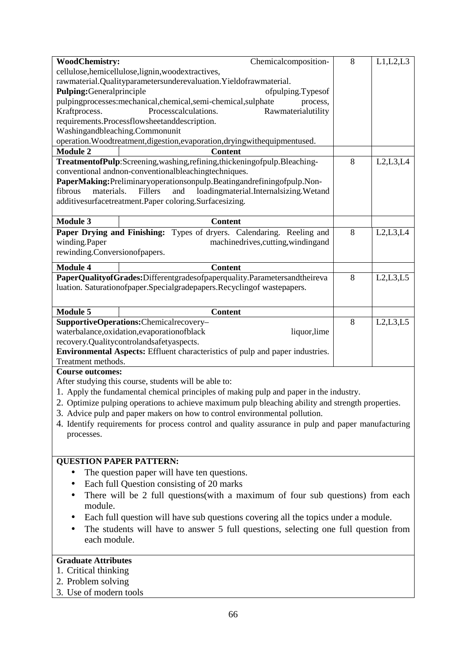| <b>WoodChemistry:</b>         | Chemicalcomposition-                                                                               | 8 | L1,L2,L3   |
|-------------------------------|----------------------------------------------------------------------------------------------------|---|------------|
|                               | cellulose, hemicellulose, lignin, woodextractives,                                                 |   |            |
|                               | rawmaterial.Qualityparametersunderevaluation.Yieldofrawmaterial.                                   |   |            |
| Pulping:Generalprinciple      | ofpulping.Typesof                                                                                  |   |            |
|                               | pulpingprocesses:mechanical,chemical,semi-chemical,sulphate<br>process,                            |   |            |
| Kraftprocess.                 | Processcalculations.<br>Rawmaterialutility                                                         |   |            |
|                               | requirements.Processflowsheetanddescription.                                                       |   |            |
|                               | Washingandbleaching.Commonunit                                                                     |   |            |
|                               | operation. Woodtreatment, digestion, evaporation, drying with equipmentused.                       |   |            |
| <b>Module 2</b>               | <b>Content</b>                                                                                     |   |            |
|                               | TreatmentofPulp:Screening,washing,refining,thickeningofpulp.Bleaching-                             | 8 | L2,L3,L4   |
|                               | conventional and non-conventional bleaching techniques.                                            |   |            |
|                               | PaperMaking: Preliminaryoperationsonpulp. Beating and refining of pulp. Non-                       |   |            |
| fibrous<br>materials.         | Fillers<br>loadingmaterial.Internalsizing.Wetand<br>and                                            |   |            |
|                               | additivesurfacetreatment.Paper coloring.Surfacesizing.                                             |   |            |
| <b>Module 3</b>               |                                                                                                    |   |            |
|                               | <b>Content</b>                                                                                     |   |            |
|                               | Paper Drying and Finishing: Types of dryers. Calendaring. Reeling and                              | 8 | L2,L3,L4   |
| winding.Paper                 | machinedrives, cutting, winding and                                                                |   |            |
| rewinding.Conversionofpapers. |                                                                                                    |   |            |
| <b>Module 4</b>               | <b>Content</b>                                                                                     |   |            |
|                               | PaperQualityofGrades:Differentgradesofpaperquality.Parametersandtheireva                           | 8 | L2, L3, L5 |
|                               | luation. Saturationofpaper.Specialgradepapers.Recyclingof wastepapers.                             |   |            |
|                               |                                                                                                    |   |            |
| <b>Module 5</b>               | <b>Content</b>                                                                                     |   |            |
|                               | SupportiveOperations:Chemicalrecovery-                                                             | 8 | L2, L3, L5 |
|                               | waterbalance, oxidation, evaporation of black<br>liquor, lime                                      |   |            |
|                               | recovery.Qualitycontrolandsafetyaspects.                                                           |   |            |
|                               | Environmental Aspects: Effluent characteristics of pulp and paper industries.                      |   |            |
| Treatment methods.            |                                                                                                    |   |            |
| <b>Course outcomes:</b>       |                                                                                                    |   |            |
|                               | After studying this course, students will be able to:                                              |   |            |
|                               | 1. Apply the fundamental chemical principles of making pulp and paper in the industry.             |   |            |
|                               | 2. Optimize pulping operations to achieve maximum pulp bleaching ability and strength properties.  |   |            |
|                               | 3. Advice pulp and paper makers on how to control environmental pollution.                         |   |            |
|                               | 4. Identify requirements for process control and quality assurance in pulp and paper manufacturing |   |            |
| processes.                    |                                                                                                    |   |            |
|                               |                                                                                                    |   |            |
|                               |                                                                                                    |   |            |
|                               | <b>QUESTION PAPER PATTERN:</b>                                                                     |   |            |
|                               | The question paper will have ten questions.                                                        |   |            |
| $\bullet$                     | Each full Question consisting of 20 marks                                                          |   |            |
| ٠                             | There will be 2 full questions (with a maximum of four sub questions) from each                    |   |            |
| module.                       |                                                                                                    |   |            |
|                               | Each full question will have sub questions covering all the topics under a module.                 |   |            |
|                               | The students will have to answer 5 full questions, selecting one full question from                |   |            |
| each module.                  |                                                                                                    |   |            |
|                               |                                                                                                    |   |            |
| <b>Graduate Attributes</b>    |                                                                                                    |   |            |
|                               |                                                                                                    |   |            |
| 1. Critical thinking          |                                                                                                    |   |            |

- 2. Problem solving
- 3. Use of modern tools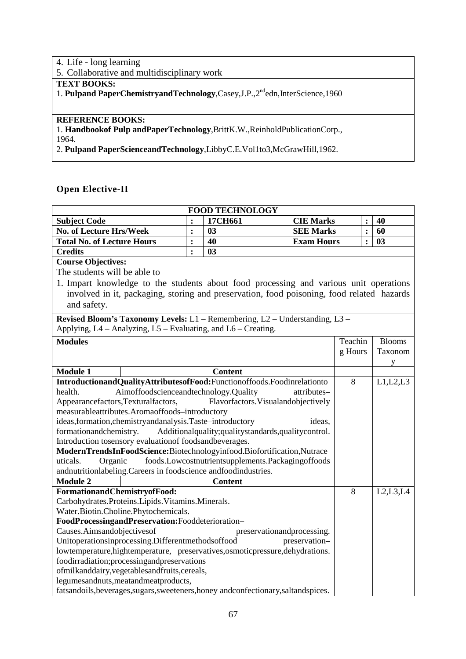# 4. Life - long learning 5. Collaborative and multidisciplinary work **TEXT BOOKS:**  1. **Pulpand PaperChemistryandTechnology**,Casey,J.P.,2<sup>nd</sup>edn,InterScience,1960 **REFERENCE BOOKS:**  1. **Handbookof Pulp andPaperTechnology**,BrittK.W.,ReinholdPublicationCorp.,

1964.

2. **Pulpand PaperScienceandTechnology**,LibbyC.E.Vol1to3,McGrawHill,1962.

## **Open Elective-II**

| <b>FOOD TECHNOLOGY</b>                                                                    |                |                                                    |                   |         |                |               |  |  |
|-------------------------------------------------------------------------------------------|----------------|----------------------------------------------------|-------------------|---------|----------------|---------------|--|--|
| <b>Subject Code</b>                                                                       |                | 17CH661                                            | <b>CIE Marks</b>  |         |                | 40            |  |  |
| No. of Lecture Hrs/Week                                                                   | $\ddot{\cdot}$ | 03                                                 | <b>SEE Marks</b>  |         | $\ddot{\cdot}$ | 60            |  |  |
| <b>Total No. of Lecture Hours</b>                                                         | $\ddot{\cdot}$ | 40                                                 | <b>Exam Hours</b> |         | $\ddot{\cdot}$ | 03            |  |  |
| <b>Credits</b>                                                                            | $\ddot{\cdot}$ | 03                                                 |                   |         |                |               |  |  |
| <b>Course Objectives:</b>                                                                 |                |                                                    |                   |         |                |               |  |  |
| The students will be able to                                                              |                |                                                    |                   |         |                |               |  |  |
| 1. Impart knowledge to the students about food processing and various unit operations     |                |                                                    |                   |         |                |               |  |  |
| involved in it, packaging, storing and preservation, food poisoning, food related hazards |                |                                                    |                   |         |                |               |  |  |
| and safety.                                                                               |                |                                                    |                   |         |                |               |  |  |
|                                                                                           |                |                                                    |                   |         |                |               |  |  |
| Revised Bloom's Taxonomy Levels: L1 - Remembering, L2 - Understanding, L3 -               |                |                                                    |                   |         |                |               |  |  |
| Applying, L4 – Analyzing, L5 – Evaluating, and L6 – Creating.                             |                |                                                    |                   |         |                |               |  |  |
| <b>Modules</b>                                                                            |                |                                                    |                   | Teachin |                | <b>Blooms</b> |  |  |
|                                                                                           |                |                                                    |                   | g Hours |                | Taxonom       |  |  |
|                                                                                           |                |                                                    |                   |         |                | y             |  |  |
| <b>Module 1</b>                                                                           |                | <b>Content</b>                                     |                   |         |                |               |  |  |
| IntroductionandQualityAttributesofFood:Functionoffoods.Foodinrelationto                   |                |                                                    |                   | 8       |                | L1,L2,L3      |  |  |
| Aimoffoodscienceandtechnology.Quality<br>health.                                          |                |                                                    | attributes-       |         |                |               |  |  |
| Appearancefactors, Texturalfactors,                                                       |                | Flavorfactors. Visualandobjectively                |                   |         |                |               |  |  |
| measurableattributes.Aromaoffoods-introductory                                            |                |                                                    |                   |         |                |               |  |  |
| ideas, formation, chemistry and analysis. Taste-introductory                              |                |                                                    | ideas,            |         |                |               |  |  |
| formationandchemistry.                                                                    |                | Additionalquality;qualitystandards,qualitycontrol. |                   |         |                |               |  |  |
| Introduction tosensory evaluation of foodsandbeverages.                                   |                |                                                    |                   |         |                |               |  |  |
| ModernTrendsInFoodScience:Biotechnologyinfood.Biofortification,Nutrace                    |                |                                                    |                   |         |                |               |  |  |
| Organic<br>uticals.                                                                       |                | foods.Lowcostnutrientsupplements.Packagingoffoods  |                   |         |                |               |  |  |
| andnutritionlabeling. Careers in foodscience andfoodindustries.                           |                |                                                    |                   |         |                |               |  |  |
| Module 2                                                                                  |                | <b>Content</b>                                     |                   | 8       |                |               |  |  |
| FormationandChemistryofFood:<br>Carbohydrates.Proteins.Lipids.Vitamins.Minerals.          |                |                                                    |                   |         |                | L2,L3,L4      |  |  |
| Water.Biotin.Choline.Phytochemicals.                                                      |                |                                                    |                   |         |                |               |  |  |
| FoodProcessingandPreservation:Fooddeterioration-                                          |                |                                                    |                   |         |                |               |  |  |
| Causes.Aimsandobjectivesof                                                                |                | preservationandprocessing.                         |                   |         |                |               |  |  |
| Unitoperationsinprocessing.Differentmethodsoffood                                         |                |                                                    | preservation-     |         |                |               |  |  |
| lowtemperature, hightemperature, preservatives, osmotic pressure, dehydrations.           |                |                                                    |                   |         |                |               |  |  |
| foodirradiation;processingandpreservations                                                |                |                                                    |                   |         |                |               |  |  |
| ofmilkanddairy, vegetables and fruits, cereals,                                           |                |                                                    |                   |         |                |               |  |  |
| legumesandnuts, meatand meatproducts,                                                     |                |                                                    |                   |         |                |               |  |  |
| fatsandoils, beverages, sugars, sweeteners, honey and confectionary, saltandspices.       |                |                                                    |                   |         |                |               |  |  |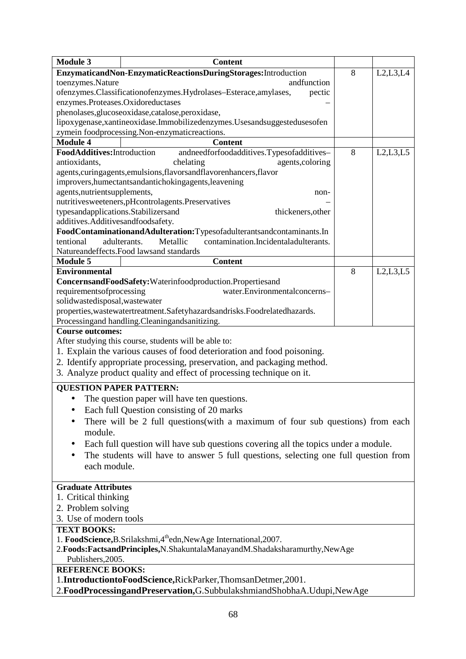| <b>Module 3</b>                     | <b>Content</b>                                                                       |   |            |  |  |  |  |
|-------------------------------------|--------------------------------------------------------------------------------------|---|------------|--|--|--|--|
|                                     | EnzymaticandNon-EnzymaticReactionsDuringStorages:Introduction                        | 8 | L2,L3,L4   |  |  |  |  |
| toenzymes.Nature                    | andfunction                                                                          |   |            |  |  |  |  |
|                                     | ofenzymes.Classificationofenzymes.Hydrolases-Esterace,amylases,<br>pectic            |   |            |  |  |  |  |
| enzymes.Proteases.Oxidoreductases   |                                                                                      |   |            |  |  |  |  |
|                                     | phenolases, glucoseoxidase, catalose, peroxidase,                                    |   |            |  |  |  |  |
|                                     | lipoxygenase, xantineoxidase. Immobilizedenzymes. Usesandsuggesteduses of en         |   |            |  |  |  |  |
|                                     | zymein foodprocessing.Non-enzymaticreactions.                                        |   |            |  |  |  |  |
| <b>Module 4</b>                     | <b>Content</b>                                                                       |   |            |  |  |  |  |
| FoodAdditives: Introduction         | andneedforfoodadditives.Typesofadditives-                                            | 8 | L2,L3,L5   |  |  |  |  |
| antioxidants,                       | chelating<br>agents, coloring                                                        |   |            |  |  |  |  |
|                                     | agents, curingagents, emulsions, flavors and flavorenhancers, flavor                 |   |            |  |  |  |  |
|                                     | improvers, humectants and antichoking agents, leavening                              |   |            |  |  |  |  |
| agents, nutrientsupplements,        | non-                                                                                 |   |            |  |  |  |  |
|                                     | nutritivesweeteners,pHcontrolagents.Preservatives                                    |   |            |  |  |  |  |
| typesandapplications.Stabilizersand | thickeners, other                                                                    |   |            |  |  |  |  |
| additives.Additivesandfoodsafety.   |                                                                                      |   |            |  |  |  |  |
|                                     | FoodContaminationandAdulteration:Typesofadulterantsandcontaminants.In                |   |            |  |  |  |  |
| tentional                           | adulterants.<br>contamination.Incidentaladulterants.<br>Metallic                     |   |            |  |  |  |  |
|                                     | Natureandeffects. Food lawsand standards                                             |   |            |  |  |  |  |
| <b>Module 5</b>                     | <b>Content</b>                                                                       |   |            |  |  |  |  |
| <b>Environmental</b>                |                                                                                      | 8 | L2, L3, L5 |  |  |  |  |
|                                     |                                                                                      |   |            |  |  |  |  |
|                                     | ConcernsandFoodSafety:Waterinfoodproduction.Propertiesand                            |   |            |  |  |  |  |
| requirementsofprocessing            | water.Environmentalconcerns-                                                         |   |            |  |  |  |  |
| solidwastedisposal, wastewater      |                                                                                      |   |            |  |  |  |  |
|                                     | properties, was tewater treatment. Safety hazards and risks. Foodrelated hazards.    |   |            |  |  |  |  |
|                                     | Processingand handling. Cleaningandsanitizing.                                       |   |            |  |  |  |  |
| <b>Course outcomes:</b>             |                                                                                      |   |            |  |  |  |  |
|                                     | After studying this course, students will be able to:                                |   |            |  |  |  |  |
|                                     | 1. Explain the various causes of food deterioration and food poisoning.              |   |            |  |  |  |  |
|                                     | 2. Identify appropriate processing, preservation, and packaging method.              |   |            |  |  |  |  |
|                                     | 3. Analyze product quality and effect of processing technique on it.                 |   |            |  |  |  |  |
| <b>OUESTION PAPER PATTERN:</b>      |                                                                                      |   |            |  |  |  |  |
|                                     | The question paper will have ten questions.                                          |   |            |  |  |  |  |
|                                     |                                                                                      |   |            |  |  |  |  |
|                                     | Each full Question consisting of 20 marks                                            |   |            |  |  |  |  |
|                                     | There will be 2 full questions (with a maximum of four sub questions) from each      |   |            |  |  |  |  |
| module.                             |                                                                                      |   |            |  |  |  |  |
|                                     | Each full question will have sub questions covering all the topics under a module.   |   |            |  |  |  |  |
|                                     | The students will have to answer 5 full questions, selecting one full question from  |   |            |  |  |  |  |
| each module.                        |                                                                                      |   |            |  |  |  |  |
|                                     |                                                                                      |   |            |  |  |  |  |
| <b>Graduate Attributes</b>          |                                                                                      |   |            |  |  |  |  |
| 1. Critical thinking                |                                                                                      |   |            |  |  |  |  |
|                                     |                                                                                      |   |            |  |  |  |  |
| 2. Problem solving                  |                                                                                      |   |            |  |  |  |  |
| 3. Use of modern tools              |                                                                                      |   |            |  |  |  |  |
| <b>TEXT BOOKS:</b>                  |                                                                                      |   |            |  |  |  |  |
|                                     | 1. FoodScience, B. Srilakshmi, 4 <sup>th</sup> edn, New Age International, 2007.     |   |            |  |  |  |  |
|                                     | 2. Foods: Factsand Principles, N. Shakuntala Manayand M. Shadakshara murthy, New Age |   |            |  |  |  |  |
| Publishers, 2005.                   |                                                                                      |   |            |  |  |  |  |
| <b>REFERENCE BOOKS:</b>             |                                                                                      |   |            |  |  |  |  |
|                                     | 1.IntroductiontoFoodScience,RickParker,ThomsanDetmer,2001.                           |   |            |  |  |  |  |
|                                     | 2. FoodProcessingandPreservation, G. SubbulakshmiandShobhaA. Udupi, NewAge           |   |            |  |  |  |  |
|                                     |                                                                                      |   |            |  |  |  |  |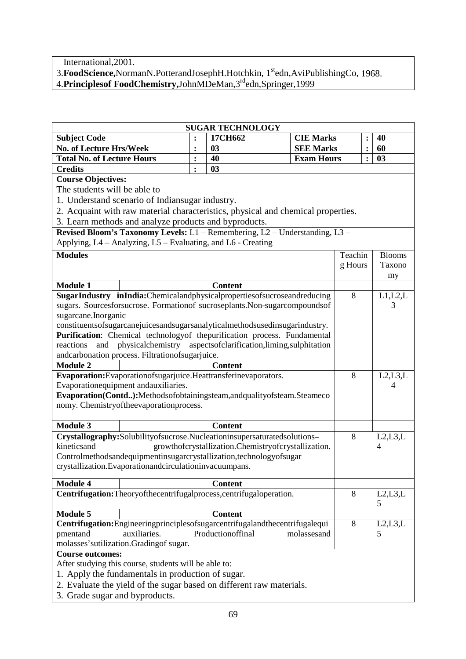International,2001.

3.**FoodScience,**NormanN.PotterandJosephH.Hotchkin, 1stedn,AviPublishingCo, 1968.

4.**Principlesof FoodChemistry,**JohnMDeMan,3rdedn,Springer,1999

| <b>SUGAR TECHNOLOGY</b>                                             |                                                                   |                |                                                                                   |                   |         |                |               |
|---------------------------------------------------------------------|-------------------------------------------------------------------|----------------|-----------------------------------------------------------------------------------|-------------------|---------|----------------|---------------|
| <b>Subject Code</b>                                                 |                                                                   | $\ddot{\cdot}$ | 17CH662                                                                           | <b>CIE Marks</b>  |         |                | 40            |
| No. of Lecture Hrs/Week                                             |                                                                   | $\ddot{\cdot}$ | 03                                                                                | <b>SEE Marks</b>  |         | $\ddot{\cdot}$ | 60            |
| <b>Total No. of Lecture Hours</b>                                   |                                                                   | $\ddot{\cdot}$ | 40                                                                                | <b>Exam Hours</b> |         | $\ddot{\cdot}$ | 03            |
| <b>Credits</b>                                                      |                                                                   | $\ddot{\cdot}$ | 03                                                                                |                   |         |                |               |
| <b>Course Objectives:</b>                                           |                                                                   |                |                                                                                   |                   |         |                |               |
| The students will be able to                                        |                                                                   |                |                                                                                   |                   |         |                |               |
|                                                                     | 1. Understand scenario of Indiansugar industry.                   |                |                                                                                   |                   |         |                |               |
|                                                                     |                                                                   |                | 2. Acquaint with raw material characteristics, physical and chemical properties.  |                   |         |                |               |
|                                                                     | 3. Learn methods and analyze products and byproducts.             |                |                                                                                   |                   |         |                |               |
|                                                                     |                                                                   |                | Revised Bloom's Taxonomy Levels: L1 - Remembering, L2 - Understanding, L3 -       |                   |         |                |               |
|                                                                     | Applying, L4 – Analyzing, L5 – Evaluating, and L6 - Creating      |                |                                                                                   |                   |         |                |               |
| <b>Modules</b>                                                      |                                                                   |                |                                                                                   |                   | Teachin |                | <b>Blooms</b> |
|                                                                     |                                                                   |                |                                                                                   |                   | g Hours |                | Taxono        |
|                                                                     |                                                                   |                |                                                                                   |                   |         |                |               |
| <b>Module 1</b>                                                     |                                                                   |                | <b>Content</b>                                                                    |                   |         |                | my            |
|                                                                     |                                                                   |                | SugarIndustry inIndia:Chemicalandphysicalpropertiesofsucroseandreducing           |                   | 8       |                | L1,L2,L       |
|                                                                     |                                                                   |                |                                                                                   |                   |         |                | 3             |
| sugarcane.Inorganic                                                 |                                                                   |                | sugars. Sourcesforsucrose. Formationof sucroseplants. Non-sugarcompoundsof        |                   |         |                |               |
|                                                                     |                                                                   |                | constituentsofsugarcanejuicesandsugarsanalyticalmethodsusedinsugarindustry.       |                   |         |                |               |
|                                                                     |                                                                   |                | Purification: Chemical technology of the purification process. Fundamental        |                   |         |                |               |
| reactions<br>and                                                    |                                                                   |                | physicalchemistry aspects of clarification, liming, sulphitation                  |                   |         |                |               |
|                                                                     |                                                                   |                |                                                                                   |                   |         |                |               |
| <b>Module 2</b>                                                     | andcarbonation process. Filtrationofsugarjuice.<br><b>Content</b> |                |                                                                                   |                   |         |                |               |
| Evaporation: Evaporation of sugarjuice. Heattransferine vaporators. |                                                                   |                |                                                                                   |                   |         |                | L2, L3, L     |
| Evaporationequipment andauxiliaries.                                |                                                                   |                |                                                                                   |                   |         |                | 4             |
|                                                                     |                                                                   |                | Evaporation(Contd):Methodsofobtainingsteam,andqualityofsteam.Steameco             |                   |         |                |               |
|                                                                     | nomy. Chemistryoftheevaporationprocess.                           |                |                                                                                   |                   |         |                |               |
|                                                                     |                                                                   |                |                                                                                   |                   |         |                |               |
| <b>Module 3</b>                                                     |                                                                   |                | <b>Content</b>                                                                    |                   |         |                |               |
|                                                                     |                                                                   |                | Crystallography:Solubilityofsucrose.Nucleationinsupersaturatedsolutions-          |                   | 8       |                | L2, L3, L     |
| kineticsand                                                         |                                                                   |                | growthofcrystallization.Chemistryofcrystallization.                               |                   |         |                | 4             |
|                                                                     |                                                                   |                | Controlmethodsandequipmentinsugarcrystallization, technologyofsugar               |                   |         |                |               |
|                                                                     | crystallization.Evaporationandcirculationinvacuumpans.            |                |                                                                                   |                   |         |                |               |
|                                                                     |                                                                   |                |                                                                                   |                   |         |                |               |
| <b>Module 4</b>                                                     |                                                                   |                | <b>Content</b>                                                                    |                   |         |                |               |
|                                                                     |                                                                   |                | Centrifugation: Theoryofthecentrifugalprocess, centrifugal operation.             |                   | 8       |                | L2, L3, L     |
|                                                                     |                                                                   |                |                                                                                   |                   |         |                | 5             |
| <b>Module 5</b>                                                     |                                                                   |                | <b>Content</b>                                                                    |                   |         |                |               |
|                                                                     |                                                                   |                | Centrifugation: Engineeringprinciples of sugarcentrifugaland the centrifugale qui |                   | 8       |                | L2,L3,L       |
| pmentand                                                            | auxiliaries.                                                      |                | Productionoffinal                                                                 | molassesand       |         |                | 5             |
|                                                                     | molasses' sutilization. Grading of sugar.                         |                |                                                                                   |                   |         |                |               |
| <b>Course outcomes:</b>                                             |                                                                   |                |                                                                                   |                   |         |                |               |
|                                                                     | After studying this course, students will be able to:             |                |                                                                                   |                   |         |                |               |
|                                                                     | 1. Apply the fundamentals in production of sugar.                 |                |                                                                                   |                   |         |                |               |
|                                                                     |                                                                   |                | 2. Evaluate the yield of the sugar based on different raw materials.              |                   |         |                |               |
| 3. Grade sugar and byproducts.                                      |                                                                   |                |                                                                                   |                   |         |                |               |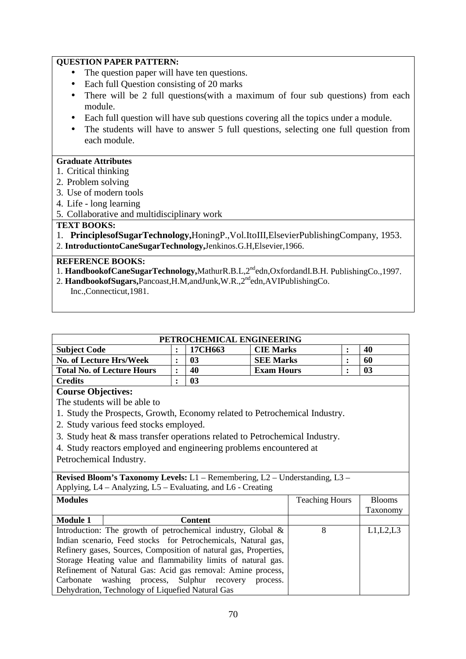## **QUESTION PAPER PATTERN:**

- The question paper will have ten questions.
- Each full Ouestion consisting of 20 marks
- There will be 2 full questions(with a maximum of four sub questions) from each module.
- Each full question will have sub questions covering all the topics under a module.
- The students will have to answer 5 full questions, selecting one full question from each module.

## **Graduate Attributes**

- 1. Critical thinking
- 2. Problem solving
- 3. Use of modern tools
- 4. Life long learning
- 5. Collaborative and multidisciplinary work

## **TEXT BOOKS:**

1. **PrinciplesofSugarTechnology,**HoningP.,Vol.ItoIII,ElsevierPublishingCompany, 1953. 2. **IntroductiontoCaneSugarTechnology,**Jenkinos.G.H,Elsevier,1966.

### **REFERENCE BOOKS:**

- 1. **HandbookofCaneSugarTechnology,**MathurR.B.L,2ndedn,OxfordandI.B.H. PublishingCo.,1997.
- 2. **HandbookofSugars,**Pancoast,H.M,andJunk,W.R.,2ndedn,AVIPublishingCo.
	- Inc.,Connecticut,1981.

| PETROCHEMICAL ENGINEERING                                                                |                                                                  |                |                   |                       |                |                |  |  |
|------------------------------------------------------------------------------------------|------------------------------------------------------------------|----------------|-------------------|-----------------------|----------------|----------------|--|--|
| <b>Subject Code</b>                                                                      | $\ddot{\cdot}$                                                   | 17CH663        | <b>CIE Marks</b>  |                       | $\ddot{\cdot}$ | 40             |  |  |
| <b>No. of Lecture Hrs/Week</b>                                                           | $\ddot{\cdot}$                                                   | 0 <sub>3</sub> | <b>SEE Marks</b>  |                       |                | 60             |  |  |
| <b>Total No. of Lecture Hours</b>                                                        | $\ddot{\cdot}$                                                   | 40             | <b>Exam Hours</b> |                       | $\ddot{\cdot}$ | 0 <sub>3</sub> |  |  |
| <b>Credits</b>                                                                           | $\ddot{\cdot}$                                                   | 03             |                   |                       |                |                |  |  |
| <b>Course Objectives:</b>                                                                |                                                                  |                |                   |                       |                |                |  |  |
| The students will be able to                                                             |                                                                  |                |                   |                       |                |                |  |  |
| 1. Study the Prospects, Growth, Economy related to Petrochemical Industry.               |                                                                  |                |                   |                       |                |                |  |  |
| 2. Study various feed stocks employed.                                                   |                                                                  |                |                   |                       |                |                |  |  |
| 3. Study heat & mass transfer operations related to Petrochemical Industry.              |                                                                  |                |                   |                       |                |                |  |  |
| 4. Study reactors employed and engineering problems encountered at                       |                                                                  |                |                   |                       |                |                |  |  |
| Petrochemical Industry.                                                                  |                                                                  |                |                   |                       |                |                |  |  |
|                                                                                          |                                                                  |                |                   |                       |                |                |  |  |
| <b>Revised Bloom's Taxonomy Levels:</b> $L1$ – Remembering, $L2$ – Understanding, $L3$ – |                                                                  |                |                   |                       |                |                |  |  |
| Applying, L4 - Analyzing, L5 - Evaluating, and L6 - Creating                             |                                                                  |                |                   |                       |                |                |  |  |
| <b>Modules</b>                                                                           |                                                                  |                |                   | <b>Teaching Hours</b> |                | <b>Blooms</b>  |  |  |
|                                                                                          |                                                                  |                |                   |                       |                | Taxonomy       |  |  |
| <b>Module 1</b>                                                                          |                                                                  | <b>Content</b> |                   |                       |                |                |  |  |
| Introduction: The growth of petrochemical industry, Global &                             |                                                                  |                |                   | 8                     |                | L1,L2,L3       |  |  |
| Indian scenario, Feed stocks for Petrochemicals, Natural gas,                            |                                                                  |                |                   |                       |                |                |  |  |
|                                                                                          | Refinery gases, Sources, Composition of natural gas, Properties, |                |                   |                       |                |                |  |  |
| Storage Heating value and flammability limits of natural gas.                            |                                                                  |                |                   |                       |                |                |  |  |
| Refinement of Natural Gas: Acid gas removal: Amine process,                              |                                                                  |                |                   |                       |                |                |  |  |
| washing process, Sulphur recovery<br>Carbonate                                           |                                                                  |                | process.          |                       |                |                |  |  |
| Dehydration, Technology of Liquefied Natural Gas                                         |                                                                  |                |                   |                       |                |                |  |  |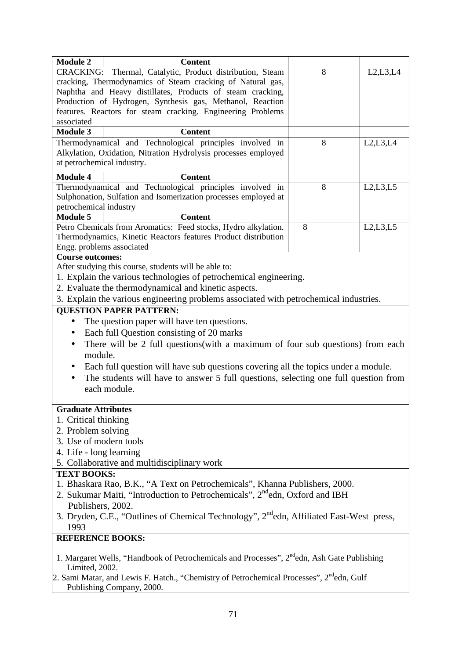| <b>Module 2</b>            | <b>Content</b>                                                                                                              |   |            |
|----------------------------|-----------------------------------------------------------------------------------------------------------------------------|---|------------|
|                            | CRACKING: Thermal, Catalytic, Product distribution, Steam                                                                   | 8 | L2,L3,L4   |
|                            | cracking, Thermodynamics of Steam cracking of Natural gas,                                                                  |   |            |
|                            | Naphtha and Heavy distillates, Products of steam cracking,                                                                  |   |            |
|                            | Production of Hydrogen, Synthesis gas, Methanol, Reaction                                                                   |   |            |
|                            | features. Reactors for steam cracking. Engineering Problems                                                                 |   |            |
| associated                 |                                                                                                                             |   |            |
| <b>Module 3</b>            | <b>Content</b>                                                                                                              |   |            |
|                            | Thermodynamical and Technological principles involved in                                                                    | 8 | L2, L3, L4 |
|                            | Alkylation, Oxidation, Nitration Hydrolysis processes employed                                                              |   |            |
| at petrochemical industry. |                                                                                                                             |   |            |
| <b>Module 4</b>            | <b>Content</b>                                                                                                              |   |            |
|                            | Thermodynamical and Technological principles involved in                                                                    | 8 | L2, L3, L5 |
|                            | Sulphonation, Sulfation and Isomerization processes employed at                                                             |   |            |
| petrochemical industry     |                                                                                                                             |   |            |
| <b>Module 5</b>            | <b>Content</b>                                                                                                              |   |            |
|                            | Petro Chemicals from Aromatics: Feed stocks, Hydro alkylation.                                                              | 8 | L2, L3, L5 |
|                            | Thermodynamics, Kinetic Reactors features Product distribution                                                              |   |            |
| Engg. problems associated  |                                                                                                                             |   |            |
| <b>Course outcomes:</b>    |                                                                                                                             |   |            |
|                            | After studying this course, students will be able to:                                                                       |   |            |
|                            | 1. Explain the various technologies of petrochemical engineering.                                                           |   |            |
|                            | 2. Evaluate the thermodynamical and kinetic aspects.                                                                        |   |            |
|                            | 3. Explain the various engineering problems associated with petrochemical industries.                                       |   |            |
|                            | <b>QUESTION PAPER PATTERN:</b>                                                                                              |   |            |
|                            | The question paper will have ten questions.                                                                                 |   |            |
| $\bullet$                  | Each full Question consisting of 20 marks                                                                                   |   |            |
| $\bullet$                  | There will be 2 full questions(with a maximum of four sub questions) from each                                              |   |            |
| module.                    |                                                                                                                             |   |            |
|                            | Each full question will have sub questions covering all the topics under a module.                                          |   |            |
|                            | The students will have to answer 5 full questions, selecting one full question from                                         |   |            |
|                            | each module.                                                                                                                |   |            |
|                            |                                                                                                                             |   |            |
| <b>Graduate Attributes</b> |                                                                                                                             |   |            |
| 1. Critical thinking       |                                                                                                                             |   |            |
| 2. Problem solving         |                                                                                                                             |   |            |
| 3. Use of modern tools     |                                                                                                                             |   |            |
| 4. Life - long learning    |                                                                                                                             |   |            |
|                            | 5. Collaborative and multidisciplinary work                                                                                 |   |            |
| <b>TEXT BOOKS:</b>         |                                                                                                                             |   |            |
|                            | 1. Bhaskara Rao, B.K., "A Text on Petrochemicals", Khanna Publishers, 2000.                                                 |   |            |
|                            | 2. Sukumar Maiti, "Introduction to Petrochemicals", 2 <sup>nd</sup> edn, Oxford and IBH                                     |   |            |
| Publishers, 2002.          |                                                                                                                             |   |            |
|                            | 3. Dryden, C.E., "Outlines of Chemical Technology", 2 <sup>nd</sup> edn, Affiliated East-West press,                        |   |            |
| 1993                       |                                                                                                                             |   |            |
| <b>REFERENCE BOOKS:</b>    |                                                                                                                             |   |            |
|                            | 1. Margaret Wells, "Handbook of Petrochemicals and Processes", 2 <sup>nd</sup> edn, Ash Gate Publishing                     |   |            |
| Limited, 2002.             |                                                                                                                             |   |            |
|                            | 2. Sami Matar, and Lewis F. Hatch., "Chemistry of Petrochemical Processes", $2^{nd}$ edn, Gulf<br>Publishing Company, 2000. |   |            |

Publishing Company, 2000.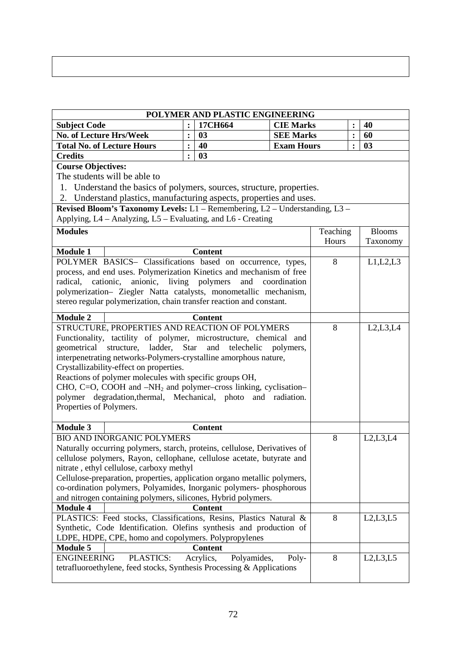| ,一个人的人都是一个人的人,但是我们的人,我们也不会不会不会。""我们的人,我们也不会不会不会。""我们的人,我们也不会不会不会。""我们的人,我们也不会不会不 |  |  |
|----------------------------------------------------------------------------------|--|--|
|                                                                                  |  |  |

| POLYMER AND PLASTIC ENGINEERING                                                                                                                 |                                                      |                          |                                    |          |                |               |  |
|-------------------------------------------------------------------------------------------------------------------------------------------------|------------------------------------------------------|--------------------------|------------------------------------|----------|----------------|---------------|--|
| <b>Subject Code</b>                                                                                                                             | $\ddot{\cdot}$                                       | 17CH664                  | <b>CIE Marks</b><br>$\ddot{\cdot}$ |          |                | 40            |  |
| <b>No. of Lecture Hrs/Week</b>                                                                                                                  | $\ddot{\cdot}$                                       | 03                       | <b>SEE Marks</b>                   |          | :              | 60            |  |
| <b>Total No. of Lecture Hours</b>                                                                                                               | $\ddot{\cdot}$                                       | 40                       | <b>Exam Hours</b>                  |          | $\ddot{\cdot}$ | 03            |  |
| <b>Credits</b>                                                                                                                                  | $\ddot{\cdot}$                                       | 03                       |                                    |          |                |               |  |
| <b>Course Objectives:</b>                                                                                                                       |                                                      |                          |                                    |          |                |               |  |
| The students will be able to                                                                                                                    |                                                      |                          |                                    |          |                |               |  |
| 1. Understand the basics of polymers, sources, structure, properties.                                                                           |                                                      |                          |                                    |          |                |               |  |
| 2. Understand plastics, manufacturing aspects, properties and uses.                                                                             |                                                      |                          |                                    |          |                |               |  |
| Revised Bloom's Taxonomy Levels: L1 - Remembering, L2 - Understanding, L3 -                                                                     |                                                      |                          |                                    |          |                |               |  |
| Applying, L4 – Analyzing, L5 – Evaluating, and L6 - Creating                                                                                    |                                                      |                          |                                    |          |                |               |  |
| <b>Modules</b>                                                                                                                                  |                                                      |                          |                                    | Teaching |                | <b>Blooms</b> |  |
|                                                                                                                                                 |                                                      |                          |                                    | Hours    |                | Taxonomy      |  |
| <b>Module 1</b>                                                                                                                                 |                                                      | <b>Content</b>           |                                    |          |                |               |  |
| POLYMER BASICS- Classifications based on occurrence, types,                                                                                     |                                                      |                          |                                    | 8        |                | L1,L2,L3      |  |
| process, and end uses. Polymerization Kinetics and mechanism of free                                                                            |                                                      |                          |                                    |          |                |               |  |
| radical, cationic, anionic, living polymers                                                                                                     |                                                      |                          | and coordination                   |          |                |               |  |
| polymerization- Ziegler Natta catalysts, monometallic mechanism,                                                                                |                                                      |                          |                                    |          |                |               |  |
| stereo regular polymerization, chain transfer reaction and constant.                                                                            |                                                      |                          |                                    |          |                |               |  |
| <b>Module 2</b>                                                                                                                                 |                                                      | <b>Content</b>           |                                    |          |                |               |  |
| STRUCTURE, PROPERTIES AND REACTION OF POLYMERS                                                                                                  |                                                      |                          |                                    | 8        |                | L2, L3, L4    |  |
| Functionality, tactility of polymer, microstructure, chemical and                                                                               |                                                      |                          |                                    |          |                |               |  |
| geometrical structure, ladder,                                                                                                                  |                                                      | Star and telechelic      | polymers,                          |          |                |               |  |
| interpenetrating networks-Polymers-crystalline amorphous nature,                                                                                |                                                      |                          |                                    |          |                |               |  |
| Crystallizability-effect on properties.                                                                                                         |                                                      |                          |                                    |          |                |               |  |
| Reactions of polymer molecules with specific groups OH,                                                                                         |                                                      |                          |                                    |          |                |               |  |
| CHO, C=O, COOH and $-NH_2$ and polymer-cross linking, cyclisation-                                                                              |                                                      |                          |                                    |          |                |               |  |
| polymer degradation, thermal, Mechanical, photo and radiation.                                                                                  |                                                      |                          |                                    |          |                |               |  |
| Properties of Polymers.                                                                                                                         |                                                      |                          |                                    |          |                |               |  |
|                                                                                                                                                 |                                                      |                          |                                    |          |                |               |  |
| <b>Module 3</b>                                                                                                                                 |                                                      | <b>Content</b>           |                                    |          |                |               |  |
| <b>BIO AND INORGANIC POLYMERS</b>                                                                                                               |                                                      |                          |                                    | 8        |                | L2,L3,L4      |  |
| Naturally occurring polymers, starch, proteins, cellulose, Derivatives of                                                                       |                                                      |                          |                                    |          |                |               |  |
| cellulose polymers, Rayon, cellophane, cellulose acetate, butyrate and                                                                          |                                                      |                          |                                    |          |                |               |  |
| nitrate, ethyl cellulose, carboxy methyl                                                                                                        |                                                      |                          |                                    |          |                |               |  |
| Cellulose-preparation, properties, application organo metallic polymers,<br>co-ordination polymers, Polyamides, Inorganic polymers- phosphorous |                                                      |                          |                                    |          |                |               |  |
| and nitrogen containing polymers, silicones, Hybrid polymers.                                                                                   |                                                      |                          |                                    |          |                |               |  |
| <b>Module 4</b>                                                                                                                                 |                                                      | <b>Content</b>           |                                    |          |                |               |  |
|                                                                                                                                                 |                                                      |                          |                                    | 8        |                | L2,L3,L5      |  |
| PLASTICS: Feed stocks, Classifications, Resins, Plastics Natural &<br>Synthetic, Code Identification. Olefins synthesis and production of       |                                                      |                          |                                    |          |                |               |  |
|                                                                                                                                                 | LDPE, HDPE, CPE, homo and copolymers. Polypropylenes |                          |                                    |          |                |               |  |
| <b>Module 5</b>                                                                                                                                 |                                                      | <b>Content</b>           |                                    |          |                |               |  |
| PLASTICS:<br><b>ENGINEERING</b>                                                                                                                 |                                                      | Acrylics,<br>Polyamides, | Poly-                              | 8        |                | L2,L3,L5      |  |
| tetrafluoroethylene, feed stocks, Synthesis Processing & Applications                                                                           |                                                      |                          |                                    |          |                |               |  |
|                                                                                                                                                 |                                                      |                          |                                    |          |                |               |  |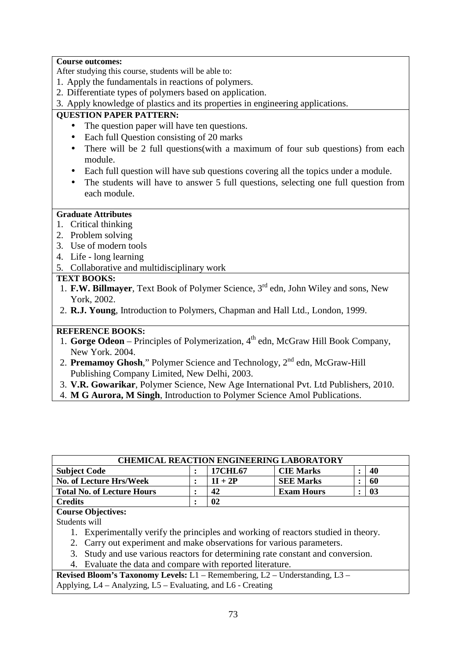#### **Course outcomes:**

After studying this course, students will be able to:

- 1. Apply the fundamentals in reactions of polymers.
- 2. Differentiate types of polymers based on application.
- 3. Apply knowledge of plastics and its properties in engineering applications.

## **QUESTION PAPER PATTERN:**

- The question paper will have ten questions.
- Each full Question consisting of 20 marks
- There will be 2 full questions(with a maximum of four sub questions) from each module.
- Each full question will have sub questions covering all the topics under a module.
- The students will have to answer 5 full questions, selecting one full question from each module.

#### **Graduate Attributes**

- 1. Critical thinking
- 2. Problem solving
- 3. Use of modern tools
- 4. Life long learning
- 5. Collaborative and multidisciplinary work

#### **TEXT BOOKS:**

- 1. **F.W. Billmayer**, Text Book of Polymer Science, 3rd edn, John Wiley and sons, New York, 2002.
- 2. **R.J. Young**, Introduction to Polymers, Chapman and Hall Ltd., London, 1999.

#### **REFERENCE BOOKS:**

- 1. **Gorge Odeon** Principles of Polymerization, 4<sup>th</sup> edn, McGraw Hill Book Company, New York. 2004.
- 2. **Premamoy Ghosh**," Polymer Science and Technology, 2<sup>nd</sup> edn, McGraw-Hill Publishing Company Limited, New Delhi, 2003.
- 3. **V.R. Gowarikar**, Polymer Science, New Age International Pvt. Ltd Publishers, 2010.
- 4. **M G Aurora, M Singh**, Introduction to Polymer Science Amol Publications.

| <b>CHEMICAL REACTION ENGINEERING LABORATORY</b> |  |           |                   |  |    |  |
|-------------------------------------------------|--|-----------|-------------------|--|----|--|
| <b>Subject Code</b>                             |  | 17CHL67   | <b>CIE Marks</b>  |  | 40 |  |
| No. of Lecture Hrs/Week                         |  | $1I + 2P$ | <b>SEE Marks</b>  |  | 60 |  |
| <b>Total No. of Lecture Hours</b>               |  | 42        | <b>Exam Hours</b> |  | 03 |  |
| <b>Credits</b>                                  |  | 02        |                   |  |    |  |

## **Course Objectives:**

Students will

- 1. Experimentally verify the principles and working of reactors studied in theory.
- 2. Carry out experiment and make observations for various parameters.
- 3. Study and use various reactors for determining rate constant and conversion.
- 4. Evaluate the data and compare with reported literature.

**Revised Bloom's Taxonomy Levels:** L1 – Remembering, L2 – Understanding, L3 – Applying, L4 – Analyzing, L5 – Evaluating, and L6 - Creating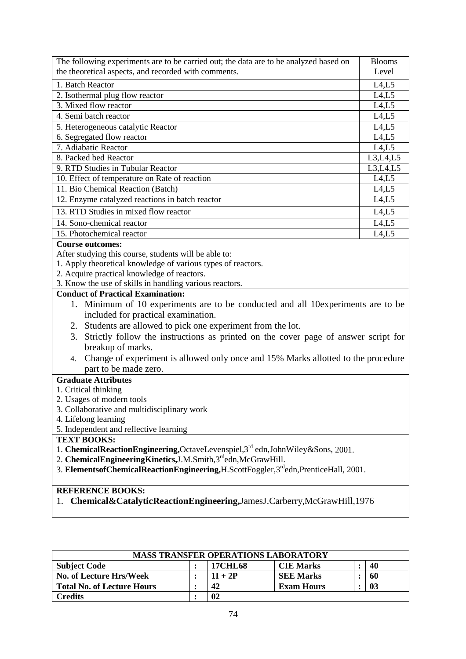| The following experiments are to be carried out; the data are to be analyzed based on                     | <b>Blooms</b> |  |  |  |  |
|-----------------------------------------------------------------------------------------------------------|---------------|--|--|--|--|
| the theoretical aspects, and recorded with comments.                                                      | Level         |  |  |  |  |
| 1. Batch Reactor                                                                                          | L4,L5         |  |  |  |  |
| 2. Isothermal plug flow reactor                                                                           | L4,L5         |  |  |  |  |
| 3. Mixed flow reactor                                                                                     | L4,L5         |  |  |  |  |
| 4. Semi batch reactor                                                                                     | L4,L5         |  |  |  |  |
| 5. Heterogeneous catalytic Reactor                                                                        | L4,L5         |  |  |  |  |
| 6. Segregated flow reactor                                                                                | L4,L5         |  |  |  |  |
| 7. Adiabatic Reactor                                                                                      | L4,L5         |  |  |  |  |
| 8. Packed bed Reactor                                                                                     | L3,L4,L5      |  |  |  |  |
| 9. RTD Studies in Tubular Reactor                                                                         | L3,L4,L5      |  |  |  |  |
| 10. Effect of temperature on Rate of reaction                                                             | L4,L5         |  |  |  |  |
| 11. Bio Chemical Reaction (Batch)                                                                         | L4,L5         |  |  |  |  |
| 12. Enzyme catalyzed reactions in batch reactor                                                           | L4,L5         |  |  |  |  |
| 13. RTD Studies in mixed flow reactor                                                                     | L4,L5         |  |  |  |  |
| 14. Sono-chemical reactor                                                                                 | L4,L5         |  |  |  |  |
| 15. Photochemical reactor                                                                                 | L4,L5         |  |  |  |  |
| <b>Course outcomes:</b>                                                                                   |               |  |  |  |  |
| After studying this course, students will be able to:                                                     |               |  |  |  |  |
| 1. Apply theoretical knowledge of various types of reactors.                                              |               |  |  |  |  |
| 2. Acquire practical knowledge of reactors.                                                               |               |  |  |  |  |
| 3. Know the use of skills in handling various reactors.                                                   |               |  |  |  |  |
| <b>Conduct of Practical Examination:</b>                                                                  |               |  |  |  |  |
| 1. Minimum of 10 experiments are to be conducted and all 10 experiments are to be                         |               |  |  |  |  |
| included for practical examination.                                                                       |               |  |  |  |  |
| 2. Students are allowed to pick one experiment from the lot.                                              |               |  |  |  |  |
| Strictly follow the instructions as printed on the cover page of answer script for<br>3.                  |               |  |  |  |  |
| breakup of marks.                                                                                         |               |  |  |  |  |
| Change of experiment is allowed only once and 15% Marks allotted to the procedure<br>4.                   |               |  |  |  |  |
| part to be made zero.                                                                                     |               |  |  |  |  |
| <b>Graduate Attributes</b>                                                                                |               |  |  |  |  |
| 1. Critical thinking                                                                                      |               |  |  |  |  |
| 2. Usages of modern tools                                                                                 |               |  |  |  |  |
| 3. Collaborative and multidisciplinary work                                                               |               |  |  |  |  |
| 4. Lifelong learning                                                                                      |               |  |  |  |  |
| 5. Independent and reflective learning                                                                    |               |  |  |  |  |
| <b>TEXT BOOKS:</b>                                                                                        |               |  |  |  |  |
| 1. ChemicalReactionEngineering,OctaveLevenspiel,3 <sup>rd</sup> edn,JohnWiley&Sons, 2001.                 |               |  |  |  |  |
| 2. ChemicalEngineeringKinetics, J.M.Smith, 3rd edn, McGrawHill.                                           |               |  |  |  |  |
| 3. Elements of Chemical Reaction Engineering, H. Scott Foggler, 3 <sup>rd</sup> edn, Prentice Hall, 2001. |               |  |  |  |  |
|                                                                                                           |               |  |  |  |  |

# **REFERENCE BOOKS:**

1. **Chemical&CatalyticReactionEngineering,**JamesJ.Carberry,McGrawHill,1976

| <b>MASS TRANSFER OPERATIONS LABORATORY</b> |  |                |                   |  |    |  |
|--------------------------------------------|--|----------------|-------------------|--|----|--|
| <b>Subject Code</b>                        |  | <b>17CHL68</b> | <b>CIE Marks</b>  |  | 40 |  |
| <b>No. of Lecture Hrs/Week</b>             |  | $1I + 2P$      | <b>SEE Marks</b>  |  | 60 |  |
| <b>Total No. of Lecture Hours</b>          |  | 42             | <b>Exam Hours</b> |  | 03 |  |
| Credits                                    |  | 02             |                   |  |    |  |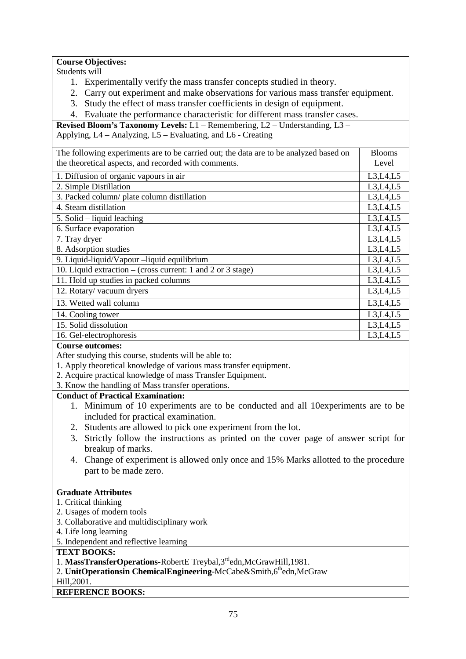#### **Course Objectives:**

Students will

- 1. Experimentally verify the mass transfer concepts studied in theory.
- 2. Carry out experiment and make observations for various mass transfer equipment.
- 3. Study the effect of mass transfer coefficients in design of equipment.
- 4. Evaluate the performance characteristic for different mass transfer cases.

**Revised Bloom's Taxonomy Levels:** L1 – Remembering, L2 – Understanding, L3 – Applying, L4 – Analyzing, L5 – Evaluating, and L6 - Creating

| The following experiments are to be carried out; the data are to be analyzed based on | <b>Blooms</b> |  |  |  |  |
|---------------------------------------------------------------------------------------|---------------|--|--|--|--|
| the theoretical aspects, and recorded with comments.                                  |               |  |  |  |  |
|                                                                                       | Level         |  |  |  |  |
| 1. Diffusion of organic vapours in air                                                | L3,L4,L5      |  |  |  |  |
| 2. Simple Distillation                                                                | L3,L4,L5      |  |  |  |  |
| 3. Packed column/ plate column distillation                                           | L3,L4,L5      |  |  |  |  |
| 4. Steam distillation                                                                 | L3,L4,L5      |  |  |  |  |
| 5. Solid – liquid leaching                                                            | L3,L4,L5      |  |  |  |  |
| 6. Surface evaporation                                                                | L3,L4,L5      |  |  |  |  |
| 7. Tray dryer                                                                         | L3,L4,L5      |  |  |  |  |
| 8. Adsorption studies                                                                 | L3,L4,L5      |  |  |  |  |
| 9. Liquid-liquid/Vapour –liquid equilibrium                                           | L3,L4,L5      |  |  |  |  |
| 10. Liquid extraction – (cross current: 1 and 2 or 3 stage)                           | L3,L4,L5      |  |  |  |  |
| 11. Hold up studies in packed columns                                                 | L3,L4,L5      |  |  |  |  |
| 12. Rotary/vacuum dryers                                                              | L3,L4,L5      |  |  |  |  |
| 13. Wetted wall column                                                                | L3,L4,L5      |  |  |  |  |
| 14. Cooling tower                                                                     | L3, L4, L5    |  |  |  |  |
| 15. Solid dissolution                                                                 | L3,L4,L5      |  |  |  |  |
| 16. Gel-electrophoresis                                                               | L3,L4,L5      |  |  |  |  |

#### **Course outcomes:**

After studying this course, students will be able to:

- 1. Apply theoretical knowledge of various mass transfer equipment.
- 2. Acquire practical knowledge of mass Transfer Equipment.
- 3. Know the handling of Mass transfer operations.

## **Conduct of Practical Examination:**

- 1. Minimum of 10 experiments are to be conducted and all 10experiments are to be included for practical examination.
- 2. Students are allowed to pick one experiment from the lot.
- 3. Strictly follow the instructions as printed on the cover page of answer script for breakup of marks.
- 4. Change of experiment is allowed only once and 15% Marks allotted to the procedure part to be made zero.

#### **Graduate Attributes**

- 1. Critical thinking
- 2. Usages of modern tools
- 3. Collaborative and multidisciplinary work
- 4. Life long learning
- 5. Independent and reflective learning

#### **TEXT BOOKS:**

- 1. **MassTransferOperations-**RobertE Treybal,3rdedn,McGrawHill,1981.
- 2. **UnitOperationsin ChemicalEngineering-McCabe&Smith,6thedn,McGraw**

#### Hill,2001.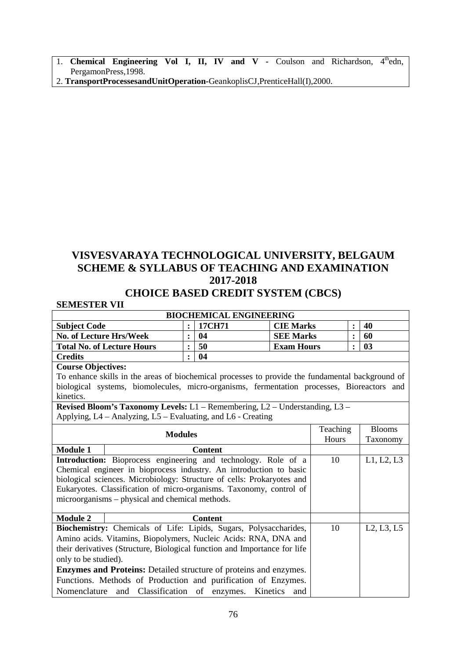- 1. **Chemical Engineering Vol I, II, IV and V -** Coulson and Richardson, 4<sup>th</sup>edn, PergamonPress,1998.
- 2. **TransportProcessesandUnitOperation-**GeankoplisCJ,PrenticeHall(I),2000.

# **VISVESVARAYA TECHNOLOGICAL UNIVERSITY, BELGAUM SCHEME & SYLLABUS OF TEACHING AND EXAMINATION 2017-2018**

## **CHOICE BASED CREDIT SYSTEM (CBCS)**

## **SEMESTER VII**

| SEMESTEK VII                                                                                     |                                |  |                |                   |               |                |                |
|--------------------------------------------------------------------------------------------------|--------------------------------|--|----------------|-------------------|---------------|----------------|----------------|
|                                                                                                  | <b>BIOCHEMICAL ENGINEERING</b> |  |                |                   |               |                |                |
| <b>Subject Code</b>                                                                              | $\ddot{\cdot}$                 |  | 17CH71         | <b>CIE Marks</b>  |               | $\ddot{\cdot}$ | 40             |
| <b>No. of Lecture Hrs/Week</b>                                                                   | $\ddot{\cdot}$                 |  | 04             | <b>SEE Marks</b>  |               | $\ddot{\cdot}$ | 60             |
| <b>Total No. of Lecture Hours</b>                                                                | $\ddot{\cdot}$                 |  | 50             | <b>Exam Hours</b> |               |                | 0 <sub>3</sub> |
| <b>Credits</b>                                                                                   | $\ddot{\cdot}$                 |  | 04             |                   |               |                |                |
| <b>Course Objectives:</b>                                                                        |                                |  |                |                   |               |                |                |
| To enhance skills in the areas of biochemical processes to provide the fundamental background of |                                |  |                |                   |               |                |                |
| biological systems, biomolecules, micro-organisms, fermentation processes, Bioreactors and       |                                |  |                |                   |               |                |                |
| kinetics.                                                                                        |                                |  |                |                   |               |                |                |
| Revised Bloom's Taxonomy Levels: $L1$ – Remembering, $L2$ – Understanding, $L3$ –                |                                |  |                |                   |               |                |                |
| Applying, L4 – Analyzing, L5 – Evaluating, and L6 - Creating                                     |                                |  |                |                   |               |                |                |
|                                                                                                  |                                |  | Teaching       |                   | <b>Blooms</b> |                |                |
| <b>Modules</b>                                                                                   |                                |  |                | Hours             |               | Taxonomy       |                |
| <b>Module 1</b>                                                                                  |                                |  | <b>Content</b> |                   |               |                |                |
| Introduction: Bioprocess engineering and technology. Role of a                                   |                                |  |                | 10                |               | L1, L2, L3     |                |
| Chemical engineer in bioprocess industry. An introduction to basic                               |                                |  |                |                   |               |                |                |
| biological sciences. Microbiology: Structure of cells: Prokaryotes and                           |                                |  |                |                   |               |                |                |
| Eukaryotes. Classification of micro-organisms. Taxonomy, control of                              |                                |  |                |                   |               |                |                |
| microorganisms – physical and chemical methods.                                                  |                                |  |                |                   |               |                |                |
|                                                                                                  |                                |  |                |                   |               |                |                |
| <b>Module 2</b>                                                                                  |                                |  | <b>Content</b> |                   |               |                |                |
| Biochemistry: Chemicals of Life: Lipids, Sugars, Polysaccharides,                                |                                |  |                |                   | 10            |                | L2, L3, L5     |
| Amino acids. Vitamins, Biopolymers, Nucleic Acids: RNA, DNA and                                  |                                |  |                |                   |               |                |                |
| their derivatives (Structure, Biological function and Importance for life                        |                                |  |                |                   |               |                |                |
| only to be studied).                                                                             |                                |  |                |                   |               |                |                |
| <b>Enzymes and Proteins:</b> Detailed structure of proteins and enzymes.                         |                                |  |                |                   |               |                |                |
| Functions. Methods of Production and purification of Enzymes.                                    |                                |  |                |                   |               |                |                |
| Nomenclature and Classification of enzymes. Kinetics                                             |                                |  |                | and               |               |                |                |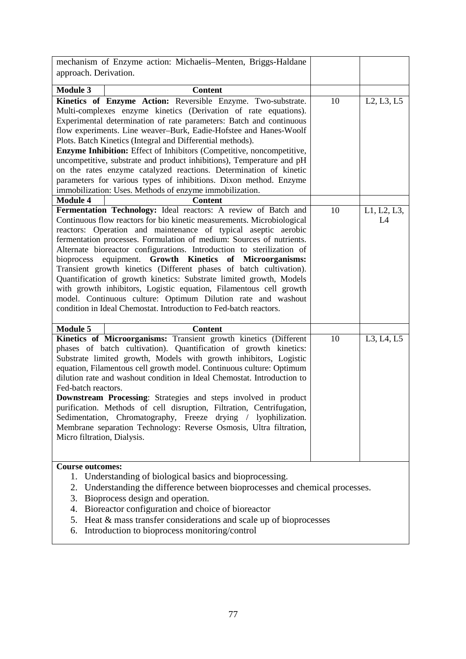| mechanism of Enzyme action: Michaelis-Menten, Briggs-Haldane<br>approach. Derivation.                                                                                                                                                                                                                                                                                                                                                                                                                                                                                                                                                                                                                                                                                           |    |                   |
|---------------------------------------------------------------------------------------------------------------------------------------------------------------------------------------------------------------------------------------------------------------------------------------------------------------------------------------------------------------------------------------------------------------------------------------------------------------------------------------------------------------------------------------------------------------------------------------------------------------------------------------------------------------------------------------------------------------------------------------------------------------------------------|----|-------------------|
|                                                                                                                                                                                                                                                                                                                                                                                                                                                                                                                                                                                                                                                                                                                                                                                 |    |                   |
| <b>Module 3</b><br><b>Content</b>                                                                                                                                                                                                                                                                                                                                                                                                                                                                                                                                                                                                                                                                                                                                               |    |                   |
| Kinetics of Enzyme Action: Reversible Enzyme. Two-substrate.<br>Multi-complexes enzyme kinetics (Derivation of rate equations).<br>Experimental determination of rate parameters: Batch and continuous<br>flow experiments. Line weaver-Burk, Eadie-Hofstee and Hanes-Woolf<br>Plots. Batch Kinetics (Integral and Differential methods).<br><b>Enzyme Inhibition:</b> Effect of Inhibitors (Competitive, noncompetitive,<br>uncompetitive, substrate and product inhibitions), Temperature and pH<br>on the rates enzyme catalyzed reactions. Determination of kinetic<br>parameters for various types of inhibitions. Dixon method. Enzyme<br>immobilization: Uses. Methods of enzyme immobilization.<br><b>Module 4</b><br><b>Content</b>                                    | 10 | L2, L3, L5        |
|                                                                                                                                                                                                                                                                                                                                                                                                                                                                                                                                                                                                                                                                                                                                                                                 |    |                   |
| Fermentation Technology: Ideal reactors: A review of Batch and<br>Continuous flow reactors for bio kinetic measurements. Microbiological<br>reactors: Operation and maintenance of typical aseptic aerobic<br>fermentation processes. Formulation of medium: Sources of nutrients.<br>Alternate bioreactor configurations. Introduction to sterilization of<br>bioprocess equipment. Growth Kinetics of Microorganisms:<br>Transient growth kinetics (Different phases of batch cultivation).<br>Quantification of growth kinetics: Substrate limited growth, Models<br>with growth inhibitors, Logistic equation, Filamentous cell growth<br>model. Continuous culture: Optimum Dilution rate and washout<br>condition in Ideal Chemostat. Introduction to Fed-batch reactors. | 10 | L1, L2, L3,<br>L4 |
| <b>Module 5</b><br><b>Content</b>                                                                                                                                                                                                                                                                                                                                                                                                                                                                                                                                                                                                                                                                                                                                               |    |                   |
| Kinetics of Microorganisms: Transient growth kinetics (Different<br>phases of batch cultivation). Quantification of growth kinetics:<br>Substrate limited growth, Models with growth inhibitors, Logistic<br>equation, Filamentous cell growth model. Continuous culture: Optimum<br>dilution rate and washout condition in Ideal Chemostat. Introduction to<br>Fed-batch reactors.<br>Downstream Processing: Strategies and steps involved in product<br>purification. Methods of cell disruption, Filtration, Centrifugation,<br>Sedimentation, Chromatography, Freeze drying / lyophilization.<br>Membrane separation Technology: Reverse Osmosis, Ultra filtration,<br>Micro filtration, Dialysis.                                                                          | 10 | L3, L4, L5        |
| <b>Course outcomes:</b>                                                                                                                                                                                                                                                                                                                                                                                                                                                                                                                                                                                                                                                                                                                                                         |    |                   |
| Understanding of biological basics and bioprocessing.<br>1.<br>2. Understanding the difference between bioprocesses and chemical processes.<br>Bioprocess design and operation.<br>3.<br>4. Bioreactor configuration and choice of bioreactor                                                                                                                                                                                                                                                                                                                                                                                                                                                                                                                                   |    |                   |

- 5. Heat & mass transfer considerations and scale up of bioprocesses
- 6. Introduction to bioprocess monitoring/control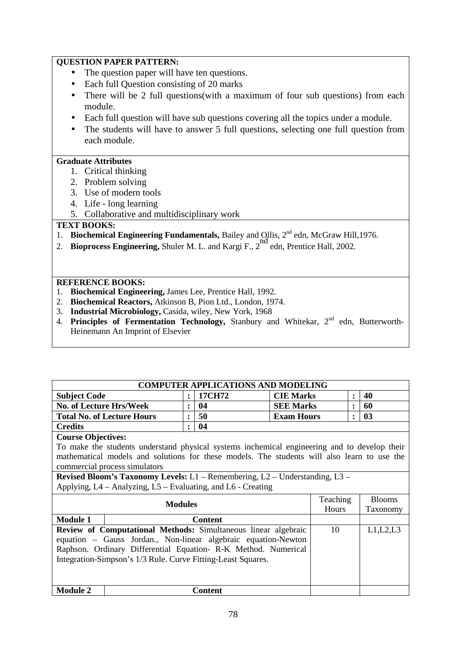## **QUESTION PAPER PATTERN:**

- The question paper will have ten questions.
- Each full Ouestion consisting of 20 marks
- There will be 2 full questions(with a maximum of four sub questions) from each module.
- Each full question will have sub questions covering all the topics under a module.
- The students will have to answer 5 full questions, selecting one full question from each module.

## **Graduate Attributes**

- 1. Critical thinking
- 2. Problem solving
- 3. Use of modern tools
- 4. Life long learning
- 5. Collaborative and multidisciplinary work

## **TEXT BOOKS:**

- 1. **Biochemical Engineering Fundamentals, Bailey and Ollis, 2<sup>nd</sup> edn, McGraw Hill, 1976.**
- 2. **Bioprocess Engineering,** Shuler M. L. and Kargi F., 2<sup>nd</sup> edn, Prentice Hall, 2002.

- 1. **Biochemical Engineering,** James Lee, Prentice Hall, 1992.
- 2. **Biochemical Reactors,** Atkinson B, Pion Ltd., London, 1974.
- 3. **Industrial Microbiology,** Casida, wiley, New York, 1968
- 4. **Principles of Fermentation Technology, Stanbury and Whitekar, 2<sup>nd</sup> edn, Butterworth-**Heinemann An Imprint of Elsevier

| <b>COMPUTER APPLICATIONS AND MODELING</b>                    |                                                                                              |                |                |                   |          |           |               |
|--------------------------------------------------------------|----------------------------------------------------------------------------------------------|----------------|----------------|-------------------|----------|-----------|---------------|
| <b>Subject Code</b>                                          |                                                                                              | $\ddot{\cdot}$ | 17CH72         | <b>CIE Marks</b>  |          | $\bullet$ | 40            |
| <b>No. of Lecture Hrs/Week</b>                               |                                                                                              | ٠              | 04             | <b>SEE Marks</b>  |          | $\bullet$ | 60            |
|                                                              | <b>Total No. of Lecture Hours</b>                                                            | ٠              | 50             | <b>Exam Hours</b> |          | ٠         | 03            |
| <b>Credits</b>                                               |                                                                                              | ٠              | 04             |                   |          |           |               |
| <b>Course Objectives:</b>                                    |                                                                                              |                |                |                   |          |           |               |
|                                                              | To make the students understand physical systems inchemical engineering and to develop their |                |                |                   |          |           |               |
|                                                              | mathematical models and solutions for these models. The students will also learn to use the  |                |                |                   |          |           |               |
|                                                              | commercial process simulators                                                                |                |                |                   |          |           |               |
|                                                              | <b>Revised Bloom's Taxonomy Levels:</b> $L1$ – Remembering, $L2$ – Understanding, $L3$ –     |                |                |                   |          |           |               |
|                                                              | Applying, L4 – Analyzing, L5 – Evaluating, and L6 - Creating                                 |                |                |                   |          |           |               |
| <b>Modules</b>                                               |                                                                                              |                |                |                   | Teaching |           | <b>Blooms</b> |
|                                                              |                                                                                              |                |                |                   | Hours    |           | Taxonomy      |
| <b>Module 1</b>                                              |                                                                                              |                | <b>Content</b> |                   |          |           |               |
|                                                              | Review of Computational Methods: Simultaneous linear algebraic                               |                |                |                   | 10       |           | L1,L2,L3      |
|                                                              | equation – Gauss Jordan., Non-linear algebraic equation-Newton                               |                |                |                   |          |           |               |
|                                                              | Raphson. Ordinary Differential Equation- R-K Method. Numerical                               |                |                |                   |          |           |               |
| Integration-Simpson's 1/3 Rule. Curve Fitting-Least Squares. |                                                                                              |                |                |                   |          |           |               |
|                                                              |                                                                                              |                |                |                   |          |           |               |
|                                                              |                                                                                              |                |                |                   |          |           |               |
| <b>Module 2</b>                                              |                                                                                              |                | Content        |                   |          |           |               |
|                                                              |                                                                                              |                |                |                   |          |           |               |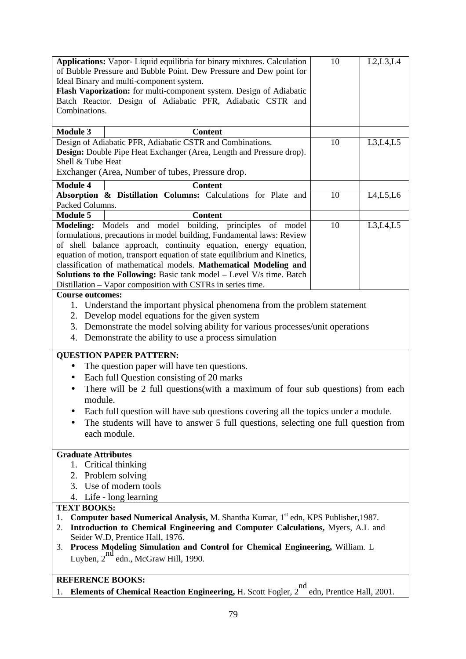| Applications: Vapor-Liquid equilibria for binary mixtures. Calculation                                                                               | 10                                                                                                               | L2, L3, L4 |  |  |  |  |
|------------------------------------------------------------------------------------------------------------------------------------------------------|------------------------------------------------------------------------------------------------------------------|------------|--|--|--|--|
| of Bubble Pressure and Bubble Point. Dew Pressure and Dew point for                                                                                  |                                                                                                                  |            |  |  |  |  |
| Ideal Binary and multi-component system.                                                                                                             |                                                                                                                  |            |  |  |  |  |
| Flash Vaporization: for multi-component system. Design of Adiabatic<br>Batch Reactor. Design of Adiabatic PFR, Adiabatic CSTR and                    |                                                                                                                  |            |  |  |  |  |
| Combinations.                                                                                                                                        |                                                                                                                  |            |  |  |  |  |
|                                                                                                                                                      |                                                                                                                  |            |  |  |  |  |
| <b>Module 3</b><br><b>Content</b>                                                                                                                    |                                                                                                                  |            |  |  |  |  |
| Design of Adiabatic PFR, Adiabatic CSTR and Combinations.                                                                                            | 10                                                                                                               | L3,L4,L5   |  |  |  |  |
| Design: Double Pipe Heat Exchanger (Area, Length and Pressure drop).                                                                                 |                                                                                                                  |            |  |  |  |  |
| Shell & Tube Heat                                                                                                                                    |                                                                                                                  |            |  |  |  |  |
| Exchanger (Area, Number of tubes, Pressure drop.                                                                                                     |                                                                                                                  |            |  |  |  |  |
| <b>Module 4</b><br><b>Content</b>                                                                                                                    |                                                                                                                  |            |  |  |  |  |
| Absorption & Distillation Columns: Calculations for Plate and                                                                                        | 10                                                                                                               | L4, L5, L6 |  |  |  |  |
| Packed Columns.                                                                                                                                      |                                                                                                                  |            |  |  |  |  |
| <b>Module 5</b><br><b>Content</b>                                                                                                                    |                                                                                                                  |            |  |  |  |  |
| building, principles<br><b>Modeling:</b> Models<br>and<br>model<br>of model<br>formulations, precautions in model building, Fundamental laws: Review | 10                                                                                                               | L3, L4, L5 |  |  |  |  |
| of shell balance approach, continuity equation, energy equation,                                                                                     |                                                                                                                  |            |  |  |  |  |
| equation of motion, transport equation of state equilibrium and Kinetics,                                                                            |                                                                                                                  |            |  |  |  |  |
| classification of mathematical models. Mathematical Modeling and                                                                                     |                                                                                                                  |            |  |  |  |  |
| <b>Solutions to the Following:</b> Basic tank model $-$ Level V/s time. Batch                                                                        |                                                                                                                  |            |  |  |  |  |
| Distillation - Vapor composition with CSTRs in series time.                                                                                          |                                                                                                                  |            |  |  |  |  |
| <b>Course outcomes:</b>                                                                                                                              |                                                                                                                  |            |  |  |  |  |
| 1. Understand the important physical phenomena from the problem statement                                                                            |                                                                                                                  |            |  |  |  |  |
| 2. Develop model equations for the given system                                                                                                      |                                                                                                                  |            |  |  |  |  |
| 3. Demonstrate the model solving ability for various processes/unit operations                                                                       |                                                                                                                  |            |  |  |  |  |
| 4. Demonstrate the ability to use a process simulation                                                                                               |                                                                                                                  |            |  |  |  |  |
| <b>QUESTION PAPER PATTERN:</b>                                                                                                                       |                                                                                                                  |            |  |  |  |  |
| The question paper will have ten questions.                                                                                                          |                                                                                                                  |            |  |  |  |  |
| Each full Question consisting of 20 marks<br>$\bullet$                                                                                               |                                                                                                                  |            |  |  |  |  |
| There will be 2 full questions(with a maximum of four sub questions) from each                                                                       |                                                                                                                  |            |  |  |  |  |
| module.                                                                                                                                              |                                                                                                                  |            |  |  |  |  |
| Each full question will have sub questions covering all the topics under a module.                                                                   |                                                                                                                  |            |  |  |  |  |
| The students will have to answer 5 full questions, selecting one full question from                                                                  |                                                                                                                  |            |  |  |  |  |
| each module.                                                                                                                                         |                                                                                                                  |            |  |  |  |  |
|                                                                                                                                                      |                                                                                                                  |            |  |  |  |  |
| <b>Graduate Attributes</b>                                                                                                                           |                                                                                                                  |            |  |  |  |  |
| 1. Critical thinking                                                                                                                                 |                                                                                                                  |            |  |  |  |  |
| 2. Problem solving                                                                                                                                   |                                                                                                                  |            |  |  |  |  |
| 3. Use of modern tools                                                                                                                               |                                                                                                                  |            |  |  |  |  |
| 4. Life - long learning                                                                                                                              |                                                                                                                  |            |  |  |  |  |
| <b>TEXT BOOKS:</b>                                                                                                                                   |                                                                                                                  |            |  |  |  |  |
| Computer based Numerical Analysis, M. Shantha Kumar, 1st edn, KPS Publisher, 1987.<br>1.                                                             |                                                                                                                  |            |  |  |  |  |
| Introduction to Chemical Engineering and Computer Calculations, Myers, A.L and<br>2.                                                                 |                                                                                                                  |            |  |  |  |  |
| 3.                                                                                                                                                   | Seider W.D, Prentice Hall, 1976.<br>Process Modeling Simulation and Control for Chemical Engineering, William. L |            |  |  |  |  |
| Luyben, 2 <sup>nd</sup> edn., McGraw Hill, 1990.                                                                                                     |                                                                                                                  |            |  |  |  |  |
|                                                                                                                                                      |                                                                                                                  |            |  |  |  |  |
| <b>REFERENCE BOOKS:</b>                                                                                                                              |                                                                                                                  |            |  |  |  |  |
| 1. Elements of Chemical Reaction Engineering, H. Scott Fogler, 2 <sup>nd</sup>                                                                       | edn, Prentice Hall, 2001.                                                                                        |            |  |  |  |  |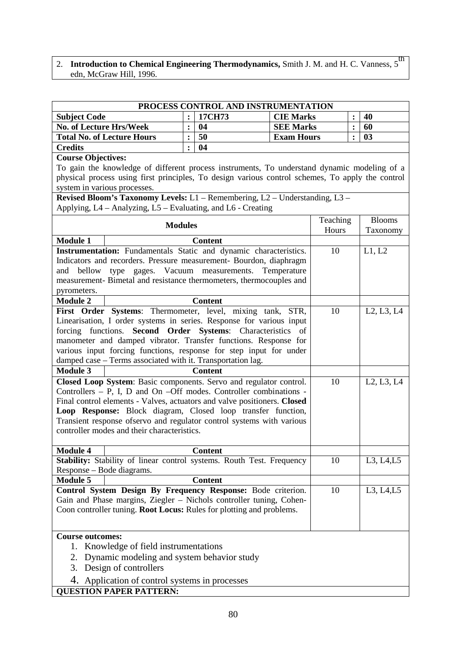## 2. Introduction to Chemical Engineering Thermodynamics, Smith J. M. and H. C. Vanness, 5<sup>th</sup> edn, McGraw Hill, 1996.

| PROCESS CONTROL AND INSTRUMENTATION |  |        |                   |  |    |  |
|-------------------------------------|--|--------|-------------------|--|----|--|
| <b>Subject Code</b>                 |  | 17CH73 | <b>CIE Marks</b>  |  | 40 |  |
| No. of Lecture Hrs/Week             |  | 04     | <b>SEE Marks</b>  |  | 60 |  |
| <b>Total No. of Lecture Hours</b>   |  | 50     | <b>Exam Hours</b> |  | 03 |  |
| <b>Credits</b>                      |  | 04     |                   |  |    |  |

#### **Course Objectives:**

To gain the knowledge of different process instruments, To understand dynamic modeling of a physical process using first principles, To design various control schemes, To apply the control system in various processes.

**Revised Bloom's Taxonomy Levels:** L1 – Remembering, L2 – Understanding, L3 – Applying, L4 – Analyzing, L5 – Evaluating, and L6 - Creating

|                                               | <b>Modules</b>                                                                                              | Teaching | <b>Blooms</b>                                    |  |  |
|-----------------------------------------------|-------------------------------------------------------------------------------------------------------------|----------|--------------------------------------------------|--|--|
|                                               |                                                                                                             | Hours    | Taxonomy                                         |  |  |
| <b>Module 1</b>                               | <b>Content</b>                                                                                              |          |                                                  |  |  |
|                                               | Instrumentation: Fundamentals Static and dynamic characteristics.                                           | 10       | L1, L2                                           |  |  |
|                                               | Indicators and recorders. Pressure measurement- Bourdon, diaphragm                                          |          |                                                  |  |  |
|                                               | and bellow type gages. Vacuum measurements.<br>Temperature                                                  |          |                                                  |  |  |
|                                               | measurement- Bimetal and resistance thermometers, thermocouples and                                         |          |                                                  |  |  |
| pyrometers.                                   |                                                                                                             |          |                                                  |  |  |
| <b>Module 2</b>                               | <b>Content</b>                                                                                              |          |                                                  |  |  |
|                                               | First Order Systems: Thermometer, level, mixing tank, STR,                                                  | 10       | L <sub>2</sub> , L <sub>3</sub> , L <sub>4</sub> |  |  |
|                                               | Linearisation, I order systems in series. Response for various input                                        |          |                                                  |  |  |
| forcing functions.                            | Second Order Systems: Characteristics of<br>manometer and damped vibrator. Transfer functions. Response for |          |                                                  |  |  |
|                                               | various input forcing functions, response for step input for under                                          |          |                                                  |  |  |
|                                               | damped case - Terms associated with it. Transportation lag.                                                 |          |                                                  |  |  |
| <b>Module 3</b>                               | <b>Content</b>                                                                                              |          |                                                  |  |  |
|                                               | Closed Loop System: Basic components. Servo and regulator control.                                          | 10       | L <sub>2</sub> , L <sub>3</sub> , L <sub>4</sub> |  |  |
|                                               | Controllers $- P$ , I, D and On $- Off$ modes. Controller combinations -                                    |          |                                                  |  |  |
|                                               | Final control elements - Valves, actuators and valve positioners. Closed                                    |          |                                                  |  |  |
|                                               | Loop Response: Block diagram, Closed loop transfer function,                                                |          |                                                  |  |  |
|                                               | Transient response ofservo and regulator control systems with various                                       |          |                                                  |  |  |
|                                               | controller modes and their characteristics.                                                                 |          |                                                  |  |  |
|                                               |                                                                                                             |          |                                                  |  |  |
| <b>Module 4</b>                               | <b>Content</b>                                                                                              |          |                                                  |  |  |
|                                               | Stability: Stability of linear control systems. Routh Test. Frequency                                       | 10       | L3, L4, L5                                       |  |  |
| Response – Bode diagrams.                     |                                                                                                             |          |                                                  |  |  |
| <b>Module 5</b>                               | <b>Content</b>                                                                                              |          |                                                  |  |  |
|                                               | Control System Design By Frequency Response: Bode criterion.                                                | 10       | L3, L4, L5                                       |  |  |
|                                               | Gain and Phase margins, Ziegler - Nichols controller tuning, Cohen-                                         |          |                                                  |  |  |
|                                               | Coon controller tuning. Root Locus: Rules for plotting and problems.                                        |          |                                                  |  |  |
|                                               |                                                                                                             |          |                                                  |  |  |
| <b>Course outcomes:</b>                       |                                                                                                             |          |                                                  |  |  |
|                                               | 1. Knowledge of field instrumentations                                                                      |          |                                                  |  |  |
| 2. Dynamic modeling and system behavior study |                                                                                                             |          |                                                  |  |  |
|                                               | 3. Design of controllers                                                                                    |          |                                                  |  |  |
|                                               | 4. Application of control systems in processes                                                              |          |                                                  |  |  |
|                                               | <b>QUESTION PAPER PATTERN:</b>                                                                              |          |                                                  |  |  |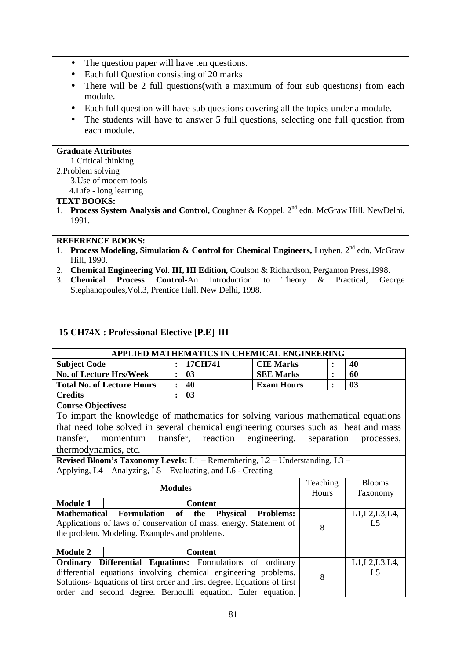- The question paper will have ten questions.
- Each full Question consisting of 20 marks
- There will be 2 full questions(with a maximum of four sub questions) from each module.
- Each full question will have sub questions covering all the topics under a module.
- The students will have to answer 5 full questions, selecting one full question from each module.

## **Graduate Attributes**

## 1.Critical thinking

- 2.Problem solving
	- 3.Use of modern tools

## 4.Life - long learning

#### **TEXT BOOKS:**

1. **Process System Analysis and Control, Coughner & Koppel, 2<sup>nd</sup> edn, McGraw Hill, NewDelhi,** 1991.

#### **REFERENCE BOOKS:**

- 1. **Process Modeling, Simulation & Control for Chemical Engineers, Luyben, 2<sup>nd</sup> edn, McGraw** Hill, 1990.
- 2. **Chemical Engineering Vol. III, III Edition,** Coulson & Richardson, Pergamon Press,1998.
- 3. **Chemical Process Control-**An Introduction to Theory & Practical, George Stephanopoules,Vol.3, Prentice Hall, New Delhi, 1998.

## **15 CH74X : Professional Elective [P.E]-III**

| APPLIED MATHEMATICS IN CHEMICAL ENGINEERING |  |         |                   |  |    |  |
|---------------------------------------------|--|---------|-------------------|--|----|--|
| <b>Subject Code</b>                         |  | 17CH741 | <b>CIE Marks</b>  |  | 40 |  |
| <b>No. of Lecture Hrs/Week</b>              |  | 03      | <b>SEE Marks</b>  |  | 60 |  |
| <b>Total No. of Lecture Hours</b>           |  | 40      | <b>Exam Hours</b> |  | 03 |  |
| <b>Credits</b>                              |  | 03      |                   |  |    |  |

#### **Course Objectives:**

To impart the knowledge of mathematics for solving various mathematical equations that need tobe solved in several chemical engineering courses such as heat and mass transfer, momentum transfer, reaction engineering, separation processes, thermodynamics, etc.

**Revised Bloom's Taxonomy Levels:** L1 – Remembering, L2 – Understanding, L3 – Applying, L4 – Analyzing, L5 – Evaluating, and L6 - Creating

|                 | <b>Modules</b>                                                           | Teaching | <b>Blooms</b>   |
|-----------------|--------------------------------------------------------------------------|----------|-----------------|
|                 |                                                                          | Hours    | Taxonomy        |
| <b>Module 1</b> | <b>Content</b>                                                           |          |                 |
|                 | Mathematical Formulation of the Physical Problems:                       |          | L1, L2, L3, L4, |
|                 | Applications of laws of conservation of mass, energy. Statement of       | 8        | L <sub>5</sub>  |
|                 | the problem. Modeling. Examples and problems.                            |          |                 |
|                 |                                                                          |          |                 |
| <b>Module 2</b> | <b>Content</b>                                                           |          |                 |
|                 | <b>Ordinary Differential Equations:</b> Formulations of ordinary         |          | L1, L2, L3, L4, |
|                 | differential equations involving chemical engineering problems.          | 8        | L <sub>5</sub>  |
|                 | Solutions- Equations of first order and first degree. Equations of first |          |                 |
|                 | order and second degree. Bernoulli equation. Euler equation.             |          |                 |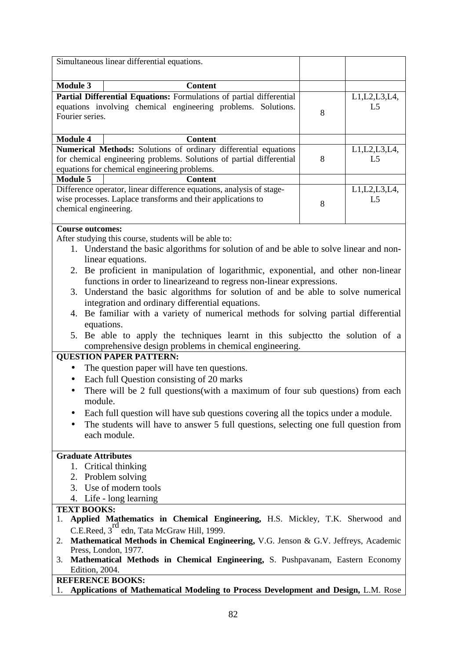|                            | Simultaneous linear differential equations.                                                                                              |   |                 |
|----------------------------|------------------------------------------------------------------------------------------------------------------------------------------|---|-----------------|
|                            |                                                                                                                                          |   |                 |
| <b>Module 3</b>            | <b>Content</b>                                                                                                                           |   |                 |
|                            | Partial Differential Equations: Formulations of partial differential                                                                     |   | L1, L2, L3, L4, |
| Fourier series.            | equations involving chemical engineering problems. Solutions.                                                                            | 8 | L5              |
| <b>Module 4</b>            | <b>Content</b>                                                                                                                           |   |                 |
|                            | Numerical Methods: Solutions of ordinary differential equations                                                                          |   | L1, L2, L3, L4, |
|                            | for chemical engineering problems. Solutions of partial differential                                                                     | 8 | L5              |
|                            | equations for chemical engineering problems.                                                                                             |   |                 |
| <b>Module 5</b>            | <b>Content</b>                                                                                                                           |   |                 |
|                            | Difference operator, linear difference equations, analysis of stage-                                                                     |   | L1, L2, L3, L4, |
|                            | wise processes. Laplace transforms and their applications to                                                                             | 8 | L <sub>5</sub>  |
| chemical engineering.      |                                                                                                                                          |   |                 |
| <b>Course outcomes:</b>    |                                                                                                                                          |   |                 |
|                            | After studying this course, students will be able to:                                                                                    |   |                 |
|                            | 1. Understand the basic algorithms for solution of and be able to solve linear and non-<br>linear equations.                             |   |                 |
|                            | 2. Be proficient in manipulation of logarithmic, exponential, and other non-linear                                                       |   |                 |
|                            | functions in order to linearizeand to regress non-linear expressions.                                                                    |   |                 |
|                            | 3. Understand the basic algorithms for solution of and be able to solve numerical                                                        |   |                 |
|                            |                                                                                                                                          |   |                 |
|                            | integration and ordinary differential equations.                                                                                         |   |                 |
|                            | 4. Be familiar with a variety of numerical methods for solving partial differential                                                      |   |                 |
|                            | equations.                                                                                                                               |   |                 |
|                            | 5. Be able to apply the techniques learnt in this subject to the solution of a<br>comprehensive design problems in chemical engineering. |   |                 |
|                            | <b>QUESTION PAPER PATTERN:</b>                                                                                                           |   |                 |
| $\bullet$                  | The question paper will have ten questions.                                                                                              |   |                 |
|                            |                                                                                                                                          |   |                 |
| ٠                          | Each full Question consisting of 20 marks                                                                                                |   |                 |
|                            | There will be 2 full questions (with a maximum of four sub questions) from each                                                          |   |                 |
| module.                    |                                                                                                                                          |   |                 |
|                            | Each full question will have sub questions covering all the topics under a module.                                                       |   |                 |
|                            | The students will have to answer 5 full questions, selecting one full question from                                                      |   |                 |
|                            | each module.                                                                                                                             |   |                 |
| <b>Graduate Attributes</b> |                                                                                                                                          |   |                 |
|                            | 1. Critical thinking                                                                                                                     |   |                 |
|                            |                                                                                                                                          |   |                 |
|                            | 2. Problem solving                                                                                                                       |   |                 |
|                            | 3. Use of modern tools                                                                                                                   |   |                 |
|                            | 4. Life - long learning                                                                                                                  |   |                 |
| <b>TEXT BOOKS:</b>         |                                                                                                                                          |   |                 |
| 1.                         | Applied Mathematics in Chemical Engineering, H.S. Mickley, T.K. Sherwood and                                                             |   |                 |
|                            | C.E.Reed, 3 <sup>rd</sup> edn, Tata McGraw Hill, 1999.                                                                                   |   |                 |
| 2.                         | Mathematical Methods in Chemical Engineering, V.G. Jenson & G.V. Jeffreys, Academic                                                      |   |                 |
| 3.                         | Press, London, 1977.<br>Mathematical Methods in Chemical Engineering, S. Pushpavanam, Eastern Economy                                    |   |                 |
| Edition, 2004.             |                                                                                                                                          |   |                 |
|                            | <b>REFERENCE BOOKS:</b>                                                                                                                  |   |                 |
| 1.                         | Applications of Mathematical Modeling to Process Development and Design, L.M. Rose                                                       |   |                 |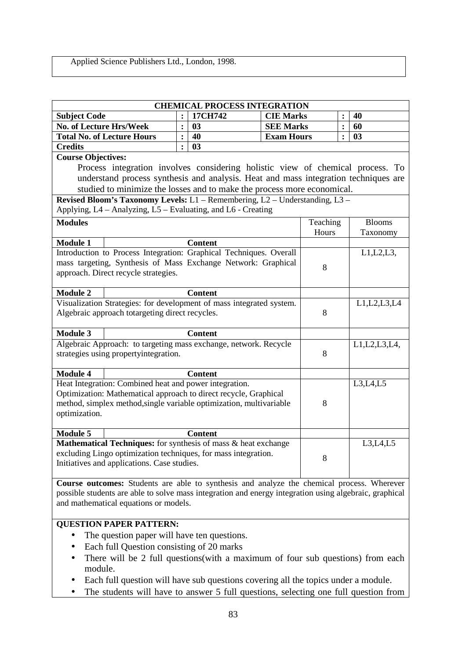# Applied Science Publishers Ltd., London, 1998.

|                                                                                                 | <b>CHEMICAL PROCESS INTEGRATION</b>                    |                |                                                                                                                                     |                   |          |                |                 |
|-------------------------------------------------------------------------------------------------|--------------------------------------------------------|----------------|-------------------------------------------------------------------------------------------------------------------------------------|-------------------|----------|----------------|-----------------|
| <b>Subject Code</b>                                                                             |                                                        | $\ddot{\cdot}$ | 17CH742                                                                                                                             | <b>CIE Marks</b>  |          |                | 40              |
| <b>No. of Lecture Hrs/Week</b>                                                                  |                                                        | $\ddot{\cdot}$ | 03                                                                                                                                  | <b>SEE Marks</b>  |          | $\ddot{\cdot}$ | 60              |
|                                                                                                 | <b>Total No. of Lecture Hours</b>                      | $\ddot{\cdot}$ | 40                                                                                                                                  | <b>Exam Hours</b> |          | $\ddot{\cdot}$ | 03              |
| <b>Credits</b>                                                                                  |                                                        | $\ddot{\cdot}$ | 03                                                                                                                                  |                   |          |                |                 |
| <b>Course Objectives:</b>                                                                       |                                                        |                |                                                                                                                                     |                   |          |                |                 |
|                                                                                                 |                                                        |                | Process integration involves considering holistic view of chemical process. To                                                      |                   |          |                |                 |
|                                                                                                 |                                                        |                | understand process synthesis and analysis. Heat and mass integration techniques are                                                 |                   |          |                |                 |
|                                                                                                 |                                                        |                | studied to minimize the losses and to make the process more economical.                                                             |                   |          |                |                 |
|                                                                                                 |                                                        |                | Revised Bloom's Taxonomy Levels: L1 - Remembering, L2 - Understanding, L3 -                                                         |                   |          |                |                 |
|                                                                                                 |                                                        |                | Applying, L4 - Analyzing, L5 - Evaluating, and L6 - Creating                                                                        |                   |          |                |                 |
| <b>Modules</b>                                                                                  |                                                        |                |                                                                                                                                     |                   | Teaching |                | <b>Blooms</b>   |
|                                                                                                 |                                                        |                |                                                                                                                                     |                   | Hours    |                | Taxonomy        |
| <b>Module 1</b>                                                                                 |                                                        |                | <b>Content</b>                                                                                                                      |                   |          |                |                 |
|                                                                                                 |                                                        |                | Introduction to Process Integration: Graphical Techniques. Overall<br>mass targeting, Synthesis of Mass Exchange Network: Graphical |                   |          |                | $L1,L2,L3$ ,    |
|                                                                                                 | approach. Direct recycle strategies.                   |                |                                                                                                                                     |                   | 8        |                |                 |
|                                                                                                 |                                                        |                |                                                                                                                                     |                   |          |                |                 |
| <b>Module 2</b>                                                                                 |                                                        |                | <b>Content</b>                                                                                                                      |                   |          |                |                 |
|                                                                                                 |                                                        |                | Visualization Strategies: for development of mass integrated system.                                                                |                   |          |                | L1, L2, L3, L4  |
|                                                                                                 | Algebraic approach totargeting direct recycles.        |                |                                                                                                                                     |                   | 8        |                |                 |
|                                                                                                 |                                                        |                |                                                                                                                                     |                   |          |                |                 |
| <b>Module 3</b>                                                                                 |                                                        |                | <b>Content</b>                                                                                                                      |                   |          |                |                 |
|                                                                                                 |                                                        |                | Algebraic Approach: to targeting mass exchange, network. Recycle                                                                    |                   |          |                | L1, L2, L3, L4, |
| strategies using propertyintegration.                                                           |                                                        |                |                                                                                                                                     |                   | 8        |                |                 |
| <b>Module 4</b>                                                                                 |                                                        |                | <b>Content</b>                                                                                                                      |                   |          |                |                 |
|                                                                                                 | Heat Integration: Combined heat and power integration. |                |                                                                                                                                     |                   |          |                | L3,L4,L5        |
|                                                                                                 |                                                        |                | Optimization: Mathematical approach to direct recycle, Graphical                                                                    |                   |          |                |                 |
|                                                                                                 |                                                        |                | method, simplex method, single variable optimization, multivariable                                                                 |                   | 8        |                |                 |
| optimization.                                                                                   |                                                        |                |                                                                                                                                     |                   |          |                |                 |
|                                                                                                 |                                                        |                |                                                                                                                                     |                   |          |                |                 |
| <b>Module 5</b>                                                                                 |                                                        |                | <b>Content</b>                                                                                                                      |                   |          |                |                 |
|                                                                                                 |                                                        |                | Mathematical Techniques: for synthesis of mass & heat exchange                                                                      |                   |          |                | L3,L4,L5        |
|                                                                                                 | Initiatives and applications. Case studies.            |                | excluding Lingo optimization techniques, for mass integration.                                                                      |                   | 8        |                |                 |
|                                                                                                 |                                                        |                |                                                                                                                                     |                   |          |                |                 |
|                                                                                                 |                                                        |                | Course outcomes: Students are able to synthesis and analyze the chemical process. Wherever                                          |                   |          |                |                 |
|                                                                                                 |                                                        |                | possible students are able to solve mass integration and energy integration using algebraic, graphical                              |                   |          |                |                 |
|                                                                                                 | and mathematical equations or models.                  |                |                                                                                                                                     |                   |          |                |                 |
|                                                                                                 |                                                        |                |                                                                                                                                     |                   |          |                |                 |
| <b>QUESTION PAPER PATTERN:</b>                                                                  |                                                        |                |                                                                                                                                     |                   |          |                |                 |
| The question paper will have ten questions.                                                     |                                                        |                |                                                                                                                                     |                   |          |                |                 |
|                                                                                                 | Each full Question consisting of 20 marks              |                |                                                                                                                                     |                   |          |                |                 |
|                                                                                                 |                                                        |                | There will be 2 full questions(with a maximum of four sub questions) from each                                                      |                   |          |                |                 |
| module.                                                                                         |                                                        |                |                                                                                                                                     |                   |          |                |                 |
| Each full question will have sub questions covering all the topics under a module.<br>$\bullet$ |                                                        |                |                                                                                                                                     |                   |          |                |                 |

• The students will have to answer 5 full questions, selecting one full question from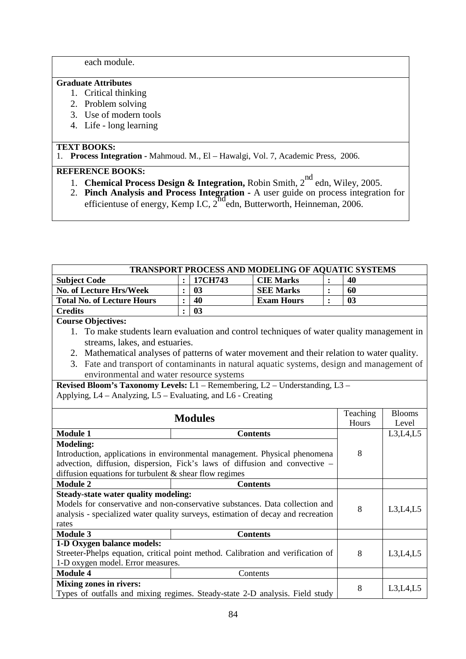each module.

#### **Graduate Attributes**

- 1. Critical thinking
- 2. Problem solving
- 3. Use of modern tools
- 4. Life long learning

## **TEXT BOOKS:**

1. **Process Integration -** Mahmoud. M., El – Hawalgi, Vol. 7, Academic Press, 2006.

- 1. **Chemical Process Design & Integration,** Robin Smith, 2nd edn, Wiley, 2005.
- 2. **Pinch Analysis and Process Integration** A user guide on process integration for efficientuse of energy, Kemp I.C, 2<sup>nd</sup> edn, Butterworth, Heinneman, 2006.

| TRANSPORT PROCESS AND MODELING OF AQUATIC SYSTEMS                                           |                |         |                   |                |                |               |  |  |
|---------------------------------------------------------------------------------------------|----------------|---------|-------------------|----------------|----------------|---------------|--|--|
| <b>Subject Code</b>                                                                         |                | 17CH743 | <b>CIE Marks</b>  |                | 40             |               |  |  |
| <b>No. of Lecture Hrs/Week</b>                                                              | $\ddot{\cdot}$ | 03      | <b>SEE Marks</b>  | $\ddot{\cdot}$ | 60             |               |  |  |
| <b>Total No. of Lecture Hours</b>                                                           | $\ddot{\cdot}$ | 40      | <b>Exam Hours</b> | $\bullet$      | 0 <sub>3</sub> |               |  |  |
| <b>Credits</b>                                                                              | $\ddot{\cdot}$ | 03      |                   |                |                |               |  |  |
| <b>Course Objectives:</b>                                                                   |                |         |                   |                |                |               |  |  |
| 1. To make students learn evaluation and control techniques of water quality management in  |                |         |                   |                |                |               |  |  |
| streams, lakes, and estuaries.                                                              |                |         |                   |                |                |               |  |  |
| 2. Mathematical analyses of patterns of water movement and their relation to water quality. |                |         |                   |                |                |               |  |  |
| 3. Fate and transport of contaminants in natural aquatic systems, design and management of  |                |         |                   |                |                |               |  |  |
| environmental and water resource systems                                                    |                |         |                   |                |                |               |  |  |
| Revised Bloom's Taxonomy Levels: L1 - Remembering, L2 - Understanding, L3 -                 |                |         |                   |                |                |               |  |  |
| Applying, L4 – Analyzing, L5 – Evaluating, and L6 - Creating                                |                |         |                   |                |                |               |  |  |
|                                                                                             |                |         |                   |                |                |               |  |  |
|                                                                                             |                |         |                   |                | Teaching       | <b>Blooms</b> |  |  |
| <b>Modules</b>                                                                              |                |         |                   |                | Hours          | Level         |  |  |
| <b>Module 1</b>                                                                             |                |         | <b>Contents</b>   |                |                | L3,L4,L5      |  |  |
| <b>Modeling:</b>                                                                            |                |         |                   |                |                |               |  |  |
| Introduction, applications in environmental management. Physical phenomena                  |                |         |                   |                | 8              |               |  |  |
| advection, diffusion, dispersion, Fick's laws of diffusion and convective -                 |                |         |                   |                |                |               |  |  |
| diffusion equations for turbulent $\&$ shear flow regimes                                   |                |         |                   |                |                |               |  |  |
| <b>Module 2</b>                                                                             |                |         | <b>Contents</b>   |                |                |               |  |  |
| <b>Steady-state water quality modeling:</b>                                                 |                |         |                   |                |                |               |  |  |
| Models for conservative and non-conservative substances. Data collection and                |                |         |                   |                | 8              | L3,L4,L5      |  |  |
| analysis - specialized water quality surveys, estimation of decay and recreation            |                |         |                   |                |                |               |  |  |
| rates                                                                                       |                |         |                   |                |                |               |  |  |
| <b>Module 3</b>                                                                             |                |         | <b>Contents</b>   |                |                |               |  |  |
| 1-D Oxygen balance models:                                                                  |                |         |                   |                | 8              |               |  |  |
| Streeter-Phelps equation, critical point method. Calibration and verification of            |                |         |                   |                |                | L3,L4,L5      |  |  |
| 1-D oxygen model. Error measures.                                                           |                |         |                   |                |                |               |  |  |
| <b>Module 4</b>                                                                             |                |         | Contents          |                |                |               |  |  |
| <b>Mixing zones in rivers:</b>                                                              |                |         |                   |                | 8              | L3,L4,L5      |  |  |
| Types of outfalls and mixing regimes. Steady-state 2-D analysis. Field study                |                |         |                   |                |                |               |  |  |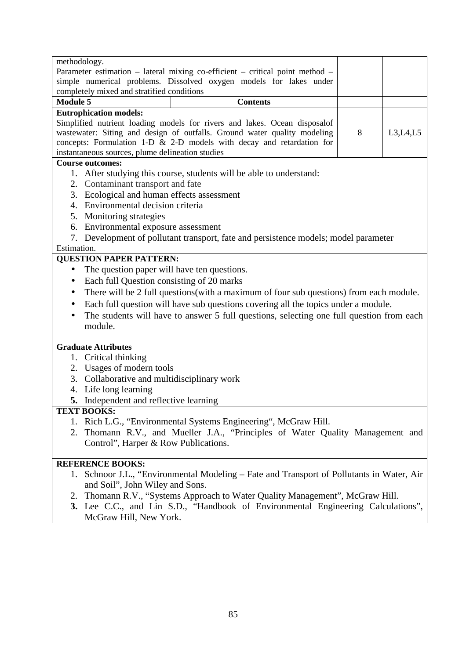| methodology.                                                                                         |                                                                                           |   |          |  |  |  |  |
|------------------------------------------------------------------------------------------------------|-------------------------------------------------------------------------------------------|---|----------|--|--|--|--|
|                                                                                                      | Parameter estimation - lateral mixing co-efficient - critical point method -              |   |          |  |  |  |  |
| simple numerical problems. Dissolved oxygen models for lakes under                                   |                                                                                           |   |          |  |  |  |  |
| completely mixed and stratified conditions                                                           |                                                                                           |   |          |  |  |  |  |
| <b>Module 5</b>                                                                                      | <b>Contents</b>                                                                           |   |          |  |  |  |  |
| <b>Eutrophication models:</b>                                                                        |                                                                                           |   |          |  |  |  |  |
|                                                                                                      | Simplified nutrient loading models for rivers and lakes. Ocean disposalof                 |   |          |  |  |  |  |
|                                                                                                      | wastewater: Siting and design of outfalls. Ground water quality modeling                  | 8 | L3,L4,L5 |  |  |  |  |
|                                                                                                      | concepts: Formulation 1-D $&$ 2-D models with decay and retardation for                   |   |          |  |  |  |  |
| instantaneous sources, plume delineation studies                                                     |                                                                                           |   |          |  |  |  |  |
| <b>Course outcomes:</b>                                                                              |                                                                                           |   |          |  |  |  |  |
|                                                                                                      | 1. After studying this course, students will be able to understand:                       |   |          |  |  |  |  |
| 2. Contaminant transport and fate                                                                    |                                                                                           |   |          |  |  |  |  |
| 3. Ecological and human effects assessment                                                           |                                                                                           |   |          |  |  |  |  |
| Environmental decision criteria<br>4.                                                                |                                                                                           |   |          |  |  |  |  |
| 5. Monitoring strategies                                                                             |                                                                                           |   |          |  |  |  |  |
| 6. Environmental exposure assessment                                                                 |                                                                                           |   |          |  |  |  |  |
| 7.                                                                                                   | Development of pollutant transport, fate and persistence models; model parameter          |   |          |  |  |  |  |
| Estimation.                                                                                          |                                                                                           |   |          |  |  |  |  |
| <b>QUESTION PAPER PATTERN:</b>                                                                       |                                                                                           |   |          |  |  |  |  |
| The question paper will have ten questions.                                                          |                                                                                           |   |          |  |  |  |  |
|                                                                                                      |                                                                                           |   |          |  |  |  |  |
| Each full Question consisting of 20 marks<br>٠                                                       |                                                                                           |   |          |  |  |  |  |
| There will be 2 full questions (with a maximum of four sub questions) from each module.<br>$\bullet$ |                                                                                           |   |          |  |  |  |  |
| Each full question will have sub questions covering all the topics under a module.                   |                                                                                           |   |          |  |  |  |  |
|                                                                                                      | The students will have to answer 5 full questions, selecting one full question from each  |   |          |  |  |  |  |
|                                                                                                      | module.                                                                                   |   |          |  |  |  |  |
|                                                                                                      |                                                                                           |   |          |  |  |  |  |
| <b>Graduate Attributes</b>                                                                           |                                                                                           |   |          |  |  |  |  |
| Critical thinking<br>1.                                                                              |                                                                                           |   |          |  |  |  |  |
| Usages of modern tools<br>2.                                                                         |                                                                                           |   |          |  |  |  |  |
| Collaborative and multidisciplinary work<br>3.                                                       |                                                                                           |   |          |  |  |  |  |
| Life long learning<br>4.                                                                             |                                                                                           |   |          |  |  |  |  |
| 5. Independent and reflective learning                                                               |                                                                                           |   |          |  |  |  |  |
| <b>TEXT BOOKS:</b>                                                                                   |                                                                                           |   |          |  |  |  |  |
| 1.                                                                                                   | Rich L.G., "Environmental Systems Engineering", McGraw Hill.                              |   |          |  |  |  |  |
|                                                                                                      | 2. Thomann R.V., and Mueller J.A., "Principles of Water Quality Management and            |   |          |  |  |  |  |
| Control", Harper & Row Publications.                                                                 |                                                                                           |   |          |  |  |  |  |
|                                                                                                      |                                                                                           |   |          |  |  |  |  |
| <b>REFERENCE BOOKS:</b>                                                                              |                                                                                           |   |          |  |  |  |  |
|                                                                                                      | 1. Schnoor J.L., "Environmental Modeling – Fate and Transport of Pollutants in Water, Air |   |          |  |  |  |  |
| and Soil", John Wiley and Sons.                                                                      |                                                                                           |   |          |  |  |  |  |
| 2.                                                                                                   | Thomann R.V., "Systems Approach to Water Quality Management", McGraw Hill.                |   |          |  |  |  |  |
|                                                                                                      | 3. Lee C.C., and Lin S.D., "Handbook of Environmental Engineering Calculations",          |   |          |  |  |  |  |
| McGraw Hill, New York.                                                                               |                                                                                           |   |          |  |  |  |  |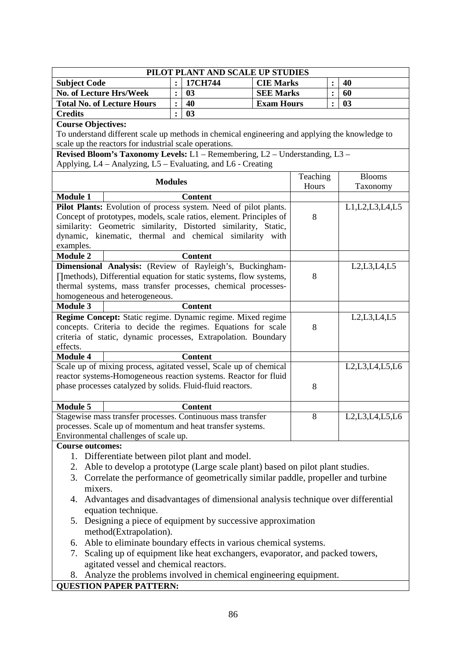| PILOT PLANT AND SCALE UP STUDIES                                                                                                            |                  |                |                   |          |                |                                                                                    |  |
|---------------------------------------------------------------------------------------------------------------------------------------------|------------------|----------------|-------------------|----------|----------------|------------------------------------------------------------------------------------|--|
| <b>Subject Code</b>                                                                                                                         |                  | 17CH744        | <b>CIE Marks</b>  |          |                | 40                                                                                 |  |
| <b>No. of Lecture Hrs/Week</b>                                                                                                              | $\ddot{\cdot}$   | 03             | <b>SEE Marks</b>  |          | $\ddot{\cdot}$ | 60                                                                                 |  |
| <b>Total No. of Lecture Hours</b>                                                                                                           | $\ddot{\bullet}$ | 40             | <b>Exam Hours</b> |          |                | 03                                                                                 |  |
| <b>Credits</b>                                                                                                                              |                  |                |                   |          |                |                                                                                    |  |
| <b>Course Objectives:</b>                                                                                                                   |                  |                |                   |          |                |                                                                                    |  |
| To understand different scale up methods in chemical engineering and applying the knowledge to                                              |                  |                |                   |          |                |                                                                                    |  |
| scale up the reactors for industrial scale operations.                                                                                      |                  |                |                   |          |                |                                                                                    |  |
| Revised Bloom's Taxonomy Levels: L1 - Remembering, L2 - Understanding, L3 -<br>Applying, L4 - Analyzing, L5 - Evaluating, and L6 - Creating |                  |                |                   |          |                |                                                                                    |  |
|                                                                                                                                             |                  |                |                   | Teaching |                | <b>Blooms</b>                                                                      |  |
| <b>Modules</b>                                                                                                                              |                  |                |                   | Hours    |                | Taxonomy                                                                           |  |
| <b>Module 1</b>                                                                                                                             |                  | <b>Content</b> |                   |          |                |                                                                                    |  |
| Pilot Plants: Evolution of process system. Need of pilot plants.                                                                            |                  |                |                   |          |                | L1, L2, L3, L4, L5                                                                 |  |
| Concept of prototypes, models, scale ratios, element. Principles of                                                                         |                  |                |                   | 8        |                |                                                                                    |  |
| similarity: Geometric similarity, Distorted similarity, Static,                                                                             |                  |                |                   |          |                |                                                                                    |  |
| dynamic, kinematic, thermal and chemical similarity with<br>examples.                                                                       |                  |                |                   |          |                |                                                                                    |  |
| <b>Module 2</b>                                                                                                                             |                  | <b>Content</b> |                   |          |                |                                                                                    |  |
| Dimensional Analysis: (Review of Rayleigh's, Buckingham-                                                                                    |                  |                |                   |          |                | L <sub>2</sub> , L <sub>3</sub> , L <sub>4</sub> , L <sub>5</sub>                  |  |
| ∏methods), Differential equation for static systems, flow systems,                                                                          |                  |                |                   | 8        |                |                                                                                    |  |
| thermal systems, mass transfer processes, chemical processes-                                                                               |                  |                |                   |          |                |                                                                                    |  |
| homogeneous and heterogeneous.                                                                                                              |                  |                |                   |          |                |                                                                                    |  |
| <b>Module 3</b>                                                                                                                             |                  | <b>Content</b> |                   |          |                |                                                                                    |  |
| Regime Concept: Static regime. Dynamic regime. Mixed regime                                                                                 |                  |                |                   |          |                | L2, L3, L4, L5                                                                     |  |
| concepts. Criteria to decide the regimes. Equations for scale                                                                               |                  |                |                   |          |                |                                                                                    |  |
| criteria of static, dynamic processes, Extrapolation. Boundary                                                                              |                  |                |                   |          |                |                                                                                    |  |
| effects.                                                                                                                                    |                  |                |                   |          |                |                                                                                    |  |
| <b>Module 4</b>                                                                                                                             |                  | <b>Content</b> |                   |          |                |                                                                                    |  |
| Scale up of mixing process, agitated vessel, Scale up of chemical                                                                           |                  |                |                   |          |                | L2, L3, L4, L5, L6                                                                 |  |
| reactor systems-Homogeneous reaction systems. Reactor for fluid                                                                             |                  |                |                   |          |                |                                                                                    |  |
| phase processes catalyzed by solids. Fluid-fluid reactors.                                                                                  |                  |                |                   | 8        |                |                                                                                    |  |
| <b>Module 5</b>                                                                                                                             |                  | <b>Content</b> |                   |          |                |                                                                                    |  |
| Stagewise mass transfer processes. Continuous mass transfer                                                                                 |                  |                |                   | 8        |                | L <sub>2</sub> , L <sub>3</sub> , L <sub>4</sub> , L <sub>5</sub> , L <sub>6</sub> |  |
| processes. Scale up of momentum and heat transfer systems.                                                                                  |                  |                |                   |          |                |                                                                                    |  |
| Environmental challenges of scale up.                                                                                                       |                  |                |                   |          |                |                                                                                    |  |
| <b>Course outcomes:</b>                                                                                                                     |                  |                |                   |          |                |                                                                                    |  |
| 1. Differentiate between pilot plant and model.                                                                                             |                  |                |                   |          |                |                                                                                    |  |
| 2. Able to develop a prototype (Large scale plant) based on pilot plant studies.                                                            |                  |                |                   |          |                |                                                                                    |  |
| 3. Correlate the performance of geometrically similar paddle, propeller and turbine                                                         |                  |                |                   |          |                |                                                                                    |  |
| mixers.                                                                                                                                     |                  |                |                   |          |                |                                                                                    |  |
| 4. Advantages and disadvantages of dimensional analysis technique over differential                                                         |                  |                |                   |          |                |                                                                                    |  |
| equation technique.                                                                                                                         |                  |                |                   |          |                |                                                                                    |  |
| 5. Designing a piece of equipment by successive approximation                                                                               |                  |                |                   |          |                |                                                                                    |  |
| method(Extrapolation).                                                                                                                      |                  |                |                   |          |                |                                                                                    |  |
| 6. Able to eliminate boundary effects in various chemical systems.                                                                          |                  |                |                   |          |                |                                                                                    |  |
| Scaling up of equipment like heat exchangers, evaporator, and packed towers,<br>7.                                                          |                  |                |                   |          |                |                                                                                    |  |
| agitated vessel and chemical reactors.                                                                                                      |                  |                |                   |          |                |                                                                                    |  |
| 8. Analyze the problems involved in chemical engineering equipment.                                                                         |                  |                |                   |          |                |                                                                                    |  |
| <b>QUESTION PAPER PATTERN:</b>                                                                                                              |                  |                |                   |          |                |                                                                                    |  |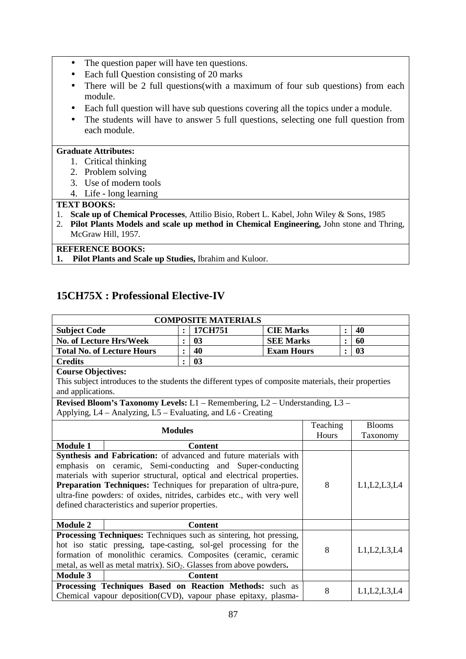- The question paper will have ten questions.
- Each full Question consisting of 20 marks
- There will be 2 full questions(with a maximum of four sub questions) from each module.
- Each full question will have sub questions covering all the topics under a module.
- The students will have to answer 5 full questions, selecting one full question from each module.

## **Graduate Attributes:**

- 1. Critical thinking
- 2. Problem solving
- 3. Use of modern tools
- 4. Life long learning

#### **TEXT BOOKS:**

- 1. **Scale up of Chemical Processes**, Attilio Bisio, Robert L. Kabel, John Wiley & Sons, 1985
- 2. **Pilot Plants Models and scale up method in Chemical Engineering,** John stone and Thring, McGraw Hill, 1957.

**REFERENCE BOOKS:** 

**1. Pilot Plants and Scale up Studies,** Ibrahim and Kuloor.

## **15CH75X : Professional Elective-IV**

| <b>COMPOSITE MATERIALS</b>                                                      |                                                                                                      |                |                |                   |   |                |                |
|---------------------------------------------------------------------------------|------------------------------------------------------------------------------------------------------|----------------|----------------|-------------------|---|----------------|----------------|
| <b>Subject Code</b>                                                             |                                                                                                      | $\ddot{\cdot}$ | 17CH751        | <b>CIE Marks</b>  |   | :              | 40             |
| <b>No. of Lecture Hrs/Week</b>                                                  |                                                                                                      | $\ddot{\cdot}$ | 0 <sub>3</sub> | <b>SEE Marks</b>  |   |                | 60             |
|                                                                                 | <b>Total No. of Lecture Hours</b>                                                                    | $\ddot{\cdot}$ | 40             | <b>Exam Hours</b> |   |                | 03             |
| <b>Credits</b>                                                                  |                                                                                                      | $\ddot{\cdot}$ | 03             |                   |   |                |                |
| <b>Course Objectives:</b>                                                       |                                                                                                      |                |                |                   |   |                |                |
|                                                                                 | This subject introduces to the students the different types of composite materials, their properties |                |                |                   |   |                |                |
| and applications.                                                               |                                                                                                      |                |                |                   |   |                |                |
|                                                                                 | Revised Bloom's Taxonomy Levels: L1 - Remembering, L2 - Understanding, L3 -                          |                |                |                   |   |                |                |
|                                                                                 | Applying, L4 – Analyzing, L5 – Evaluating, and L6 - Creating                                         |                |                |                   |   |                |                |
|                                                                                 |                                                                                                      |                |                | Teaching          |   | <b>Blooms</b>  |                |
|                                                                                 | <b>Modules</b>                                                                                       |                |                | Hours             |   | Taxonomy       |                |
| <b>Module 1</b><br><b>Content</b>                                               |                                                                                                      |                |                |                   |   |                |                |
| Synthesis and Fabrication: of advanced and future materials with                |                                                                                                      |                |                |                   |   |                |                |
|                                                                                 | emphasis on ceramic, Semi-conducting and Super-conducting                                            |                |                |                   |   |                |                |
| materials with superior structural, optical and electrical properties.          |                                                                                                      |                |                |                   |   |                |                |
|                                                                                 | Preparation Techniques: Techniques for preparation of ultra-pure,                                    |                |                |                   | 8 | L1, L2, L3, L4 |                |
|                                                                                 | ultra-fine powders: of oxides, nitrides, carbides etc., with very well                               |                |                |                   |   |                |                |
|                                                                                 | defined characteristics and superior properties.                                                     |                |                |                   |   |                |                |
|                                                                                 |                                                                                                      |                |                |                   |   |                |                |
| <b>Module 2</b>                                                                 |                                                                                                      |                | <b>Content</b> |                   |   |                |                |
|                                                                                 | Processing Techniques: Techniques such as sintering, hot pressing,                                   |                |                |                   |   |                |                |
| hot iso static pressing, tape-casting, sol-gel processing for the               |                                                                                                      |                |                | 8                 |   | L1, L2, L3, L4 |                |
| formation of monolithic ceramics. Composites (ceramic, ceramic                  |                                                                                                      |                |                |                   |   |                |                |
| metal, as well as metal matrix). SiO <sub>2</sub> . Glasses from above powders. |                                                                                                      |                |                |                   |   |                |                |
| <b>Module 3</b>                                                                 |                                                                                                      |                | <b>Content</b> |                   |   |                |                |
|                                                                                 | Processing Techniques Based on Reaction Methods: such as                                             |                |                |                   | 8 |                | L1, L2, L3, L4 |
| Chemical vapour deposition(CVD), vapour phase epitaxy, plasma-                  |                                                                                                      |                |                |                   |   |                |                |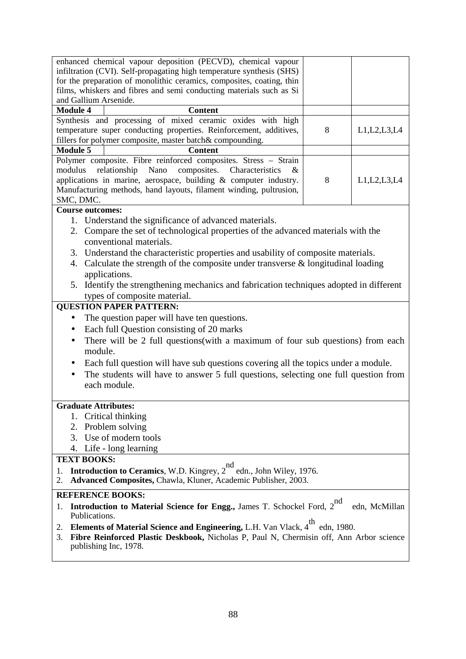| enhanced chemical vapour deposition (PECVD), chemical vapour                                                                                                                                             |                      |    |                |  |  |  |
|----------------------------------------------------------------------------------------------------------------------------------------------------------------------------------------------------------|----------------------|----|----------------|--|--|--|
| infiltration (CVI). Self-propagating high temperature synthesis (SHS)                                                                                                                                    |                      |    |                |  |  |  |
| for the preparation of monolithic ceramics, composites, coating, thin<br>films, whiskers and fibres and semi conducting materials such as Si                                                             |                      |    |                |  |  |  |
| and Gallium Arsenide.                                                                                                                                                                                    |                      |    |                |  |  |  |
| <b>Module 4</b><br><b>Content</b>                                                                                                                                                                        |                      |    |                |  |  |  |
| Synthesis and processing of mixed ceramic oxides with high                                                                                                                                               |                      |    |                |  |  |  |
| temperature super conducting properties. Reinforcement, additives,                                                                                                                                       |                      | 8  | L1, L2, L3, L4 |  |  |  |
| fillers for polymer composite, master batch& compounding.                                                                                                                                                |                      |    |                |  |  |  |
| <b>Module 5</b><br><b>Content</b>                                                                                                                                                                        |                      |    |                |  |  |  |
| Polymer composite. Fibre reinforced composites. Stress - Strain                                                                                                                                          |                      |    |                |  |  |  |
| modulus<br>relationship<br>composites.<br>Nano                                                                                                                                                           | Characteristics<br>& |    |                |  |  |  |
| applications in marine, aerospace, building $\&$ computer industry.                                                                                                                                      |                      | 8  | L1, L2, L3, L4 |  |  |  |
| Manufacturing methods, hand layouts, filament winding, pultrusion,                                                                                                                                       |                      |    |                |  |  |  |
| SMC, DMC.<br><b>Course outcomes:</b>                                                                                                                                                                     |                      |    |                |  |  |  |
|                                                                                                                                                                                                          |                      |    |                |  |  |  |
| 1. Understand the significance of advanced materials.                                                                                                                                                    |                      |    |                |  |  |  |
| 2. Compare the set of technological properties of the advanced materials with the<br>conventional materials.                                                                                             |                      |    |                |  |  |  |
| 3. Understand the characteristic properties and usability of composite materials.                                                                                                                        |                      |    |                |  |  |  |
| 4. Calculate the strength of the composite under transverse $\&$ longitudinal loading                                                                                                                    |                      |    |                |  |  |  |
| applications.                                                                                                                                                                                            |                      |    |                |  |  |  |
| 5. Identify the strengthening mechanics and fabrication techniques adopted in different                                                                                                                  |                      |    |                |  |  |  |
| types of composite material.                                                                                                                                                                             |                      |    |                |  |  |  |
| <b>QUESTION PAPER PATTERN:</b>                                                                                                                                                                           |                      |    |                |  |  |  |
| The question paper will have ten questions.<br>$\bullet$                                                                                                                                                 |                      |    |                |  |  |  |
| Each full Question consisting of 20 marks<br>$\bullet$                                                                                                                                                   |                      |    |                |  |  |  |
| There will be 2 full questions (with a maximum of four sub questions) from each<br>$\bullet$                                                                                                             |                      |    |                |  |  |  |
| module.                                                                                                                                                                                                  |                      |    |                |  |  |  |
| Each full question will have sub questions covering all the topics under a module.                                                                                                                       |                      |    |                |  |  |  |
| The students will have to answer 5 full questions, selecting one full question from                                                                                                                      |                      |    |                |  |  |  |
| each module.                                                                                                                                                                                             |                      |    |                |  |  |  |
|                                                                                                                                                                                                          |                      |    |                |  |  |  |
| <b>Graduate Attributes:</b>                                                                                                                                                                              |                      |    |                |  |  |  |
| 1. Critical thinking                                                                                                                                                                                     |                      |    |                |  |  |  |
| Problem solving<br>2.                                                                                                                                                                                    |                      |    |                |  |  |  |
| Use of modern tools<br>3.                                                                                                                                                                                |                      |    |                |  |  |  |
| Life - long learning<br>4.                                                                                                                                                                               |                      |    |                |  |  |  |
| <b>TEXT BOOKS:</b>                                                                                                                                                                                       |                      |    |                |  |  |  |
| Introduction to Ceramics, W.D. Kingrey, 2 <sup>nd</sup> edn., John Wiley, 1976.<br>1.<br>Advanced Composites, Chawla, Kluner, Academic Publisher, 2003.<br>2.                                            |                      |    |                |  |  |  |
| <b>REFERENCE BOOKS:</b>                                                                                                                                                                                  |                      |    |                |  |  |  |
| Introduction to Material Science for Engg., James T. Schockel Ford, 2                                                                                                                                    |                      | nd | edn, McMillan  |  |  |  |
| Publications.                                                                                                                                                                                            |                      |    |                |  |  |  |
| <b>Elements of Material Science and Engineering, L.H. Van Vlack, 4<sup>th</sup></b><br>edn, 1980.<br>2.<br>Fibre Reinforced Plastic Deskbook, Nicholas P, Paul N, Chermisin off, Ann Arbor science<br>3. |                      |    |                |  |  |  |

publishing Inc, 1978.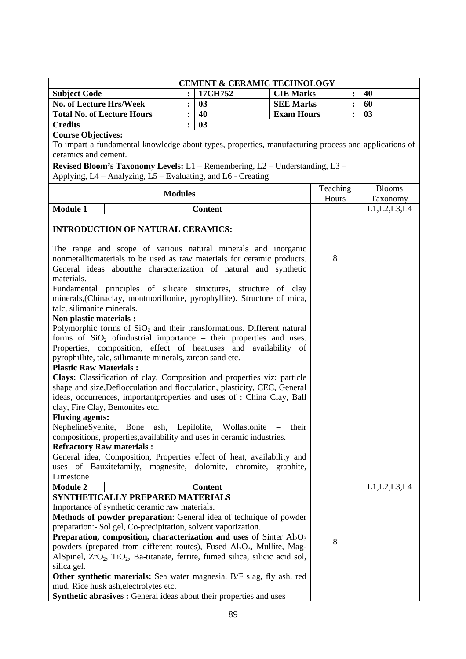|                                                                                                          |                | <b>CEMENT &amp; CERAMIC TECHNOLOGY</b> |                   |                   |                |                           |
|----------------------------------------------------------------------------------------------------------|----------------|----------------------------------------|-------------------|-------------------|----------------|---------------------------|
| <b>Subject Code</b>                                                                                      |                | 17CH752                                | <b>CIE Marks</b>  |                   | :              | 40                        |
| <b>No. of Lecture Hrs/Week</b>                                                                           | $\ddot{\cdot}$ | 03                                     | <b>SEE Marks</b>  |                   | $\ddot{\cdot}$ | 60                        |
| <b>Total No. of Lecture Hours</b>                                                                        | $\ddot{\cdot}$ | 40                                     | <b>Exam Hours</b> |                   | :              | 03                        |
| <b>Credits</b>                                                                                           | $\ddot{\cdot}$ | 03                                     |                   |                   |                |                           |
| <b>Course Objectives:</b>                                                                                |                |                                        |                   |                   |                |                           |
| To impart a fundamental knowledge about types, properties, manufacturing process and applications of     |                |                                        |                   |                   |                |                           |
| ceramics and cement.                                                                                     |                |                                        |                   |                   |                |                           |
| Revised Bloom's Taxonomy Levels: L1 - Remembering, L2 - Understanding, L3 -                              |                |                                        |                   |                   |                |                           |
| Applying, L4 - Analyzing, L5 - Evaluating, and L6 - Creating                                             |                |                                        |                   |                   |                |                           |
| <b>Modules</b>                                                                                           |                |                                        |                   | Teaching<br>Hours |                | <b>Blooms</b><br>Taxonomy |
| <b>Module 1</b>                                                                                          |                | <b>Content</b>                         |                   |                   |                | L1, L2, L3, L4            |
|                                                                                                          |                |                                        |                   |                   |                |                           |
| <b>INTRODUCTION OF NATURAL CERAMICS:</b>                                                                 |                |                                        |                   |                   |                |                           |
| The range and scope of various natural minerals and inorganic                                            |                |                                        |                   |                   |                |                           |
| nonmetallicmaterials to be used as raw materials for ceramic products.                                   |                |                                        |                   | 8                 |                |                           |
| General ideas aboutthe characterization of natural and synthetic                                         |                |                                        |                   |                   |                |                           |
| materials.                                                                                               |                |                                        |                   |                   |                |                           |
| Fundamental principles of silicate structures, structure of clay                                         |                |                                        |                   |                   |                |                           |
| minerals, (Chinaclay, montmorillonite, pyrophyllite). Structure of mica,                                 |                |                                        |                   |                   |                |                           |
| talc, silimanite minerals.                                                                               |                |                                        |                   |                   |                |                           |
| Non plastic materials :                                                                                  |                |                                        |                   |                   |                |                           |
| Polymorphic forms of $SiO2$ and their transformations. Different natural                                 |                |                                        |                   |                   |                |                           |
| forms of $SiO2$ of industrial importance – their properties and uses.                                    |                |                                        |                   |                   |                |                           |
| Properties, composition, effect of heat, uses and availability of                                        |                |                                        |                   |                   |                |                           |
| pyrophillite, talc, sillimanite minerals, zircon sand etc.                                               |                |                                        |                   |                   |                |                           |
| <b>Plastic Raw Materials:</b><br>Clays: Classification of clay, Composition and properties viz: particle |                |                                        |                   |                   |                |                           |
| shape and size, Deflocculation and flocculation, plasticity, CEC, General                                |                |                                        |                   |                   |                |                           |
| ideas, occurrences, important properties and uses of : China Clay, Ball                                  |                |                                        |                   |                   |                |                           |
| clay, Fire Clay, Bentonites etc.                                                                         |                |                                        |                   |                   |                |                           |
| <b>Fluxing agents:</b>                                                                                   |                |                                        |                   |                   |                |                           |
| NephelineSyenite,                                                                                        |                | Bone ash, Lepilolite, Wollastonite     | their             |                   |                |                           |
| compositions, properties, availability and uses in ceramic industries.                                   |                |                                        |                   |                   |                |                           |
| <b>Refractory Raw materials:</b>                                                                         |                |                                        |                   |                   |                |                           |
| General idea, Composition, Properties effect of heat, availability and                                   |                |                                        |                   |                   |                |                           |
| uses of Bauxitefamily, magnesite, dolomite, chromite, graphite,                                          |                |                                        |                   |                   |                |                           |
| Limestone                                                                                                |                |                                        |                   |                   |                |                           |
| <b>Module 2</b>                                                                                          |                | <b>Content</b>                         |                   |                   |                | L1, L2, L3, L4            |
| SYNTHETICALLY PREPARED MATERIALS<br>Importance of synthetic ceramic raw materials.                       |                |                                        |                   |                   |                |                           |
| Methods of powder preparation: General idea of technique of powder                                       |                |                                        |                   |                   |                |                           |
| preparation:- Sol gel, Co-precipitation, solvent vaporization.                                           |                |                                        |                   |                   |                |                           |
| <b>Preparation, composition, characterization and uses</b> of Sinter $AI_2O_3$                           |                |                                        |                   |                   |                |                           |
| powders (prepared from different routes), Fused Al <sub>2</sub> O <sub>3</sub> , Mullite, Mag-           |                |                                        |                   | 8                 |                |                           |
| AlSpinel, ZrO <sub>2</sub> , TiO <sub>2</sub> , Ba-titanate, ferrite, fumed silica, silicic acid sol,    |                |                                        |                   |                   |                |                           |
| silica gel.                                                                                              |                |                                        |                   |                   |                |                           |
| <b>Other synthetic materials:</b> Sea water magnesia, B/F slag, fly ash, red                             |                |                                        |                   |                   |                |                           |
| mud, Rice husk ash, electrolytes etc.                                                                    |                |                                        |                   |                   |                |                           |
| Synthetic abrasives : General ideas about their properties and uses                                      |                |                                        |                   |                   |                |                           |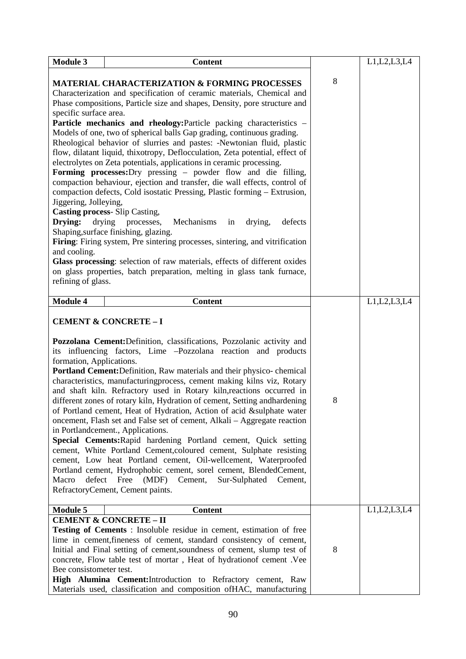| <b>Module 3</b>                                                                                  | <b>Content</b>                                                                                                                                                                                                                                                                                                                                                                                                                                                                                                                                                                                                                                                                                                                                                                                                                                                                                                                                                                                                                                                                                                                                                                                                         |   | L1, L2, L3, L4 |
|--------------------------------------------------------------------------------------------------|------------------------------------------------------------------------------------------------------------------------------------------------------------------------------------------------------------------------------------------------------------------------------------------------------------------------------------------------------------------------------------------------------------------------------------------------------------------------------------------------------------------------------------------------------------------------------------------------------------------------------------------------------------------------------------------------------------------------------------------------------------------------------------------------------------------------------------------------------------------------------------------------------------------------------------------------------------------------------------------------------------------------------------------------------------------------------------------------------------------------------------------------------------------------------------------------------------------------|---|----------------|
| specific surface area.<br>Jiggering, Jolleying,<br>Drying:<br>and cooling.<br>refining of glass. | <b>MATERIAL CHARACTERIZATION &amp; FORMING PROCESSES</b><br>Characterization and specification of ceramic materials, Chemical and<br>Phase compositions, Particle size and shapes, Density, pore structure and<br>Particle mechanics and rheology: Particle packing characteristics -<br>Models of one, two of spherical balls Gap grading, continuous grading.<br>Rheological behavior of slurries and pastes: -Newtonian fluid, plastic<br>flow, dilatant liquid, thixotropy, Deflocculation, Zeta potential, effect of<br>electrolytes on Zeta potentials, applications in ceramic processing.<br>Forming processes: Dry pressing – powder flow and die filling,<br>compaction behaviour, ejection and transfer, die wall effects, control of<br>compaction defects, Cold isostatic Pressing, Plastic forming - Extrusion,<br><b>Casting process-Slip Casting,</b><br>processes,<br>Mechanisms<br>drying<br>drying,<br>defects<br>in<br>Shaping, surface finishing, glazing.<br>Firing: Firing system, Pre sintering processes, sintering, and vitrification<br>Glass processing: selection of raw materials, effects of different oxides<br>on glass properties, batch preparation, melting in glass tank furnace, | 8 |                |
| <b>Module 4</b>                                                                                  | <b>Content</b>                                                                                                                                                                                                                                                                                                                                                                                                                                                                                                                                                                                                                                                                                                                                                                                                                                                                                                                                                                                                                                                                                                                                                                                                         |   | L1, L2, L3, L4 |
| formation, Applications.<br>defect<br>Macro                                                      | <b>CEMENT &amp; CONCRETE - I</b><br>Pozzolana Cement: Definition, classifications, Pozzolanic activity and<br>its influencing factors, Lime -Pozzolana reaction and products<br><b>Portland Cement:</b> Definition, Raw materials and their physico-chemical<br>characteristics, manufacturingprocess, cement making kilns viz, Rotary<br>and shaft kiln. Refractory used in Rotary kiln, reactions occurred in<br>different zones of rotary kiln, Hydration of cement, Setting and hardening<br>of Portland cement, Heat of Hydration, Action of acid &sulphate water<br>oncement, Flash set and False set of cement, Alkali – Aggregate reaction<br>in Portlandcement., Applications.<br>Special Cements: Rapid hardening Portland cement, Quick setting<br>cement, White Portland Cement, coloured cement, Sulphate resisting<br>cement, Low heat Portland cement, Oil-wellcement, Waterproofed<br>Portland cement, Hydrophobic cement, sorel cement, BlendedCement,<br>Cement,<br>Free (MDF)<br>Sur-Sulphated<br>Cement,<br>RefractoryCement, Cement paints.                                                                                                                                                       | 8 |                |
| <b>Module 5</b><br>Bee consistometer test.                                                       | <b>Content</b><br><b>CEMENT &amp; CONCRETE - II</b><br>Testing of Cements: Insoluble residue in cement, estimation of free<br>lime in cement, fineness of cement, standard consistency of cement,<br>Initial and Final setting of cement, soundness of cement, slump test of<br>concrete, Flow table test of mortar, Heat of hydrationof cement . Vee<br>High Alumina Cement: Introduction to Refractory cement, Raw<br>Materials used, classification and composition ofHAC, manufacturing                                                                                                                                                                                                                                                                                                                                                                                                                                                                                                                                                                                                                                                                                                                            | 8 | L1, L2, L3, L4 |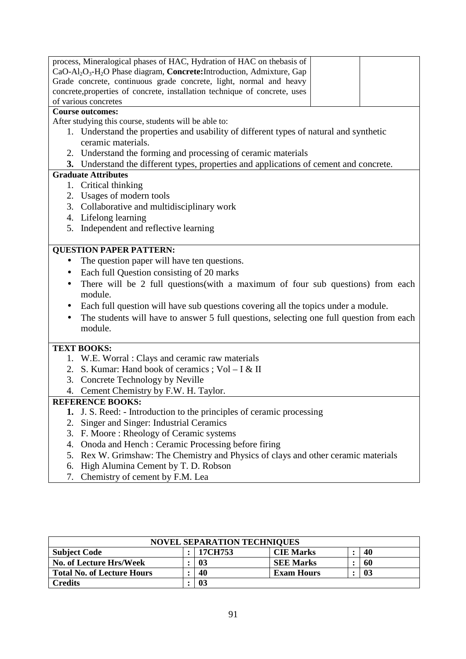| process, Mineralogical phases of HAC, Hydration of HAC on thebasis of<br>CaO-Al <sub>2</sub> O <sub>3</sub> -H <sub>2</sub> O Phase diagram, Concrete: Introduction, Admixture, Gap<br>Grade concrete, continuous grade concrete, light, normal and heavy<br>concrete, properties of concrete, installation technique of concrete, uses<br>of various concretes |
|-----------------------------------------------------------------------------------------------------------------------------------------------------------------------------------------------------------------------------------------------------------------------------------------------------------------------------------------------------------------|
| <b>Course outcomes:</b>                                                                                                                                                                                                                                                                                                                                         |
| After studying this course, students will be able to:                                                                                                                                                                                                                                                                                                           |
| 1. Understand the properties and usability of different types of natural and synthetic                                                                                                                                                                                                                                                                          |
| ceramic materials.                                                                                                                                                                                                                                                                                                                                              |
| 2. Understand the forming and processing of ceramic materials                                                                                                                                                                                                                                                                                                   |
| 3. Understand the different types, properties and applications of cement and concrete.                                                                                                                                                                                                                                                                          |
| <b>Graduate Attributes</b>                                                                                                                                                                                                                                                                                                                                      |
| 1. Critical thinking                                                                                                                                                                                                                                                                                                                                            |
| 2. Usages of modern tools                                                                                                                                                                                                                                                                                                                                       |
| 3. Collaborative and multidisciplinary work                                                                                                                                                                                                                                                                                                                     |
| 4. Lifelong learning                                                                                                                                                                                                                                                                                                                                            |
| Independent and reflective learning<br>5.                                                                                                                                                                                                                                                                                                                       |
|                                                                                                                                                                                                                                                                                                                                                                 |
| <b>QUESTION PAPER PATTERN:</b>                                                                                                                                                                                                                                                                                                                                  |
| The question paper will have ten questions.                                                                                                                                                                                                                                                                                                                     |
| Each full Question consisting of 20 marks<br>$\bullet$                                                                                                                                                                                                                                                                                                          |
| There will be 2 full questions(with a maximum of four sub questions) from each<br>$\bullet$                                                                                                                                                                                                                                                                     |
| module.                                                                                                                                                                                                                                                                                                                                                         |
| Each full question will have sub questions covering all the topics under a module.<br>$\bullet$                                                                                                                                                                                                                                                                 |
| The students will have to answer 5 full questions, selecting one full question from each<br>$\bullet$                                                                                                                                                                                                                                                           |
| module.                                                                                                                                                                                                                                                                                                                                                         |
|                                                                                                                                                                                                                                                                                                                                                                 |
| <b>TEXT BOOKS:</b>                                                                                                                                                                                                                                                                                                                                              |
| 1. W.E. Worral: Clays and ceramic raw materials                                                                                                                                                                                                                                                                                                                 |
| 2. S. Kumar: Hand book of ceramics; Vol – I & II                                                                                                                                                                                                                                                                                                                |
| 3. Concrete Technology by Neville                                                                                                                                                                                                                                                                                                                               |
| 4. Cement Chemistry by F.W. H. Taylor.                                                                                                                                                                                                                                                                                                                          |
| <b>REFERENCE BOOKS:</b>                                                                                                                                                                                                                                                                                                                                         |
| 1. J. S. Reed: - Introduction to the principles of ceramic processing                                                                                                                                                                                                                                                                                           |
| Singer and Singer: Industrial Ceramics<br>2.                                                                                                                                                                                                                                                                                                                    |
| F. Moore: Rheology of Ceramic systems<br>3.                                                                                                                                                                                                                                                                                                                     |
| Onoda and Hench: Ceramic Processing before firing<br>4.                                                                                                                                                                                                                                                                                                         |
| Rex W. Grimshaw: The Chemistry and Physics of clays and other ceramic materials<br>5.                                                                                                                                                                                                                                                                           |
| High Alumina Cement by T. D. Robson<br>6.                                                                                                                                                                                                                                                                                                                       |
| Chemistry of cement by F.M. Lea<br>7.                                                                                                                                                                                                                                                                                                                           |

| <b>NOVEL SEPARATION TECHNIQUES</b> |  |         |                   |  |    |  |  |
|------------------------------------|--|---------|-------------------|--|----|--|--|
| <b>Subject Code</b>                |  | 17CH753 | <b>CIE Marks</b>  |  | 40 |  |  |
| No. of Lecture Hrs/Week            |  | 03      | <b>SEE Marks</b>  |  | 60 |  |  |
| <b>Total No. of Lecture Hours</b>  |  | 40      | <b>Exam Hours</b> |  | 03 |  |  |
| <b>Credits</b>                     |  | 03      |                   |  |    |  |  |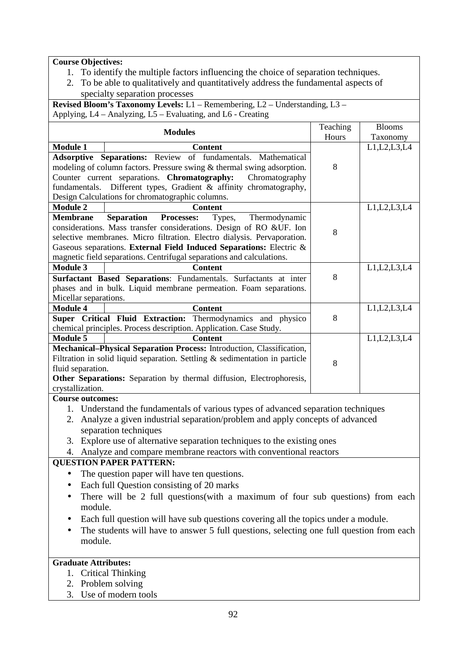#### **Course Objectives:**

- 1. To identify the multiple factors influencing the choice of separation techniques.
- 2. To be able to qualitatively and quantitatively address the fundamental aspects of specialty separation processes

**Revised Bloom's Taxonomy Levels:** L1 – Remembering, L2 – Understanding, L3 – Applying, L4 – Analyzing, L5 – Evaluating, and L6 - Creating

|                       | <b>Modules</b>                                                                 | Teaching | <b>Blooms</b>  |
|-----------------------|--------------------------------------------------------------------------------|----------|----------------|
|                       |                                                                                | Hours    | Taxonomy       |
| <b>Module 1</b>       | <b>Content</b>                                                                 |          | L1, L2, L3, L4 |
|                       | Adsorptive Separations: Review of fundamentals. Mathematical                   |          |                |
|                       | modeling of column factors. Pressure swing & thermal swing adsorption.         | 8        |                |
|                       | Counter current separations. Chromatography:<br>Chromatography                 |          |                |
|                       | fundamentals. Different types, Gradient & affinity chromatography,             |          |                |
|                       | Design Calculations for chromatographic columns.                               |          |                |
| <b>Module 2</b>       | <b>Content</b>                                                                 |          | L1, L2, L3, L4 |
| <b>Membrane</b>       | Separation<br>Processes:<br>Types,<br>Thermodynamic                            |          |                |
|                       | considerations. Mass transfer considerations. Design of RO &UF. Ion            | 8        |                |
|                       | selective membranes. Micro filtration. Electro dialysis. Pervaporation.        |          |                |
|                       | Gaseous separations. External Field Induced Separations: Electric &            |          |                |
|                       | magnetic field separations. Centrifugal separations and calculations.          |          |                |
| <b>Module 3</b>       | <b>Content</b>                                                                 |          | L1, L2, L3, L4 |
|                       | Surfactant Based Separations: Fundamentals. Surfactants at inter               | 8        |                |
|                       | phases and in bulk. Liquid membrane permeation. Foam separations.              |          |                |
| Micellar separations. |                                                                                |          |                |
| <b>Module 4</b>       | <b>Content</b>                                                                 |          | L1, L2, L3, L4 |
|                       | Super Critical Fluid Extraction: Thermodynamics and physico                    | 8        |                |
|                       | chemical principles. Process description. Application. Case Study.             |          |                |
| <b>Module 5</b>       | <b>Content</b>                                                                 |          | L1, L2, L3, L4 |
|                       | Mechanical-Physical Separation Process: Introduction, Classification,          |          |                |
|                       | Filtration in solid liquid separation. Settling $\&$ sedimentation in particle | 8        |                |
| fluid separation.     |                                                                                |          |                |
|                       | Other Separations: Separation by thermal diffusion, Electrophoresis,           |          |                |
| crystallization.      |                                                                                |          |                |
|                       |                                                                                |          |                |

#### **Course outcomes:**

- 1. Understand the fundamentals of various types of advanced separation techniques
- 2. Analyze a given industrial separation/problem and apply concepts of advanced separation techniques
- 3. Explore use of alternative separation techniques to the existing ones

4. Analyze and compare membrane reactors with conventional reactors

#### **QUESTION PAPER PATTERN:**

- The question paper will have ten questions.
- Each full Ouestion consisting of 20 marks
- There will be 2 full questions(with a maximum of four sub questions) from each module.
- Each full question will have sub questions covering all the topics under a module.
- The students will have to answer 5 full questions, selecting one full question from each module.

## **Graduate Attributes:**

- 1. Critical Thinking
- 2. Problem solving
- 3. Use of modern tools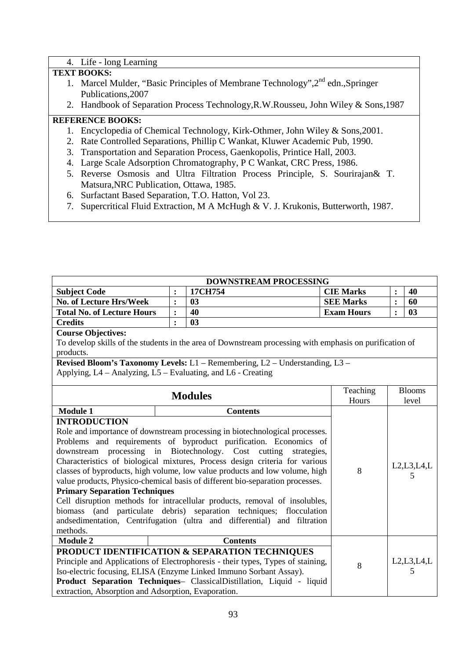#### 4. Life - long Learning

#### **TEXT BOOKS:**

- 1. Marcel Mulder, "Basic Principles of Membrane Technology", 2<sup>nd</sup> edn., Springer Publications,2007
- 2. Handbook of Separation Process Technology,R.W.Rousseu, John Wiley & Sons,1987

- 1. Encyclopedia of Chemical Technology, Kirk-Othmer, John Wiley & Sons,2001.
- 2. Rate Controlled Separations, Phillip C Wankat, Kluwer Academic Pub, 1990.
- 3. Transportation and Separation Process, Gaenkopolis, Printice Hall, 2003.
- 4. Large Scale Adsorption Chromatography, P C Wankat, CRC Press, 1986.
- 5. Reverse Osmosis and Ultra Filtration Process Principle, S. Sourirajan& T. Matsura,NRC Publication, Ottawa, 1985.
- 6. Surfactant Based Separation, T.O. Hatton, Vol 23.
- 7. Supercritical Fluid Extraction, M A McHugh & V. J. Krukonis, Butterworth, 1987.

| DOWNSTREAM PROCESSING                                                                                 |                                                                                                         |                                                                               |                   |                |               |  |  |  |  |  |
|-------------------------------------------------------------------------------------------------------|---------------------------------------------------------------------------------------------------------|-------------------------------------------------------------------------------|-------------------|----------------|---------------|--|--|--|--|--|
| <b>Subject Code</b>                                                                                   | $\ddot{\cdot}$                                                                                          | 17CH754                                                                       | <b>CIE Marks</b>  | $\ddot{\cdot}$ | 40            |  |  |  |  |  |
| <b>No. of Lecture Hrs/Week</b>                                                                        | $\ddot{\cdot}$                                                                                          | 0 <sub>3</sub>                                                                | <b>SEE Marks</b>  | :              | 60            |  |  |  |  |  |
| <b>Total No. of Lecture Hours</b>                                                                     | :                                                                                                       | 40                                                                            | <b>Exam Hours</b> | $\ddot{\cdot}$ | 03            |  |  |  |  |  |
| <b>Credits</b>                                                                                        | $\ddot{\cdot}$                                                                                          | 03                                                                            |                   |                |               |  |  |  |  |  |
| <b>Course Objectives:</b>                                                                             |                                                                                                         |                                                                               |                   |                |               |  |  |  |  |  |
|                                                                                                       | To develop skills of the students in the area of Downstream processing with emphasis on purification of |                                                                               |                   |                |               |  |  |  |  |  |
| products.                                                                                             |                                                                                                         |                                                                               |                   |                |               |  |  |  |  |  |
|                                                                                                       |                                                                                                         | Revised Bloom's Taxonomy Levels: L1 - Remembering, L2 - Understanding, L3 -   |                   |                |               |  |  |  |  |  |
| Applying, L4 – Analyzing, L5 – Evaluating, and L6 - Creating                                          |                                                                                                         |                                                                               |                   |                |               |  |  |  |  |  |
|                                                                                                       |                                                                                                         |                                                                               | Teaching          |                | <b>Blooms</b> |  |  |  |  |  |
|                                                                                                       | Hours                                                                                                   |                                                                               | level             |                |               |  |  |  |  |  |
| <b>Module 1</b>                                                                                       |                                                                                                         | <b>Contents</b>                                                               |                   |                |               |  |  |  |  |  |
| <b>INTRODUCTION</b>                                                                                   |                                                                                                         |                                                                               |                   |                |               |  |  |  |  |  |
|                                                                                                       |                                                                                                         | Role and importance of downstream processing in biotechnological processes.   |                   |                |               |  |  |  |  |  |
|                                                                                                       |                                                                                                         | Problems and requirements of byproduct purification. Economics of             |                   |                |               |  |  |  |  |  |
| downstream processing in Biotechnology. Cost                                                          |                                                                                                         | cutting<br>strategies,                                                        |                   |                |               |  |  |  |  |  |
|                                                                                                       |                                                                                                         | Characteristics of biological mixtures, Process design criteria for various   |                   |                | L2, L3, L4, L |  |  |  |  |  |
|                                                                                                       |                                                                                                         | classes of byproducts, high volume, low value products and low volume, high   | 8                 |                |               |  |  |  |  |  |
|                                                                                                       |                                                                                                         | value products, Physico-chemical basis of different bio-separation processes. |                   |                | 5             |  |  |  |  |  |
| <b>Primary Separation Techniques</b>                                                                  |                                                                                                         |                                                                               |                   |                |               |  |  |  |  |  |
|                                                                                                       |                                                                                                         | Cell disruption methods for intracellular products, removal of insolubles,    |                   |                |               |  |  |  |  |  |
|                                                                                                       |                                                                                                         | biomass (and particulate debris) separation techniques; flocculation          |                   |                |               |  |  |  |  |  |
|                                                                                                       |                                                                                                         | andsedimentation, Centrifugation (ultra and differential) and filtration      |                   |                |               |  |  |  |  |  |
| methods.                                                                                              |                                                                                                         |                                                                               |                   |                |               |  |  |  |  |  |
| <b>Module 2</b>                                                                                       |                                                                                                         | <b>Contents</b>                                                               |                   |                |               |  |  |  |  |  |
|                                                                                                       |                                                                                                         | PRODUCT IDENTIFICATION & SEPARATION TECHNIQUES                                |                   |                |               |  |  |  |  |  |
| Principle and Applications of Electrophoresis - their types, Types of staining,<br>L2, L3, L4, L<br>8 |                                                                                                         |                                                                               |                   |                |               |  |  |  |  |  |
|                                                                                                       |                                                                                                         | Iso-electric focusing, ELISA (Enzyme Linked Immuno Sorbant Assay).            |                   |                | 5             |  |  |  |  |  |
|                                                                                                       |                                                                                                         | Product Separation Techniques- ClassicalDistillation, Liquid - liquid         |                   |                |               |  |  |  |  |  |
|                                                                                                       | extraction, Absorption and Adsorption, Evaporation.                                                     |                                                                               |                   |                |               |  |  |  |  |  |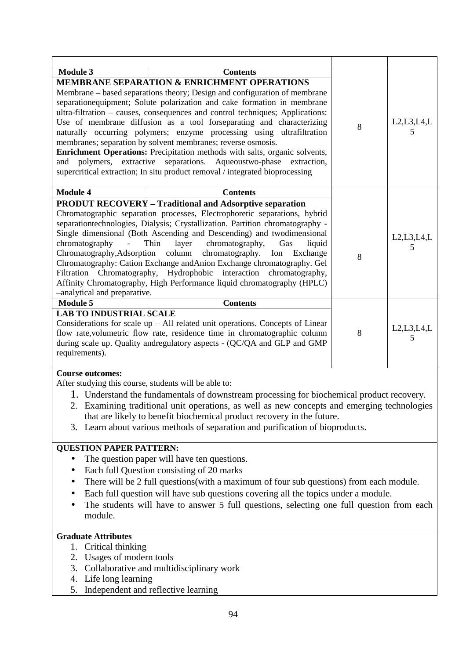| <b>Module 3</b>                                                                                                                                                                                                                                                                                                                                                                                                                                                                                                                                                                                                                                                                                                            | <b>Contents</b>                                                                                                                                                                                                                                                                                                                                                                                                                                                                                                                                                                                                                |                    |                    |  |
|----------------------------------------------------------------------------------------------------------------------------------------------------------------------------------------------------------------------------------------------------------------------------------------------------------------------------------------------------------------------------------------------------------------------------------------------------------------------------------------------------------------------------------------------------------------------------------------------------------------------------------------------------------------------------------------------------------------------------|--------------------------------------------------------------------------------------------------------------------------------------------------------------------------------------------------------------------------------------------------------------------------------------------------------------------------------------------------------------------------------------------------------------------------------------------------------------------------------------------------------------------------------------------------------------------------------------------------------------------------------|--------------------|--------------------|--|
| <b>MEMBRANE SEPARATION &amp; ENRICHMENT OPERATIONS</b><br>Membrane – based separations theory; Design and configuration of membrane<br>separationequipment; Solute polarization and cake formation in membrane<br>ultra-filtration – causes, consequences and control techniques; Applications:<br>Use of membrane diffusion as a tool forseparating and characterizing<br>naturally occurring polymers; enzyme processing using ultrafiltration<br>membranes; separation by solvent membranes; reverse osmosis.<br>Enrichment Operations: Precipitation methods with salts, organic solvents,<br>and polymers,<br>extractive separations.<br>supercritical extraction; In situ product removal / integrated bioprocessing | 8                                                                                                                                                                                                                                                                                                                                                                                                                                                                                                                                                                                                                              | L2, L3, L4, L<br>5 |                    |  |
| <b>Module 4</b>                                                                                                                                                                                                                                                                                                                                                                                                                                                                                                                                                                                                                                                                                                            | <b>Contents</b>                                                                                                                                                                                                                                                                                                                                                                                                                                                                                                                                                                                                                |                    |                    |  |
| chromatography<br>$\Box$<br>Chromatography, Adsorption<br>-analytical and preparative.                                                                                                                                                                                                                                                                                                                                                                                                                                                                                                                                                                                                                                     | <b>PRODUT RECOVERY - Traditional and Adsorptive separation</b><br>Chromatographic separation processes, Electrophoretic separations, hybrid<br>separationtechnologies, Dialysis; Crystallization. Partition chromatography -<br>Single dimensional (Both Ascending and Descending) and two dimensional<br>chromatography,<br>Thin<br>layer<br>Gas<br>liquid<br>column chromatography.<br>Ion Exchange<br>Chromatography: Cation Exchange andAnion Exchange chromatography. Gel<br>Filtration Chromatography, Hydrophobic interaction chromatography,<br>Affinity Chromatography, High Performance liquid chromatography (HPLC) | 8                  | L2, L3, L4, L<br>5 |  |
| <b>Module 5</b>                                                                                                                                                                                                                                                                                                                                                                                                                                                                                                                                                                                                                                                                                                            | <b>Contents</b>                                                                                                                                                                                                                                                                                                                                                                                                                                                                                                                                                                                                                |                    |                    |  |
| <b>LAB TO INDUSTRIAL SCALE</b><br>requirements).                                                                                                                                                                                                                                                                                                                                                                                                                                                                                                                                                                                                                                                                           | Considerations for scale $up$ – All related unit operations. Concepts of Linear<br>flow rate, volumetric flow rate, residence time in chromatographic column<br>during scale up. Quality andregulatory aspects - (QC/QA and GLP and GMP                                                                                                                                                                                                                                                                                                                                                                                        | 8                  | L2, L3, L4, L<br>5 |  |
| <b>Course outcomes:</b>                                                                                                                                                                                                                                                                                                                                                                                                                                                                                                                                                                                                                                                                                                    |                                                                                                                                                                                                                                                                                                                                                                                                                                                                                                                                                                                                                                |                    |                    |  |
| After studying this course, students will be able to:<br>1. Understand the fundamentals of downstream processing for biochemical product recovery.<br>2. Examining traditional unit operations, as well as new concepts and emerging technologies<br>that are likely to benefit biochemical product recovery in the future.<br>3. Learn about various methods of separation and purification of bioproducts.                                                                                                                                                                                                                                                                                                               |                                                                                                                                                                                                                                                                                                                                                                                                                                                                                                                                                                                                                                |                    |                    |  |
| <b>QUESTION PAPER PATTERN:</b>                                                                                                                                                                                                                                                                                                                                                                                                                                                                                                                                                                                                                                                                                             |                                                                                                                                                                                                                                                                                                                                                                                                                                                                                                                                                                                                                                |                    |                    |  |
| The question paper will have ten questions.<br>Each full Question consisting of 20 marks<br>There will be 2 full questions (with a maximum of four sub questions) from each module.<br>Each full question will have sub questions covering all the topics under a module.<br>The students will have to answer 5 full questions, selecting one full question from each<br>module.                                                                                                                                                                                                                                                                                                                                           |                                                                                                                                                                                                                                                                                                                                                                                                                                                                                                                                                                                                                                |                    |                    |  |
| <b>Graduate Attributes</b>                                                                                                                                                                                                                                                                                                                                                                                                                                                                                                                                                                                                                                                                                                 |                                                                                                                                                                                                                                                                                                                                                                                                                                                                                                                                                                                                                                |                    |                    |  |
| 1. Critical thinking<br>2. Usages of modern tools<br>4. Life long learning<br>5.                                                                                                                                                                                                                                                                                                                                                                                                                                                                                                                                                                                                                                           | 3. Collaborative and multidisciplinary work<br>Independent and reflective learning                                                                                                                                                                                                                                                                                                                                                                                                                                                                                                                                             |                    |                    |  |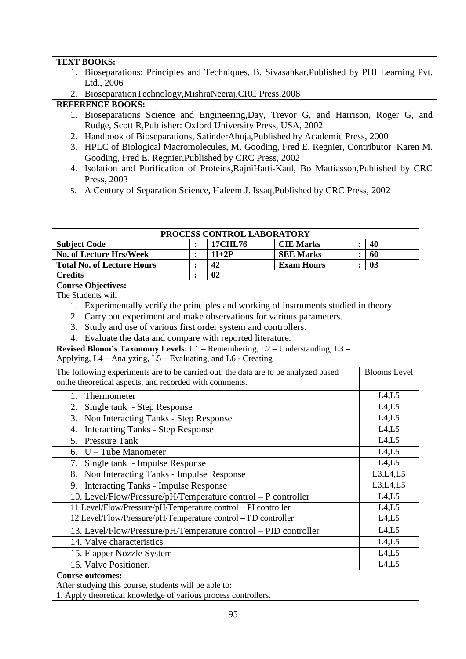#### **TEXT BOOKS:**

- 1. Bioseparations: Principles and Techniques, B. Sivasankar,Published by PHI Learning Pvt. Ltd., 2006
- 2. BioseparationTechnology,MishraNeeraj,CRC Press,2008

- 1. Bioseparations Science and Engineering,Day, Trevor G, and Harrison, Roger G, and Rudge, Scott R,Publisher: Oxford University Press, USA, 2002
- 2. Handbook of Bioseparations, SatinderAhuja,Published by Academic Press, 2000
- 3. HPLC of Biological Macromolecules, M. Gooding, Fred E. Regnier, Contributor Karen M. Gooding, Fred E. Regnier,Published by CRC Press, 2002
- 4. Isolation and Purification of Proteins,RajniHatti-Kaul, Bo Mattiasson,Published by CRC Press, 2003
- 5. A Century of Separation Science, Haleem J. Issaq,Published by CRC Press, 2002

|                                                                                       | PROCESS CONTROL LABORATORY |         |                   |                |                     |  |
|---------------------------------------------------------------------------------------|----------------------------|---------|-------------------|----------------|---------------------|--|
| <b>Subject Code</b>                                                                   | $\ddot{\cdot}$             | 17CHL76 | <b>CIE Marks</b>  | $\ddot{\cdot}$ | 40                  |  |
| <b>No. of Lecture Hrs/Week</b>                                                        | $\ddot{\cdot}$             | $1I+2P$ | <b>SEE Marks</b>  | $\ddot{\cdot}$ | 60                  |  |
| <b>Total No. of Lecture Hours</b>                                                     | $\ddot{\cdot}$             | 42      | <b>Exam Hours</b> | $\ddot{\cdot}$ | 0 <sub>3</sub>      |  |
| <b>Credits</b>                                                                        | $\ddot{\cdot}$             | 02      |                   |                |                     |  |
| <b>Course Objectives:</b>                                                             |                            |         |                   |                |                     |  |
| The Students will                                                                     |                            |         |                   |                |                     |  |
| 1. Experimentally verify the principles and working of instruments studied in theory. |                            |         |                   |                |                     |  |
| 2. Carry out experiment and make observations for various parameters.                 |                            |         |                   |                |                     |  |
| 3. Study and use of various first order system and controllers.                       |                            |         |                   |                |                     |  |
| 4. Evaluate the data and compare with reported literature.                            |                            |         |                   |                |                     |  |
| Revised Bloom's Taxonomy Levels: L1 - Remembering, L2 - Understanding, L3 -           |                            |         |                   |                |                     |  |
| Applying, L4 - Analyzing, L5 - Evaluating, and L6 - Creating                          |                            |         |                   |                |                     |  |
| The following experiments are to be carried out; the data are to be analyzed based    |                            |         |                   |                | <b>Blooms</b> Level |  |
| onthe theoretical aspects, and recorded with comments.                                |                            |         |                   |                |                     |  |
| 1.<br>Thermometer                                                                     |                            |         |                   |                | L4,L5               |  |
| 2.<br>Single tank - Step Response                                                     |                            |         |                   | L4,L5          |                     |  |
| 3. Non Interacting Tanks - Step Response                                              |                            |         |                   |                | L4,L5               |  |
| <b>Interacting Tanks - Step Response</b><br>4.                                        |                            |         |                   |                | L4,L5               |  |
| 5. Pressure Tank                                                                      |                            |         |                   |                | L4,L5               |  |
| $U$ – Tube Manometer<br>6.                                                            |                            |         |                   |                | L4,L5               |  |
| 7.<br>Single tank - Impulse Response                                                  |                            |         |                   |                | L4,L5               |  |
| Non Interacting Tanks - Impulse Response<br>8.                                        |                            |         |                   |                | L3,L4,L5            |  |
| <b>Interacting Tanks - Impulse Response</b><br>9.                                     |                            |         |                   |                | L3, L4, L5          |  |
| 10. Level/Flow/Pressure/pH/Temperature control - P controller                         |                            |         |                   |                | L4, L5              |  |
| 11.Level/Flow/Pressure/pH/Temperature control - PI controller                         |                            |         |                   |                | L4,L5               |  |
| 12.Level/Flow/Pressure/pH/Temperature control - PD controller                         |                            |         |                   |                | L4, L5              |  |
| 13. Level/Flow/Pressure/pH/Temperature control - PID controller                       |                            |         |                   |                | L4,L5               |  |
| 14. Valve characteristics                                                             |                            |         |                   |                | L4,L5               |  |
| 15. Flapper Nozzle System                                                             | L4, L5                     |         |                   |                |                     |  |
| 16. Valve Positioner.                                                                 |                            |         |                   |                | L4,L5               |  |
| <b>Course outcomes:</b>                                                               |                            |         |                   |                |                     |  |
| After studying this course, students will be able to:                                 |                            |         |                   |                |                     |  |
| 1. Apply theoretical knowledge of various process controllers.                        |                            |         |                   |                |                     |  |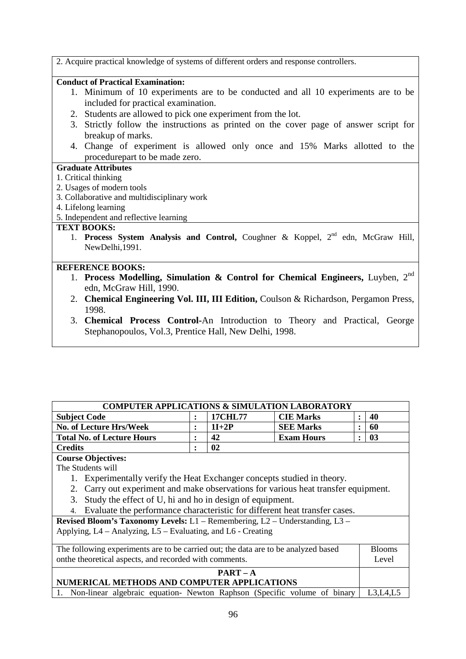2. Acquire practical knowledge of systems of different orders and response controllers.

## **Conduct of Practical Examination:**

- 1. Minimum of 10 experiments are to be conducted and all 10 experiments are to be included for practical examination.
- 2. Students are allowed to pick one experiment from the lot.
- 3. Strictly follow the instructions as printed on the cover page of answer script for breakup of marks.
- 4. Change of experiment is allowed only once and 15% Marks allotted to the procedurepart to be made zero.

## **Graduate Attributes**

- 1. Critical thinking
- 2. Usages of modern tools
- 3. Collaborative and multidisciplinary work
- 4. Lifelong learning

#### 5. Independent and reflective learning

#### **TEXT BOOKS:**

1. **Process System Analysis and Control,** Coughner & Koppel, 2nd edn, McGraw Hill, NewDelhi,1991.

#### **REFERENCE BOOKS:**

- 1. **Process Modelling, Simulation & Control for Chemical Engineers,** Luyben, 2nd edn, McGraw Hill, 1990.
- 2. **Chemical Engineering Vol. III, III Edition,** Coulson & Richardson, Pergamon Press, 1998.
- 3. **Chemical Process Control-**An Introduction to Theory and Practical, George Stephanopoulos, Vol.3, Prentice Hall, New Delhi, 1998.

| <b>COMPUTER APPLICATIONS &amp; SIMULATION LABORATORY</b> |  |         |                   |  |    |  |  |
|----------------------------------------------------------|--|---------|-------------------|--|----|--|--|
| <b>Subject Code</b>                                      |  | 17CHL77 | <b>CIE Marks</b>  |  | 40 |  |  |
| <b>No. of Lecture Hrs/Week</b>                           |  | $1I+2P$ | <b>SEE Marks</b>  |  | 60 |  |  |
| <b>Total No. of Lecture Hours</b>                        |  | 42      | <b>Exam Hours</b> |  | 03 |  |  |
| <b>Credits</b>                                           |  | 02      |                   |  |    |  |  |

## **Course Objectives:**

The Students will

- 1. Experimentally verify the Heat Exchanger concepts studied in theory.
- 2. Carry out experiment and make observations for various heat transfer equipment.
- 3. Study the effect of U, hi and ho in design of equipment.
- 4. Evaluate the performance characteristic for different heat transfer cases.

**Revised Bloom's Taxonomy Levels:** L1 – Remembering, L2 – Understanding, L3 – Applying, L4 – Analyzing, L5 – Evaluating, and L6 - Creating

| The following experiments are to be carried out; the data are to be analyzed based   |  |  |  |  |  |
|--------------------------------------------------------------------------------------|--|--|--|--|--|
| on the theoretical aspects, and recorded with comments.                              |  |  |  |  |  |
| $PART - A$                                                                           |  |  |  |  |  |
| NUMERICAL METHODS AND COMPUTER APPLICATIONS                                          |  |  |  |  |  |
| 1. Non-linear algebraic equation- Newton Raphson (Specific volume of binary L3,L4,L5 |  |  |  |  |  |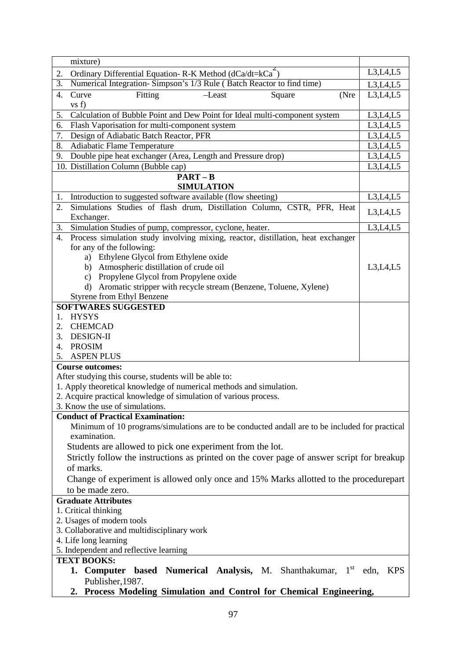| mixture)                                                                                             |                      |  |  |  |
|------------------------------------------------------------------------------------------------------|----------------------|--|--|--|
| Ordinary Differential Equation-R-K Method (dCa/dt=kCa <sup>-</sup> )<br>2.                           |                      |  |  |  |
| Numerical Integration-Simpson's 1/3 Rule (Batch Reactor to find time)<br>$\overline{3}$ .            | L3,L4,L5             |  |  |  |
| Fitting<br>Curve<br>$-Least$<br>Square<br>(Nre<br>4.                                                 | L3,L4,L5             |  |  |  |
| vs f)                                                                                                |                      |  |  |  |
| Calculation of Bubble Point and Dew Point for Ideal multi-component system<br>5.                     | L3,L4,L5             |  |  |  |
| Flash Vaporisation for multi-component system<br>6.                                                  | L3,L4,L5             |  |  |  |
| 7.<br>Design of Adiabatic Batch Reactor, PFR                                                         |                      |  |  |  |
| 8.<br>Adiabatic Flame Temperature                                                                    | L3,L4,L5<br>L3,L4,L5 |  |  |  |
| Double pipe heat exchanger (Area, Length and Pressure drop)<br>9.                                    |                      |  |  |  |
| 10. Distillation Column (Bubble cap)                                                                 | L3,L4,L5             |  |  |  |
| $PART - B$                                                                                           |                      |  |  |  |
| <b>SIMULATION</b>                                                                                    |                      |  |  |  |
| Introduction to suggested software available (flow sheeting)<br>1.                                   | L3, L4, L5           |  |  |  |
| 2.<br>Simulations Studies of flash drum, Distillation Column, CSTR, PFR, Heat<br>Exchanger.          | L3,L4,L5             |  |  |  |
| Simulation Studies of pump, compressor, cyclone, heater.<br>3.                                       | L3,L4,L5             |  |  |  |
| Process simulation study involving mixing, reactor, distillation, heat exchanger<br>$\overline{4}$ . |                      |  |  |  |
| for any of the following:                                                                            |                      |  |  |  |
| a) Ethylene Glycol from Ethylene oxide                                                               |                      |  |  |  |
| b) Atmospheric distillation of crude oil                                                             | L3, L4, L5           |  |  |  |
| c) Propylene Glycol from Propylene oxide                                                             |                      |  |  |  |
| d) Aromatic stripper with recycle stream (Benzene, Toluene, Xylene)<br>Styrene from Ethyl Benzene    |                      |  |  |  |
| <b>SOFTWARES SUGGESTED</b>                                                                           |                      |  |  |  |
| <b>HYSYS</b><br>1.                                                                                   |                      |  |  |  |
| <b>CHEMCAD</b><br>2.                                                                                 |                      |  |  |  |
| <b>DESIGN-II</b><br>3.                                                                               |                      |  |  |  |
| <b>PROSIM</b><br>4.                                                                                  |                      |  |  |  |
| 5.<br><b>ASPEN PLUS</b>                                                                              |                      |  |  |  |
| <b>Course outcomes:</b>                                                                              |                      |  |  |  |
| After studying this course, students will be able to:                                                |                      |  |  |  |
| 1. Apply theoretical knowledge of numerical methods and simulation.                                  |                      |  |  |  |
| 2. Acquire practical knowledge of simulation of various process.                                     |                      |  |  |  |
| 3. Know the use of simulations.                                                                      |                      |  |  |  |
| <b>Conduct of Practical Examination:</b>                                                             |                      |  |  |  |
| Minimum of 10 programs/simulations are to be conducted and all are to be included for practical      |                      |  |  |  |
| examination.                                                                                         |                      |  |  |  |
| Students are allowed to pick one experiment from the lot.                                            |                      |  |  |  |
| Strictly follow the instructions as printed on the cover page of answer script for breakup           |                      |  |  |  |
| of marks.                                                                                            |                      |  |  |  |
| Change of experiment is allowed only once and 15% Marks allotted to the procedurepart                |                      |  |  |  |
| to be made zero.                                                                                     |                      |  |  |  |
| <b>Graduate Attributes</b>                                                                           |                      |  |  |  |
| 1. Critical thinking                                                                                 |                      |  |  |  |
| 2. Usages of modern tools                                                                            |                      |  |  |  |
| 3. Collaborative and multidisciplinary work<br>4. Life long learning                                 |                      |  |  |  |
| 5. Independent and reflective learning                                                               |                      |  |  |  |
| <b>TEXT BOOKS:</b>                                                                                   |                      |  |  |  |
| 1. Computer based Numerical Analysis, M. Shanthakumar,                                               | $1st$ edn, KPS       |  |  |  |
| Publisher, 1987.                                                                                     |                      |  |  |  |
| 2. Process Modeling Simulation and Control for Chemical Engineering,                                 |                      |  |  |  |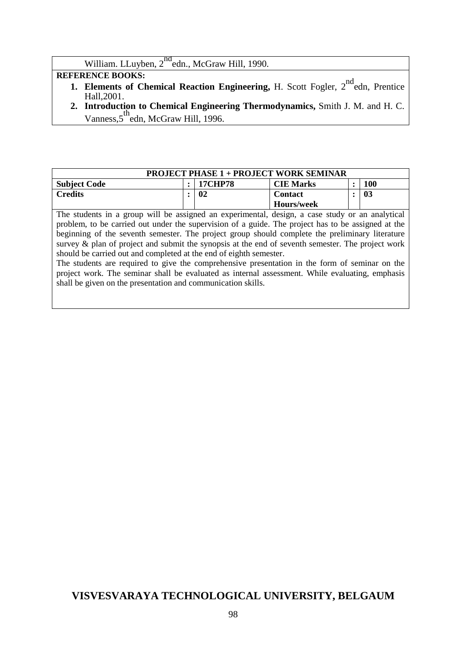William. LLuyben, 2<sup>nd</sup>edn., McGraw Hill, 1990.

## **REFERENCE BOOKS:**

- **1. Elements of Chemical Reaction Engineering, H. Scott Fogler, 2<sup>nd</sup>edn, Prentice** Hall,2001.
- **2. Introduction to Chemical Engineering Thermodynamics,** Smith J. M. and H. C. Vanness, 5<sup>th</sup>edn, McGraw Hill, 1996.

| <b>PROJECT PHASE 1 + PROJECT WORK SEMINAR</b> |  |         |                  |  |            |  |  |
|-----------------------------------------------|--|---------|------------------|--|------------|--|--|
| <b>Subject Code</b>                           |  | 17CHP78 | <b>CIE Marks</b> |  | <b>100</b> |  |  |
| <b>Credits</b>                                |  | 02      | <b>Contact</b>   |  | 03         |  |  |
|                                               |  |         | Hours/week       |  |            |  |  |

The students in a group will be assigned an experimental, design, a case study or an analytical problem, to be carried out under the supervision of a guide. The project has to be assigned at the beginning of the seventh semester. The project group should complete the preliminary literature survey & plan of project and submit the synopsis at the end of seventh semester. The project work should be carried out and completed at the end of eighth semester.

The students are required to give the comprehensive presentation in the form of seminar on the project work. The seminar shall be evaluated as internal assessment. While evaluating, emphasis shall be given on the presentation and communication skills.

# **VISVESVARAYA TECHNOLOGICAL UNIVERSITY, BELGAUM**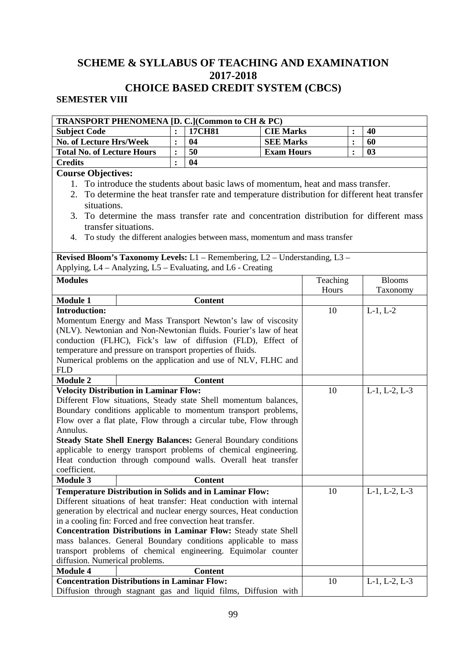# **SCHEME & SYLLABUS OF TEACHING AND EXAMINATION 2017-2018 CHOICE BASED CREDIT SYSTEM (CBCS)**

## **SEMESTER VIII**

| <b>TRANSPORT PHENOMENA [D. C.] (Common to CH &amp; PC)</b> |                                                                                                 |                                                                                       |                   |          |                |                       |  |  |  |
|------------------------------------------------------------|-------------------------------------------------------------------------------------------------|---------------------------------------------------------------------------------------|-------------------|----------|----------------|-----------------------|--|--|--|
| <b>Subject Code</b>                                        |                                                                                                 | 17CH81                                                                                | <b>CIE Marks</b>  |          | :              | 40                    |  |  |  |
| <b>No. of Lecture Hrs/Week</b>                             |                                                                                                 | 04<br>$\ddot{\cdot}$                                                                  | <b>SEE Marks</b>  |          | $\ddot{\cdot}$ | 60                    |  |  |  |
| <b>Total No. of Lecture Hours</b>                          |                                                                                                 | 50<br>$\ddot{\cdot}$                                                                  | <b>Exam Hours</b> |          | $\ddot{\cdot}$ | 03                    |  |  |  |
| <b>Credits</b>                                             |                                                                                                 | 04                                                                                    |                   |          |                |                       |  |  |  |
| <b>Course Objectives:</b>                                  |                                                                                                 |                                                                                       |                   |          |                |                       |  |  |  |
|                                                            |                                                                                                 | 1. To introduce the students about basic laws of momentum, heat and mass transfer.    |                   |          |                |                       |  |  |  |
|                                                            | 2. To determine the heat transfer rate and temperature distribution for different heat transfer |                                                                                       |                   |          |                |                       |  |  |  |
|                                                            | situations.                                                                                     |                                                                                       |                   |          |                |                       |  |  |  |
| 3.                                                         |                                                                                                 | To determine the mass transfer rate and concentration distribution for different mass |                   |          |                |                       |  |  |  |
|                                                            | transfer situations.                                                                            |                                                                                       |                   |          |                |                       |  |  |  |
| 4.                                                         |                                                                                                 | To study the different analogies between mass, momentum and mass transfer             |                   |          |                |                       |  |  |  |
|                                                            |                                                                                                 |                                                                                       |                   |          |                |                       |  |  |  |
|                                                            |                                                                                                 | Revised Bloom's Taxonomy Levels: L1 - Remembering, L2 - Understanding, L3 -           |                   |          |                |                       |  |  |  |
|                                                            |                                                                                                 | Applying, L4 - Analyzing, L5 - Evaluating, and L6 - Creating                          |                   |          |                |                       |  |  |  |
| <b>Modules</b>                                             |                                                                                                 |                                                                                       |                   | Teaching |                | <b>Blooms</b>         |  |  |  |
|                                                            |                                                                                                 |                                                                                       |                   | Hours    |                | Taxonomy              |  |  |  |
| <b>Module 1</b>                                            |                                                                                                 | <b>Content</b>                                                                        |                   |          |                |                       |  |  |  |
| <b>Introduction:</b>                                       |                                                                                                 |                                                                                       |                   | 10       |                | $L-1, L-2$            |  |  |  |
|                                                            |                                                                                                 | Momentum Energy and Mass Transport Newton's law of viscosity                          |                   |          |                |                       |  |  |  |
|                                                            |                                                                                                 | (NLV). Newtonian and Non-Newtonian fluids. Fourier's law of heat                      |                   |          |                |                       |  |  |  |
|                                                            |                                                                                                 | conduction (FLHC), Fick's law of diffusion (FLD), Effect of                           |                   |          |                |                       |  |  |  |
|                                                            |                                                                                                 | temperature and pressure on transport properties of fluids.                           |                   |          |                |                       |  |  |  |
|                                                            |                                                                                                 | Numerical problems on the application and use of NLV, FLHC and                        |                   |          |                |                       |  |  |  |
| <b>FLD</b>                                                 |                                                                                                 |                                                                                       |                   |          |                |                       |  |  |  |
| <b>Module 2</b>                                            |                                                                                                 | <b>Content</b>                                                                        |                   |          |                |                       |  |  |  |
| <b>Velocity Distribution in Laminar Flow:</b>              |                                                                                                 |                                                                                       |                   | 10       |                | $L-1$ , $L-2$ , $L-3$ |  |  |  |
|                                                            |                                                                                                 | Different Flow situations, Steady state Shell momentum balances,                      |                   |          |                |                       |  |  |  |
|                                                            |                                                                                                 | Boundary conditions applicable to momentum transport problems,                        |                   |          |                |                       |  |  |  |
|                                                            |                                                                                                 | Flow over a flat plate, Flow through a circular tube, Flow through                    |                   |          |                |                       |  |  |  |
| Annulus.                                                   |                                                                                                 |                                                                                       |                   |          |                |                       |  |  |  |
|                                                            |                                                                                                 | <b>Steady State Shell Energy Balances: General Boundary conditions</b>                |                   |          |                |                       |  |  |  |
|                                                            |                                                                                                 | applicable to energy transport problems of chemical engineering.                      |                   |          |                |                       |  |  |  |
|                                                            |                                                                                                 | Heat conduction through compound walls. Overall heat transfer                         |                   |          |                |                       |  |  |  |
| coefficient.                                               |                                                                                                 |                                                                                       |                   |          |                |                       |  |  |  |
| <b>Module 3</b>                                            |                                                                                                 | <b>Content</b>                                                                        |                   |          |                |                       |  |  |  |
|                                                            |                                                                                                 | <b>Temperature Distribution in Solids and in Laminar Flow:</b>                        |                   | 10       |                | $L-1$ , $L-2$ , $L-3$ |  |  |  |
|                                                            |                                                                                                 | Different situations of heat transfer: Heat conduction with internal                  |                   |          |                |                       |  |  |  |
|                                                            |                                                                                                 | generation by electrical and nuclear energy sources, Heat conduction                  |                   |          |                |                       |  |  |  |
|                                                            |                                                                                                 | in a cooling fin: Forced and free convection heat transfer.                           |                   |          |                |                       |  |  |  |
|                                                            |                                                                                                 | Concentration Distributions in Laminar Flow: Steady state Shell                       |                   |          |                |                       |  |  |  |
|                                                            |                                                                                                 | mass balances. General Boundary conditions applicable to mass                         |                   |          |                |                       |  |  |  |
|                                                            |                                                                                                 | transport problems of chemical engineering. Equimolar counter                         |                   |          |                |                       |  |  |  |
| diffusion. Numerical problems.                             |                                                                                                 |                                                                                       |                   |          |                |                       |  |  |  |
| <b>Module 4</b>                                            |                                                                                                 | <b>Content</b>                                                                        |                   |          |                |                       |  |  |  |
| <b>Concentration Distributions in Laminar Flow:</b>        |                                                                                                 |                                                                                       |                   | 10       |                | $L-1$ , $L-2$ , $L-3$ |  |  |  |
|                                                            |                                                                                                 | Diffusion through stagnant gas and liquid films, Diffusion with                       |                   |          |                |                       |  |  |  |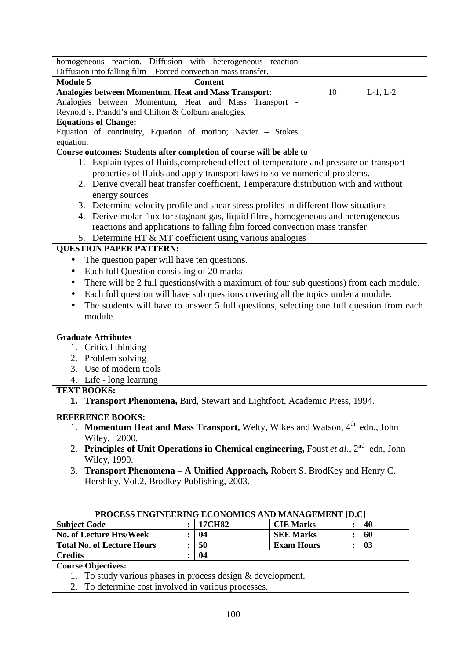| homogeneous reaction, Diffusion with heterogeneous reaction                                         |    |            |
|-----------------------------------------------------------------------------------------------------|----|------------|
| Diffusion into falling film - Forced convection mass transfer.                                      |    |            |
| <b>Module 5</b><br><b>Content</b>                                                                   |    |            |
| Analogies between Momentum, Heat and Mass Transport:                                                | 10 | $L-1, L-2$ |
| Analogies between Momentum, Heat and Mass Transport -                                               |    |            |
| Reynold's, Prandtl's and Chilton & Colburn analogies.                                               |    |            |
| <b>Equations of Change:</b>                                                                         |    |            |
| Equation of continuity, Equation of motion; Navier - Stokes                                         |    |            |
| equation.                                                                                           |    |            |
| Course outcomes: Students after completion of course will be able to                                |    |            |
| 1. Explain types of fluids, comprehend effect of temperature and pressure on transport              |    |            |
| properties of fluids and apply transport laws to solve numerical problems.                          |    |            |
| 2. Derive overall heat transfer coefficient, Temperature distribution with and without              |    |            |
| energy sources                                                                                      |    |            |
| 3. Determine velocity profile and shear stress profiles in different flow situations                |    |            |
| 4. Derive molar flux for stagnant gas, liquid films, homogeneous and heterogeneous                  |    |            |
| reactions and applications to falling film forced convection mass transfer                          |    |            |
| 5. Determine HT & MT coefficient using various analogies                                            |    |            |
| <b>QUESTION PAPER PATTERN:</b>                                                                      |    |            |
| The question paper will have ten questions.                                                         |    |            |
| Each full Question consisting of 20 marks                                                           |    |            |
| There will be 2 full questions(with a maximum of four sub questions) from each module.<br>$\bullet$ |    |            |
| Each full question will have sub questions covering all the topics under a module.<br>$\bullet$     |    |            |
| The students will have to answer 5 full questions, selecting one full question from each            |    |            |
| module.                                                                                             |    |            |
|                                                                                                     |    |            |
| <b>Graduate Attributes</b>                                                                          |    |            |
| 1. Critical thinking                                                                                |    |            |
| 2. Problem solving                                                                                  |    |            |
| 3. Use of modern tools                                                                              |    |            |
| 4. Life - long learning                                                                             |    |            |
| <b>TEXT BOOKS:</b>                                                                                  |    |            |
| 1. Transport Phenomena, Bird, Stewart and Lightfoot, Academic Press, 1994                           |    |            |
| <b>REFERENCE BOOKS:</b>                                                                             |    |            |
| 1. Momentum Heat and Mass Transport, Welty, Wikes and Watson, 4 <sup>th</sup> edn., John            |    |            |
| Wiley, 2000.                                                                                        |    |            |
| 2. Principles of Unit Operations in Chemical engineering, Foust et al., $2^{nd}$ edn, John          |    |            |
| Wiley, 1990.                                                                                        |    |            |
| Transport Phenomena - A Unified Approach, Robert S. BrodKey and Henry C.<br>3.                      |    |            |

Hershley, Vol.2, Brodkey Publishing, 2003.

| <b>PROCESS ENGINEERING ECONOMICS AND MANAGEMENT [D.C]</b> |  |               |                   |  |    |  |
|-----------------------------------------------------------|--|---------------|-------------------|--|----|--|
| <b>Subject Code</b>                                       |  | <b>17CH82</b> | <b>CIE Marks</b>  |  | 40 |  |
| No. of Lecture Hrs/Week                                   |  | 04            | <b>SEE Marks</b>  |  | 60 |  |
| <b>Total No. of Lecture Hours</b>                         |  | 50            | <b>Exam Hours</b> |  | 03 |  |
| <b>Credits</b>                                            |  | 04            |                   |  |    |  |
| <b>Course Objectives:</b>                                 |  |               |                   |  |    |  |

1. To study various phases in process design & development.

2. To determine cost involved in various processes.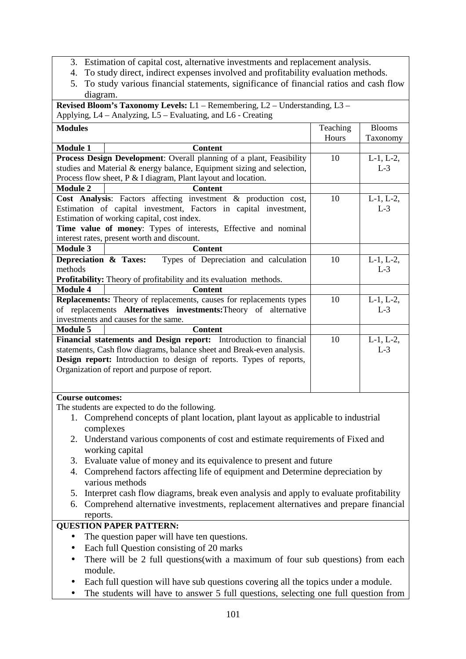- 3. Estimation of capital cost, alternative investments and replacement analysis.
- 4. To study direct, indirect expenses involved and profitability evaluation methods.
- 5. To study various financial statements, significance of financial ratios and cash flow diagram.

| Revised Bloom's Taxonomy Levels: L1 - Remembering, L2 - Understanding, L3 -     |                                                                                    |          |                 |  |  |  |  |
|---------------------------------------------------------------------------------|------------------------------------------------------------------------------------|----------|-----------------|--|--|--|--|
|                                                                                 | Applying, L4 – Analyzing, L5 – Evaluating, and L6 - Creating                       |          |                 |  |  |  |  |
| <b>Modules</b>                                                                  |                                                                                    | Teaching | <b>Blooms</b>   |  |  |  |  |
|                                                                                 |                                                                                    | Hours    | Taxonomy        |  |  |  |  |
| <b>Module 1</b>                                                                 | <b>Content</b>                                                                     |          |                 |  |  |  |  |
|                                                                                 | Process Design Development: Overall planning of a plant, Feasibility               | 10       | $L-1$ , $L-2$ , |  |  |  |  |
|                                                                                 | studies and Material & energy balance, Equipment sizing and selection,             |          | $L-3$           |  |  |  |  |
|                                                                                 | Process flow sheet, P & I diagram, Plant layout and location.                      |          |                 |  |  |  |  |
| <b>Module 2</b>                                                                 | <b>Content</b>                                                                     |          |                 |  |  |  |  |
|                                                                                 | Cost Analysis: Factors affecting investment & production cost,                     | 10       | $L-1, L-2,$     |  |  |  |  |
|                                                                                 | Estimation of capital investment, Factors in capital investment,                   |          | $L-3$           |  |  |  |  |
|                                                                                 | Estimation of working capital, cost index.                                         |          |                 |  |  |  |  |
|                                                                                 | Time value of money: Types of interests, Effective and nominal                     |          |                 |  |  |  |  |
|                                                                                 | interest rates, present worth and discount.                                        |          |                 |  |  |  |  |
| <b>Module 3</b>                                                                 | <b>Content</b>                                                                     |          |                 |  |  |  |  |
| Depreciation & Taxes:                                                           | Types of Depreciation and calculation                                              | 10       | $L-1$ , $L-2$ , |  |  |  |  |
| methods                                                                         |                                                                                    |          | $L-3$           |  |  |  |  |
|                                                                                 | <b>Profitability:</b> Theory of profitability and its evaluation methods.          |          |                 |  |  |  |  |
| <b>Module 4</b>                                                                 | <b>Content</b>                                                                     |          |                 |  |  |  |  |
|                                                                                 | <b>Replacements:</b> Theory of replacements, causes for replacements types         | 10       | $L-1$ , $L-2$ , |  |  |  |  |
|                                                                                 | of replacements Alternatives investments: Theory of alternative                    |          | $L-3$           |  |  |  |  |
|                                                                                 | investments and causes for the same.                                               |          |                 |  |  |  |  |
| Module 5                                                                        | <b>Content</b>                                                                     |          |                 |  |  |  |  |
|                                                                                 | Financial statements and Design report: Introduction to financial                  | 10       | $L-1, L-2,$     |  |  |  |  |
|                                                                                 | statements, Cash flow diagrams, balance sheet and Break-even analysis.             |          | $L-3$           |  |  |  |  |
|                                                                                 | <b>Design report:</b> Introduction to design of reports. Types of reports,         |          |                 |  |  |  |  |
|                                                                                 | Organization of report and purpose of report.                                      |          |                 |  |  |  |  |
|                                                                                 |                                                                                    |          |                 |  |  |  |  |
|                                                                                 |                                                                                    |          |                 |  |  |  |  |
|                                                                                 | <b>Course outcomes:</b>                                                            |          |                 |  |  |  |  |
| The students are expected to do the following.                                  |                                                                                    |          |                 |  |  |  |  |
|                                                                                 | 1. Comprehend concepts of plant location, plant layout as applicable to industrial |          |                 |  |  |  |  |
|                                                                                 | complexes                                                                          |          |                 |  |  |  |  |
| 2. Understand various components of cost and estimate requirements of Fixed and |                                                                                    |          |                 |  |  |  |  |

- working capital
- 3. Evaluate value of money and its equivalence to present and future
- 4. Comprehend factors affecting life of equipment and Determine depreciation by various methods
- 5. Interpret cash flow diagrams, break even analysis and apply to evaluate profitability
- 6. Comprehend alternative investments, replacement alternatives and prepare financial reports.

## **QUESTION PAPER PATTERN:**

- The question paper will have ten questions.
- Each full Question consisting of 20 marks
- There will be 2 full questions(with a maximum of four sub questions) from each module.
- Each full question will have sub questions covering all the topics under a module.
- The students will have to answer 5 full questions, selecting one full question from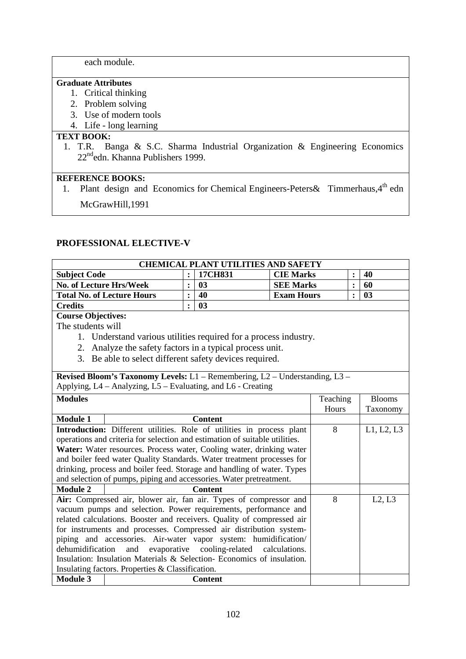each module.

#### **Graduate Attributes**

- 1. Critical thinking
- 2. Problem solving
- 3. Use of modern tools
- 4. Life long learning

## **TEXT BOOK:**

1. T.R. Banga & S.C. Sharma Industrial Organization & Engineering Economics 22<sup>nd</sup>edn. Khanna Publishers 1999.

## **REFERENCE BOOKS:**

1. Plant design and Economics for Chemical Engineers-Peters & Timmerhaus, 4<sup>th</sup> edn McGrawHill,1991

## **PROFESSIONAL ELECTIVE-V**

|                                                                                                                                                | <b>CHEMICAL PLANT UTILITIES AND SAFETY</b>                                               |                |                |                   |               |                |        |
|------------------------------------------------------------------------------------------------------------------------------------------------|------------------------------------------------------------------------------------------|----------------|----------------|-------------------|---------------|----------------|--------|
| <b>Subject Code</b>                                                                                                                            |                                                                                          | $\ddot{\cdot}$ | 17CH831        | <b>CIE Marks</b>  |               | :              | 40     |
| No. of Lecture Hrs/Week                                                                                                                        |                                                                                          | $\ddot{\cdot}$ | 03             | <b>SEE Marks</b>  |               | $\ddot{\cdot}$ | 60     |
|                                                                                                                                                | <b>Total No. of Lecture Hours</b>                                                        | :              | 40             | <b>Exam Hours</b> |               | $\ddot{\cdot}$ | 03     |
| <b>Credits</b>                                                                                                                                 |                                                                                          | $\ddot{\cdot}$ | 03             |                   |               |                |        |
|                                                                                                                                                | <b>Course Objectives:</b>                                                                |                |                |                   |               |                |        |
| The students will                                                                                                                              |                                                                                          |                |                |                   |               |                |        |
|                                                                                                                                                | 1. Understand various utilities required for a process industry.                         |                |                |                   |               |                |        |
| 2.                                                                                                                                             | Analyze the safety factors in a typical process unit.                                    |                |                |                   |               |                |        |
|                                                                                                                                                | 3. Be able to select different safety devices required.                                  |                |                |                   |               |                |        |
|                                                                                                                                                |                                                                                          |                |                |                   |               |                |        |
|                                                                                                                                                | <b>Revised Bloom's Taxonomy Levels:</b> $L1$ – Remembering, $L2$ – Understanding, $L3$ – |                |                |                   |               |                |        |
|                                                                                                                                                | Applying, L4 – Analyzing, L5 – Evaluating, and L6 - Creating                             |                |                |                   |               |                |        |
| <b>Modules</b>                                                                                                                                 |                                                                                          |                | Teaching       |                   | <b>Blooms</b> |                |        |
|                                                                                                                                                |                                                                                          |                | Hours          |                   | Taxonomy      |                |        |
| <b>Module 1</b>                                                                                                                                |                                                                                          |                | <b>Content</b> |                   |               |                |        |
| Introduction: Different utilities. Role of utilities in process plant                                                                          |                                                                                          |                | 8              |                   | L1, L2, L3    |                |        |
|                                                                                                                                                | operations and criteria for selection and estimation of suitable utilities.              |                |                |                   |               |                |        |
|                                                                                                                                                | Water: Water resources. Process water, Cooling water, drinking water                     |                |                |                   |               |                |        |
|                                                                                                                                                | and boiler feed water Quality Standards. Water treatment processes for                   |                |                |                   |               |                |        |
|                                                                                                                                                | drinking, process and boiler feed. Storage and handling of water. Types                  |                |                |                   |               |                |        |
|                                                                                                                                                | and selection of pumps, piping and accessories. Water pretreatment.                      |                |                |                   |               |                |        |
| <b>Module 2</b>                                                                                                                                |                                                                                          |                | <b>Content</b> |                   |               |                |        |
|                                                                                                                                                | Air: Compressed air, blower air, fan air. Types of compressor and                        |                |                |                   | 8             |                | L2, L3 |
|                                                                                                                                                | vacuum pumps and selection. Power requirements, performance and                          |                |                |                   |               |                |        |
|                                                                                                                                                | related calculations. Booster and receivers. Quality of compressed air                   |                |                |                   |               |                |        |
| for instruments and processes. Compressed air distribution system-                                                                             |                                                                                          |                |                |                   |               |                |        |
| piping and accessories. Air-water vapor system: humidification/                                                                                |                                                                                          |                |                |                   |               |                |        |
| evaporative cooling-related calculations.<br>dehumidification<br>and<br>Insulation: Insulation Materials & Selection- Economics of insulation. |                                                                                          |                |                |                   |               |                |        |
|                                                                                                                                                |                                                                                          |                |                |                   |               |                |        |
|                                                                                                                                                | Insulating factors. Properties & Classification.                                         |                |                |                   |               |                |        |
| <b>Module 3</b>                                                                                                                                |                                                                                          |                | <b>Content</b> |                   |               |                |        |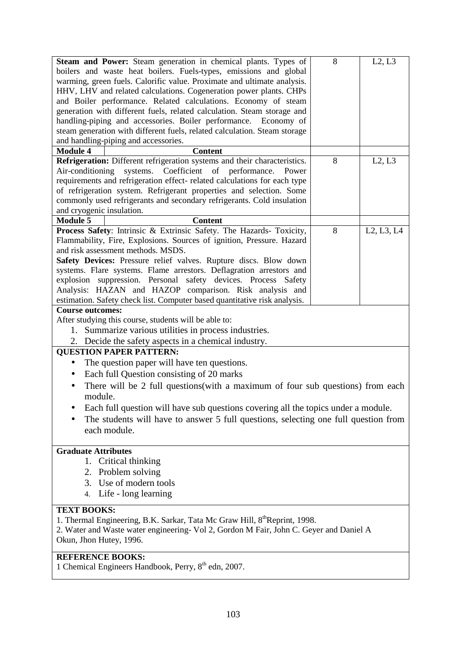| Steam and Power: Steam generation in chemical plants. Types of<br>boilers and waste heat boilers. Fuels-types, emissions and global<br>warming, green fuels. Calorific value. Proximate and ultimate analysis.<br>HHV, LHV and related calculations. Cogeneration power plants. CHPs<br>and Boiler performance. Related calculations. Economy of steam<br>generation with different fuels, related calculation. Steam storage and                                                                                                                                                                                                                                                                                                                                                                                                                                                                                                                                                                                                                                                                                                                                                               | 8 | L2, L3     |
|-------------------------------------------------------------------------------------------------------------------------------------------------------------------------------------------------------------------------------------------------------------------------------------------------------------------------------------------------------------------------------------------------------------------------------------------------------------------------------------------------------------------------------------------------------------------------------------------------------------------------------------------------------------------------------------------------------------------------------------------------------------------------------------------------------------------------------------------------------------------------------------------------------------------------------------------------------------------------------------------------------------------------------------------------------------------------------------------------------------------------------------------------------------------------------------------------|---|------------|
| handling-piping and accessories. Boiler performance. Economy of<br>steam generation with different fuels, related calculation. Steam storage<br>and handling-piping and accessories.                                                                                                                                                                                                                                                                                                                                                                                                                                                                                                                                                                                                                                                                                                                                                                                                                                                                                                                                                                                                            |   |            |
| <b>Module 4</b><br><b>Content</b>                                                                                                                                                                                                                                                                                                                                                                                                                                                                                                                                                                                                                                                                                                                                                                                                                                                                                                                                                                                                                                                                                                                                                               |   |            |
| Refrigeration: Different refrigeration systems and their characteristics.<br>systems. Coefficient of performance.<br>Air-conditioning<br>Power<br>requirements and refrigeration effect- related calculations for each type<br>of refrigeration system. Refrigerant properties and selection. Some<br>commonly used refrigerants and secondary refrigerants. Cold insulation<br>and cryogenic insulation.                                                                                                                                                                                                                                                                                                                                                                                                                                                                                                                                                                                                                                                                                                                                                                                       | 8 | L2, L3     |
| <b>Module 5</b><br><b>Content</b>                                                                                                                                                                                                                                                                                                                                                                                                                                                                                                                                                                                                                                                                                                                                                                                                                                                                                                                                                                                                                                                                                                                                                               |   |            |
| Process Safety: Intrinsic & Extrinsic Safety. The Hazards- Toxicity,<br>Flammability, Fire, Explosions. Sources of ignition, Pressure. Hazard<br>and risk assessment methods. MSDS.<br>Safety Devices: Pressure relief valves. Rupture discs. Blow down<br>systems. Flare systems. Flame arrestors. Deflagration arrestors and<br>explosion suppression. Personal safety devices. Process Safety<br>Analysis: HAZAN and HAZOP comparison. Risk analysis and<br>estimation. Safety check list. Computer based quantitative risk analysis.<br><b>Course outcomes:</b><br>After studying this course, students will be able to:<br>1. Summarize various utilities in process industries.<br>2. Decide the safety aspects in a chemical industry.<br><b>OUESTION PAPER PATTERN:</b><br>The question paper will have ten questions.<br>$\bullet$<br>Each full Question consisting of 20 marks<br>$\bullet$<br>There will be 2 full questions(with a maximum of four sub questions) from each<br>module.<br>Each full question will have sub questions covering all the topics under a module.<br>The students will have to answer 5 full questions, selecting one full question from<br>each module. | 8 | L2, L3, L4 |
| <b>Graduate Attributes</b>                                                                                                                                                                                                                                                                                                                                                                                                                                                                                                                                                                                                                                                                                                                                                                                                                                                                                                                                                                                                                                                                                                                                                                      |   |            |
| 1. Critical thinking                                                                                                                                                                                                                                                                                                                                                                                                                                                                                                                                                                                                                                                                                                                                                                                                                                                                                                                                                                                                                                                                                                                                                                            |   |            |
| 2. Problem solving<br>3. Use of modern tools                                                                                                                                                                                                                                                                                                                                                                                                                                                                                                                                                                                                                                                                                                                                                                                                                                                                                                                                                                                                                                                                                                                                                    |   |            |
| 4. Life - long learning                                                                                                                                                                                                                                                                                                                                                                                                                                                                                                                                                                                                                                                                                                                                                                                                                                                                                                                                                                                                                                                                                                                                                                         |   |            |
| <b>TEXT BOOKS:</b><br>1. Thermal Engineering, B.K. Sarkar, Tata Mc Graw Hill, 8 <sup>th</sup> Reprint, 1998.<br>2. Water and Waste water engineering- Vol 2, Gordon M Fair, John C. Geyer and Daniel A<br>Okun, Jhon Hutey, 1996.                                                                                                                                                                                                                                                                                                                                                                                                                                                                                                                                                                                                                                                                                                                                                                                                                                                                                                                                                               |   |            |
| <b>REFERENCE BOOKS:</b>                                                                                                                                                                                                                                                                                                                                                                                                                                                                                                                                                                                                                                                                                                                                                                                                                                                                                                                                                                                                                                                                                                                                                                         |   |            |

1 Chemical Engineers Handbook, Perry, 8<sup>th</sup> edn, 2007.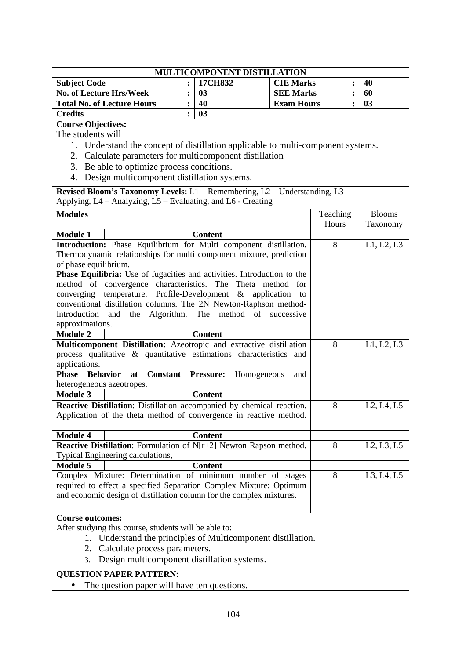| MULTICOMPONENT DISTILLATION       |  |         |                   |  |    |  |
|-----------------------------------|--|---------|-------------------|--|----|--|
| <b>Subject Code</b>               |  | 17CH832 | <b>CIE Marks</b>  |  | 40 |  |
| <b>No. of Lecture Hrs/Week</b>    |  | 03      | <b>SEE Marks</b>  |  | 60 |  |
| <b>Total No. of Lecture Hours</b> |  | 40      | <b>Exam Hours</b> |  | 03 |  |
| <b>Credits</b>                    |  | 03      |                   |  |    |  |

**Course Objectives:** 

The students will

- 1. Understand the concept of distillation applicable to multi-component systems.
- 2. Calculate parameters for multicomponent distillation
- 3. Be able to optimize process conditions.
- 4. Design multicomponent distillation systems.

**Revised Bloom's Taxonomy Levels:** L1 – Remembering, L2 – Understanding, L3 – Applying, L4 – Analyzing, L5 – Evaluating, and L6 - Creating

| <b>Modules</b>                                               |                                                                         | Teaching | <b>Blooms</b>                                    |  |  |
|--------------------------------------------------------------|-------------------------------------------------------------------------|----------|--------------------------------------------------|--|--|
|                                                              |                                                                         | Hours    | Taxonomy                                         |  |  |
| <b>Module 1</b>                                              | <b>Content</b>                                                          |          |                                                  |  |  |
|                                                              | Introduction: Phase Equilibrium for Multi component distillation.       | 8        | L1, L2, L3                                       |  |  |
|                                                              | Thermodynamic relationships for multi component mixture, prediction     |          |                                                  |  |  |
| of phase equilibrium.                                        |                                                                         |          |                                                  |  |  |
|                                                              | Phase Equilibria: Use of fugacities and activities. Introduction to the |          |                                                  |  |  |
|                                                              | method of convergence characteristics. The Theta method for             |          |                                                  |  |  |
| converging                                                   | temperature. Profile-Development $\&$ application<br>to                 |          |                                                  |  |  |
|                                                              | conventional distillation columns. The 2N Newton-Raphson method-        |          |                                                  |  |  |
| Introduction and the                                         | Algorithm.<br>The method of successive                                  |          |                                                  |  |  |
| approximations.                                              |                                                                         |          |                                                  |  |  |
| <b>Module 2</b>                                              | <b>Content</b>                                                          |          |                                                  |  |  |
|                                                              | Multicomponent Distillation: Azeotropic and extractive distillation     | 8        | L1, L2, L3                                       |  |  |
|                                                              | process qualitative & quantitative estimations characteristics and      |          |                                                  |  |  |
| applications.                                                |                                                                         |          |                                                  |  |  |
| Phase Behavior                                               | at Constant Pressure:<br>Homogeneous<br>and                             |          |                                                  |  |  |
| heterogeneous azeotropes.                                    |                                                                         |          |                                                  |  |  |
| <b>Module 3</b>                                              | <b>Content</b>                                                          |          |                                                  |  |  |
|                                                              | Reactive Distillation: Distillation accompanied by chemical reaction.   | 8        | L <sub>2</sub> , L <sub>4</sub> , L <sub>5</sub> |  |  |
|                                                              | Application of the theta method of convergence in reactive method.      |          |                                                  |  |  |
|                                                              |                                                                         |          |                                                  |  |  |
| <b>Module 4</b>                                              | <b>Content</b>                                                          |          |                                                  |  |  |
|                                                              | Reactive Distillation: Formulation of N[r+2] Newton Rapson method.      | 8        | L2, L3, L5                                       |  |  |
|                                                              | Typical Engineering calculations,                                       |          |                                                  |  |  |
| <b>Module 5</b>                                              | <b>Content</b>                                                          |          |                                                  |  |  |
|                                                              | Complex Mixture: Determination of minimum number of stages              | 8        | L3, L4, L5                                       |  |  |
|                                                              | required to effect a specified Separation Complex Mixture: Optimum      |          |                                                  |  |  |
|                                                              | and economic design of distillation column for the complex mixtures.    |          |                                                  |  |  |
|                                                              |                                                                         |          |                                                  |  |  |
| <b>Course outcomes:</b>                                      |                                                                         |          |                                                  |  |  |
| After studying this course, students will be able to:        |                                                                         |          |                                                  |  |  |
| 1. Understand the principles of Multicomponent distillation. |                                                                         |          |                                                  |  |  |
| 2. Calculate process parameters.                             |                                                                         |          |                                                  |  |  |
|                                                              | 3. Design multicomponent distillation systems.                          |          |                                                  |  |  |

#### **QUESTION PAPER PATTERN:**

• The question paper will have ten questions.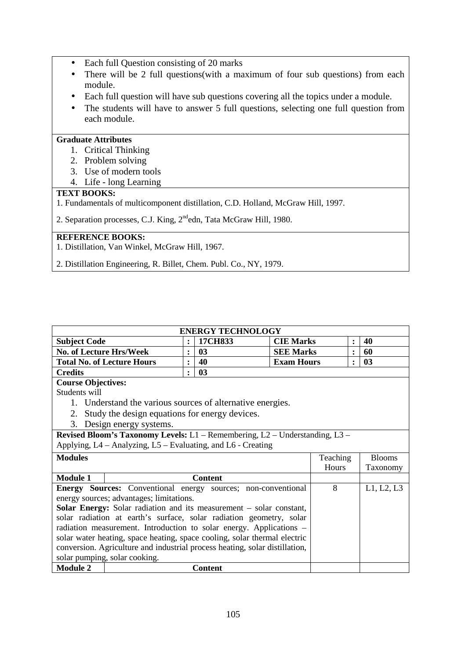- Each full Question consisting of 20 marks
- There will be 2 full questions(with a maximum of four sub questions) from each module.
- Each full question will have sub questions covering all the topics under a module.
- The students will have to answer 5 full questions, selecting one full question from each module.

#### **Graduate Attributes**

- 1. Critical Thinking
- 2. Problem solving
- 3. Use of modern tools
- 4. Life long Learning

#### **TEXT BOOKS:**

 $\overline{\phantom{a}}$ 

1. Fundamentals of multicomponent distillation, C.D. Holland, McGraw Hill, 1997.

2. Separation processes, C.J. King, 2<sup>nd</sup>edn, Tata McGraw Hill, 1980.

## **REFERENCE BOOKS:**

1. Distillation, Van Winkel, McGraw Hill, 1967.

2. Distillation Engineering, R. Billet, Chem. Publ. Co., NY, 1979.

| <b>Subject Code</b>                                                        |                                                                             | $\ddot{\cdot}$ | 17CH833        | <b>CIE Marks</b>  |          | $\ddot{\cdot}$ | 40            |
|----------------------------------------------------------------------------|-----------------------------------------------------------------------------|----------------|----------------|-------------------|----------|----------------|---------------|
| <b>No. of Lecture Hrs/Week</b>                                             |                                                                             |                | 03             | <b>SEE Marks</b>  |          | $\ddot{\cdot}$ | 60            |
|                                                                            | <b>Total No. of Lecture Hours</b>                                           | $\bullet$      | 40             | <b>Exam Hours</b> |          | $\bullet$      | 03            |
| <b>Credits</b>                                                             |                                                                             | $\bullet$      | 03             |                   |          |                |               |
| <b>Course Objectives:</b>                                                  |                                                                             |                |                |                   |          |                |               |
| Students will                                                              |                                                                             |                |                |                   |          |                |               |
|                                                                            | 1. Understand the various sources of alternative energies.                  |                |                |                   |          |                |               |
|                                                                            | 2. Study the design equations for energy devices.                           |                |                |                   |          |                |               |
| 3.                                                                         | Design energy systems.                                                      |                |                |                   |          |                |               |
|                                                                            | Revised Bloom's Taxonomy Levels: L1 - Remembering, L2 - Understanding, L3 - |                |                |                   |          |                |               |
|                                                                            | Applying, L4 – Analyzing, L5 – Evaluating, and L6 - Creating                |                |                |                   |          |                |               |
| <b>Modules</b>                                                             |                                                                             |                |                |                   | Teaching |                | <b>Blooms</b> |
|                                                                            |                                                                             |                |                |                   | Hours    |                | Taxonomy      |
| <b>Module 1</b>                                                            |                                                                             |                | <b>Content</b> |                   |          |                |               |
|                                                                            | Energy Sources: Conventional energy sources; non-conventional               |                |                |                   | 8        |                | L1, L2, L3    |
| energy sources; advantages; limitations.                                   |                                                                             |                |                |                   |          |                |               |
| <b>Solar Energy:</b> Solar radiation and its measurement – solar constant, |                                                                             |                |                |                   |          |                |               |
|                                                                            |                                                                             |                |                |                   |          |                |               |
|                                                                            | solar radiation at earth's surface, solar radiation geometry, solar         |                |                |                   |          |                |               |
|                                                                            | radiation measurement. Introduction to solar energy. Applications -         |                |                |                   |          |                |               |
|                                                                            | solar water heating, space heating, space cooling, solar thermal electric   |                |                |                   |          |                |               |
|                                                                            | conversion. Agriculture and industrial process heating, solar distillation, |                |                |                   |          |                |               |
| <b>Module 2</b>                                                            | solar pumping, solar cooking.                                               |                |                |                   |          |                |               |

**ENERGY TECHNOLOGY** 

ヿ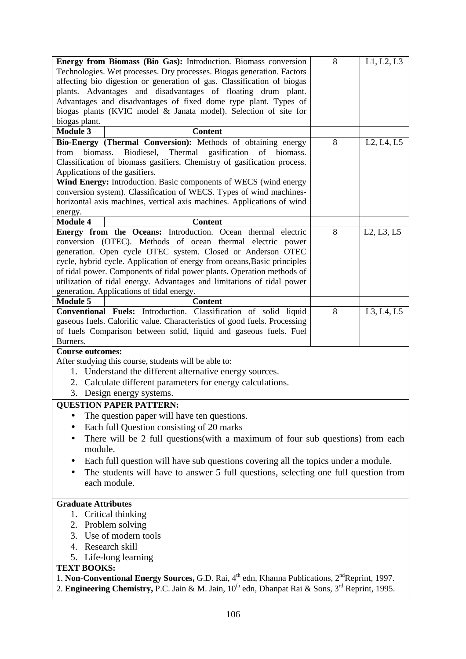| Energy from Biomass (Bio Gas): Introduction. Biomass conversion                                                                               | 8 | L1, L2, L3                                       |  |  |  |  |  |  |
|-----------------------------------------------------------------------------------------------------------------------------------------------|---|--------------------------------------------------|--|--|--|--|--|--|
| Technologies. Wet processes. Dry processes. Biogas generation. Factors                                                                        |   |                                                  |  |  |  |  |  |  |
| affecting bio digestion or generation of gas. Classification of biogas                                                                        |   |                                                  |  |  |  |  |  |  |
| plants. Advantages and disadvantages of floating drum plant.                                                                                  |   |                                                  |  |  |  |  |  |  |
| Advantages and disadvantages of fixed dome type plant. Types of                                                                               |   |                                                  |  |  |  |  |  |  |
| biogas plants (KVIC model & Janata model). Selection of site for                                                                              |   |                                                  |  |  |  |  |  |  |
| biogas plant.                                                                                                                                 |   |                                                  |  |  |  |  |  |  |
| <b>Module 3</b><br><b>Content</b>                                                                                                             |   |                                                  |  |  |  |  |  |  |
| Bio-Energy (Thermal Conversion): Methods of obtaining energy                                                                                  | 8 | L <sub>2</sub> , L <sub>4</sub> , L <sub>5</sub> |  |  |  |  |  |  |
| biomass.<br>Biodiesel,<br>Thermal gasification<br>of biomass.<br>from                                                                         |   |                                                  |  |  |  |  |  |  |
| Classification of biomass gasifiers. Chemistry of gasification process.                                                                       |   |                                                  |  |  |  |  |  |  |
| Applications of the gasifiers.                                                                                                                |   |                                                  |  |  |  |  |  |  |
| Wind Energy: Introduction. Basic components of WECS (wind energy                                                                              |   |                                                  |  |  |  |  |  |  |
| conversion system). Classification of WECS. Types of wind machines-<br>horizontal axis machines, vertical axis machines. Applications of wind |   |                                                  |  |  |  |  |  |  |
|                                                                                                                                               |   |                                                  |  |  |  |  |  |  |
| energy.<br><b>Module 4</b><br><b>Content</b>                                                                                                  |   |                                                  |  |  |  |  |  |  |
| Energy from the Oceans: Introduction. Ocean thermal electric                                                                                  | 8 | L2, L3, L5                                       |  |  |  |  |  |  |
| conversion (OTEC). Methods of ocean thermal electric power                                                                                    |   |                                                  |  |  |  |  |  |  |
| generation. Open cycle OTEC system. Closed or Anderson OTEC                                                                                   |   |                                                  |  |  |  |  |  |  |
| cycle, hybrid cycle. Application of energy from oceans, Basic principles                                                                      |   |                                                  |  |  |  |  |  |  |
| of tidal power. Components of tidal power plants. Operation methods of                                                                        |   |                                                  |  |  |  |  |  |  |
| utilization of tidal energy. Advantages and limitations of tidal power                                                                        |   |                                                  |  |  |  |  |  |  |
| generation. Applications of tidal energy.                                                                                                     |   |                                                  |  |  |  |  |  |  |
| <b>Module 5</b><br><b>Content</b>                                                                                                             |   |                                                  |  |  |  |  |  |  |
| Conventional Fuels: Introduction. Classification of solid liquid                                                                              | 8 | L3, L4, L5                                       |  |  |  |  |  |  |
| gaseous fuels. Calorific value. Characteristics of good fuels. Processing                                                                     |   |                                                  |  |  |  |  |  |  |
| of fuels Comparison between solid, liquid and gaseous fuels. Fuel                                                                             |   |                                                  |  |  |  |  |  |  |
| Burners.                                                                                                                                      |   |                                                  |  |  |  |  |  |  |
| <b>Course outcomes:</b>                                                                                                                       |   |                                                  |  |  |  |  |  |  |
| After studying this course, students will be able to:                                                                                         |   |                                                  |  |  |  |  |  |  |
| 1. Understand the different alternative energy sources.                                                                                       |   |                                                  |  |  |  |  |  |  |
| 2. Calculate different parameters for energy calculations.                                                                                    |   |                                                  |  |  |  |  |  |  |
| 3. Design energy systems.                                                                                                                     |   |                                                  |  |  |  |  |  |  |
| <b>QUESTION PAPER PATTERN:</b>                                                                                                                |   |                                                  |  |  |  |  |  |  |
| The question paper will have ten questions.                                                                                                   |   |                                                  |  |  |  |  |  |  |
| Each full Question consisting of 20 marks                                                                                                     |   |                                                  |  |  |  |  |  |  |
| There will be 2 full questions(with a maximum of four sub questions) from each                                                                |   |                                                  |  |  |  |  |  |  |
| module.                                                                                                                                       |   |                                                  |  |  |  |  |  |  |
| Each full question will have sub questions covering all the topics under a module.                                                            |   |                                                  |  |  |  |  |  |  |
| The students will have to answer 5 full questions, selecting one full question from                                                           |   |                                                  |  |  |  |  |  |  |
| each module.                                                                                                                                  |   |                                                  |  |  |  |  |  |  |
|                                                                                                                                               |   |                                                  |  |  |  |  |  |  |
| <b>Graduate Attributes</b>                                                                                                                    |   |                                                  |  |  |  |  |  |  |
| 1. Critical thinking                                                                                                                          |   |                                                  |  |  |  |  |  |  |
| 2. Problem solving                                                                                                                            |   |                                                  |  |  |  |  |  |  |
| 3. Use of modern tools                                                                                                                        |   |                                                  |  |  |  |  |  |  |
| 4. Research skill                                                                                                                             |   |                                                  |  |  |  |  |  |  |
| 5. Life-long learning                                                                                                                         |   |                                                  |  |  |  |  |  |  |
| <b>TEXT BOOKS:</b>                                                                                                                            |   |                                                  |  |  |  |  |  |  |
| 1. Non-Conventional Energy Sources, G.D. Rai, 4 <sup>th</sup> edn, Khanna Publications, 2 <sup>nd</sup> Reprint, 1997.                        |   |                                                  |  |  |  |  |  |  |
| 2. Engineering Chemistry, P.C. Jain & M. Jain, 10 <sup>th</sup> edn, Dhanpat Rai & Sons, 3 <sup>rd</sup> Reprint, 1995.                       |   |                                                  |  |  |  |  |  |  |
|                                                                                                                                               |   |                                                  |  |  |  |  |  |  |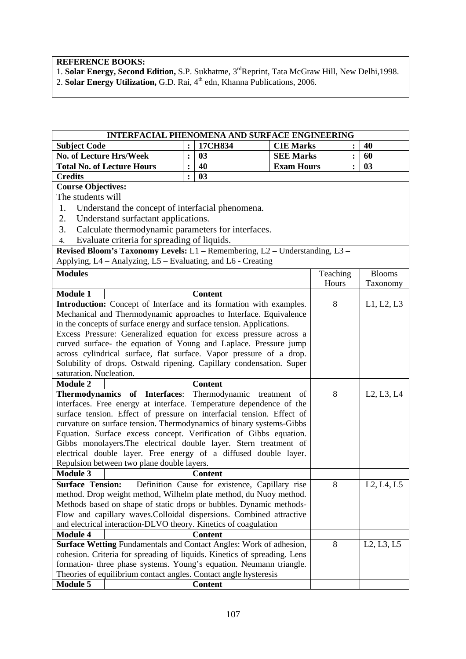**REFERENCE BOOKS:** 

1. **Solar Energy, Second Edition, S.P. Sukhatme, 3<sup>rd</sup>Reprint, Tata McGraw Hill, New Delhi, 1998.** 2. **Solar Energy Utilization, G.D. Rai**, 4<sup>th</sup> edn, Khanna Publications, 2006.

|                                                                                                                                             | INTERFACIAL PHENOMENA AND SURFACE ENGINEERING                               |                |                                                |                   |          |                |                                                  |
|---------------------------------------------------------------------------------------------------------------------------------------------|-----------------------------------------------------------------------------|----------------|------------------------------------------------|-------------------|----------|----------------|--------------------------------------------------|
| <b>Subject Code</b>                                                                                                                         |                                                                             | $\ddot{\cdot}$ | 17CH834                                        | <b>CIE Marks</b>  |          |                | 40                                               |
| <b>No. of Lecture Hrs/Week</b>                                                                                                              |                                                                             | :              | 03                                             | <b>SEE Marks</b>  |          | :              | 60                                               |
|                                                                                                                                             | <b>Total No. of Lecture Hours</b>                                           | $\ddot{\cdot}$ | 40                                             | <b>Exam Hours</b> |          | $\ddot{\cdot}$ | 03                                               |
| <b>Credits</b>                                                                                                                              |                                                                             | $\ddot{\cdot}$ | 03                                             |                   |          |                |                                                  |
| <b>Course Objectives:</b>                                                                                                                   |                                                                             |                |                                                |                   |          |                |                                                  |
| The students will                                                                                                                           |                                                                             |                |                                                |                   |          |                |                                                  |
| 1.                                                                                                                                          | Understand the concept of interfacial phenomena.                            |                |                                                |                   |          |                |                                                  |
| 2.                                                                                                                                          | Understand surfactant applications.                                         |                |                                                |                   |          |                |                                                  |
| 3.                                                                                                                                          | Calculate thermodynamic parameters for interfaces.                          |                |                                                |                   |          |                |                                                  |
| 4.                                                                                                                                          | Evaluate criteria for spreading of liquids.                                 |                |                                                |                   |          |                |                                                  |
|                                                                                                                                             | Revised Bloom's Taxonomy Levels: L1 - Remembering, L2 - Understanding, L3 - |                |                                                |                   |          |                |                                                  |
|                                                                                                                                             | Applying, L4 - Analyzing, L5 - Evaluating, and L6 - Creating                |                |                                                |                   |          |                |                                                  |
| <b>Modules</b>                                                                                                                              |                                                                             |                |                                                |                   | Teaching |                | <b>Blooms</b>                                    |
|                                                                                                                                             |                                                                             |                |                                                |                   | Hours    |                | Taxonomy                                         |
| <b>Module 1</b>                                                                                                                             |                                                                             |                | <b>Content</b>                                 |                   |          |                |                                                  |
|                                                                                                                                             | Introduction: Concept of Interface and its formation with examples.         |                |                                                |                   | 8        |                | L1, L2, L3                                       |
|                                                                                                                                             | Mechanical and Thermodynamic approaches to Interface. Equivalence           |                |                                                |                   |          |                |                                                  |
|                                                                                                                                             | in the concepts of surface energy and surface tension. Applications.        |                |                                                |                   |          |                |                                                  |
|                                                                                                                                             | Excess Pressure: Generalized equation for excess pressure across a          |                |                                                |                   |          |                |                                                  |
| curved surface- the equation of Young and Laplace. Pressure jump                                                                            |                                                                             |                |                                                |                   |          |                |                                                  |
| across cylindrical surface, flat surface. Vapor pressure of a drop.                                                                         |                                                                             |                |                                                |                   |          |                |                                                  |
| Solubility of drops. Ostwald ripening. Capillary condensation. Super                                                                        |                                                                             |                |                                                |                   |          |                |                                                  |
| saturation. Nucleation.                                                                                                                     |                                                                             |                |                                                |                   |          |                |                                                  |
| <b>Module 2</b>                                                                                                                             |                                                                             |                | <b>Content</b>                                 |                   |          |                |                                                  |
|                                                                                                                                             | Thermodynamics of Interfaces: Thermodynamic treatment                       |                |                                                | of                | 8        |                | L <sub>2</sub> , L <sub>3</sub> , L <sub>4</sub> |
|                                                                                                                                             | interfaces. Free energy at interface. Temperature dependence of the         |                |                                                |                   |          |                |                                                  |
|                                                                                                                                             | surface tension. Effect of pressure on interfacial tension. Effect of       |                |                                                |                   |          |                |                                                  |
|                                                                                                                                             | curvature on surface tension. Thermodynamics of binary systems-Gibbs        |                |                                                |                   |          |                |                                                  |
|                                                                                                                                             | Equation. Surface excess concept. Verification of Gibbs equation.           |                |                                                |                   |          |                |                                                  |
|                                                                                                                                             | Gibbs monolayers. The electrical double layer. Stern treatment of           |                |                                                |                   |          |                |                                                  |
|                                                                                                                                             | electrical double layer. Free energy of a diffused double layer.            |                |                                                |                   |          |                |                                                  |
| <b>Module 3</b>                                                                                                                             | Repulsion between two plane double layers.                                  |                | <b>Content</b>                                 |                   |          |                |                                                  |
|                                                                                                                                             |                                                                             |                |                                                |                   | 8        |                |                                                  |
| <b>Surface Tension:</b>                                                                                                                     |                                                                             |                | Definition Cause for existence, Capillary rise |                   |          |                | L <sub>2</sub> , L <sub>4</sub> , L <sub>5</sub> |
| method. Drop weight method, Wilhelm plate method, du Nuoy method.                                                                           |                                                                             |                |                                                |                   |          |                |                                                  |
| Methods based on shape of static drops or bubbles. Dynamic methods-<br>Flow and capillary waves. Colloidal dispersions. Combined attractive |                                                                             |                |                                                |                   |          |                |                                                  |
| and electrical interaction-DLVO theory. Kinetics of coagulation                                                                             |                                                                             |                |                                                |                   |          |                |                                                  |
| <b>Module 4</b>                                                                                                                             |                                                                             |                | <b>Content</b>                                 |                   |          |                |                                                  |
|                                                                                                                                             | Surface Wetting Fundamentals and Contact Angles: Work of adhesion,          |                |                                                |                   | 8        |                | L2, L3, L5                                       |
|                                                                                                                                             | cohesion. Criteria for spreading of liquids. Kinetics of spreading. Lens    |                |                                                |                   |          |                |                                                  |
| formation- three phase systems. Young's equation. Neumann triangle.                                                                         |                                                                             |                |                                                |                   |          |                |                                                  |
| Theories of equilibrium contact angles. Contact angle hysteresis                                                                            |                                                                             |                |                                                |                   |          |                |                                                  |
| <b>Module 5</b>                                                                                                                             |                                                                             |                | <b>Content</b>                                 |                   |          |                |                                                  |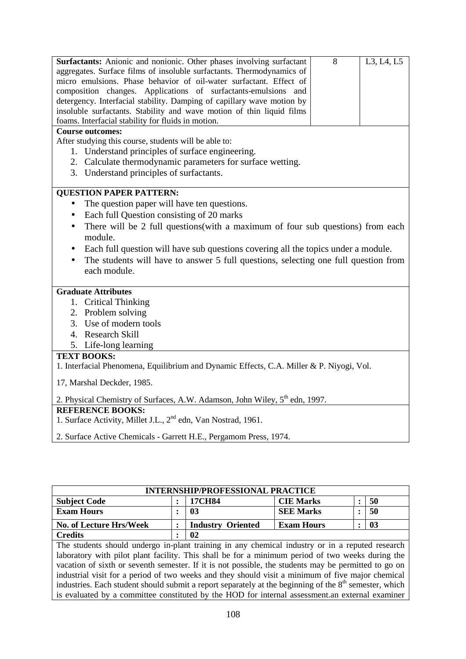| Surfactants: Anionic and nonionic. Other phases involving surfactant<br>aggregates. Surface films of insoluble surfactants. Thermodynamics of<br>micro emulsions. Phase behavior of oil-water surfactant. Effect of<br>composition changes. Applications of surfactants-emulsions and<br>detergency. Interfacial stability. Damping of capillary wave motion by<br>insoluble surfactants. Stability and wave motion of thin liquid films<br>foams. Interfacial stability for fluids in motion. | 8 | L3, L4, L5 |
|------------------------------------------------------------------------------------------------------------------------------------------------------------------------------------------------------------------------------------------------------------------------------------------------------------------------------------------------------------------------------------------------------------------------------------------------------------------------------------------------|---|------------|
| <b>Course outcomes:</b>                                                                                                                                                                                                                                                                                                                                                                                                                                                                        |   |            |
| After studying this course, students will be able to:                                                                                                                                                                                                                                                                                                                                                                                                                                          |   |            |
| 1. Understand principles of surface engineering.                                                                                                                                                                                                                                                                                                                                                                                                                                               |   |            |
| 2. Calculate thermodynamic parameters for surface wetting.                                                                                                                                                                                                                                                                                                                                                                                                                                     |   |            |
| 3. Understand principles of surfactants.                                                                                                                                                                                                                                                                                                                                                                                                                                                       |   |            |
|                                                                                                                                                                                                                                                                                                                                                                                                                                                                                                |   |            |
| <b>QUESTION PAPER PATTERN:</b>                                                                                                                                                                                                                                                                                                                                                                                                                                                                 |   |            |
| The question paper will have ten questions.<br>$\bullet$                                                                                                                                                                                                                                                                                                                                                                                                                                       |   |            |
|                                                                                                                                                                                                                                                                                                                                                                                                                                                                                                |   |            |
| Each full Question consisting of 20 marks<br>$\bullet$                                                                                                                                                                                                                                                                                                                                                                                                                                         |   |            |
| There will be 2 full questions (with a maximum of four sub questions) from each<br>$\bullet$                                                                                                                                                                                                                                                                                                                                                                                                   |   |            |
| module.                                                                                                                                                                                                                                                                                                                                                                                                                                                                                        |   |            |
| Each full question will have sub questions covering all the topics under a module.<br>٠                                                                                                                                                                                                                                                                                                                                                                                                        |   |            |
| The students will have to answer 5 full questions, selecting one full question from                                                                                                                                                                                                                                                                                                                                                                                                            |   |            |
| each module.                                                                                                                                                                                                                                                                                                                                                                                                                                                                                   |   |            |
|                                                                                                                                                                                                                                                                                                                                                                                                                                                                                                |   |            |
| <b>Graduate Attributes</b>                                                                                                                                                                                                                                                                                                                                                                                                                                                                     |   |            |
| 1. Critical Thinking                                                                                                                                                                                                                                                                                                                                                                                                                                                                           |   |            |
| 2. Problem solving                                                                                                                                                                                                                                                                                                                                                                                                                                                                             |   |            |
| 3. Use of modern tools                                                                                                                                                                                                                                                                                                                                                                                                                                                                         |   |            |
| 4. Research Skill                                                                                                                                                                                                                                                                                                                                                                                                                                                                              |   |            |
| 5. Life-long learning                                                                                                                                                                                                                                                                                                                                                                                                                                                                          |   |            |
| <b>TEXT BOOKS:</b>                                                                                                                                                                                                                                                                                                                                                                                                                                                                             |   |            |
| 1. Interfacial Phenomena, Equilibrium and Dynamic Effects, C.A. Miller & P. Niyogi, Vol.                                                                                                                                                                                                                                                                                                                                                                                                       |   |            |
| 17, Marshal Deckder, 1985.                                                                                                                                                                                                                                                                                                                                                                                                                                                                     |   |            |
| 2. Physical Chemistry of Surfaces, A.W. Adamson, John Wiley, 5th edn, 1997.                                                                                                                                                                                                                                                                                                                                                                                                                    |   |            |
| <b>REFERENCE BOOKS:</b>                                                                                                                                                                                                                                                                                                                                                                                                                                                                        |   |            |
| 1. Surface Activity, Millet J.L., 2 <sup>nd</sup> edn, Van Nostrad, 1961.                                                                                                                                                                                                                                                                                                                                                                                                                      |   |            |
|                                                                                                                                                                                                                                                                                                                                                                                                                                                                                                |   |            |

2. Surface Active Chemicals - Garrett H.E., Pergamom Press, 1974.

| <b>INTERNSHIP/PROFESSIONAL PRACTICE</b>                                                                            |   |                          |                   |                |    |  |  |
|--------------------------------------------------------------------------------------------------------------------|---|--------------------------|-------------------|----------------|----|--|--|
| <b>Subject Code</b>                                                                                                | ٠ | 17CH84                   | <b>CIE Marks</b>  | $\ddot{\cdot}$ | 50 |  |  |
| <b>Exam Hours</b>                                                                                                  |   | 03                       | <b>SEE Marks</b>  | ٠              | 50 |  |  |
| No. of Lecture Hrs/Week                                                                                            | ٠ | <b>Industry Oriented</b> | <b>Exam Hours</b> | ٠              | 03 |  |  |
| <b>Credits</b>                                                                                                     |   | $\mathbf{02}$            |                   |                |    |  |  |
| The students should undergo in-plant training in any chemical industry or in a reputed research                    |   |                          |                   |                |    |  |  |
| laboratory with pilot plant facility. This shall be for a minimum period of two weeks during the                   |   |                          |                   |                |    |  |  |
| vacation of sixth or seventh semester. If it is not possible, the students may be permitted to go on               |   |                          |                   |                |    |  |  |
| industrial visit for a period of two weeks and they should visit a minimum of five major chemical                  |   |                          |                   |                |    |  |  |
| industries. Each student should submit a report separately at the beginning of the 8 <sup>th</sup> semester, which |   |                          |                   |                |    |  |  |
| is evaluated by a committee constituted by the HOD for internal assessment an external examiner                    |   |                          |                   |                |    |  |  |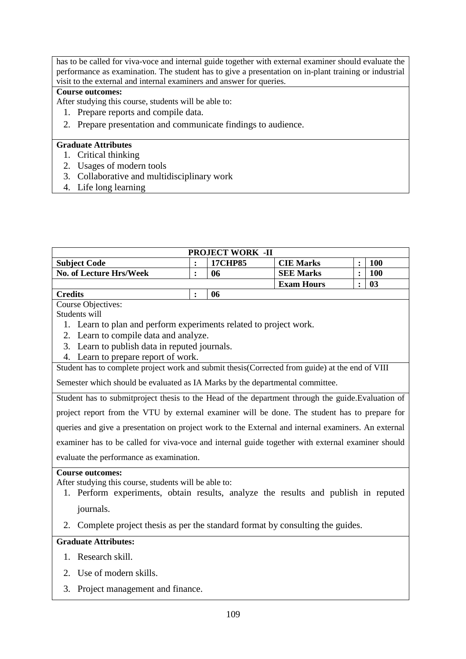has to be called for viva-voce and internal guide together with external examiner should evaluate the performance as examination. The student has to give a presentation on in-plant training or industrial visit to the external and internal examiners and answer for queries.

# **Course outcomes:**

After studying this course, students will be able to:

- 1. Prepare reports and compile data.
- 2. Prepare presentation and communicate findings to audience.

# **Graduate Attributes**

- 1. Critical thinking
- 2. Usages of modern tools
- 3. Collaborative and multidisciplinary work
- 4. Life long learning

| <b>PROJECT WORK -II</b>        |  |                |                   |  |            |  |  |
|--------------------------------|--|----------------|-------------------|--|------------|--|--|
| <b>Subject Code</b>            |  | <b>17CHP85</b> | <b>CIE Marks</b>  |  | <b>100</b> |  |  |
| <b>No. of Lecture Hrs/Week</b> |  | 06             | <b>SEE Marks</b>  |  | 100        |  |  |
|                                |  |                | <b>Exam Hours</b> |  | 03         |  |  |
| <b>Credits</b>                 |  | 06             |                   |  |            |  |  |

Course Objectives:

Students will

- 1. Learn to plan and perform experiments related to project work.
- 2. Learn to compile data and analyze.
- 3. Learn to publish data in reputed journals.
- 4. Learn to prepare report of work.

Student has to complete project work and submit thesis(Corrected from guide) at the end of VIII

Semester which should be evaluated as IA Marks by the departmental committee.

Student has to submitproject thesis to the Head of the department through the guide.Evaluation of project report from the VTU by external examiner will be done. The student has to prepare for queries and give a presentation on project work to the External and internal examiners. An external examiner has to be called for viva-voce and internal guide together with external examiner should evaluate the performance as examination.

#### **Course outcomes:**

After studying this course, students will be able to:

- 1. Perform experiments, obtain results, analyze the results and publish in reputed journals.
- 2. Complete project thesis as per the standard format by consulting the guides.

# **Graduate Attributes:**

- 1. Research skill.
- 2. Use of modern skills.
- 3. Project management and finance.